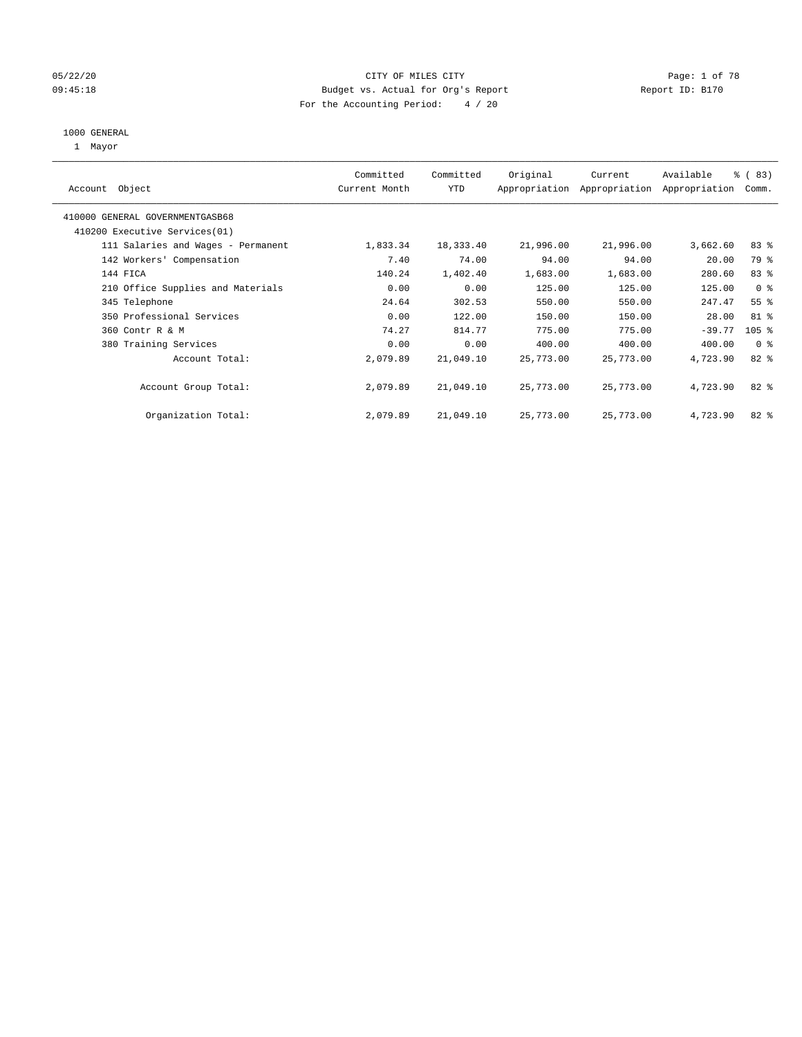#### 05/22/20 **CITY OF MILES CITY** CONTROLLER CONTROLLER Page: 1 of 78 09:45:18 Budget vs. Actual for Org's Report Changer Report ID: B170 For the Accounting Period: 4 / 20

#### 1000 GENERAL

1 Mayor

| Object<br>Account                  | Committed<br>Current Month | Committed<br><b>YTD</b> | Original  | Current<br>Appropriation Appropriation | Available<br>Appropriation | % (83)<br>Comm. |
|------------------------------------|----------------------------|-------------------------|-----------|----------------------------------------|----------------------------|-----------------|
| 410000 GENERAL GOVERNMENTGASB68    |                            |                         |           |                                        |                            |                 |
| 410200 Executive Services (01)     |                            |                         |           |                                        |                            |                 |
| 111 Salaries and Wages - Permanent | 1,833.34                   | 18,333.40               | 21,996.00 | 21,996.00                              | 3,662.60                   | 83%             |
| 142 Workers' Compensation          | 7.40                       | 74.00                   | 94.00     | 94.00                                  | 20.00                      | 79 %            |
| 144 FICA                           | 140.24                     | 1,402.40                | 1,683.00  | 1,683.00                               | 280.60                     | 83%             |
| 210 Office Supplies and Materials  | 0.00                       | 0.00                    | 125.00    | 125.00                                 | 125.00                     | 0 <sup>8</sup>  |
| 345 Telephone                      | 24.64                      | 302.53                  | 550.00    | 550.00                                 | 247.47                     | 55 <sup>8</sup> |
| 350 Professional Services          | 0.00                       | 122.00                  | 150.00    | 150.00                                 | 28.00                      | 81 %            |
| 360 Contr R & M                    | 74.27                      | 814.77                  | 775.00    | 775.00                                 | $-39.77$                   | $105$ %         |
| 380 Training Services              | 0.00                       | 0.00                    | 400.00    | 400.00                                 | 400.00                     | 0 <sup>8</sup>  |
| Account Total:                     | 2,079.89                   | 21,049.10               | 25,773.00 | 25,773.00                              | 4,723.90                   | $82*$           |
| Account Group Total:               | 2,079.89                   | 21,049.10               | 25,773.00 | 25,773.00                              | 4,723.90                   | $82*$           |
| Organization Total:                | 2,079.89                   | 21,049.10               | 25,773.00 | 25,773.00                              | 4,723.90                   | 82 %            |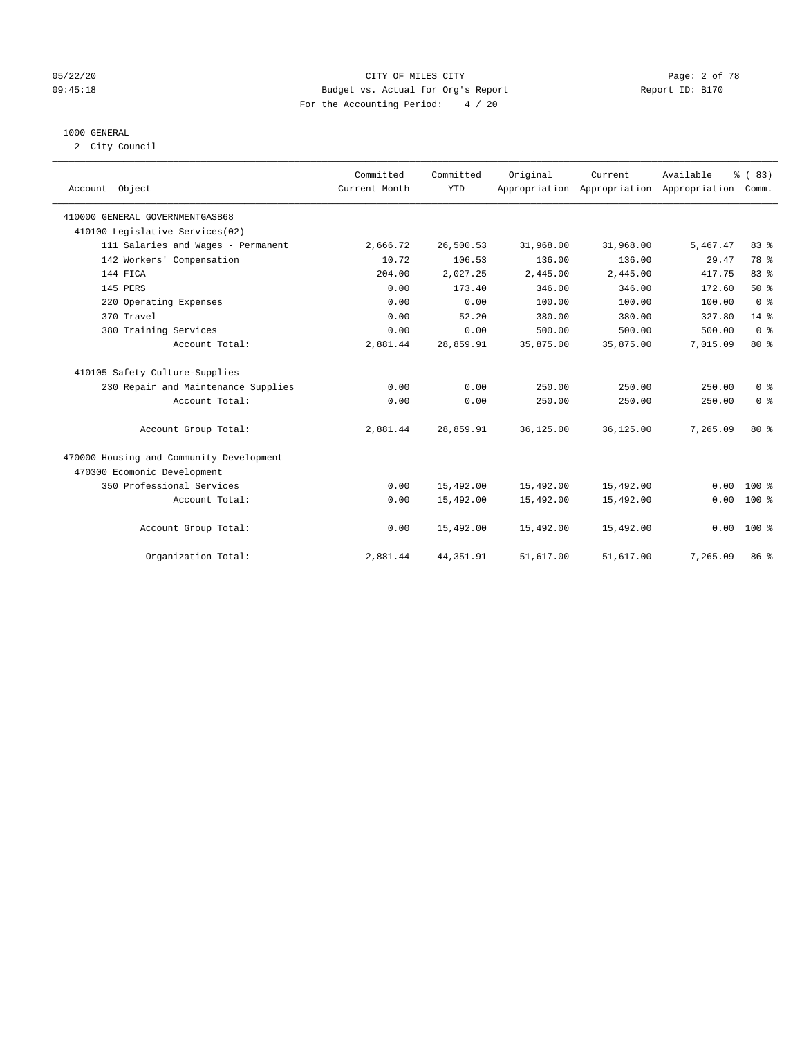#### 05/22/20 CITY OF MILES CITY Page: 2 of 78 09:45:18 **Budget vs. Actual for Org's Report Report ID: B170** For the Accounting Period: 4 / 20

#### 1000 GENERAL

2 City Council

|                                          | Committed     | Committed  | Original  | Current                                   | Available | % (83)         |
|------------------------------------------|---------------|------------|-----------|-------------------------------------------|-----------|----------------|
| Account Object                           | Current Month | <b>YTD</b> |           | Appropriation Appropriation Appropriation |           | Comm.          |
|                                          |               |            |           |                                           |           |                |
| 410000 GENERAL GOVERNMENTGASB68          |               |            |           |                                           |           |                |
| 410100 Legislative Services(02)          |               |            |           |                                           |           |                |
| 111 Salaries and Wages - Permanent       | 2,666.72      | 26,500.53  | 31,968.00 | 31,968.00                                 | 5,467.47  | 83 %           |
| 142 Workers' Compensation                | 10.72         | 106.53     | 136.00    | 136.00                                    | 29.47     | 78 %           |
| 144 FICA                                 | 204.00        | 2,027.25   | 2,445.00  | 2,445.00                                  | 417.75    | 83%            |
| 145 PERS                                 | 0.00          | 173.40     | 346.00    | 346.00                                    | 172.60    | 50%            |
| 220 Operating Expenses                   | 0.00          | 0.00       | 100.00    | 100.00                                    | 100.00    | 0 <sup>8</sup> |
| 370 Travel                               | 0.00          | 52.20      | 380.00    | 380.00                                    | 327.80    | $14*$          |
| 380 Training Services                    | 0.00          | 0.00       | 500.00    | 500.00                                    | 500.00    | 0 <sup>8</sup> |
| Account Total:                           | 2,881.44      | 28,859.91  | 35,875.00 | 35,875.00                                 | 7,015.09  | $80*$          |
| 410105 Safety Culture-Supplies           |               |            |           |                                           |           |                |
| 230 Repair and Maintenance Supplies      | 0.00          | 0.00       | 250.00    | 250.00                                    | 250.00    | 0 <sup>8</sup> |
| Account Total:                           | 0.00          | 0.00       | 250.00    | 250.00                                    | 250.00    | 0 <sup>8</sup> |
| Account Group Total:                     | 2,881.44      | 28,859.91  | 36,125.00 | 36,125.00                                 | 7,265.09  | 80%            |
| 470000 Housing and Community Development |               |            |           |                                           |           |                |
| 470300 Ecomonic Development              |               |            |           |                                           |           |                |
| 350 Professional Services                | 0.00          | 15,492.00  | 15,492.00 | 15,492.00                                 | 0.00      | $100*$         |
| Account Total:                           | 0.00          | 15,492.00  | 15,492.00 | 15,492.00                                 | 0.00      | 100 %          |
| Account Group Total:                     | 0.00          | 15,492.00  | 15,492.00 | 15,492.00                                 | 0.00      | 100 %          |
| Organization Total:                      | 2,881.44      | 44, 351.91 | 51,617.00 | 51,617.00                                 | 7,265.09  | 86 %           |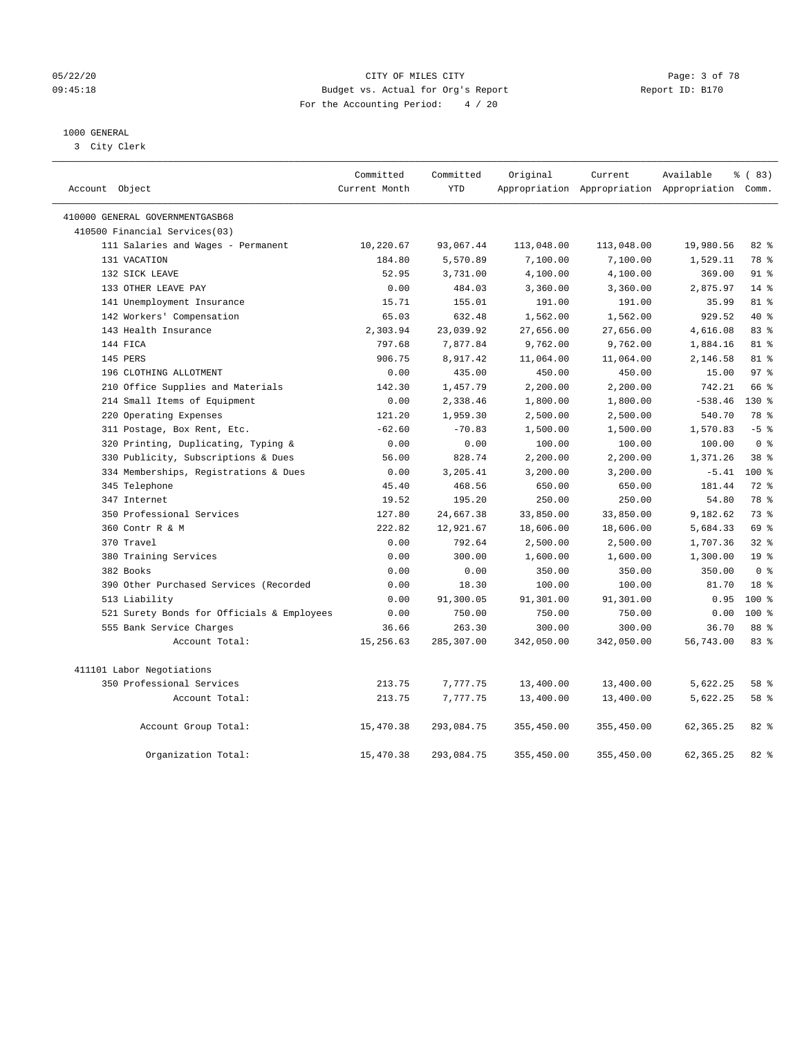#### 05/22/20 CITY OF MILES CITY Page: 3 of 78 09:45:18 **Budget vs. Actual for Org's Report Report ID: B170** For the Accounting Period: 4 / 20

### 1000 GENERAL

3 City Clerk

| Account Object                             | Committed<br>Current Month | Committed<br><b>YTD</b> | Original   | Current    | Available<br>Appropriation Appropriation Appropriation Comm. | % (83)           |
|--------------------------------------------|----------------------------|-------------------------|------------|------------|--------------------------------------------------------------|------------------|
| 410000 GENERAL GOVERNMENTGASB68            |                            |                         |            |            |                                                              |                  |
| 410500 Financial Services(03)              |                            |                         |            |            |                                                              |                  |
| 111 Salaries and Wages - Permanent         | 10,220.67                  | 93,067.44               | 113,048.00 | 113,048.00 | 19,980.56                                                    | 82%              |
| 131 VACATION                               | 184.80                     | 5,570.89                | 7,100.00   | 7,100.00   | 1,529.11                                                     | 78 %             |
| 132 SICK LEAVE                             | 52.95                      | 3,731.00                | 4,100.00   | 4,100.00   | 369.00                                                       | $91$ $%$         |
| 133 OTHER LEAVE PAY                        | 0.00                       | 484.03                  | 3,360.00   | 3,360.00   | 2,875.97                                                     | $14$ %           |
| 141 Unemployment Insurance                 | 15.71                      | 155.01                  | 191.00     | 191.00     | 35.99                                                        | $81 - 8$         |
| 142 Workers' Compensation                  | 65.03                      | 632.48                  | 1,562.00   | 1,562.00   | 929.52                                                       | 40 %             |
| 143 Health Insurance                       | 2,303.94                   | 23,039.92               | 27,656.00  | 27,656.00  | 4,616.08                                                     | 83%              |
| 144 FICA                                   | 797.68                     | 7,877.84                | 9,762.00   | 9,762.00   | 1,884.16                                                     | 81 %             |
| 145 PERS                                   | 906.75                     | 8,917.42                | 11,064.00  | 11,064.00  | 2,146.58                                                     | $81 - 8$         |
| 196 CLOTHING ALLOTMENT                     | 0.00                       | 435.00                  | 450.00     | 450.00     | 15.00                                                        | 97 <sub>8</sub>  |
| 210 Office Supplies and Materials          | 142.30                     | 1,457.79                | 2,200.00   | 2,200.00   | 742.21                                                       | 66 %             |
| 214 Small Items of Equipment               | 0.00                       | 2,338.46                | 1,800.00   | 1,800.00   | $-538.46$                                                    | 130 %            |
| 220 Operating Expenses                     | 121.20                     | 1,959.30                | 2,500.00   | 2,500.00   | 540.70                                                       | 78 %             |
| 311 Postage, Box Rent, Etc.                | $-62.60$                   | $-70.83$                | 1,500.00   | 1,500.00   | 1,570.83                                                     | $-5$ $%$         |
| 320 Printing, Duplicating, Typing &        | 0.00                       | 0.00                    | 100.00     | 100.00     | 100.00                                                       | 0 <sup>8</sup>   |
| 330 Publicity, Subscriptions & Dues        | 56.00                      | 828.74                  | 2,200.00   | 2,200.00   | 1,371.26                                                     | 38 %             |
| 334 Memberships, Registrations & Dues      | 0.00                       | 3,205.41                | 3,200.00   | 3,200.00   | $-5.41$                                                      | 100 <sub>8</sub> |
| 345 Telephone                              | 45.40                      | 468.56                  | 650.00     | 650.00     | 181.44                                                       | 72 %             |
| 347 Internet                               | 19.52                      | 195.20                  | 250.00     | 250.00     | 54.80                                                        | 78 %             |
| 350 Professional Services                  | 127.80                     | 24,667.38               | 33,850.00  | 33,850.00  | 9,182.62                                                     | 73%              |
| 360 Contr R & M                            | 222.82                     | 12,921.67               | 18,606.00  | 18,606.00  | 5,684.33                                                     | 69 %             |
| 370 Travel                                 | 0.00                       | 792.64                  | 2,500.00   | 2,500.00   | 1,707.36                                                     | 32%              |
| 380 Training Services                      | 0.00                       | 300.00                  | 1,600.00   | 1,600.00   | 1,300.00                                                     | 19 <sup>°</sup>  |
| 382 Books                                  | 0.00                       | 0.00                    | 350.00     | 350.00     | 350.00                                                       | 0 <sup>8</sup>   |
| 390 Other Purchased Services (Recorded     | 0.00                       | 18.30                   | 100.00     | 100.00     | 81.70                                                        | 18 <sup>8</sup>  |
| 513 Liability                              | 0.00                       | 91,300.05               | 91,301.00  | 91,301.00  | 0.95                                                         | $100*$           |
| 521 Surety Bonds for Officials & Employees | 0.00                       | 750.00                  | 750.00     | 750.00     | 0.00                                                         | $100*$           |
| 555 Bank Service Charges                   | 36.66                      | 263.30                  | 300.00     | 300.00     | 36.70                                                        | 88 %             |
| Account Total:                             | 15,256.63                  | 285,307.00              | 342,050.00 | 342,050.00 | 56,743.00                                                    | 83%              |
| 411101 Labor Negotiations                  |                            |                         |            |            |                                                              |                  |
| 350 Professional Services                  | 213.75                     | 7,777.75                | 13,400.00  | 13,400.00  | 5,622.25                                                     | 58 %             |
| Account Total:                             | 213.75                     | 7,777.75                | 13,400.00  | 13,400.00  | 5,622.25                                                     | 58 %             |
| Account Group Total:                       | 15,470.38                  | 293,084.75              | 355,450.00 | 355,450.00 | 62, 365.25                                                   | 82%              |
| Organization Total:                        | 15,470.38                  | 293,084.75              | 355,450.00 | 355,450.00 | 62, 365, 25                                                  | 82.8             |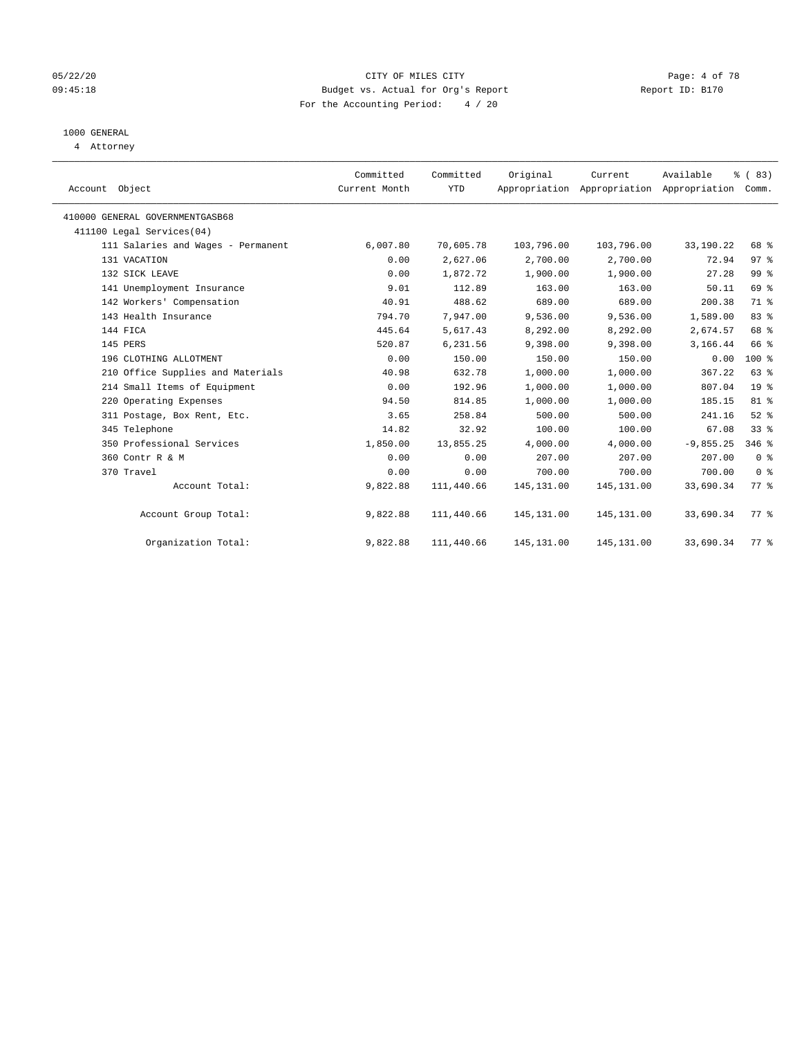#### 05/22/20 CITY OF MILES CITY Page: 4 of 78 09:45:18 **Budget vs. Actual for Org's Report Report ID: B170** For the Accounting Period: 4 / 20

## 1000 GENERAL

4 Attorney

| Account Object                     | Committed<br>Current Month | Committed<br>YTD | Original    | Current<br>Appropriation Appropriation Appropriation | Available   | % (83)<br>Comm.    |  |
|------------------------------------|----------------------------|------------------|-------------|------------------------------------------------------|-------------|--------------------|--|
| 410000 GENERAL GOVERNMENTGASB68    |                            |                  |             |                                                      |             |                    |  |
| 411100 Legal Services(04)          |                            |                  |             |                                                      |             |                    |  |
| 111 Salaries and Wages - Permanent | 6,007.80                   | 70,605.78        | 103,796.00  | 103,796.00                                           | 33,190.22   | 68 %               |  |
| 131 VACATION                       | 0.00                       | 2,627.06         | 2,700.00    | 2,700.00                                             | 72.94       | 97%                |  |
| 132 SICK LEAVE                     | 0.00                       | 1,872.72         | 1,900.00    | 1,900.00                                             | 27.28       | 99 %               |  |
| 141 Unemployment Insurance         | 9.01                       | 112.89           | 163.00      | 163.00                                               | 50.11       | 69 %               |  |
| 142 Workers' Compensation          | 40.91                      | 488.62           | 689.00      | 689.00                                               | 200.38      | 71 %               |  |
| 143 Health Insurance               | 794.70                     | 7,947.00         | 9,536.00    | 9,536.00                                             | 1,589.00    | 83 %               |  |
| 144 FICA                           | 445.64                     | 5,617.43         | 8,292.00    | 8,292.00                                             | 2,674.57    | 68 %               |  |
| 145 PERS                           | 520.87                     | 6,231.56         | 9,398.00    | 9,398.00                                             | 3,166.44    | 66 %               |  |
| 196 CLOTHING ALLOTMENT             | 0.00                       | 150.00           | 150.00      | 150.00                                               | 0.00        | 100 %              |  |
| 210 Office Supplies and Materials  | 40.98                      | 632.78           | 1,000.00    | 1,000.00                                             | 367.22      | 63 %               |  |
| 214 Small Items of Equipment       | 0.00                       | 192.96           | 1,000.00    | 1,000.00                                             | 807.04      | 19 <sup>8</sup>    |  |
| 220 Operating Expenses             | 94.50                      | 814.85           | 1,000.00    | 1,000.00                                             | 185.15      | 81 %               |  |
| 311 Postage, Box Rent, Etc.        | 3.65                       | 258.84           | 500.00      | 500.00                                               | 241.16      | $52$ $%$           |  |
| 345 Telephone                      | 14.82                      | 32.92            | 100.00      | 100.00                                               | 67.08       | 33%                |  |
| 350 Professional Services          | 1,850.00                   | 13,855.25        | 4,000.00    | 4,000.00                                             | $-9,855.25$ | $346$ %            |  |
| 360 Contr R & M                    | 0.00                       | 0.00             | 207.00      | 207.00                                               | 207.00      | 0 <sup>8</sup>     |  |
| 370 Travel                         | 0.00                       | 0.00             | 700.00      | 700.00                                               | 700.00      | 0 <sup>8</sup>     |  |
| Account Total:                     | 9,822.88                   | 111,440.66       | 145, 131.00 | 145, 131.00                                          | 33,690.34   | $77$ $\frac{6}{3}$ |  |
| Account Group Total:               | 9,822.88                   | 111,440.66       | 145, 131.00 | 145, 131.00                                          | 33,690.34   | 77.8               |  |
| Organization Total:                | 9,822.88                   | 111,440.66       | 145,131.00  | 145,131.00                                           | 33,690.34   | $77*$              |  |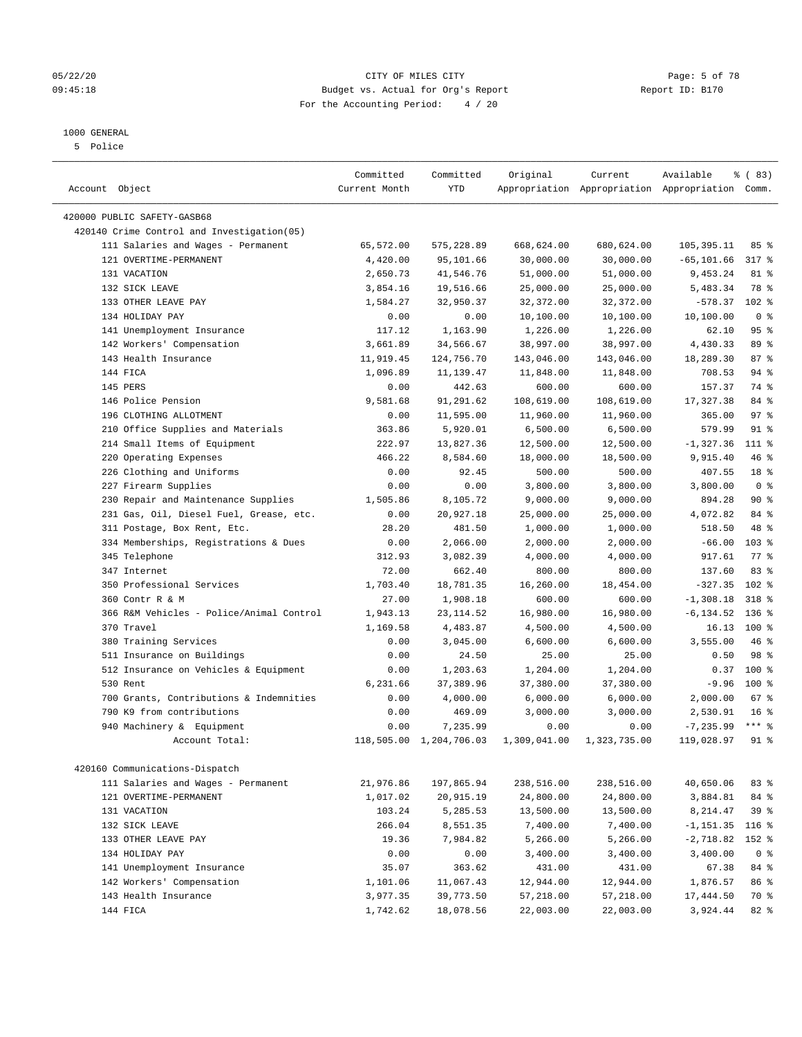#### 05/22/20 **CITY OF MILES CITY CONSUMING THE CONSUMING PAGE:** 5 of 78 09:45:18 **Budget vs. Actual for Org's Report Report ID: B170** For the Accounting Period: 4 / 20

————————————————————————————————————————————————————————————————————————————————————————————————————————————————————————————————————

### 1000 GENERAL

5 Police

|                                            | Committed     | Committed               | Original     | Current      | Available                                       | % (83)             |
|--------------------------------------------|---------------|-------------------------|--------------|--------------|-------------------------------------------------|--------------------|
| Account Object                             | Current Month | YTD                     |              |              | Appropriation Appropriation Appropriation Comm. |                    |
| 420000 PUBLIC SAFETY-GASB68                |               |                         |              |              |                                                 |                    |
| 420140 Crime Control and Investigation(05) |               |                         |              |              |                                                 |                    |
| 111 Salaries and Wages - Permanent         | 65,572.00     | 575,228.89              | 668,624.00   | 680,624.00   | 105, 395.11                                     | 85%                |
| 121 OVERTIME-PERMANENT                     | 4,420.00      | 95,101.66               | 30,000.00    | 30,000.00    | $-65, 101.66$                                   | 317 %              |
| 131 VACATION                               | 2,650.73      | 41,546.76               | 51,000.00    | 51,000.00    | 9,453.24                                        | 81 %               |
| 132 SICK LEAVE                             | 3,854.16      | 19,516.66               | 25,000.00    | 25,000.00    | 5,483.34                                        | 78 %               |
| 133 OTHER LEAVE PAY                        | 1,584.27      | 32,950.37               | 32,372.00    | 32, 372.00   | $-578.37$                                       | $102$ %            |
| 134 HOLIDAY PAY                            | 0.00          | 0.00                    | 10,100.00    | 10,100.00    | 10,100.00                                       | 0 <sup>8</sup>     |
| 141 Unemployment Insurance                 | 117.12        | 1,163.90                | 1,226.00     | 1,226.00     | 62.10                                           | 95%                |
| 142 Workers' Compensation                  | 3,661.89      | 34,566.67               | 38,997.00    | 38,997.00    | 4,430.33                                        | 89 %               |
| 143 Health Insurance                       | 11,919.45     | 124,756.70              | 143,046.00   | 143,046.00   | 18,289.30                                       | 87%                |
| 144 FICA                                   | 1,096.89      | 11,139.47               | 11,848.00    | 11,848.00    | 708.53                                          | 94 %               |
| 145 PERS                                   | 0.00          | 442.63                  | 600.00       | 600.00       | 157.37                                          | 74 %               |
| 146 Police Pension                         | 9,581.68      | 91,291.62               | 108,619.00   | 108,619.00   | 17,327.38                                       | 84 %               |
| 196 CLOTHING ALLOTMENT                     | 0.00          | 11,595.00               | 11,960.00    | 11,960.00    | 365.00                                          | 97%                |
| 210 Office Supplies and Materials          | 363.86        | 5,920.01                | 6,500.00     | 6,500.00     | 579.99                                          | 91 %               |
| 214 Small Items of Equipment               | 222.97        | 13,827.36               | 12,500.00    | 12,500.00    | $-1,327.36$                                     | 111 %              |
| 220 Operating Expenses                     | 466.22        | 8,584.60                | 18,000.00    | 18,500.00    | 9,915.40                                        | 46 %               |
| 226 Clothing and Uniforms                  | 0.00          | 92.45                   | 500.00       | 500.00       | 407.55                                          | 18 %               |
| 227 Firearm Supplies                       | 0.00          | 0.00                    | 3,800.00     | 3,800.00     | 3,800.00                                        | 0 <sup>8</sup>     |
| 230 Repair and Maintenance Supplies        | 1,505.86      | 8,105.72                | 9,000.00     | 9,000.00     | 894.28                                          | 90%                |
| 231 Gas, Oil, Diesel Fuel, Grease, etc.    | 0.00          | 20,927.18               | 25,000.00    | 25,000.00    | 4,072.82                                        | 84 %               |
| 311 Postage, Box Rent, Etc.                | 28.20         | 481.50                  | 1,000.00     | 1,000.00     | 518.50                                          | 48 %               |
| 334 Memberships, Registrations & Dues      | 0.00          | 2,066.00                | 2,000.00     | 2,000.00     | $-66.00$                                        | $103$ %            |
| 345 Telephone                              | 312.93        | 3,082.39                | 4,000.00     | 4,000.00     | 917.61                                          | $77$ $\frac{6}{9}$ |
| 347 Internet                               | 72.00         | 662.40                  | 800.00       | 800.00       | 137.60                                          | 83%                |
| 350 Professional Services                  | 1,703.40      | 18,781.35               | 16,260.00    | 18,454.00    | $-327.35$                                       | 102 %              |
| 360 Contr R & M                            | 27.00         | 1,908.18                | 600.00       | 600.00       | $-1,308.18$                                     | 318 %              |
| 366 R&M Vehicles - Police/Animal Control   | 1,943.13      | 23, 114.52              | 16,980.00    | 16,980.00    | $-6, 134.52$                                    | $136$ %            |
| 370 Travel                                 | 1,169.58      | 4,483.87                | 4,500.00     | 4,500.00     | 16.13                                           | $100*$             |
| 380 Training Services                      | 0.00          | 3,045.00                | 6,600.00     | 6,600.00     | 3,555.00                                        | 46 %               |
| 511 Insurance on Buildings                 | 0.00          | 24.50                   | 25.00        | 25.00        | 0.50                                            | 98 %               |
| 512 Insurance on Vehicles & Equipment      | 0.00          | 1,203.63                | 1,204.00     | 1,204.00     | 0.37                                            | 100%               |
| 530 Rent                                   | 6,231.66      | 37,389.96               | 37,380.00    | 37,380.00    | $-9.96$                                         | $100*$             |
| 700 Grants, Contributions & Indemnities    | 0.00          | 4,000.00                | 6,000.00     | 6,000.00     | 2,000.00                                        | 67%                |
| 790 K9 from contributions                  | 0.00          | 469.09                  | 3,000.00     | 3,000.00     | 2,530.91                                        | 16 <sup>8</sup>    |
| 940 Machinery & Equipment                  | 0.00          | 7,235.99                | 0.00         | 0.00         | $-7, 235.99$                                    | $***$ $_{8}$       |
| Account Total:                             |               | 118,505.00 1,204,706.03 | 1,309,041.00 | 1,323,735.00 | 119,028.97                                      | $91$ %             |
| 420160 Communications-Dispatch             |               |                         |              |              |                                                 |                    |
| 111 Salaries and Wages - Permanent         | 21,976.86     | 197,865.94              | 238,516.00   | 238,516.00   | 40,650.06                                       | 83 %               |
| 121 OVERTIME-PERMANENT                     | 1,017.02      | 20,915.19               | 24,800.00    | 24,800.00    | 3,884.81                                        | 84 %               |
| 131 VACATION                               | 103.24        | 5,285.53                | 13,500.00    | 13,500.00    | 8,214.47                                        | 39 %               |
| 132 SICK LEAVE                             | 266.04        | 8,551.35                | 7,400.00     | 7,400.00     | $-1, 151.35$                                    | $116$ %            |
| 133 OTHER LEAVE PAY                        | 19.36         | 7,984.82                | 5,266.00     | 5,266.00     | $-2,718.82$                                     | 152 %              |
| 134 HOLIDAY PAY                            | 0.00          | 0.00                    | 3,400.00     | 3,400.00     | 3,400.00                                        | 0 <sup>8</sup>     |
| 141 Unemployment Insurance                 | 35.07         | 363.62                  | 431.00       | 431.00       | 67.38                                           | 84 %               |
| 142 Workers' Compensation                  | 1,101.06      | 11,067.43               | 12,944.00    | 12,944.00    | 1,876.57                                        | 86 %               |
| 143 Health Insurance                       | 3,977.35      | 39,773.50               | 57,218.00    | 57,218.00    | 17,444.50                                       | 70 %               |
| 144 FICA                                   | 1,742.62      | 18,078.56               | 22,003.00    | 22,003.00    | 3,924.44                                        | 82%                |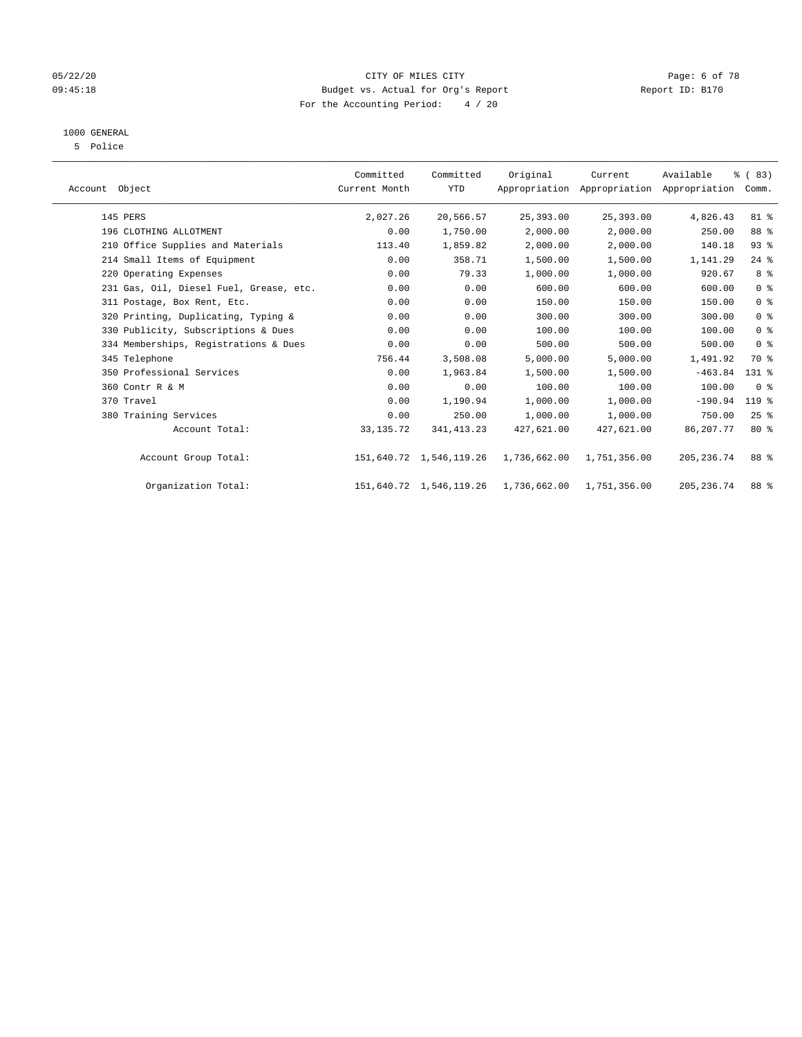#### 05/22/20 CITY OF MILES CITY Page: 6 of 78 09:45:18 **Budget vs. Actual for Org's Report Report ID: B170** For the Accounting Period: 4 / 20

## 1000 GENERAL

5 Police

| Account Object                          | Committed<br>Current Month | Committed<br><b>YTD</b> | Original     | Current      | Available<br>Appropriation Appropriation Appropriation | % (83)<br>Comm. |  |
|-----------------------------------------|----------------------------|-------------------------|--------------|--------------|--------------------------------------------------------|-----------------|--|
| 145 PERS                                | 2,027.26                   | 20,566.57               | 25,393.00    | 25,393.00    | 4,826.43                                               | 81 %            |  |
| 196 CLOTHING ALLOTMENT                  | 0.00                       | 1,750.00                | 2,000.00     | 2,000.00     | 250.00                                                 | 88 %            |  |
| 210 Office Supplies and Materials       | 113.40                     | 1,859.82                | 2,000.00     | 2,000.00     | 140.18                                                 | 93%             |  |
| 214 Small Items of Equipment            | 0.00                       | 358.71                  | 1,500.00     | 1,500.00     | 1,141.29                                               | $24$ %          |  |
| 220 Operating Expenses                  | 0.00                       | 79.33                   | 1,000.00     | 1,000.00     | 920.67                                                 | 8 %             |  |
| 231 Gas, Oil, Diesel Fuel, Grease, etc. | 0.00                       | 0.00                    | 600.00       | 600.00       | 600.00                                                 | 0 <sup>8</sup>  |  |
| 311 Postage, Box Rent, Etc.             | 0.00                       | 0.00                    | 150.00       | 150.00       | 150.00                                                 | 0 <sup>8</sup>  |  |
| 320 Printing, Duplicating, Typing &     | 0.00                       | 0.00                    | 300.00       | 300.00       | 300.00                                                 | 0 <sup>8</sup>  |  |
| 330 Publicity, Subscriptions & Dues     | 0.00                       | 0.00                    | 100.00       | 100.00       | 100.00                                                 | 0 <sup>8</sup>  |  |
| 334 Memberships, Registrations & Dues   | 0.00                       | 0.00                    | 500.00       | 500.00       | 500.00                                                 | 0 <sup>8</sup>  |  |
| 345 Telephone                           | 756.44                     | 3,508.08                | 5,000.00     | 5,000.00     | 1,491.92                                               | 70 %            |  |
| 350 Professional Services               | 0.00                       | 1,963.84                | 1,500.00     | 1,500.00     | $-463.84$                                              | $131$ %         |  |
| 360 Contr R & M                         | 0.00                       | 0.00                    | 100.00       | 100.00       | 100.00                                                 | 0 <sup>8</sup>  |  |
| 370 Travel                              | 0.00                       | 1,190.94                | 1,000.00     | 1,000.00     | $-190.94$                                              | 119 %           |  |
| 380 Training Services                   | 0.00                       | 250.00                  | 1,000.00     | 1,000.00     | 750.00                                                 | 25%             |  |
| Account Total:                          | 33, 135. 72                | 341, 413.23             | 427,621.00   | 427,621.00   | 86,207.77                                              | $80*$           |  |
| Account Group Total:                    |                            | 151,640.72 1,546,119.26 | 1,736,662.00 | 1,751,356.00 | 205, 236.74                                            | 88 %            |  |
| Organization Total:                     |                            | 151,640.72 1,546,119.26 | 1,736,662.00 | 1,751,356.00 | 205, 236.74                                            | 88 %            |  |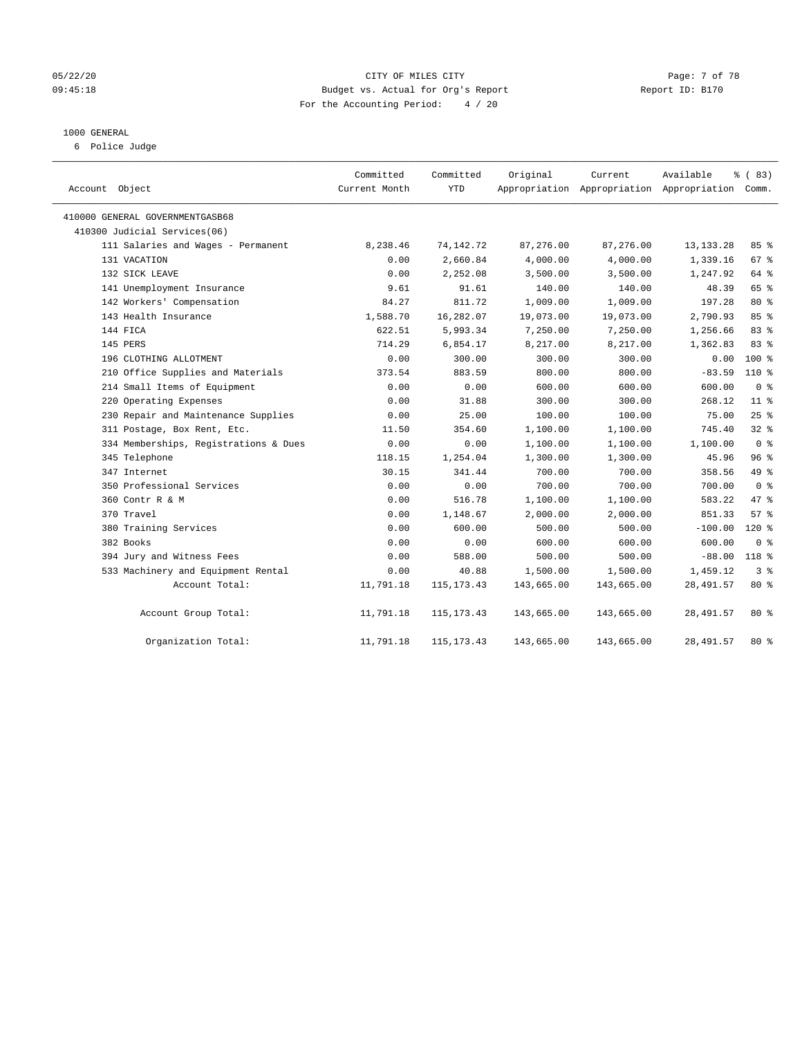#### 05/22/20 **CITY OF MILES CITY** CONTROLLER CONTROLLER Page: 7 of 78 09:45:18 **Budget vs. Actual for Org's Report Report ID: B170** For the Accounting Period: 4 / 20

#### 1000 GENERAL

6 Police Judge

| Account Object                        | Committed<br>Current Month | Committed<br>YTD | Original   | Current    | Available<br>Appropriation Appropriation Appropriation Comm. | % (83)          |
|---------------------------------------|----------------------------|------------------|------------|------------|--------------------------------------------------------------|-----------------|
| 410000 GENERAL GOVERNMENTGASB68       |                            |                  |            |            |                                                              |                 |
| 410300 Judicial Services(06)          |                            |                  |            |            |                                                              |                 |
| 111 Salaries and Wages - Permanent    | 8,238.46                   | 74, 142. 72      | 87,276.00  | 87,276.00  | 13, 133. 28                                                  | 85%             |
| 131 VACATION                          | 0.00                       | 2,660.84         | 4,000.00   | 4,000.00   | 1,339.16                                                     | 67 %            |
| 132 SICK LEAVE                        | 0.00                       | 2,252.08         | 3,500.00   | 3,500.00   | 1,247.92                                                     | 64 %            |
| 141 Unemployment Insurance            | 9.61                       | 91.61            | 140.00     | 140.00     | 48.39                                                        | 65 %            |
| 142 Workers' Compensation             | 84.27                      | 811.72           | 1,009.00   | 1,009.00   | 197.28                                                       | 80 %            |
| 143 Health Insurance                  | 1,588.70                   | 16,282.07        | 19,073.00  | 19,073.00  | 2,790.93                                                     | 85 %            |
| 144 FICA                              | 622.51                     | 5,993.34         | 7,250.00   | 7,250.00   | 1,256.66                                                     | 83%             |
| 145 PERS                              | 714.29                     | 6,854.17         | 8,217.00   | 8,217.00   | 1,362.83                                                     | 83 %            |
| 196 CLOTHING ALLOTMENT                | 0.00                       | 300.00           | 300.00     | 300.00     | 0.00                                                         | $100*$          |
| 210 Office Supplies and Materials     | 373.54                     | 883.59           | 800.00     | 800.00     | $-83.59$                                                     | 110 %           |
| 214 Small Items of Equipment          | 0.00                       | 0.00             | 600.00     | 600.00     | 600.00                                                       | 0 <sup>8</sup>  |
| 220 Operating Expenses                | 0.00                       | 31.88            | 300.00     | 300.00     | 268.12                                                       | 11 <sup>8</sup> |
| 230 Repair and Maintenance Supplies   | 0.00                       | 25.00            | 100.00     | 100.00     | 75.00                                                        | 25%             |
| 311 Postage, Box Rent, Etc.           | 11.50                      | 354.60           | 1,100.00   | 1,100.00   | 745.40                                                       | 32%             |
| 334 Memberships, Registrations & Dues | 0.00                       | 0.00             | 1,100.00   | 1,100.00   | 1,100.00                                                     | 0 <sup>8</sup>  |
| 345 Telephone                         | 118.15                     | 1,254.04         | 1,300.00   | 1,300.00   | 45.96                                                        | 96%             |
| 347 Internet                          | 30.15                      | 341.44           | 700.00     | 700.00     | 358.56                                                       | 49 %            |
| 350 Professional Services             | 0.00                       | 0.00             | 700.00     | 700.00     | 700.00                                                       | 0 <sup>8</sup>  |
| 360 Contr R & M                       | 0.00                       | 516.78           | 1,100.00   | 1,100.00   | 583.22                                                       | 47.8            |
| 370 Travel                            | 0.00                       | 1,148.67         | 2,000.00   | 2,000.00   | 851.33                                                       | 57%             |
| 380 Training Services                 | 0.00                       | 600.00           | 500.00     | 500.00     | $-100.00$                                                    | $120$ %         |
| 382 Books                             | 0.00                       | 0.00             | 600.00     | 600.00     | 600.00                                                       | 0 <sup>8</sup>  |
| 394 Jury and Witness Fees             | 0.00                       | 588.00           | 500.00     | 500.00     | $-88.00$                                                     | 118 %           |
| 533 Machinery and Equipment Rental    | 0.00                       | 40.88            | 1,500.00   | 1,500.00   | 1,459.12                                                     | 3 <sup>8</sup>  |
| Account Total:                        | 11,791.18                  | 115, 173. 43     | 143,665.00 | 143,665.00 | 28, 491.57                                                   | 80 %            |
| Account Group Total:                  | 11,791.18                  | 115, 173. 43     | 143,665.00 | 143,665.00 | 28, 491.57                                                   | $80*$           |
| Organization Total:                   | 11,791.18                  | 115, 173. 43     | 143,665.00 | 143,665.00 | 28, 491.57                                                   | $80*$           |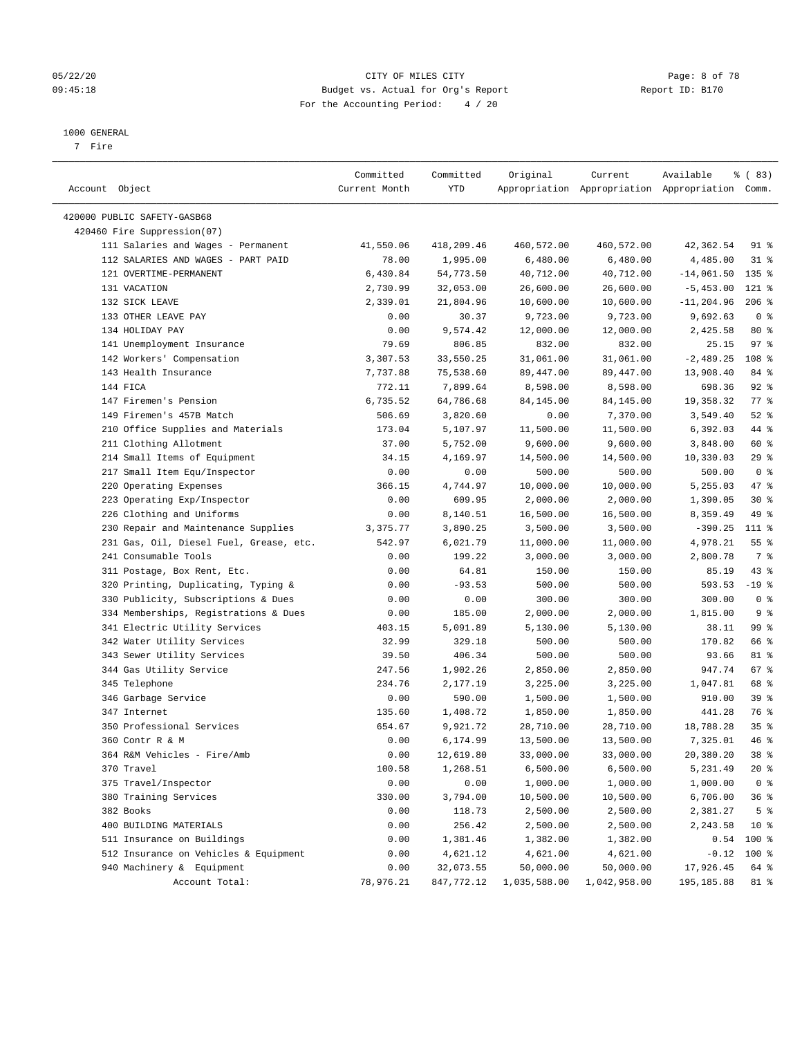#### 05/22/20 CITY OF MILES CITY Page: 8 of 78 09:45:18 **Budget vs. Actual for Org's Report Report ID: B170** For the Accounting Period: 4 / 20

————————————————————————————————————————————————————————————————————————————————————————————————————————————————————————————————————

#### 1000 GENERAL

7 Fire

|                                         | Committed     | Committed  | Original     | Current      | Available                                       | % (83)         |
|-----------------------------------------|---------------|------------|--------------|--------------|-------------------------------------------------|----------------|
| Account Object                          | Current Month | YTD        |              |              | Appropriation Appropriation Appropriation Comm. |                |
|                                         |               |            |              |              |                                                 |                |
| 420000 PUBLIC SAFETY-GASB68             |               |            |              |              |                                                 |                |
| 420460 Fire Suppression(07)             |               |            |              |              |                                                 |                |
| 111 Salaries and Wages - Permanent      | 41,550.06     | 418,209.46 | 460,572.00   | 460,572.00   | 42,362.54                                       | 91 %           |
| 112 SALARIES AND WAGES - PART PAID      | 78.00         | 1,995.00   | 6,480.00     | 6,480.00     | 4,485.00                                        | $31$ %         |
| 121 OVERTIME-PERMANENT                  | 6,430.84      | 54,773.50  | 40,712.00    | 40,712.00    | $-14,061.50$                                    | $135$ %        |
| 131 VACATION                            | 2,730.99      | 32,053.00  | 26,600.00    | 26,600.00    | $-5,453.00$                                     | 121 %          |
| 132 SICK LEAVE                          | 2,339.01      | 21,804.96  | 10,600.00    | 10,600.00    | $-11, 204.96$                                   | $206$ %        |
| 133 OTHER LEAVE PAY                     | 0.00          | 30.37      | 9,723.00     | 9,723.00     | 9,692.63                                        | 0 <sup>8</sup> |
| 134 HOLIDAY PAY                         | 0.00          | 9,574.42   | 12,000.00    | 12,000.00    | 2,425.58                                        | $80*$          |
| 141 Unemployment Insurance              | 79.69         | 806.85     | 832.00       | 832.00       | 25.15                                           | 97%            |
| 142 Workers' Compensation               | 3,307.53      | 33,550.25  | 31,061.00    | 31,061.00    | $-2,489.25$                                     | 108 %          |
| 143 Health Insurance                    | 7,737.88      | 75,538.60  | 89,447.00    | 89,447.00    | 13,908.40                                       | 84 %           |
| 144 FICA                                | 772.11        | 7,899.64   | 8,598.00     | 8,598.00     | 698.36                                          | $92$ $%$       |
| 147 Firemen's Pension                   | 6,735.52      | 64,786.68  | 84,145.00    | 84,145.00    | 19,358.32                                       | $77$ $%$       |
| 149 Firemen's 457B Match                | 506.69        | 3,820.60   | 0.00         | 7,370.00     | 3,549.40                                        | $52$ $%$       |
| 210 Office Supplies and Materials       | 173.04        | 5,107.97   | 11,500.00    | 11,500.00    | 6,392.03                                        | 44 %           |
| 211 Clothing Allotment                  | 37.00         | 5,752.00   | 9,600.00     | 9,600.00     | 3,848.00                                        | 60 %           |
| 214 Small Items of Equipment            | 34.15         | 4,169.97   | 14,500.00    | 14,500.00    | 10,330.03                                       | $29$ %         |
| 217 Small Item Equ/Inspector            | 0.00          | 0.00       | 500.00       | 500.00       | 500.00                                          | 0 <sup>8</sup> |
| 220 Operating Expenses                  | 366.15        | 4,744.97   | 10,000.00    | 10,000.00    | 5,255.03                                        | 47 %           |
| 223 Operating Exp/Inspector             | 0.00          | 609.95     | 2,000.00     | 2,000.00     | 1,390.05                                        | $30*$          |
| 226 Clothing and Uniforms               | 0.00          | 8,140.51   | 16,500.00    | 16,500.00    | 8,359.49                                        | 49 %           |
| 230 Repair and Maintenance Supplies     | 3,375.77      | 3,890.25   | 3,500.00     | 3,500.00     | $-390.25$                                       | 111 %          |
| 231 Gas, Oil, Diesel Fuel, Grease, etc. | 542.97        | 6,021.79   | 11,000.00    | 11,000.00    | 4,978.21                                        | $55$ $%$       |
| 241 Consumable Tools                    | 0.00          | 199.22     | 3,000.00     | 3,000.00     | 2,800.78                                        | 7 %            |
| 311 Postage, Box Rent, Etc.             | 0.00          | 64.81      | 150.00       | 150.00       | 85.19                                           | $43$ %         |
| 320 Printing, Duplicating, Typing &     | 0.00          | $-93.53$   | 500.00       | 500.00       | 593.53                                          | $-19$ %        |
| 330 Publicity, Subscriptions & Dues     | 0.00          | 0.00       | 300.00       | 300.00       | 300.00                                          | 0 <sup>8</sup> |
| 334 Memberships, Registrations & Dues   | 0.00          | 185.00     | 2,000.00     | 2,000.00     | 1,815.00                                        | 9%             |
| 341 Electric Utility Services           | 403.15        | 5,091.89   | 5,130.00     | 5,130.00     | 38.11                                           | 99 %           |
| 342 Water Utility Services              | 32.99         | 329.18     | 500.00       | 500.00       | 170.82                                          | 66 %           |
| 343 Sewer Utility Services              | 39.50         | 406.34     | 500.00       | 500.00       | 93.66                                           | 81 %           |
| 344 Gas Utility Service                 | 247.56        | 1,902.26   | 2,850.00     | 2,850.00     | 947.74                                          | 67 %           |
| 345 Telephone                           | 234.76        | 2,177.19   | 3,225.00     | 3,225.00     | 1,047.81                                        | 68 %           |
| 346 Garbage Service                     | 0.00          | 590.00     | 1,500.00     | 1,500.00     | 910.00                                          | 39%            |
| 347 Internet                            | 135.60        | 1,408.72   | 1,850.00     | 1,850.00     | 441.28                                          | 76 %           |
| 350 Professional Services               | 654.67        | 9,921.72   | 28,710.00    | 28,710.00    | 18,788.28                                       | 35%            |
| 360 Contr R & M                         | 0.00          | 6,174.99   | 13,500.00    | 13,500.00    | 7,325.01                                        | 46 %           |
| 364 R&M Vehicles - Fire/Amb             | 0.00          | 12,619.80  | 33,000.00    | 33,000.00    | 20,380.20                                       | 38 %           |
| 370 Travel                              | 100.58        | 1,268.51   | 6,500.00     | 6,500.00     | 5,231.49                                        | $20*$          |
| 375 Travel/Inspector                    | 0.00          | 0.00       | 1,000.00     | 1,000.00     | 1,000.00                                        | 0 <sup>8</sup> |
|                                         |               |            |              | 10,500.00    | 6,706.00                                        |                |
| 380 Training Services                   | 330.00        | 3,794.00   | 10,500.00    |              |                                                 | 36%            |
| 382 Books                               | 0.00          | 118.73     | 2,500.00     | 2,500.00     | 2,381.27                                        | 5 <sup>8</sup> |
| 400 BUILDING MATERIALS                  | 0.00          | 256.42     | 2,500.00     | 2,500.00     | 2,243.58                                        | $10*$          |
| 511 Insurance on Buildings              | 0.00          | 1,381.46   | 1,382.00     | 1,382.00     | 0.54                                            | 100 %          |
| 512 Insurance on Vehicles & Equipment   | 0.00          | 4,621.12   | 4,621.00     | 4,621.00     | $-0.12$                                         | $100$ %        |
| 940 Machinery & Equipment               | 0.00          | 32,073.55  | 50,000.00    | 50,000.00    | 17,926.45                                       | 64 %           |
| Account Total:                          | 78,976.21     | 847,772.12 | 1,035,588.00 | 1,042,958.00 | 195, 185.88                                     | 81 %           |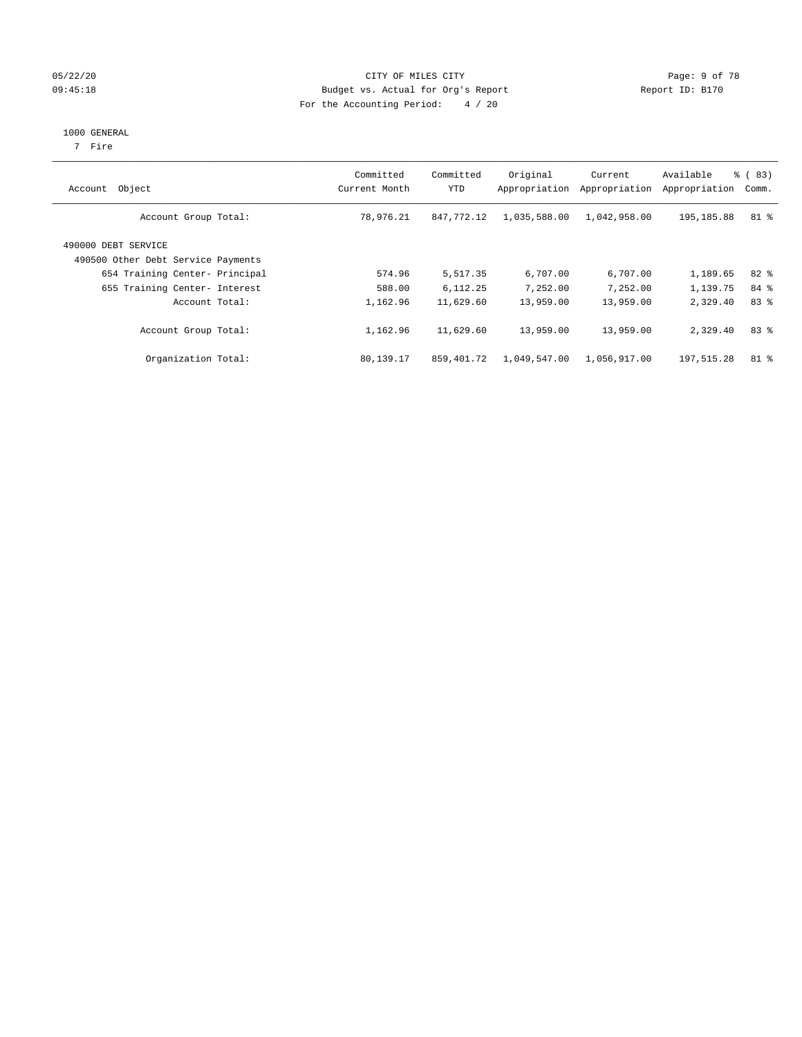#### 05/22/20 **CITY OF MILES CITY CONSUMING THE CONSUMING PAGE:** 9 of 78 09:45:18 **Budget vs. Actual for Org's Report Report ID: B170** For the Accounting Period: 4 / 20

#### 1000 GENERAL

7 Fire

| Account Object                                            | Committed<br>Current Month | Committed<br>YTD | Original<br>Appropriation | Current<br>Appropriation | Available<br>Appropriation | % (83)<br>Comm. |
|-----------------------------------------------------------|----------------------------|------------------|---------------------------|--------------------------|----------------------------|-----------------|
| Account Group Total:                                      | 78,976.21                  | 847.772.12       | 1,035,588.00              | 1,042,958.00             | 195, 185.88                | 81 %            |
| 490000 DEBT SERVICE<br>490500 Other Debt Service Payments |                            |                  |                           |                          |                            |                 |
| 654 Training Center- Principal                            | 574.96                     | 5,517.35         | 6,707.00                  | 6,707.00                 | 1,189.65                   | $82*$           |
| 655 Training Center- Interest                             | 588.00                     | 6,112.25         | 7.252.00                  | 7.252.00                 | 1,139.75                   | 84 %            |
| Account Total:                                            | 1,162.96                   | 11,629.60        | 13,959.00                 | 13,959.00                | 2,329.40                   | 83%             |
| Account Group Total:                                      | 1,162.96                   | 11,629.60        | 13,959.00                 | 13,959.00                | 2,329.40                   | 83%             |
| Organization Total:                                       | 80,139.17                  | 859,401.72       | 1,049,547.00              | 1,056,917.00             | 197,515.28                 | $81 - 8$        |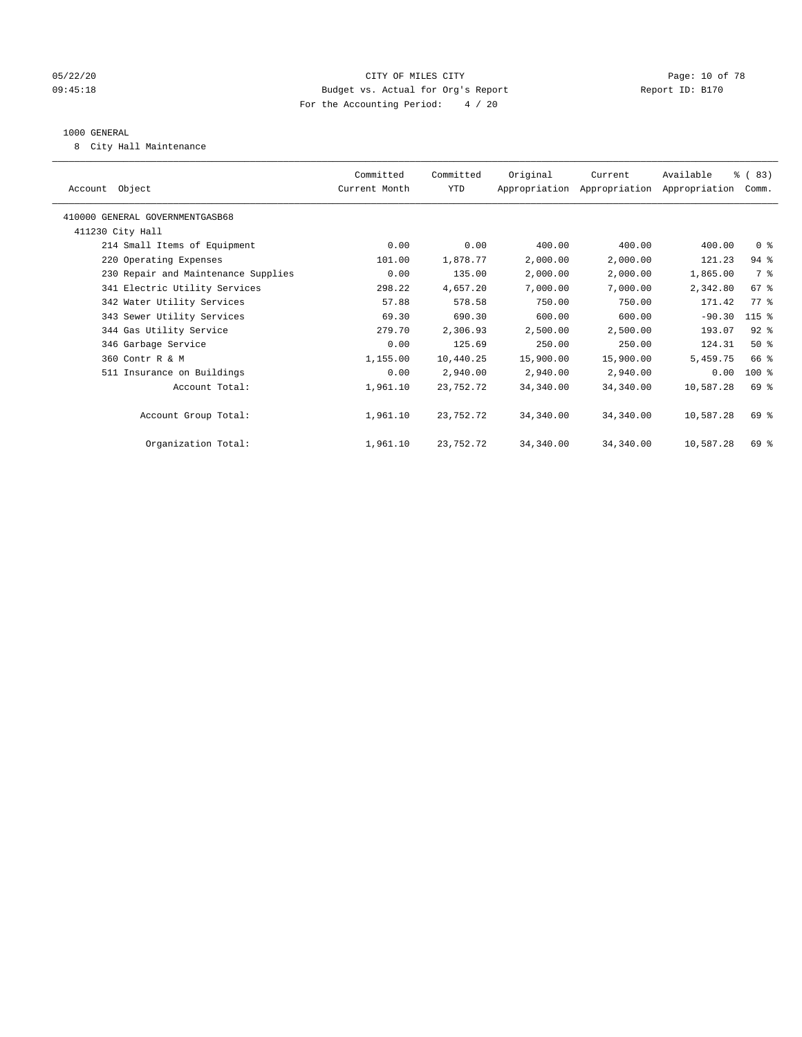#### 05/22/20 **CITY OF MILES CITY CONSUMING THE PAGE:** 10 of 78 09:45:18 **Budget vs. Actual for Org's Report Report ID: B170** For the Accounting Period: 4 / 20

#### 1000 GENERAL

8 City Hall Maintenance

| Account Object                      | Committed<br>Current Month | Committed<br>YTD | Original  | Current<br>Appropriation Appropriation Appropriation | Available | % (83)<br>Comm.    |  |
|-------------------------------------|----------------------------|------------------|-----------|------------------------------------------------------|-----------|--------------------|--|
| 410000 GENERAL GOVERNMENTGASB68     |                            |                  |           |                                                      |           |                    |  |
| 411230 City Hall                    |                            |                  |           |                                                      |           |                    |  |
| 214 Small Items of Equipment        | 0.00                       | 0.00             | 400.00    | 400.00                                               | 400.00    | 0 <sup>8</sup>     |  |
| 220 Operating Expenses              | 101.00                     | 1,878.77         | 2,000.00  | 2,000.00                                             | 121.23    | $94$ %             |  |
| 230 Repair and Maintenance Supplies | 0.00                       | 135.00           | 2,000.00  | 2,000.00                                             | 1,865.00  | 7 %                |  |
| 341 Electric Utility Services       | 298.22                     | 4,657.20         | 7,000.00  | 7,000.00                                             | 2,342.80  | $67$ $\frac{6}{3}$ |  |
| 342 Water Utility Services          | 57.88                      | 578.58           | 750.00    | 750.00                                               | 171.42    | $77$ $%$           |  |
| 343 Sewer Utility Services          | 69.30                      | 690.30           | 600.00    | 600.00                                               | $-90.30$  | 115 %              |  |
| 344 Gas Utility Service             | 279.70                     | 2,306.93         | 2,500.00  | 2,500.00                                             | 193.07    | $92$ %             |  |
| 346 Garbage Service                 | 0.00                       | 125.69           | 250.00    | 250.00                                               | 124.31    | $50*$              |  |
| 360 Contr R & M                     | 1,155.00                   | 10,440.25        | 15,900.00 | 15,900.00                                            | 5,459.75  | 66 %               |  |
| 511 Insurance on Buildings          | 0.00                       | 2,940.00         | 2,940.00  | 2,940.00                                             | 0.00      | $100$ %            |  |
| Account Total:                      | 1,961.10                   | 23,752.72        | 34,340.00 | 34,340.00                                            | 10,587.28 | 69 %               |  |
|                                     |                            |                  |           |                                                      |           |                    |  |
| Account Group Total:                | 1,961.10                   | 23,752.72        | 34,340.00 | 34,340.00                                            | 10,587.28 | 69 %               |  |
|                                     |                            |                  |           |                                                      |           |                    |  |
| Organization Total:                 | 1,961.10                   | 23,752.72        | 34,340.00 | 34,340.00                                            | 10,587.28 | 69 %               |  |
|                                     |                            |                  |           |                                                      |           |                    |  |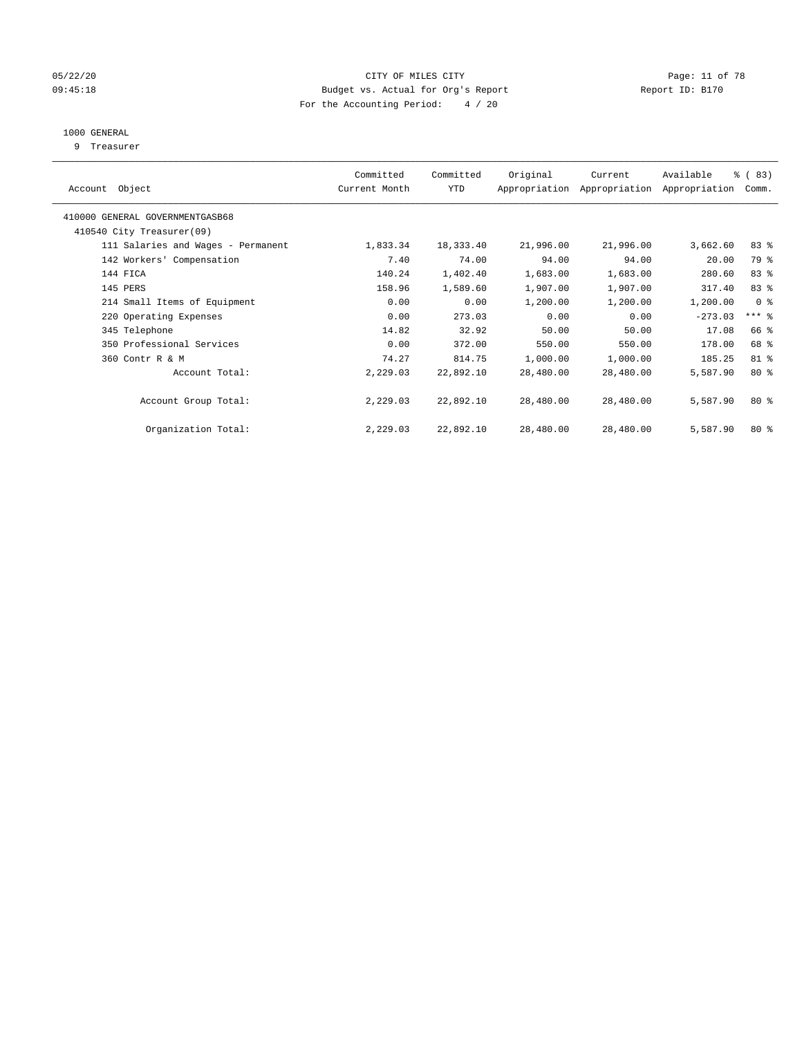#### 05/22/20 Page: 11 of 78 09:45:18 **Budget vs. Actual for Org's Report Report ID: B170** For the Accounting Period: 4 / 20

## 1000 GENERAL

9 Treasurer

| Object<br>Account                  | Committed<br>Current Month | Committed<br>YTD | Original  | Current<br>Appropriation Appropriation | Available<br>Appropriation | % (83)<br>Comm. |  |
|------------------------------------|----------------------------|------------------|-----------|----------------------------------------|----------------------------|-----------------|--|
| 410000 GENERAL GOVERNMENTGASB68    |                            |                  |           |                                        |                            |                 |  |
| 410540 City Treasurer(09)          |                            |                  |           |                                        |                            |                 |  |
| 111 Salaries and Wages - Permanent | 1,833.34                   | 18,333.40        | 21,996.00 | 21,996.00                              | 3,662.60                   | 83%             |  |
| 142 Workers' Compensation          | 7.40                       | 74.00            | 94.00     | 94.00                                  | 20.00                      | 79 %            |  |
| 144 FICA                           | 140.24                     | 1,402.40         | 1,683.00  | 1,683.00                               | 280.60                     | 83%             |  |
| 145 PERS                           | 158.96                     | 1,589.60         | 1,907.00  | 1,907.00                               | 317.40                     | 83%             |  |
| 214 Small Items of Equipment       | 0.00                       | 0.00             | 1,200.00  | 1,200.00                               | 1,200.00                   | 0 <sup>8</sup>  |  |
| 220 Operating Expenses             | 0.00                       | 273.03           | 0.00      | 0.00                                   | $-273.03$                  | $***$ $%$       |  |
| 345 Telephone                      | 14.82                      | 32.92            | 50.00     | 50.00                                  | 17.08                      | 66 %            |  |
| 350 Professional Services          | 0.00                       | 372.00           | 550.00    | 550.00                                 | 178.00                     | 68 %            |  |
| 360 Contr R & M                    | 74.27                      | 814.75           | 1,000.00  | 1,000.00                               | 185.25                     | 81 %            |  |
| Account Total:                     | 2,229.03                   | 22,892.10        | 28,480.00 | 28,480.00                              | 5,587.90                   | $80*$           |  |
| Account Group Total:               | 2,229.03                   | 22,892.10        | 28,480.00 | 28,480.00                              | 5,587.90                   | $80*$           |  |
| Organization Total:                | 2,229.03                   | 22,892.10        | 28,480.00 | 28,480.00                              | 5,587.90                   | $80*$           |  |
|                                    |                            |                  |           |                                        |                            |                 |  |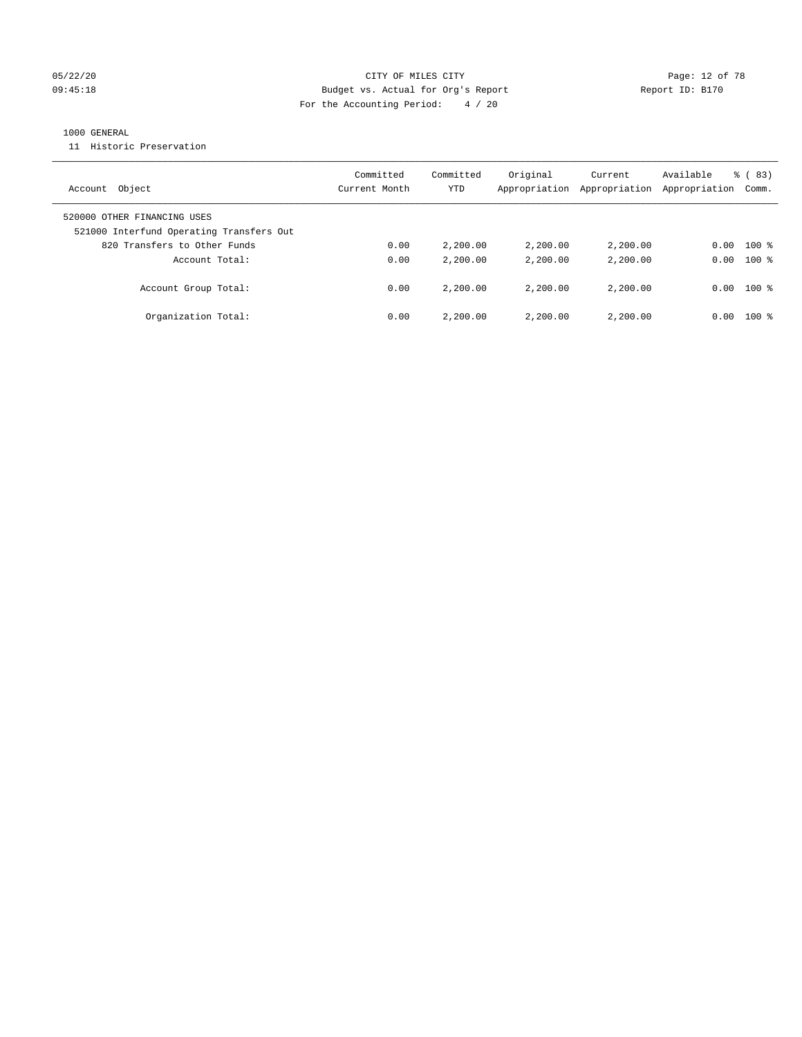#### 05/22/20 **CITY OF MILES CITY CONSUMING THE PAGE:** 12 of 78 09:45:18 **Budget vs. Actual for Org's Report Report ID: B170** For the Accounting Period: 4 / 20

#### 1000 GENERAL

11 Historic Preservation

| Account Object                                                          | Committed<br>Current Month | Committed<br>YTD | Original<br>Appropriation | Current<br>Appropriation | Available<br>Appropriation | $\frac{6}{6}$ (83)<br>Comm. |
|-------------------------------------------------------------------------|----------------------------|------------------|---------------------------|--------------------------|----------------------------|-----------------------------|
| 520000 OTHER FINANCING USES<br>521000 Interfund Operating Transfers Out |                            |                  |                           |                          |                            |                             |
| 820 Transfers to Other Funds                                            | 0.00                       | 2,200.00         | 2,200.00                  | 2,200.00                 | 0.00                       | $100$ %                     |
| Account Total:                                                          | 0.00                       | 2,200.00         | 2,200.00                  | 2,200.00                 | 0.00                       | $100*$                      |
| Account Group Total:                                                    | 0.00                       | 2,200.00         | 2,200.00                  | 2,200.00                 | 0.00                       | $100*$                      |
| Organization Total:                                                     | 0.00                       | 2,200.00         | 2,200.00                  | 2,200.00                 | 0.00                       | $100*$                      |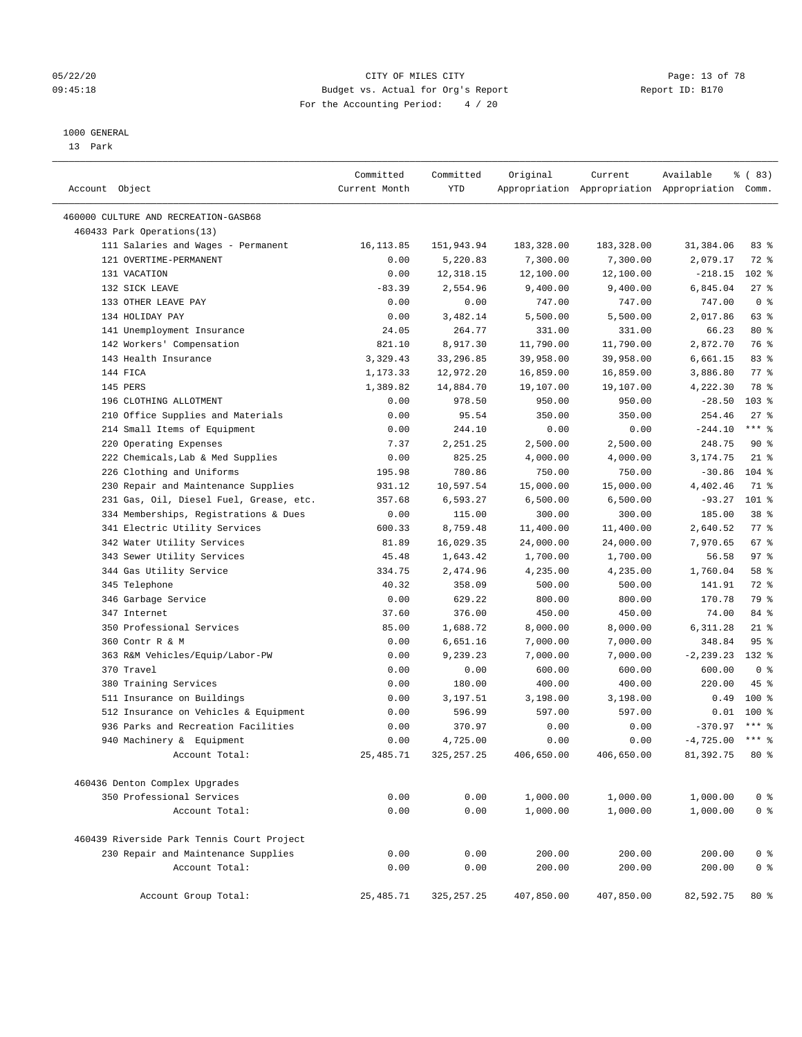#### 05/22/20 Page: 13 of 78 09:45:18 **Budget vs. Actual for Org's Report Report ID: B170** For the Accounting Period: 4 / 20

————————————————————————————————————————————————————————————————————————————————————————————————————————————————————————————————————

#### 1000 GENERAL

13 Park

|                                               | Committed     | Committed            | Original         | Current            | Available                                       | <sub>ර</sub> ි (83) |
|-----------------------------------------------|---------------|----------------------|------------------|--------------------|-------------------------------------------------|---------------------|
| Account Object                                | Current Month | YTD                  |                  |                    | Appropriation Appropriation Appropriation Comm. |                     |
| 460000 CULTURE AND RECREATION-GASB68          |               |                      |                  |                    |                                                 |                     |
| 460433 Park Operations(13)                    |               |                      |                  |                    |                                                 |                     |
| 111 Salaries and Wages - Permanent            | 16, 113.85    | 151,943.94           | 183,328.00       | 183,328.00         | 31,384.06                                       | 83%                 |
| 121 OVERTIME-PERMANENT                        | 0.00          | 5,220.83             | 7,300.00         | 7,300.00           | 2,079.17                                        | $72$ $%$            |
| 131 VACATION                                  | 0.00          | 12,318.15            | 12,100.00        | 12,100.00          | $-218.15$                                       | $102$ %             |
| 132 SICK LEAVE                                | $-83.39$      | 2,554.96             | 9,400.00         | 9,400.00           | 6,845.04                                        | $27$ %              |
| 133 OTHER LEAVE PAY                           | 0.00          | 0.00                 | 747.00           | 747.00             | 747.00                                          | 0 <sup>8</sup>      |
| 134 HOLIDAY PAY                               | 0.00          | 3,482.14             | 5,500.00         | 5,500.00           | 2,017.86                                        | 63 %                |
| 141 Unemployment Insurance                    | 24.05         | 264.77               | 331.00           | 331.00             | 66.23                                           | $80*$               |
| 142 Workers' Compensation                     | 821.10        | 8,917.30             | 11,790.00        | 11,790.00          | 2,872.70                                        | 76 %                |
| 143 Health Insurance                          | 3,329.43      | 33,296.85            | 39,958.00        | 39,958.00          | 6,661.15                                        | 83%                 |
| 144 FICA                                      | 1,173.33      | 12,972.20            | 16,859.00        | 16,859.00          | 3,886.80                                        | $77$ $\frac{6}{9}$  |
| 145 PERS                                      | 1,389.82      | 14,884.70            | 19,107.00        | 19,107.00          | 4,222.30                                        | 78 %                |
| 196 CLOTHING ALLOTMENT                        | 0.00          | 978.50               | 950.00           | 950.00             | $-28.50$                                        | $103$ %             |
| 210 Office Supplies and Materials             | 0.00          | 95.54                | 350.00           | 350.00             | 254.46                                          | $27$ %              |
| 214 Small Items of Equipment                  | 0.00          | 244.10               | 0.00             | 0.00               | $-244.10$                                       | $***$ $-$           |
| 220 Operating Expenses                        | 7.37          | 2,251.25             | 2,500.00         | 2,500.00           | 248.75                                          | 90%                 |
| 222 Chemicals, Lab & Med Supplies             | 0.00          | 825.25               | 4,000.00         | 4,000.00           | 3,174.75                                        | $21$ %              |
| 226 Clothing and Uniforms                     | 195.98        | 780.86               | 750.00           | 750.00             | $-30.86$                                        | $104$ %             |
| 230 Repair and Maintenance Supplies           | 931.12        | 10,597.54            | 15,000.00        | 15,000.00          | 4,402.46                                        | 71 %                |
| 231 Gas, Oil, Diesel Fuel, Grease, etc.       | 357.68        | 6,593.27             | 6,500.00         | 6,500.00           | $-93.27$                                        | 101 %               |
| 334 Memberships, Registrations & Dues         | 0.00          | 115.00               | 300.00           | 300.00             | 185.00                                          | 38 <sup>8</sup>     |
| 341 Electric Utility Services                 | 600.33        | 8,759.48             | 11,400.00        | 11,400.00          | 2,640.52                                        | $77*$               |
| 342 Water Utility Services                    | 81.89         | 16,029.35            | 24,000.00        | 24,000.00          | 7,970.65                                        | 67%                 |
| 343 Sewer Utility Services                    | 45.48         | 1,643.42             | 1,700.00         | 1,700.00           | 56.58                                           | 97%                 |
| 344 Gas Utility Service                       | 334.75        | 2,474.96             | 4,235.00         | 4,235.00           | 1,760.04                                        | 58 %                |
| 345 Telephone                                 | 40.32         | 358.09               | 500.00           | 500.00             | 141.91                                          | $72$ $%$            |
| 346 Garbage Service                           | 0.00          | 629.22               | 800.00           | 800.00             | 170.78                                          | 79 %                |
| 347 Internet                                  | 37.60         | 376.00               | 450.00           | 450.00             | 74.00                                           | 84 %                |
| 350 Professional Services                     | 85.00         | 1,688.72             | 8,000.00         | 8,000.00           | 6,311.28                                        | $21$ %              |
| 360 Contr R & M                               | 0.00          |                      |                  |                    | 348.84                                          | 95 <sup>°</sup>     |
|                                               |               | 6,651.16<br>9,239.23 | 7,000.00         | 7,000.00           |                                                 | 132 %               |
| 363 R&M Vehicles/Equip/Labor-PW<br>370 Travel | 0.00<br>0.00  |                      | 7,000.00         | 7,000.00<br>600.00 | $-2, 239.23$<br>600.00                          | 0 <sup>8</sup>      |
| 380 Training Services                         | 0.00          | 0.00<br>180.00       | 600.00<br>400.00 | 400.00             | 220.00                                          | 45 %                |
| 511 Insurance on Buildings                    | 0.00          | 3,197.51             | 3,198.00         | 3,198.00           | 0.49                                            | $100$ %             |
| 512 Insurance on Vehicles & Equipment         | 0.00          | 596.99               | 597.00           | 597.00             |                                                 | $0.01$ 100 %        |
| 936 Parks and Recreation Facilities           | 0.00          | 370.97               | 0.00             | 0.00               | $-370.97$                                       | $***$ 8             |
| 940 Machinery & Equipment                     | 0.00          | 4,725.00             | 0.00             | 0.00               | $-4,725.00$ *** %                               |                     |
| Account Total:                                | 25, 485.71    | 325, 257.25          | 406,650.00       | 406,650.00         | 81,392.75                                       | $80*$               |
|                                               |               |                      |                  |                    |                                                 |                     |
| 460436 Denton Complex Upgrades                |               |                      |                  |                    |                                                 |                     |
| 350 Professional Services                     | 0.00          | 0.00                 | 1,000.00         | 1,000.00           | 1,000.00                                        | 0 <sup>8</sup>      |
| Account Total:                                | 0.00          | 0.00                 | 1,000.00         | 1,000.00           | 1,000.00                                        | 0 <sup>°</sup>      |
|                                               |               |                      |                  |                    |                                                 |                     |
| 460439 Riverside Park Tennis Court Project    |               |                      |                  |                    |                                                 |                     |
| 230 Repair and Maintenance Supplies           | 0.00          | 0.00                 | 200.00           | 200.00             | 200.00                                          | 0 <sup>8</sup>      |
| Account Total:                                | 0.00          | 0.00                 | 200.00           | 200.00             | 200.00                                          | 0 <sup>°</sup>      |
| Account Group Total:                          | 25, 485.71    | 325, 257.25          | 407,850.00       | 407,850.00         | 82,592.75                                       | $80*$               |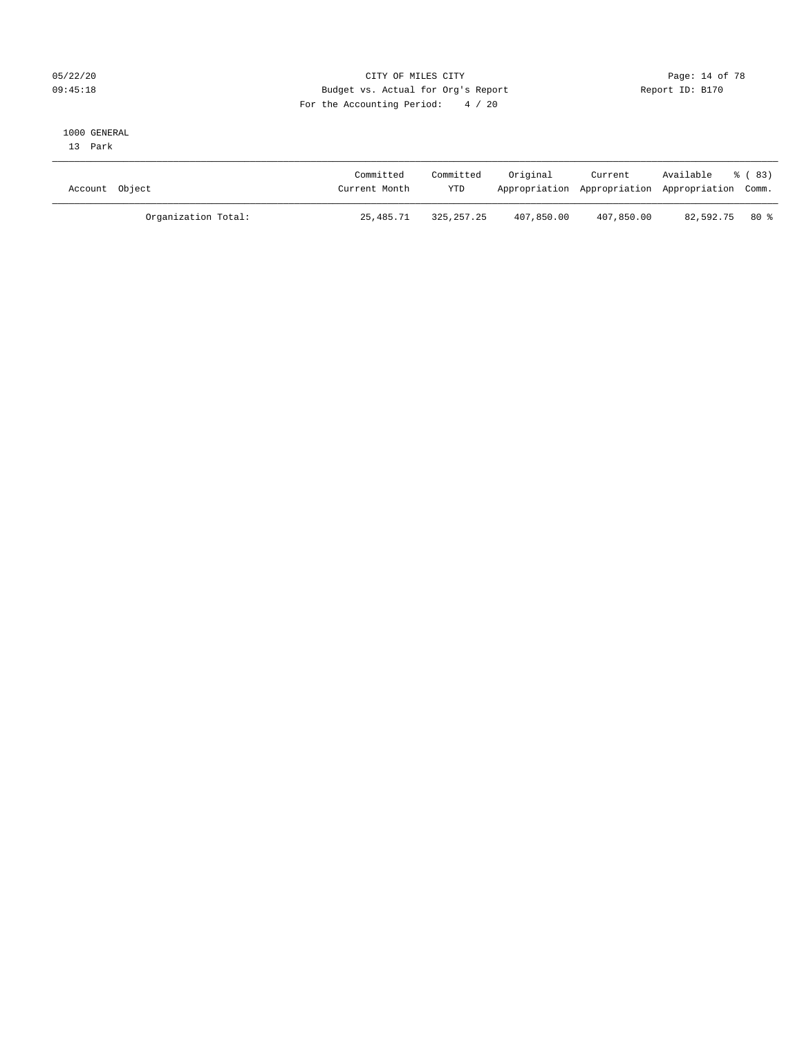#### 05/22/20 **CITY OF MILES CITY CONSUMING THE PAGE:** 14 of 78 09:45:18 Budget vs. Actual for Org's Report Changer Report ID: B170 For the Accounting Period: 4 / 20

#### 1000 GENERAL

13 Park

| Account Object      | Committed<br>Current Month | Committed<br><b>YTD</b> | Original   | Current    | Available<br>Appropriation Appropriation Appropriation Comm. | ී (83) |
|---------------------|----------------------------|-------------------------|------------|------------|--------------------------------------------------------------|--------|
| Organization Total: | 25,485.71                  | 325, 257, 25            | 407,850.00 | 407,850.00 | 82,592.75 80 %                                               |        |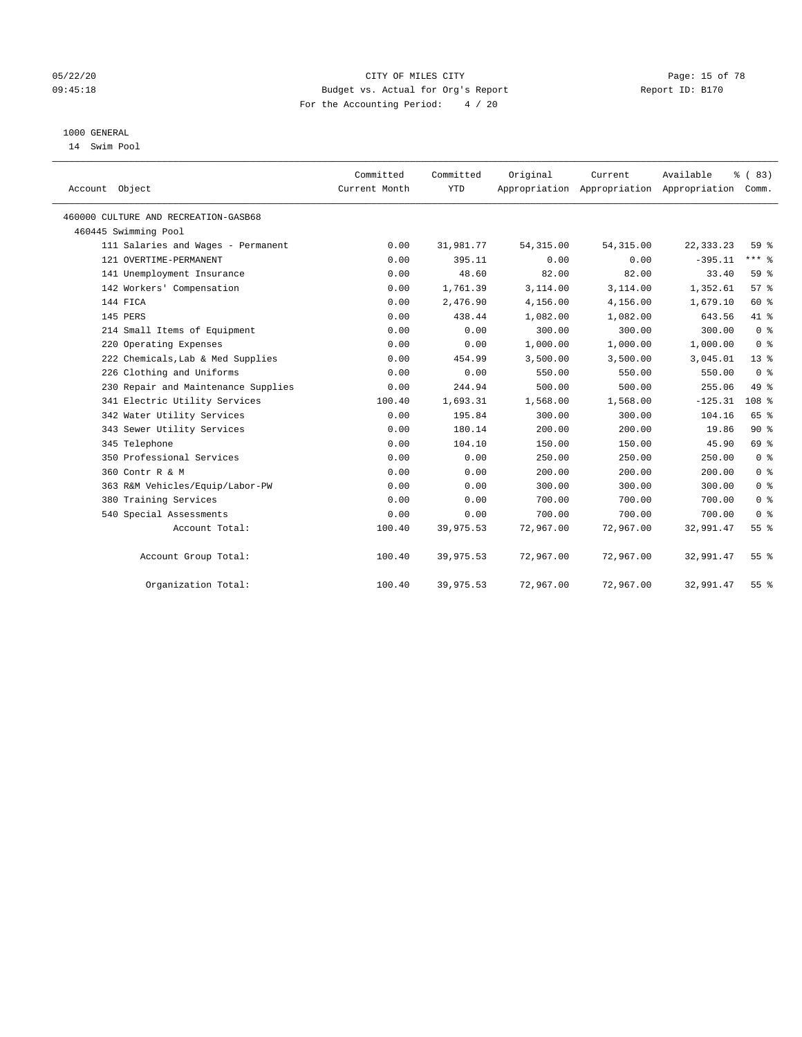#### 05/22/20 **CITY OF MILES CITY CONSUMING THE CONSUMING PAGE:** 15 of 78 09:45:18 **Budget vs. Actual for Org's Report Report ID: B170** For the Accounting Period: 4 / 20

## 1000 GENERAL

14 Swim Pool

| Account Object                       | Committed<br>Current Month | Committed<br><b>YTD</b> | Original   | Current<br>Appropriation Appropriation Appropriation | Available   | % (83)<br>Comm.  |
|--------------------------------------|----------------------------|-------------------------|------------|------------------------------------------------------|-------------|------------------|
| 460000 CULTURE AND RECREATION-GASB68 |                            |                         |            |                                                      |             |                  |
| 460445 Swimming Pool                 |                            |                         |            |                                                      |             |                  |
| 111 Salaries and Wages - Permanent   | 0.00                       | 31,981.77               | 54, 315.00 | 54, 315.00                                           | 22, 333. 23 | 59 %             |
| 121 OVERTIME-PERMANENT               | 0.00                       | 395.11                  | 0.00       | 0.00                                                 | $-395.11$   | $***$ $%$        |
| 141 Unemployment Insurance           | 0.00                       | 48.60                   | 82.00      | 82.00                                                | 33.40       | 59 %             |
| 142 Workers' Compensation            | 0.00                       | 1,761.39                | 3,114.00   | 3,114.00                                             | 1,352.61    | 57%              |
| 144 FICA                             | 0.00                       | 2,476.90                | 4,156.00   | 4,156.00                                             | 1,679.10    | 60 %             |
| 145 PERS                             | 0.00                       | 438.44                  | 1,082.00   | 1,082.00                                             | 643.56      | 41 %             |
| 214 Small Items of Equipment         | 0.00                       | 0.00                    | 300.00     | 300.00                                               | 300.00      | 0 <sup>8</sup>   |
| 220 Operating Expenses               | 0.00                       | 0.00                    | 1,000.00   | 1,000.00                                             | 1,000.00    | 0 <sup>8</sup>   |
| 222 Chemicals, Lab & Med Supplies    | 0.00                       | 454.99                  | 3,500.00   | 3,500.00                                             | 3,045.01    | $13*$            |
| 226 Clothing and Uniforms            | 0.00                       | 0.00                    | 550.00     | 550.00                                               | 550.00      | 0 <sup>8</sup>   |
| 230 Repair and Maintenance Supplies  | 0.00                       | 244.94                  | 500.00     | 500.00                                               | 255.06      | 49 %             |
| 341 Electric Utility Services        | 100.40                     | 1,693.31                | 1,568.00   | 1,568.00                                             | $-125.31$   | 108 <sup>8</sup> |
| 342 Water Utility Services           | 0.00                       | 195.84                  | 300.00     | 300.00                                               | 104.16      | 65 %             |
| 343 Sewer Utility Services           | 0.00                       | 180.14                  | 200.00     | 200.00                                               | 19.86       | $90*$            |
| 345 Telephone                        | 0.00                       | 104.10                  | 150.00     | 150.00                                               | 45.90       | 69 %             |
| 350 Professional Services            | 0.00                       | 0.00                    | 250.00     | 250.00                                               | 250.00      | 0 <sup>8</sup>   |
| 360 Contr R & M                      | 0.00                       | 0.00                    | 200.00     | 200.00                                               | 200.00      | 0 <sup>8</sup>   |
| 363 R&M Vehicles/Equip/Labor-PW      | 0.00                       | 0.00                    | 300.00     | 300.00                                               | 300.00      | 0 <sup>8</sup>   |
| 380 Training Services                | 0.00                       | 0.00                    | 700.00     | 700.00                                               | 700.00      | 0 <sup>8</sup>   |
| 540 Special Assessments              | 0.00                       | 0.00                    | 700.00     | 700.00                                               | 700.00      | 0 <sup>8</sup>   |
| Account Total:                       | 100.40                     | 39,975.53               | 72,967.00  | 72,967.00                                            | 32,991.47   | 55 <sup>8</sup>  |
| Account Group Total:                 | 100.40                     | 39,975.53               | 72,967.00  | 72,967.00                                            | 32,991.47   | 55 <sup>8</sup>  |
| Organization Total:                  | 100.40                     | 39,975.53               | 72,967.00  | 72,967.00                                            | 32,991.47   | 55%              |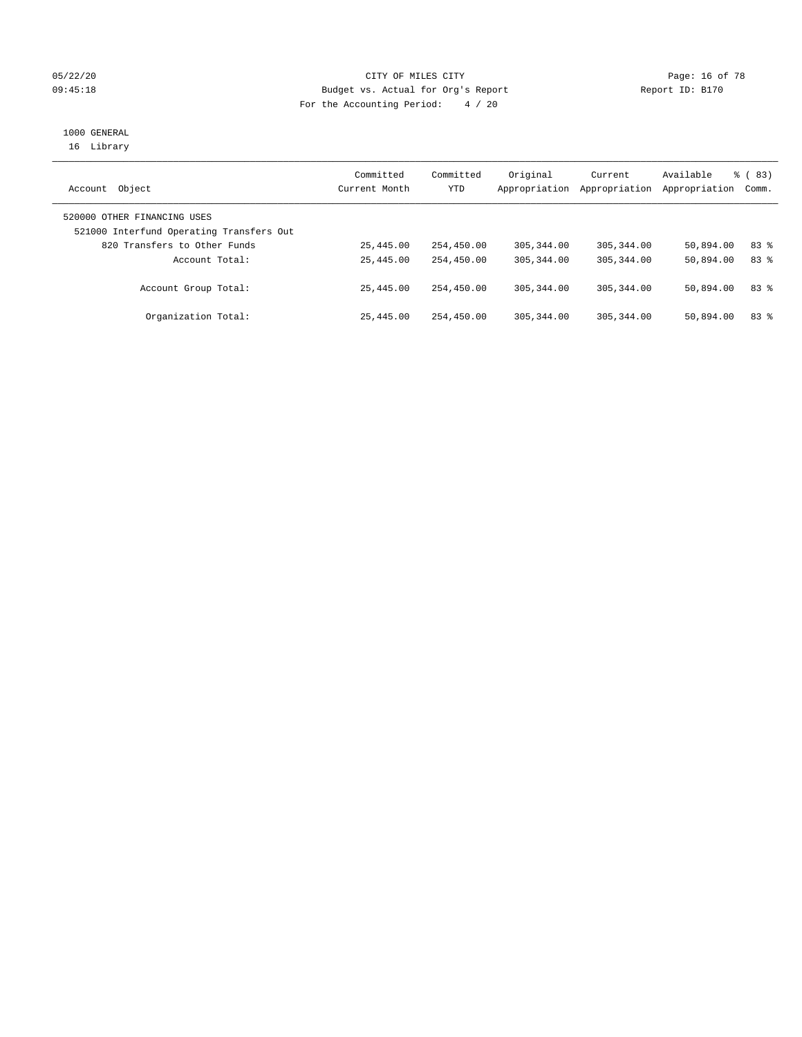#### 05/22/20 **CITY OF MILES CITY CONSUMING THE PAGE:** 16 of 78 09:45:18 Budget vs. Actual for Org's Report Communication Report ID: B170 For the Accounting Period: 4 / 20

# 1000 GENERAL

16 Library

| Object<br>Account                                                       | Committed<br>Current Month | Committed<br>YTD | Original<br>Appropriation | Current<br>Appropriation | Available<br>Appropriation | % (83)<br>Comm. |
|-------------------------------------------------------------------------|----------------------------|------------------|---------------------------|--------------------------|----------------------------|-----------------|
| 520000 OTHER FINANCING USES<br>521000 Interfund Operating Transfers Out |                            |                  |                           |                          |                            |                 |
| 820 Transfers to Other Funds                                            | 25,445.00                  | 254,450.00       | 305, 344, 00              | 305, 344, 00             | 50,894.00                  | 83 %            |
| Account Total:                                                          | 25,445.00                  | 254,450.00       | 305, 344, 00              | 305, 344, 00             | 50,894.00                  | 83 %            |
| Account Group Total:                                                    | 25,445.00                  | 254,450.00       | 305, 344, 00              | 305, 344, 00             | 50,894.00                  | 83 %            |
| Organization Total:                                                     | 25,445.00                  | 254,450.00       | 305, 344, 00              | 305, 344, 00             | 50,894.00                  | 83%             |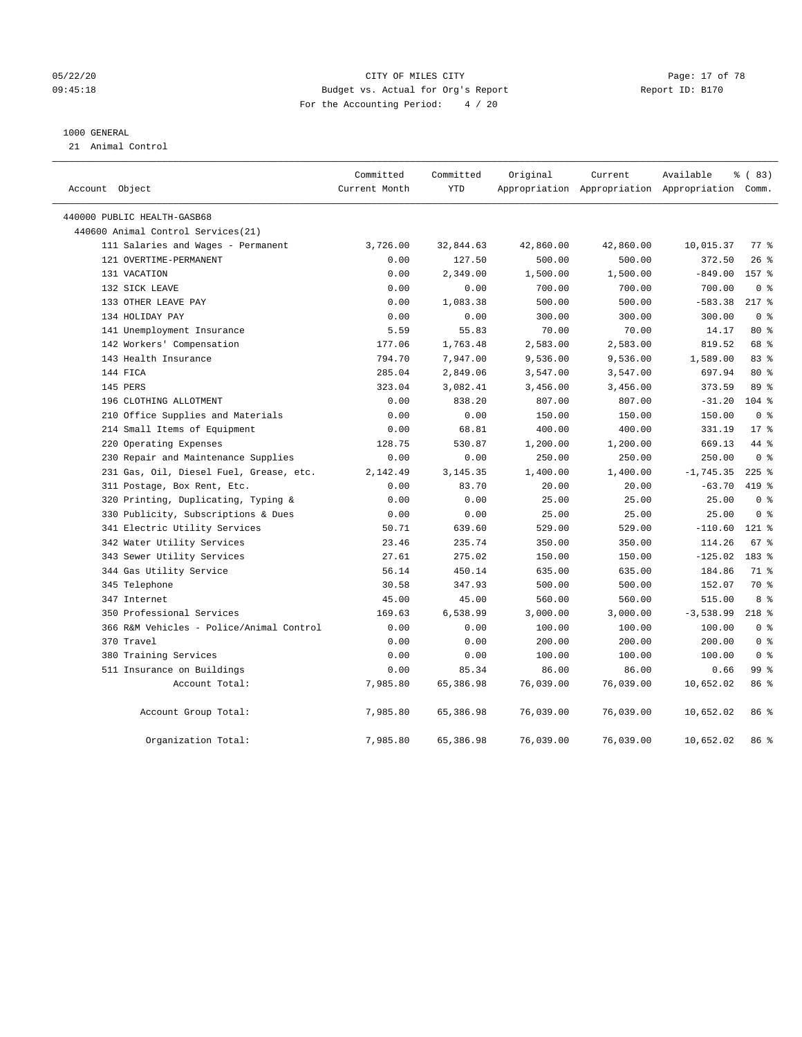#### 05/22/20 **CITY OF MILES CITY CONSUMING THE PAGE:** 17 of 78 09:45:18 **Budget vs. Actual for Org's Report Report ID: B170** For the Accounting Period: 4 / 20

#### 1000 GENERAL

21 Animal Control

| Account Object                           | Committed<br>Current Month | Committed<br>YTD | Original  | Current<br>Appropriation Appropriation Appropriation Comm. | Available   | % (83)             |  |
|------------------------------------------|----------------------------|------------------|-----------|------------------------------------------------------------|-------------|--------------------|--|
| 440000 PUBLIC HEALTH-GASB68              |                            |                  |           |                                                            |             |                    |  |
| 440600 Animal Control Services(21)       |                            |                  |           |                                                            |             |                    |  |
| 111 Salaries and Wages - Permanent       | 3,726.00                   | 32,844.63        | 42,860.00 | 42,860.00                                                  | 10,015.37   | $77$ $\frac{6}{9}$ |  |
| 121 OVERTIME-PERMANENT                   | 0.00                       | 127.50           | 500.00    | 500.00                                                     | 372.50      | $26$ %             |  |
| 131 VACATION                             | 0.00                       | 2,349.00         | 1,500.00  | 1,500.00                                                   | $-849.00$   | 157 %              |  |
| 132 SICK LEAVE                           | 0.00                       | 0.00             | 700.00    | 700.00                                                     | 700.00      | 0 <sup>8</sup>     |  |
| 133 OTHER LEAVE PAY                      | 0.00                       | 1,083.38         | 500.00    | 500.00                                                     | $-583.38$   | $217*$             |  |
| 134 HOLIDAY PAY                          | 0.00                       | 0.00             | 300.00    | 300.00                                                     | 300.00      | 0 <sup>8</sup>     |  |
| 141 Unemployment Insurance               | 5.59                       | 55.83            | 70.00     | 70.00                                                      | 14.17       | 80 %               |  |
| 142 Workers' Compensation                | 177.06                     | 1,763.48         | 2,583.00  | 2,583.00                                                   | 819.52      | 68 %               |  |
| 143 Health Insurance                     | 794.70                     | 7,947.00         | 9,536.00  | 9,536.00                                                   | 1,589.00    | 83%                |  |
| 144 FICA                                 | 285.04                     | 2,849.06         | 3,547.00  | 3,547.00                                                   | 697.94      | 80 %               |  |
| 145 PERS                                 | 323.04                     | 3,082.41         | 3,456.00  | 3,456.00                                                   | 373.59      | 89 %               |  |
| 196 CLOTHING ALLOTMENT                   | 0.00                       | 838.20           | 807.00    | 807.00                                                     | $-31.20$    | $104$ %            |  |
| 210 Office Supplies and Materials        | 0.00                       | 0.00             | 150.00    | 150.00                                                     | 150.00      | 0 <sup>8</sup>     |  |
| 214 Small Items of Equipment             | 0.00                       | 68.81            | 400.00    | 400.00                                                     | 331.19      | $17*$              |  |
| 220 Operating Expenses                   | 128.75                     | 530.87           | 1,200.00  | 1,200.00                                                   | 669.13      | 44 %               |  |
| 230 Repair and Maintenance Supplies      | 0.00                       | 0.00             | 250.00    | 250.00                                                     | 250.00      | 0 <sup>8</sup>     |  |
| 231 Gas, Oil, Diesel Fuel, Grease, etc.  | 2,142.49                   | 3, 145. 35       | 1,400.00  | 1,400.00                                                   | $-1,745.35$ | $225$ %            |  |
| 311 Postage, Box Rent, Etc.              | 0.00                       | 83.70            | 20.00     | 20.00                                                      | $-63.70$    | 419 %              |  |
| 320 Printing, Duplicating, Typing &      | 0.00                       | 0.00             | 25.00     | 25.00                                                      | 25.00       | 0 <sup>8</sup>     |  |
| 330 Publicity, Subscriptions & Dues      | 0.00                       | 0.00             | 25.00     | 25.00                                                      | 25.00       | 0 <sup>8</sup>     |  |
| 341 Electric Utility Services            | 50.71                      | 639.60           | 529.00    | 529.00                                                     | $-110.60$   | $121$ %            |  |
| 342 Water Utility Services               | 23.46                      | 235.74           | 350.00    | 350.00                                                     | 114.26      | 67 %               |  |
| 343 Sewer Utility Services               | 27.61                      | 275.02           | 150.00    | 150.00                                                     | $-125.02$   | 183 %              |  |
| 344 Gas Utility Service                  | 56.14                      | 450.14           | 635.00    | 635.00                                                     | 184.86      | 71 %               |  |
| 345 Telephone                            | 30.58                      | 347.93           | 500.00    | 500.00                                                     | 152.07      | 70 %               |  |
| 347 Internet                             | 45.00                      | 45.00            | 560.00    | 560.00                                                     | 515.00      | 8 %                |  |
| 350 Professional Services                | 169.63                     | 6,538.99         | 3,000.00  | 3,000.00                                                   | $-3,538.99$ | $218$ %            |  |
| 366 R&M Vehicles - Police/Animal Control | 0.00                       | 0.00             | 100.00    | 100.00                                                     | 100.00      | 0 <sup>8</sup>     |  |
| 370 Travel                               | 0.00                       | 0.00             | 200.00    | 200.00                                                     | 200.00      | 0 <sup>8</sup>     |  |
| 380 Training Services                    | 0.00                       | 0.00             | 100.00    | 100.00                                                     | 100.00      | 0 <sup>8</sup>     |  |
| 511 Insurance on Buildings               | 0.00                       | 85.34            | 86.00     | 86.00                                                      | 0.66        | 99 %               |  |
| Account Total:                           | 7,985.80                   | 65,386.98        | 76,039.00 | 76,039.00                                                  | 10,652.02   | 86 %               |  |
| Account Group Total:                     | 7,985.80                   | 65,386.98        | 76,039.00 | 76,039.00                                                  | 10,652.02   | 86 %               |  |
| Organization Total:                      | 7,985.80                   | 65,386.98        | 76,039.00 | 76,039.00                                                  | 10,652.02   | 86 %               |  |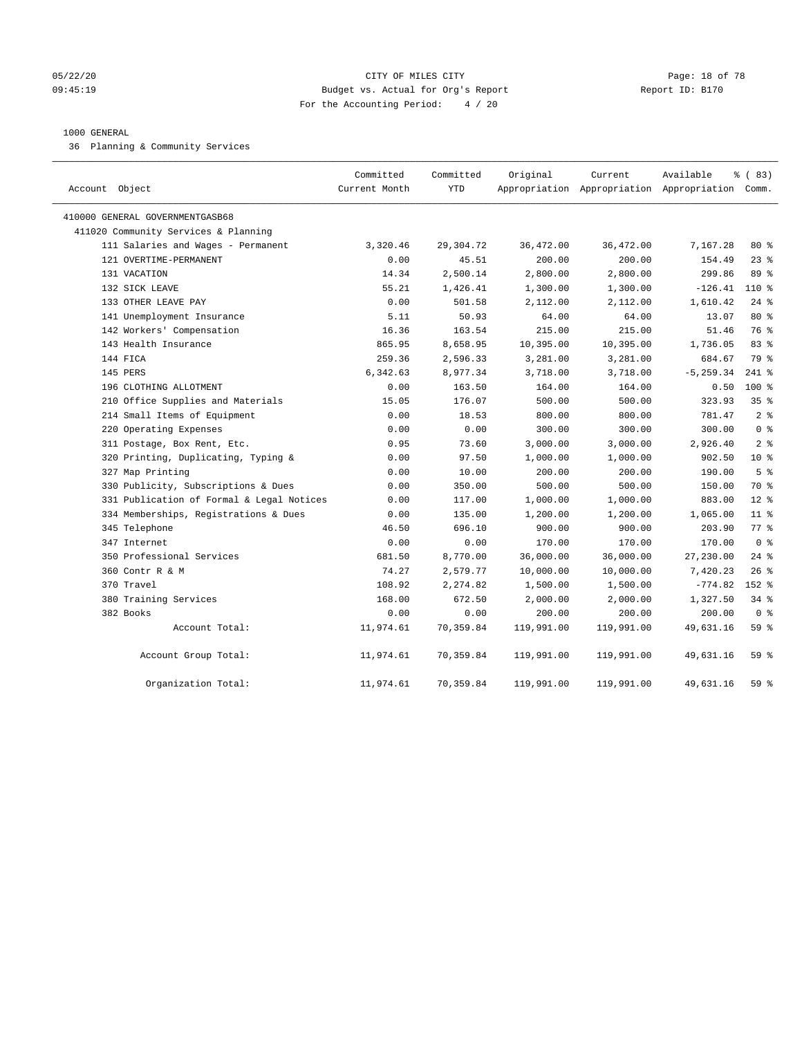#### 05/22/20 **CITY OF MILES CITY CONSUMING THE PAGE:** 18 of 78 09:45:19 Budget vs. Actual for Org's Report Changer Report ID: B170 For the Accounting Period: 4 / 20

#### 1000 GENERAL

36 Planning & Community Services

| Account Object                            | Committed<br>Current Month | Committed<br><b>YTD</b> | Original   | Current<br>Appropriation Appropriation Appropriation Comm. | Available    | % (83)          |
|-------------------------------------------|----------------------------|-------------------------|------------|------------------------------------------------------------|--------------|-----------------|
| 410000 GENERAL GOVERNMENTGASB68           |                            |                         |            |                                                            |              |                 |
| 411020 Community Services & Planning      |                            |                         |            |                                                            |              |                 |
| 111 Salaries and Wages - Permanent        | 3,320.46                   | 29,304.72               | 36,472.00  | 36,472.00                                                  | 7,167.28     | $80*$           |
| 121 OVERTIME-PERMANENT                    | 0.00                       | 45.51                   | 200.00     | 200.00                                                     | 154.49       | 23%             |
| 131 VACATION                              | 14.34                      | 2,500.14                | 2,800.00   | 2,800.00                                                   | 299.86       | 89 %            |
| 132 SICK LEAVE                            | 55.21                      | 1,426.41                | 1,300.00   | 1,300.00                                                   | $-126.41$    | $110*$          |
| 133 OTHER LEAVE PAY                       | 0.00                       | 501.58                  | 2,112.00   | 2,112.00                                                   | 1,610.42     | $24$ %          |
| 141 Unemployment Insurance                | 5.11                       | 50.93                   | 64.00      | 64.00                                                      | 13.07        | 80 %            |
| 142 Workers' Compensation                 | 16.36                      | 163.54                  | 215.00     | 215.00                                                     | 51.46        | 76 %            |
| 143 Health Insurance                      | 865.95                     | 8,658.95                | 10,395.00  | 10, 395.00                                                 | 1,736.05     | 83 %            |
| 144 FICA                                  | 259.36                     | 2,596.33                | 3,281.00   | 3,281.00                                                   | 684.67       | 79 %            |
| 145 PERS                                  | 6,342.63                   | 8,977.34                | 3,718.00   | 3,718.00                                                   | $-5, 259.34$ | $241$ %         |
| 196 CLOTHING ALLOTMENT                    | 0.00                       | 163.50                  | 164.00     | 164.00                                                     | 0.50         | $100*$          |
| 210 Office Supplies and Materials         | 15.05                      | 176.07                  | 500.00     | 500.00                                                     | 323.93       | 35 <sup>8</sup> |
| 214 Small Items of Equipment              | 0.00                       | 18.53                   | 800.00     | 800.00                                                     | 781.47       | 2 <sup>8</sup>  |
| 220 Operating Expenses                    | 0.00                       | 0.00                    | 300.00     | 300.00                                                     | 300.00       | 0 <sup>8</sup>  |
| 311 Postage, Box Rent, Etc.               | 0.95                       | 73.60                   | 3,000.00   | 3,000.00                                                   | 2,926.40     | 2 <sup>8</sup>  |
| 320 Printing, Duplicating, Typing &       | 0.00                       | 97.50                   | 1,000.00   | 1,000.00                                                   | 902.50       | $10*$           |
| 327 Map Printing                          | 0.00                       | 10.00                   | 200.00     | 200.00                                                     | 190.00       | 5 <sup>°</sup>  |
| 330 Publicity, Subscriptions & Dues       | 0.00                       | 350.00                  | 500.00     | 500.00                                                     | 150.00       | 70 %            |
| 331 Publication of Formal & Legal Notices | 0.00                       | 117.00                  | 1,000.00   | 1,000.00                                                   | 883.00       | $12*$           |
| 334 Memberships, Registrations & Dues     | 0.00                       | 135.00                  | 1,200.00   | 1,200.00                                                   | 1,065.00     | $11$ %          |
| 345 Telephone                             | 46.50                      | 696.10                  | 900.00     | 900.00                                                     | 203.90       | 77.8            |
| 347 Internet                              | 0.00                       | 0.00                    | 170.00     | 170.00                                                     | 170.00       | 0 <sup>8</sup>  |
| 350 Professional Services                 | 681.50                     | 8,770.00                | 36,000.00  | 36,000.00                                                  | 27,230.00    | $24$ %          |
| 360 Contr R & M                           | 74.27                      | 2,579.77                | 10,000.00  | 10,000.00                                                  | 7,420.23     | $26$ %          |
| 370 Travel                                | 108.92                     | 2,274.82                | 1,500.00   | 1,500.00                                                   | $-774.82$    | $152$ %         |
| 380 Training Services                     | 168.00                     | 672.50                  | 2,000.00   | 2,000.00                                                   | 1,327.50     | $34$ $%$        |
| 382 Books                                 | 0.00                       | 0.00                    | 200.00     | 200.00                                                     | 200.00       | 0 <sup>8</sup>  |
| Account Total:                            | 11,974.61                  | 70,359.84               | 119,991.00 | 119,991.00                                                 | 49,631.16    | 59%             |
| Account Group Total:                      | 11,974.61                  | 70,359.84               | 119,991.00 | 119,991.00                                                 | 49,631.16    | 59 %            |
| Organization Total:                       | 11,974.61                  | 70,359.84               | 119,991.00 | 119,991.00                                                 | 49,631.16    | 59%             |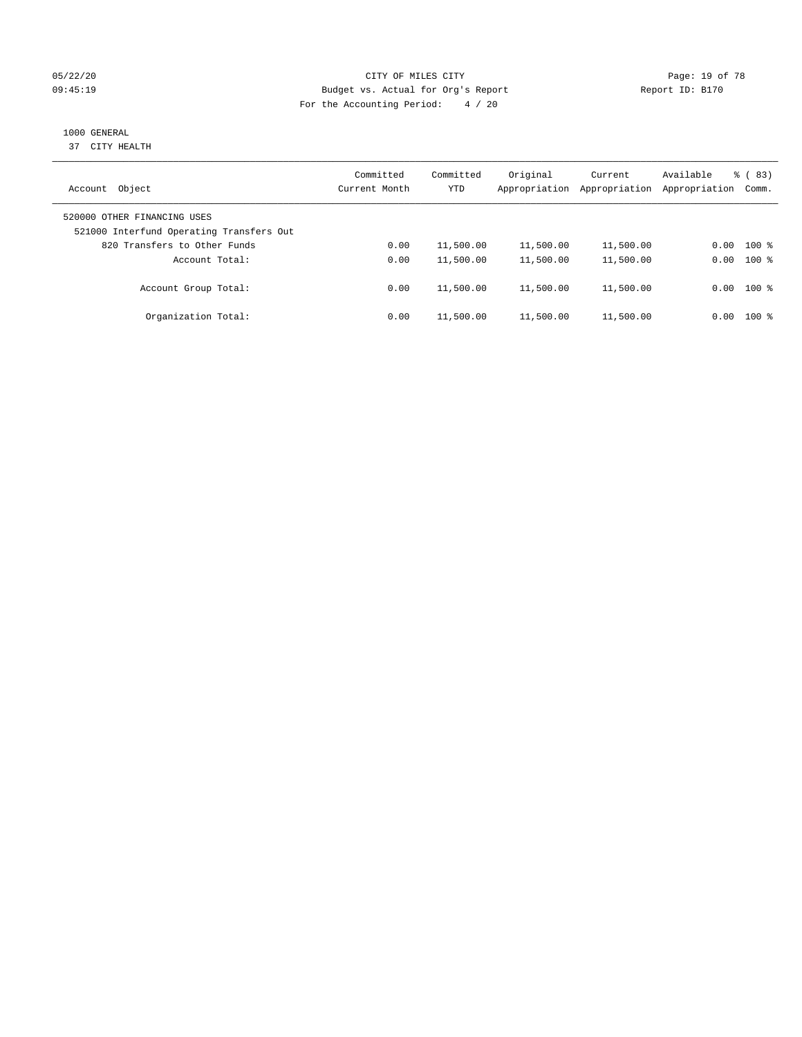#### 05/22/20 **CITY OF MILES CITY CONSUMING THE PAGE:** 19 of 78 09:45:19 Budget vs. Actual for Org's Report Communication Report ID: B170 For the Accounting Period: 4 / 20

## 1000 GENERAL

37 CITY HEALTH

| Object<br>Account                                                       | Committed<br>Current Month | Committed<br><b>YTD</b> | Original<br>Appropriation | Current<br>Appropriation | Available<br>Appropriation | $\frac{6}{6}$ (83)<br>Comm. |
|-------------------------------------------------------------------------|----------------------------|-------------------------|---------------------------|--------------------------|----------------------------|-----------------------------|
| 520000 OTHER FINANCING USES<br>521000 Interfund Operating Transfers Out |                            |                         |                           |                          |                            |                             |
| 820 Transfers to Other Funds                                            | 0.00                       | 11,500.00               | 11,500.00                 | 11,500.00                | 0.00                       | $100*$                      |
| Account Total:                                                          | 0.00                       | 11,500.00               | 11,500.00                 | 11,500.00                | 0.00                       | $100*$                      |
| Account Group Total:                                                    | 0.00                       | 11,500.00               | 11,500.00                 | 11,500.00                |                            | $0.00$ 100 %                |
| Organization Total:                                                     | 0.00                       | 11,500.00               | 11,500.00                 | 11,500.00                | 0.00                       | $100*$                      |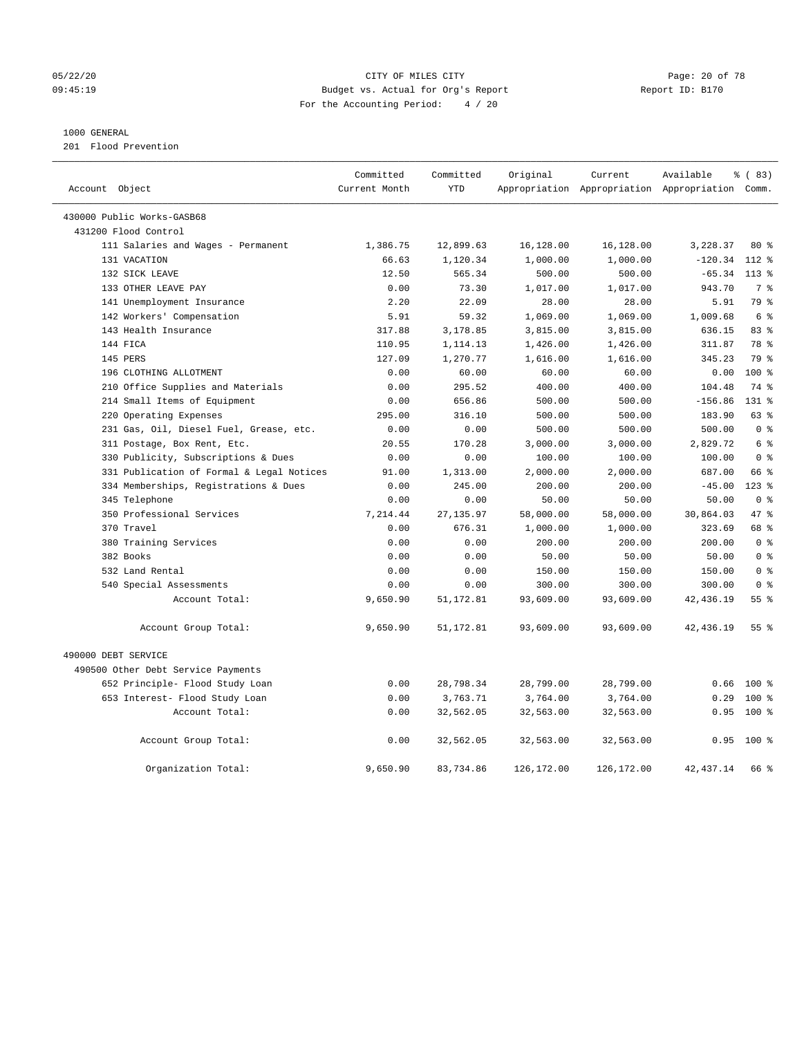#### 05/22/20 Page: 20 of 78 CITY OF MILES CITY CONTROL PAGE: 20 of 78 09:45:19 Budget vs. Actual for Org's Report Changer Report ID: B170 For the Accounting Period: 4 / 20

#### 1000 GENERAL

201 Flood Prevention

| Account Object                                                                   | Committed<br>Current Month | Committed<br><b>YTD</b> | Original           | Current            | Available<br>Appropriation Appropriation Appropriation Comm. | % (83)                   |
|----------------------------------------------------------------------------------|----------------------------|-------------------------|--------------------|--------------------|--------------------------------------------------------------|--------------------------|
|                                                                                  |                            |                         |                    |                    |                                                              |                          |
| 430000 Public Works-GASB68                                                       |                            |                         |                    |                    |                                                              |                          |
| 431200 Flood Control                                                             |                            |                         |                    |                    |                                                              |                          |
| 111 Salaries and Wages - Permanent                                               | 1,386.75                   | 12,899.63               | 16,128.00          | 16,128.00          | 3,228.37                                                     | 80 %                     |
| 131 VACATION                                                                     | 66.63                      | 1,120.34                | 1,000.00           | 1,000.00           | $-120.34$<br>$-65.34$                                        | $112*$                   |
| 132 SICK LEAVE<br>133 OTHER LEAVE PAY                                            | 12.50                      | 565.34<br>73.30         | 500.00             | 500.00<br>1,017.00 | 943.70                                                       | $113*$<br>7 <sup>°</sup> |
|                                                                                  | 0.00                       | 22.09                   | 1,017.00           |                    |                                                              | 79 %                     |
| 141 Unemployment Insurance                                                       | 2.20                       |                         | 28.00              | 28.00              | 5.91                                                         |                          |
| 142 Workers' Compensation<br>143 Health Insurance                                | 5.91<br>317.88             | 59.32<br>3,178.85       | 1,069.00           | 1,069.00           | 1,009.68                                                     | 6 <sup>°</sup><br>83%    |
| 144 FICA                                                                         |                            |                         | 3,815.00           | 3,815.00           | 636.15                                                       | 78 %                     |
| 145 PERS                                                                         | 110.95<br>127.09           | 1,114.13                | 1,426.00           | 1,426.00           | 311.87<br>345.23                                             | 79 %                     |
| 196 CLOTHING ALLOTMENT                                                           |                            | 1,270.77                | 1,616.00           | 1,616.00           |                                                              |                          |
|                                                                                  | 0.00                       | 60.00<br>295.52         | 60.00              | 60.00              | 0.00<br>104.48                                               | 100 %<br>74 %            |
| 210 Office Supplies and Materials<br>214 Small Items of Equipment                | 0.00                       | 656.86                  | 400.00<br>500.00   | 400.00<br>500.00   | $-156.86$                                                    | $131*$                   |
|                                                                                  | 0.00<br>295.00             | 316.10                  | 500.00             | 500.00             | 183.90                                                       | 63 %                     |
| 220 Operating Expenses                                                           | 0.00                       | 0.00                    | 500.00             | 500.00             | 500.00                                                       | 0 <sup>8</sup>           |
| 231 Gas, Oil, Diesel Fuel, Grease, etc.                                          |                            | 170.28                  |                    |                    | 2,829.72                                                     | 6 %                      |
| 311 Postage, Box Rent, Etc.                                                      | 20.55<br>0.00              | 0.00                    | 3,000.00<br>100.00 | 3,000.00<br>100.00 | 100.00                                                       | 0 <sup>8</sup>           |
| 330 Publicity, Subscriptions & Dues<br>331 Publication of Formal & Legal Notices |                            |                         |                    | 2,000.00           | 687.00                                                       | 66 %                     |
|                                                                                  | 91.00<br>0.00              | 1,313.00<br>245.00      | 2,000.00<br>200.00 | 200.00             | $-45.00$                                                     | $123$ $%$                |
| 334 Memberships, Registrations & Dues                                            |                            |                         |                    |                    |                                                              | 0 <sup>8</sup>           |
| 345 Telephone<br>350 Professional Services                                       | 0.00                       | 0.00                    | 50.00              | 50.00              | 50.00                                                        | 47.8                     |
| 370 Travel                                                                       | 7,214.44<br>0.00           | 27, 135.97<br>676.31    | 58,000.00          | 58,000.00          | 30,864.03<br>323.69                                          | 68 %                     |
|                                                                                  |                            |                         | 1,000.00           | 1,000.00           | 200.00                                                       | 0 <sup>8</sup>           |
| 380 Training Services<br>382 Books                                               | 0.00<br>0.00               | 0.00<br>0.00            | 200.00<br>50.00    | 200.00<br>50.00    | 50.00                                                        | 0 <sup>8</sup>           |
| 532 Land Rental                                                                  | 0.00                       | 0.00                    | 150.00             | 150.00             | 150.00                                                       | 0 <sup>8</sup>           |
|                                                                                  | 0.00                       | 0.00                    | 300.00             | 300.00             | 300.00                                                       | 0 <sup>8</sup>           |
| 540 Special Assessments                                                          |                            | 51, 172.81              |                    |                    |                                                              | 55%                      |
| Account Total:                                                                   | 9,650.90                   |                         | 93,609.00          | 93,609.00          | 42,436.19                                                    |                          |
| Account Group Total:                                                             | 9,650.90                   | 51, 172.81              | 93,609.00          | 93,609.00          | 42,436.19                                                    | 55%                      |
| 490000 DEBT SERVICE                                                              |                            |                         |                    |                    |                                                              |                          |
| 490500 Other Debt Service Payments                                               |                            |                         |                    |                    |                                                              |                          |
| 652 Principle- Flood Study Loan                                                  | 0.00                       | 28,798.34               | 28,799.00          | 28,799.00          | 0.66                                                         | $100*$                   |
| 653 Interest- Flood Study Loan                                                   | 0.00                       | 3,763.71                | 3,764.00           | 3,764.00           | 0.29                                                         | $100$ %                  |
| Account Total:                                                                   | 0.00                       | 32,562.05               | 32,563.00          | 32,563.00          | 0.95                                                         | 100 %                    |
| Account Group Total:                                                             | 0.00                       | 32,562.05               | 32,563.00          | 32,563.00          | 0.95                                                         | 100 %                    |
| Organization Total:                                                              | 9,650.90                   | 83,734.86               | 126,172.00         | 126,172.00         | 42, 437.14                                                   | 66 %                     |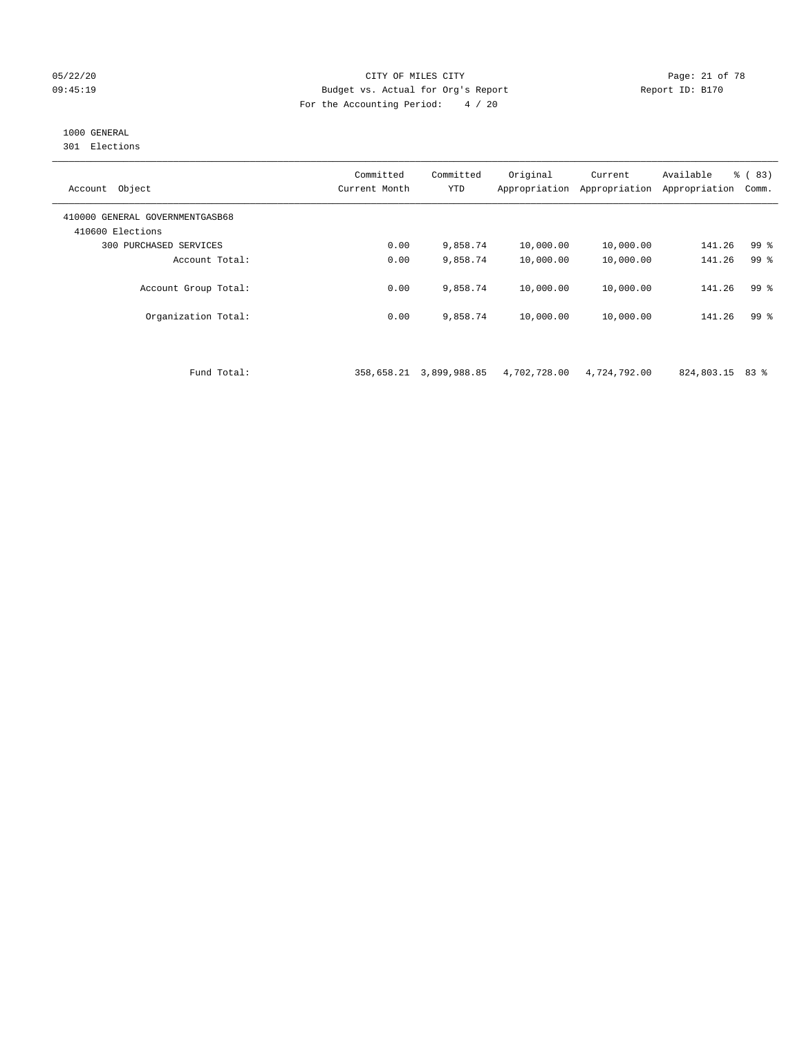#### 05/22/20 Page: 21 of 78 CITY OF MILES CITY CONTROL PAGE: 21 of 78 09:45:19 Budget vs. Actual for Org's Report Report ID: B170 For the Accounting Period: 4 / 20

## 1000 GENERAL

301 Elections

| Object<br>Account                                   | Committed<br>Current Month | Committed<br><b>YTD</b> | Original<br>Appropriation | Current<br>Appropriation | Available<br>Appropriation | % (83)<br>Comm. |
|-----------------------------------------------------|----------------------------|-------------------------|---------------------------|--------------------------|----------------------------|-----------------|
| 410000 GENERAL GOVERNMENTGASB68<br>410600 Elections |                            |                         |                           |                          |                            |                 |
| 300<br>PURCHASED SERVICES                           | 0.00                       | 9,858.74                | 10,000.00                 | 10,000.00                | 141.26                     | 99 %            |
| Account Total:                                      | 0.00                       | 9,858.74                | 10,000.00                 | 10,000.00                | 141.26                     | 99 <sup>8</sup> |
| Account Group Total:                                | 0.00                       | 9,858.74                | 10,000.00                 | 10,000.00                | 141.26                     | 99 <sup>8</sup> |
| Organization Total:                                 | 0.00                       | 9,858.74                | 10,000.00                 | 10,000.00                | 141.26                     | 99 %            |

Fund Total: 358,658.21 3,899,988.85 4,702,728.00 4,724,792.00 824,803.15 83 %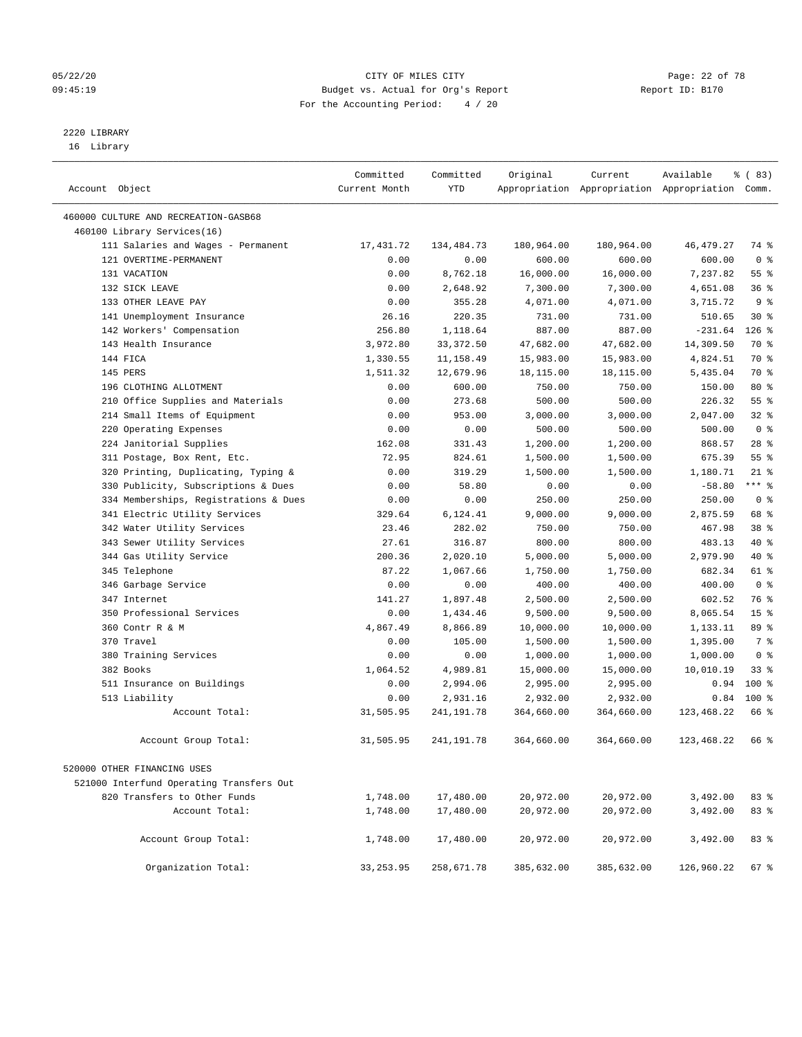#### 05/22/20 Page: 22 of 78 09:45:19 Budget vs. Actual for Org's Report Changer Report ID: B170 For the Accounting Period: 4 / 20

————————————————————————————————————————————————————————————————————————————————————————————————————————————————————————————————————

# 2220 LIBRARY

16 Library

|                                                              | Committed     | Committed  | Original   | Current    | Available                                       | % ( 83)          |
|--------------------------------------------------------------|---------------|------------|------------|------------|-------------------------------------------------|------------------|
| Account Object                                               | Current Month | YTD        |            |            | Appropriation Appropriation Appropriation Comm. |                  |
|                                                              |               |            |            |            |                                                 |                  |
| 460000 CULTURE AND RECREATION-GASB68                         |               |            |            |            |                                                 |                  |
| 460100 Library Services(16)                                  |               |            |            |            |                                                 |                  |
| 111 Salaries and Wages - Permanent<br>121 OVERTIME-PERMANENT | 17,431.72     | 134,484.73 | 180,964.00 | 180,964.00 | 46,479.27                                       | 74 %             |
|                                                              | 0.00          | 0.00       | 600.00     | 600.00     | 600.00                                          | 0 <sup>8</sup>   |
| 131 VACATION                                                 | 0.00          | 8,762.18   | 16,000.00  | 16,000.00  | 7,237.82                                        | $55$ $%$         |
| 132 SICK LEAVE<br>133 OTHER LEAVE PAY                        | 0.00          | 2,648.92   | 7,300.00   | 7,300.00   | 4,651.08                                        | 36%              |
|                                                              | 0.00          | 355.28     | 4,071.00   | 4,071.00   | 3,715.72                                        | 9 <sup>°</sup>   |
| 141 Unemployment Insurance                                   | 26.16         | 220.35     | 731.00     | 731.00     | 510.65                                          | $30*$<br>$126$ % |
| 142 Workers' Compensation<br>143 Health Insurance            | 256.80        | 1,118.64   | 887.00     | 887.00     | $-231.64$                                       |                  |
|                                                              | 3,972.80      | 33, 372.50 | 47,682.00  | 47,682.00  | 14,309.50                                       | 70 %             |
| 144 FICA                                                     | 1,330.55      | 11,158.49  | 15,983.00  | 15,983.00  | 4,824.51                                        | 70 %             |
| 145 PERS                                                     | 1,511.32      | 12,679.96  | 18,115.00  | 18,115.00  | 5,435.04                                        | 70 %             |
| 196 CLOTHING ALLOTMENT                                       | 0.00          | 600.00     | 750.00     | 750.00     | 150.00                                          | $80*$<br>55%     |
| 210 Office Supplies and Materials                            | 0.00          | 273.68     | 500.00     | 500.00     | 226.32                                          |                  |
| 214 Small Items of Equipment                                 | 0.00          | 953.00     | 3,000.00   | 3,000.00   | 2,047.00                                        | $32$ $%$         |
| 220 Operating Expenses                                       | 0.00          | 0.00       | 500.00     | 500.00     | 500.00                                          | 0 <sup>8</sup>   |
| 224 Janitorial Supplies                                      | 162.08        | 331.43     | 1,200.00   | 1,200.00   | 868.57                                          | $28$ %           |
| 311 Postage, Box Rent, Etc.                                  | 72.95         | 824.61     | 1,500.00   | 1,500.00   | 675.39                                          | 55%              |
| 320 Printing, Duplicating, Typing &                          | 0.00          | 319.29     | 1,500.00   | 1,500.00   | 1,180.71                                        | $21$ %           |
| 330 Publicity, Subscriptions & Dues                          | 0.00          | 58.80      | 0.00       | 0.00       | $-58.80$                                        | $***$ $-$        |
| 334 Memberships, Registrations & Dues                        | 0.00          | 0.00       | 250.00     | 250.00     | 250.00                                          | 0 <sup>8</sup>   |
| 341 Electric Utility Services                                | 329.64        | 6,124.41   | 9,000.00   | 9,000.00   | 2,875.59                                        | 68 %             |
| 342 Water Utility Services                                   | 23.46         | 282.02     | 750.00     | 750.00     | 467.98                                          | 38 %             |
| 343 Sewer Utility Services                                   | 27.61         | 316.87     | 800.00     | 800.00     | 483.13                                          | 40 %             |
| 344 Gas Utility Service                                      | 200.36        | 2,020.10   | 5,000.00   | 5,000.00   | 2,979.90                                        | 40 %             |
| 345 Telephone                                                | 87.22         | 1,067.66   | 1,750.00   | 1,750.00   | 682.34                                          | 61 %             |
| 346 Garbage Service                                          | 0.00          | 0.00       | 400.00     | 400.00     | 400.00                                          | 0 <sup>8</sup>   |
| 347 Internet                                                 | 141.27        | 1,897.48   | 2,500.00   | 2,500.00   | 602.52                                          | 76 %             |
| 350 Professional Services                                    | 0.00          | 1,434.46   | 9,500.00   | 9,500.00   | 8,065.54                                        | 15 <sup>°</sup>  |
| 360 Contr R & M                                              | 4,867.49      | 8,866.89   | 10,000.00  | 10,000.00  | 1,133.11                                        | 89 %             |
| 370 Travel                                                   | 0.00          | 105.00     | 1,500.00   | 1,500.00   | 1,395.00                                        | 7 %              |
| 380 Training Services                                        | 0.00          | 0.00       | 1,000.00   | 1,000.00   | 1,000.00                                        | 0 <sup>8</sup>   |
| 382 Books                                                    | 1,064.52      | 4,989.81   | 15,000.00  | 15,000.00  | 10,010.19                                       | $33$ $%$         |
| 511 Insurance on Buildings                                   | 0.00          | 2,994.06   | 2,995.00   | 2,995.00   | 0.94                                            | $100*$           |
| 513 Liability                                                | 0.00          | 2,931.16   | 2,932.00   | 2,932.00   | 0.84                                            | $100*$           |
| Account Total:                                               | 31,505.95     | 241,191.78 | 364,660.00 | 364,660.00 | 123,468.22                                      | 66 %             |
| Account Group Total:                                         | 31,505.95     | 241,191.78 | 364,660.00 | 364,660.00 | 123,468.22                                      | 66 %             |
| 520000 OTHER FINANCING USES                                  |               |            |            |            |                                                 |                  |
| 521000 Interfund Operating Transfers Out                     |               |            |            |            |                                                 |                  |
| 820 Transfers to Other Funds                                 | 1,748.00      | 17,480.00  | 20,972.00  | 20,972.00  | 3,492.00                                        | 83%              |
| Account Total:                                               | 1,748.00      | 17,480.00  | 20,972.00  | 20,972.00  | 3,492.00                                        | 83%              |
|                                                              |               |            |            |            |                                                 |                  |
| Account Group Total:                                         | 1,748.00      | 17,480.00  | 20,972.00  | 20,972.00  | 3,492.00                                        | 83 %             |
| Organization Total:                                          | 33, 253.95    | 258,671.78 | 385,632.00 | 385,632.00 | 126,960.22                                      | 67%              |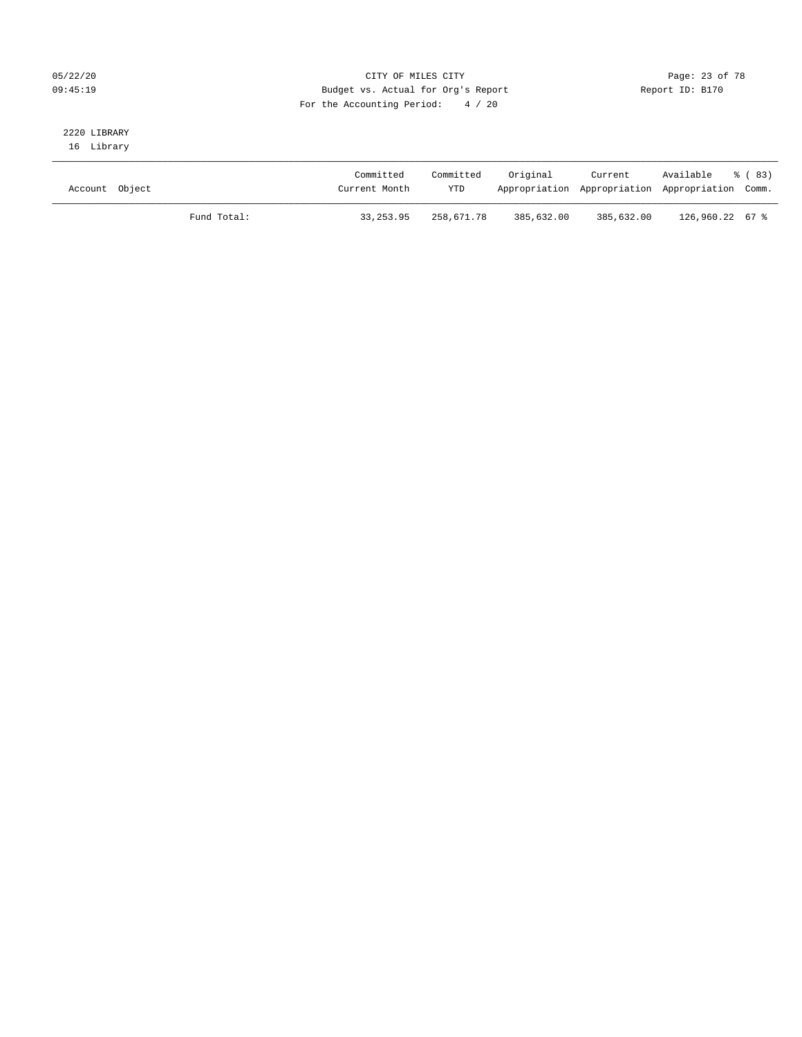#### 05/22/20 Page: 23 of 78 09:45:19 Budget vs. Actual for Org's Report Changer Report ID: B170 For the Accounting Period: 4 / 20

# 2220 LIBRARY

16 Library

| Account Object |             | Committed<br>Current Month | Committed<br><b>YTD</b> | Original   | Current    | Available<br>Appropriation Appropriation Appropriation Comm. | ී (83) |
|----------------|-------------|----------------------------|-------------------------|------------|------------|--------------------------------------------------------------|--------|
|                | Fund Total: | 33, 253, 95                | 258,671.78              | 385,632.00 | 385,632.00 | 126,960.22 67 %                                              |        |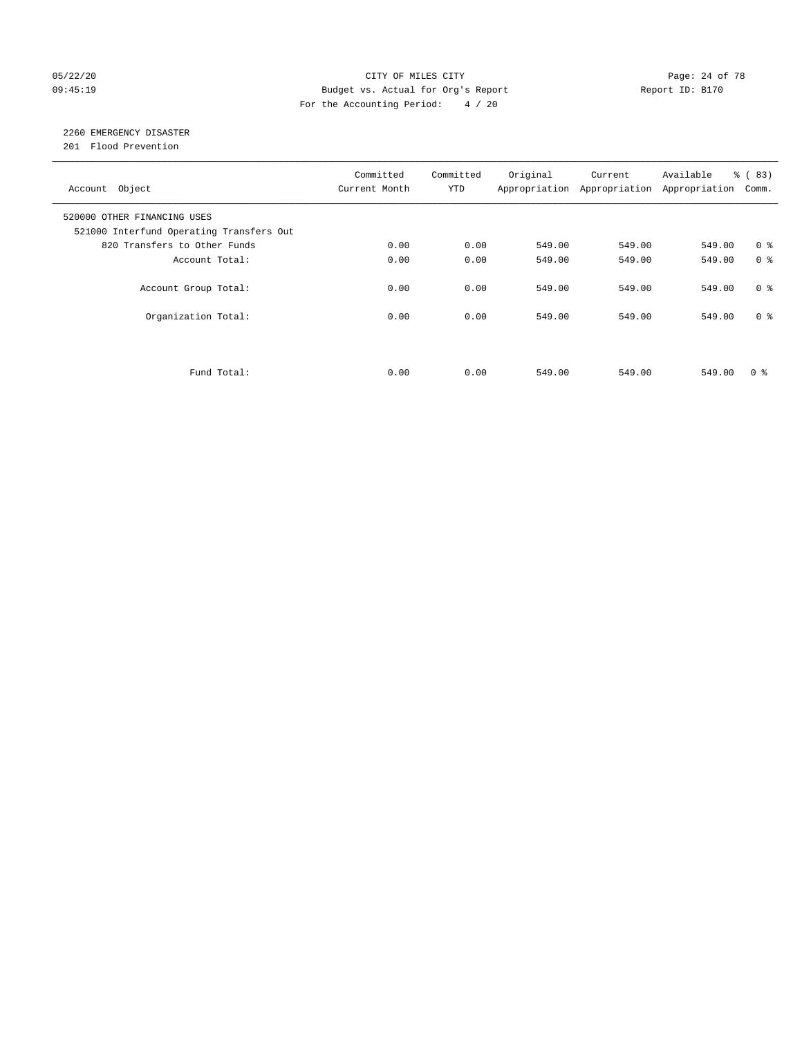#### 05/22/20 **CITY OF MILES CITY CONSUMING THE PAGE:** 24 of 78 09:45:19 Budget vs. Actual for Org's Report Changer Report ID: B170 For the Accounting Period: 4 / 20

## 2260 EMERGENCY DISASTER

201 Flood Prevention

| Account Object                                                          | Committed<br>Current Month | Committed<br><b>YTD</b> | Original | Current<br>Appropriation Appropriation | Available<br>Appropriation | % (83)<br>Comm. |
|-------------------------------------------------------------------------|----------------------------|-------------------------|----------|----------------------------------------|----------------------------|-----------------|
| 520000 OTHER FINANCING USES<br>521000 Interfund Operating Transfers Out |                            |                         |          |                                        |                            |                 |
| 820 Transfers to Other Funds                                            | 0.00                       | 0.00                    | 549.00   | 549.00                                 | 549.00                     | 0 <sup>8</sup>  |
| Account Total:                                                          | 0.00                       | 0.00                    | 549.00   | 549.00                                 | 549.00                     | 0 <sup>8</sup>  |
| Account Group Total:                                                    | 0.00                       | 0.00                    | 549.00   | 549.00                                 | 549.00                     | 0 <sup>8</sup>  |
| Organization Total:                                                     | 0.00                       | 0.00                    | 549.00   | 549.00                                 | 549.00                     | 0 <sup>8</sup>  |
|                                                                         |                            |                         |          |                                        |                            |                 |
| Fund Total:                                                             | 0.00                       | 0.00                    | 549.00   | 549.00                                 | 549.00                     | 0 %             |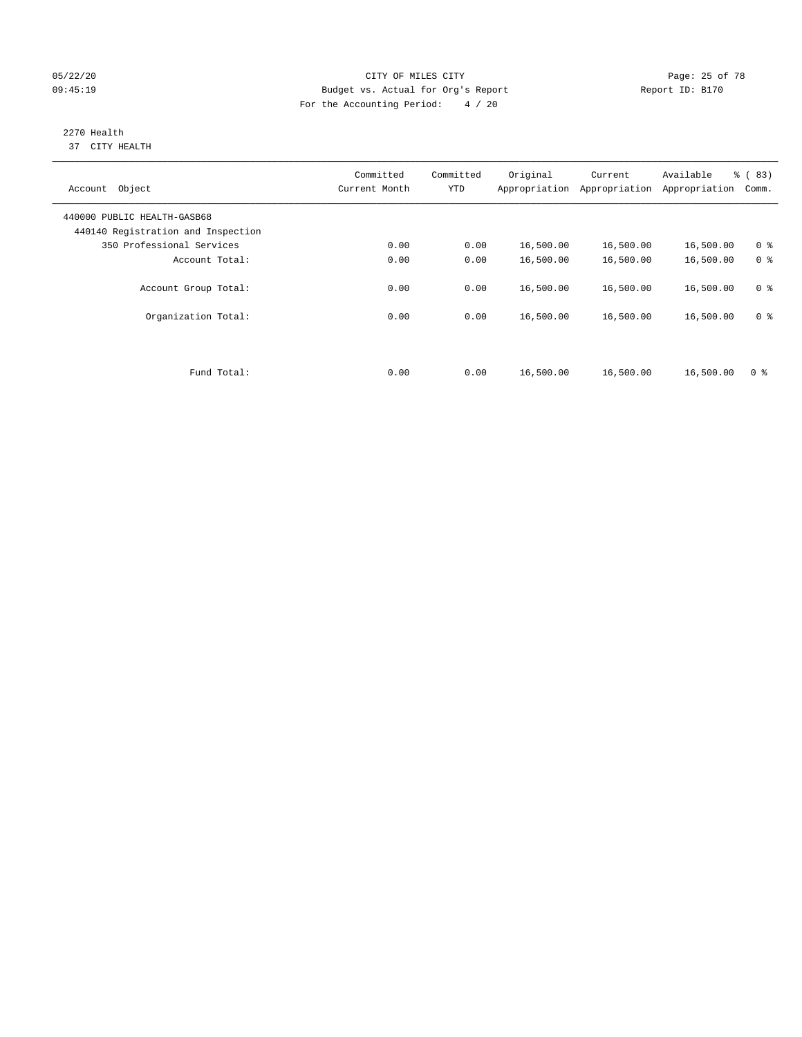#### 05/22/20 Page: 25 of 78 09:45:19 Budget vs. Actual for Org's Report Changer Report ID: B170 For the Accounting Period: 4 / 20

#### 2270 Health 37 CITY HEALTH

| Object<br>Account                                                 | Committed<br>Current Month | Committed<br><b>YTD</b> | Original<br>Appropriation | Current<br>Appropriation | Available<br>Appropriation | % (83)<br>Comm. |
|-------------------------------------------------------------------|----------------------------|-------------------------|---------------------------|--------------------------|----------------------------|-----------------|
| 440000 PUBLIC HEALTH-GASB68<br>440140 Registration and Inspection |                            |                         |                           |                          |                            |                 |
| 350 Professional Services                                         | 0.00                       | 0.00                    | 16,500.00                 | 16,500.00                | 16,500.00                  | 0 <sup>8</sup>  |
| Account Total:                                                    | 0.00                       | 0.00                    | 16,500.00                 | 16,500.00                | 16,500.00                  | 0 <sup>8</sup>  |
| Account Group Total:                                              | 0.00                       | 0.00                    | 16,500.00                 | 16,500.00                | 16,500.00                  | 0 <sup>8</sup>  |
| Organization Total:                                               | 0.00                       | 0.00                    | 16,500.00                 | 16,500.00                | 16,500.00                  | 0 <sup>8</sup>  |
|                                                                   |                            |                         |                           |                          |                            |                 |
| Fund Total:                                                       | 0.00                       | 0.00                    | 16,500.00                 | 16,500.00                | 16,500.00                  | 0 <sup>8</sup>  |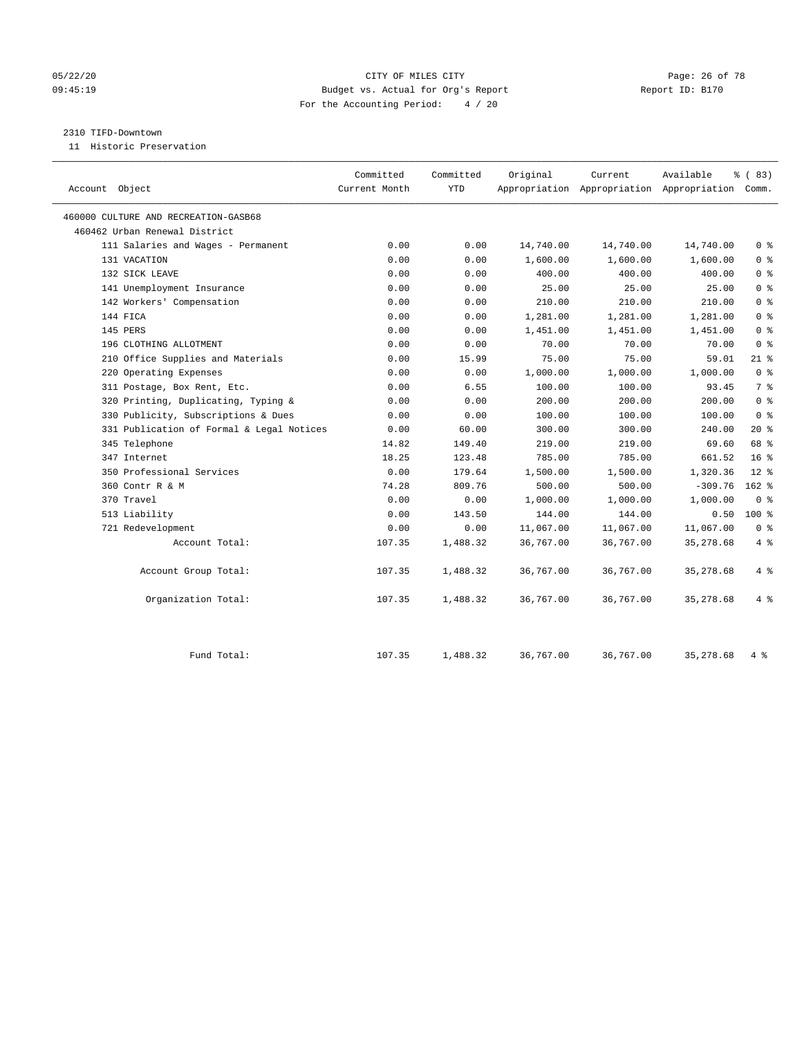#### 05/22/20 Page: 26 of 78 09:45:19 Budget vs. Actual for Org's Report Report ID: B170 For the Accounting Period: 4 / 20

#### 2310 TIFD-Downtown

11 Historic Preservation

| Account Object                            | Committed<br>Current Month | Committed<br><b>YTD</b> | Original  | Current   | Available<br>Appropriation Appropriation Appropriation Comm. | 8 (83)          |
|-------------------------------------------|----------------------------|-------------------------|-----------|-----------|--------------------------------------------------------------|-----------------|
| 460000 CULTURE AND RECREATION-GASB68      |                            |                         |           |           |                                                              |                 |
| 460462 Urban Renewal District             |                            |                         |           |           |                                                              |                 |
| 111 Salaries and Wages - Permanent        | 0.00                       | 0.00                    | 14,740.00 | 14,740.00 | 14,740.00                                                    | 0 <sup>8</sup>  |
| 131 VACATION                              | 0.00                       | 0.00                    | 1,600.00  | 1,600.00  | 1,600.00                                                     | 0 <sup>8</sup>  |
| 132 SICK LEAVE                            | 0.00                       | 0.00                    | 400.00    | 400.00    | 400.00                                                       | 0 <sup>8</sup>  |
| 141 Unemployment Insurance                | 0.00                       | 0.00                    | 25.00     | 25.00     | 25.00                                                        | 0 <sup>8</sup>  |
| 142 Workers' Compensation                 | 0.00                       | 0.00                    | 210.00    | 210.00    | 210.00                                                       | 0 <sup>8</sup>  |
| 144 FICA                                  | 0.00                       | 0.00                    | 1,281.00  | 1,281.00  | 1,281.00                                                     | 0 <sup>8</sup>  |
| 145 PERS                                  | 0.00                       | 0.00                    | 1,451.00  | 1,451.00  | 1,451.00                                                     | 0 <sup>8</sup>  |
| 196 CLOTHING ALLOTMENT                    | 0.00                       | 0.00                    | 70.00     | 70.00     | 70.00                                                        | 0 <sup>8</sup>  |
| 210 Office Supplies and Materials         | 0.00                       | 15.99                   | 75.00     | 75.00     | 59.01                                                        | $21$ %          |
| 220 Operating Expenses                    | 0.00                       | 0.00                    | 1,000.00  | 1,000.00  | 1,000.00                                                     | 0 <sup>8</sup>  |
| 311 Postage, Box Rent, Etc.               | 0.00                       | 6.55                    | 100.00    | 100.00    | 93.45                                                        | 7 <sup>°</sup>  |
| 320 Printing, Duplicating, Typing &       | 0.00                       | 0.00                    | 200.00    | 200.00    | 200.00                                                       | 0 <sup>8</sup>  |
| 330 Publicity, Subscriptions & Dues       | 0.00                       | 0.00                    | 100.00    | 100.00    | 100.00                                                       | 0 <sup>8</sup>  |
| 331 Publication of Formal & Legal Notices | 0.00                       | 60.00                   | 300.00    | 300.00    | 240.00                                                       | $20*$           |
| 345 Telephone                             | 14.82                      | 149.40                  | 219.00    | 219.00    | 69.60                                                        | 68 %            |
| 347 Internet                              | 18.25                      | 123.48                  | 785.00    | 785.00    | 661.52                                                       | 16 <sup>°</sup> |
| 350 Professional Services                 | 0.00                       | 179.64                  | 1,500.00  | 1,500.00  | 1,320.36                                                     | $12*$           |
| 360 Contr R & M                           | 74.28                      | 809.76                  | 500.00    | 500.00    | $-309.76$                                                    | $162$ %         |
| 370 Travel                                | 0.00                       | 0.00                    | 1,000.00  | 1,000.00  | 1,000.00                                                     | 0 <sup>8</sup>  |
| 513 Liability                             | 0.00                       | 143.50                  | 144.00    | 144.00    | 0.50                                                         | $100*$          |
| 721 Redevelopment                         | 0.00                       | 0.00                    | 11,067.00 | 11,067.00 | 11,067.00                                                    | 0 <sup>8</sup>  |
| Account Total:                            | 107.35                     | 1,488.32                | 36,767.00 | 36,767.00 | 35, 278.68                                                   | $4\degree$      |
| Account Group Total:                      | 107.35                     | 1,488.32                | 36,767.00 | 36,767.00 | 35, 278.68                                                   | 4%              |
| Organization Total:                       | 107.35                     | 1,488.32                | 36,767.00 | 36,767.00 | 35, 278.68                                                   | 4%              |
| Fund Total:                               | 107.35                     | 1,488.32                | 36,767.00 | 36,767.00 | 35, 278.68                                                   | 4%              |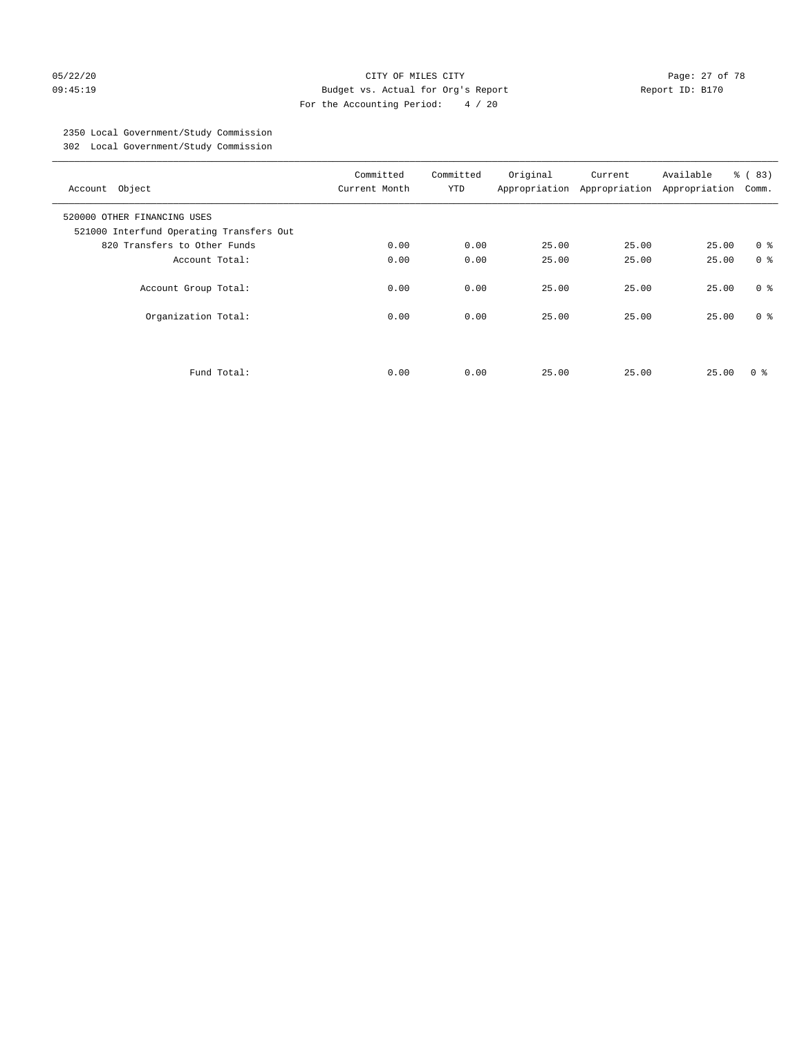#### 05/22/20 Page: 27 of 78 09:45:19 Budget vs. Actual for Org's Report Changer Report ID: B170 For the Accounting Period: 4 / 20

## 2350 Local Government/Study Commission

302 Local Government/Study Commission

| Account Object                                                          | Committed<br>Current Month | Committed<br><b>YTD</b> | Original | Current<br>Appropriation Appropriation | Available<br>Appropriation | % (83)<br>Comm. |
|-------------------------------------------------------------------------|----------------------------|-------------------------|----------|----------------------------------------|----------------------------|-----------------|
| 520000 OTHER FINANCING USES<br>521000 Interfund Operating Transfers Out |                            |                         |          |                                        |                            |                 |
| 820 Transfers to Other Funds                                            | 0.00                       | 0.00                    | 25.00    | 25.00                                  | 25.00                      | 0 <sup>8</sup>  |
| Account Total:                                                          | 0.00                       | 0.00                    | 25.00    | 25.00                                  | 25.00                      | 0 <sup>8</sup>  |
| Account Group Total:                                                    | 0.00                       | 0.00                    | 25.00    | 25.00                                  | 25.00                      | 0 <sup>8</sup>  |
| Organization Total:                                                     | 0.00                       | 0.00                    | 25.00    | 25.00                                  | 25.00                      | 0 <sup>8</sup>  |
| Fund Total:                                                             | 0.00                       | 0.00                    | 25.00    | 25.00                                  | 25.00                      | 0 ៖             |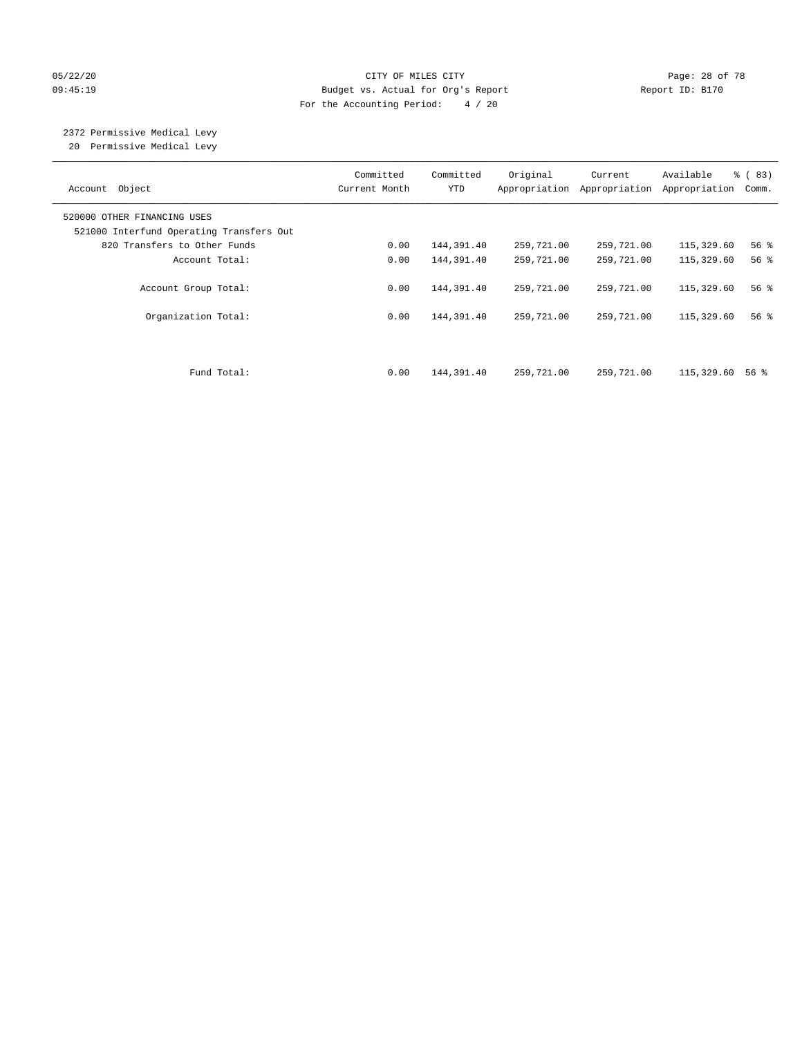#### 05/22/20 **CITY OF MILES CITY CONSUMING THE PAGE:** 28 of 78 09:45:19 Budget vs. Actual for Org's Report Changer Report ID: B170 For the Accounting Period: 4 / 20

# 2372 Permissive Medical Levy

20 Permissive Medical Levy

| Account Object                                                          | Committed<br>Current Month | Committed<br><b>YTD</b> | Original<br>Appropriation | Current<br>Appropriation | Available<br>Appropriation | % (83)<br>Comm.    |
|-------------------------------------------------------------------------|----------------------------|-------------------------|---------------------------|--------------------------|----------------------------|--------------------|
| 520000 OTHER FINANCING USES<br>521000 Interfund Operating Transfers Out |                            |                         |                           |                          |                            |                    |
| 820 Transfers to Other Funds                                            | 0.00                       | 144,391.40              | 259,721.00                | 259,721.00               | 115,329.60                 | 56%                |
| Account Total:                                                          | 0.00                       | 144,391.40              | 259,721.00                | 259,721.00               | 115,329.60                 | $56$ $\frac{6}{3}$ |
| Account Group Total:                                                    | 0.00                       | 144,391.40              | 259,721.00                | 259,721.00               | 115,329.60                 | 56%                |
| Organization Total:                                                     | 0.00                       | 144,391.40              | 259,721.00                | 259,721.00               | 115,329.60                 | 56%                |
| Fund Total:                                                             | 0.00                       | 144,391.40              | 259,721.00                | 259,721.00               | 115,329.60                 | 56 %               |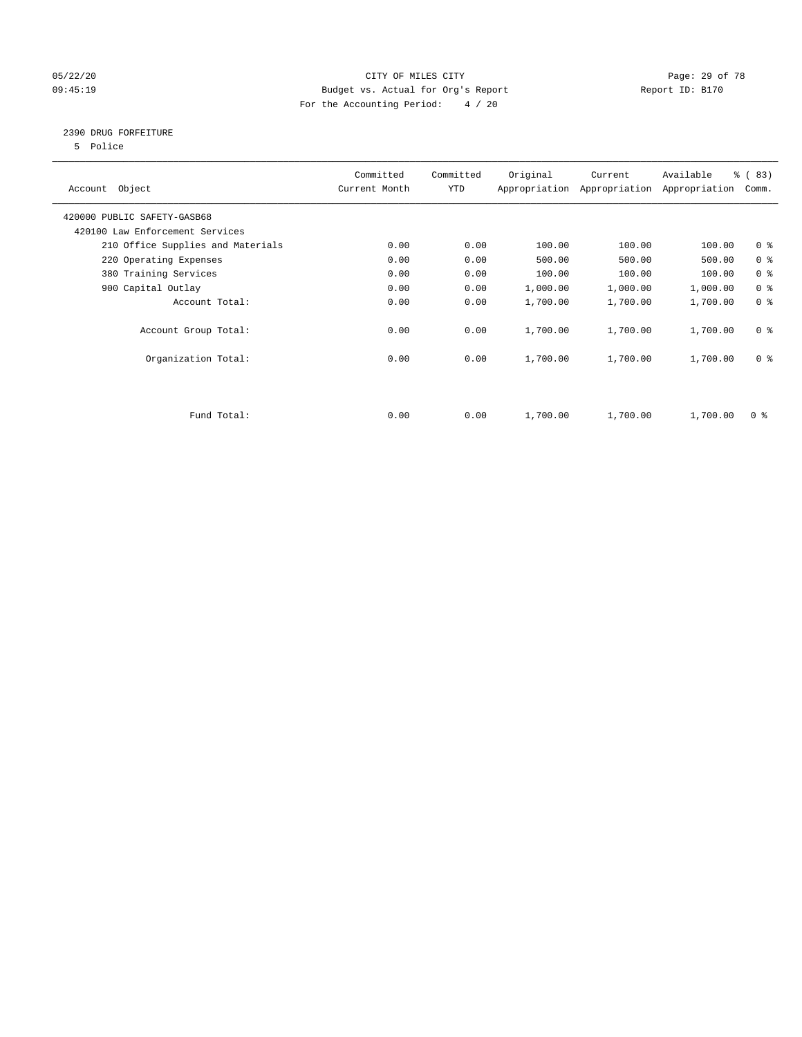#### 05/22/20 Page: 29 of 78 09:45:19 Budget vs. Actual for Org's Report Changer Report ID: B170 For the Accounting Period: 4 / 20

#### 2390 DRUG FORFEITURE

5 Police

| Account Object                    | Committed<br>Current Month | Committed<br><b>YTD</b> | Original | Current<br>Appropriation Appropriation | Available<br>Appropriation | % (83)<br>Comm. |
|-----------------------------------|----------------------------|-------------------------|----------|----------------------------------------|----------------------------|-----------------|
| 420000 PUBLIC SAFETY-GASB68       |                            |                         |          |                                        |                            |                 |
| 420100 Law Enforcement Services   |                            |                         |          |                                        |                            |                 |
| 210 Office Supplies and Materials | 0.00                       | 0.00                    | 100.00   | 100.00                                 | 100.00                     | 0 <sup>8</sup>  |
| 220 Operating Expenses            | 0.00                       | 0.00                    | 500.00   | 500.00                                 | 500.00                     | 0 <sup>8</sup>  |
| 380 Training Services             | 0.00                       | 0.00                    | 100.00   | 100.00                                 | 100.00                     | 0 <sup>8</sup>  |
| 900 Capital Outlay                | 0.00                       | 0.00                    | 1,000.00 | 1,000.00                               | 1,000.00                   | 0 <sup>8</sup>  |
| Account Total:                    | 0.00                       | 0.00                    | 1,700.00 | 1,700.00                               | 1,700.00                   | 0 <sup>8</sup>  |
| Account Group Total:              | 0.00                       | 0.00                    | 1,700.00 | 1,700.00                               | 1,700.00                   | 0 <sup>8</sup>  |
| Organization Total:               | 0.00                       | 0.00                    | 1,700.00 | 1,700.00                               | 1,700.00                   | 0 <sup>8</sup>  |
|                                   |                            |                         |          |                                        |                            |                 |
| Fund Total:                       | 0.00                       | 0.00                    | 1,700.00 | 1,700.00                               | 1,700.00                   | 0 %             |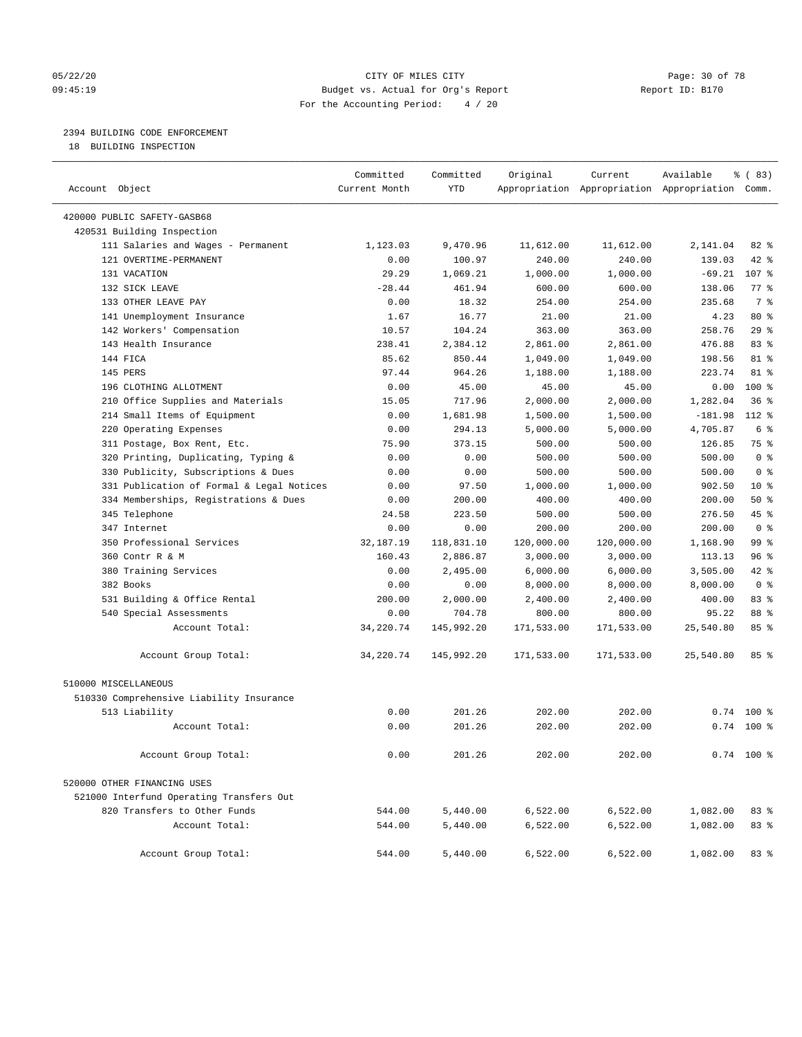#### 05/22/20 **CITY OF MILES CITY CONSUMING THE PAGE:** 30 of 78 09:45:19 Budget vs. Actual for Org's Report Changer Report ID: B170 For the Accounting Period: 4 / 20

#### 2394 BUILDING CODE ENFORCEMENT

18 BUILDING INSPECTION

| Account Object                            | Committed<br>Current Month | Committed<br><b>YTD</b> | Original   | Current    | Available<br>Appropriation Appropriation Appropriation Comm. | % (83)         |
|-------------------------------------------|----------------------------|-------------------------|------------|------------|--------------------------------------------------------------|----------------|
| 420000 PUBLIC SAFETY-GASB68               |                            |                         |            |            |                                                              |                |
| 420531 Building Inspection                |                            |                         |            |            |                                                              |                |
| 111 Salaries and Wages - Permanent        | 1,123.03                   | 9,470.96                | 11,612.00  | 11,612.00  | 2,141.04                                                     | $82$ $%$       |
| 121 OVERTIME-PERMANENT                    | 0.00                       | 100.97                  | 240.00     | 240.00     | 139.03                                                       | 42 %           |
| 131 VACATION                              | 29.29                      | 1,069.21                | 1,000.00   | 1,000.00   | $-69.21$                                                     | 107 %          |
| 132 SICK LEAVE                            | $-28.44$                   | 461.94                  | 600.00     | 600.00     | 138.06                                                       | 77.8           |
| 133 OTHER LEAVE PAY                       | 0.00                       | 18.32                   | 254.00     | 254.00     | 235.68                                                       | 7 %            |
| 141 Unemployment Insurance                | 1.67                       | 16.77                   | 21.00      | 21.00      | 4.23                                                         | $80*$          |
| 142 Workers' Compensation                 | 10.57                      | 104.24                  | 363.00     | 363.00     | 258.76                                                       | 29%            |
| 143 Health Insurance                      | 238.41                     | 2,384.12                | 2,861.00   | 2,861.00   | 476.88                                                       | 83 %           |
| 144 FICA                                  | 85.62                      | 850.44                  | 1,049.00   | 1,049.00   | 198.56                                                       | 81 %           |
| 145 PERS                                  | 97.44                      | 964.26                  | 1,188.00   | 1,188.00   | 223.74                                                       | $81 - 8$       |
| 196 CLOTHING ALLOTMENT                    | 0.00                       | 45.00                   | 45.00      | 45.00      | 0.00                                                         | 100 %          |
| 210 Office Supplies and Materials         | 15.05                      | 717.96                  | 2,000.00   | 2,000.00   | 1,282.04                                                     | 36%            |
| 214 Small Items of Equipment              | 0.00                       | 1,681.98                | 1,500.00   | 1,500.00   | $-181.98$                                                    | 112 %          |
| 220 Operating Expenses                    | 0.00                       | 294.13                  | 5,000.00   | 5,000.00   | 4,705.87                                                     | 6 %            |
| 311 Postage, Box Rent, Etc.               | 75.90                      | 373.15                  | 500.00     | 500.00     | 126.85                                                       | 75 %           |
| 320 Printing, Duplicating, Typing &       | 0.00                       | 0.00                    | 500.00     | 500.00     | 500.00                                                       | 0 <sup>8</sup> |
| 330 Publicity, Subscriptions & Dues       | 0.00                       | 0.00                    | 500.00     | 500.00     | 500.00                                                       | 0 <sup>8</sup> |
| 331 Publication of Formal & Legal Notices | 0.00                       | 97.50                   | 1,000.00   | 1,000.00   | 902.50                                                       | $10*$          |
| 334 Memberships, Registrations & Dues     | 0.00                       | 200.00                  | 400.00     | 400.00     | 200.00                                                       | 50%            |
| 345 Telephone                             | 24.58                      | 223.50                  | 500.00     | 500.00     | 276.50                                                       | 45 %           |
| 347 Internet                              | 0.00                       | 0.00                    | 200.00     | 200.00     | 200.00                                                       | 0 <sup>8</sup> |
| 350 Professional Services                 | 32,187.19                  | 118,831.10              | 120,000.00 | 120,000.00 | 1,168.90                                                     | 99 %           |
| 360 Contr R & M                           | 160.43                     | 2,886.87                | 3,000.00   | 3,000.00   | 113.13                                                       | 96%            |
| 380 Training Services                     | 0.00                       | 2,495.00                | 6,000.00   | 6,000.00   | 3,505.00                                                     | 42.8           |
| 382 Books                                 | 0.00                       | 0.00                    | 8,000.00   | 8,000.00   | 8,000.00                                                     | 0 <sup>8</sup> |
| 531 Building & Office Rental              | 200.00                     | 2,000.00                | 2,400.00   | 2,400.00   | 400.00                                                       | 83 %           |
| 540 Special Assessments                   | 0.00                       | 704.78                  | 800.00     | 800.00     | 95.22                                                        | 88 %           |
| Account Total:                            | 34,220.74                  | 145,992.20              | 171,533.00 | 171,533.00 | 25,540.80                                                    | 85%            |
| Account Group Total:                      | 34,220.74                  | 145,992.20              | 171,533.00 | 171,533.00 | 25,540.80                                                    | 85 %           |
| 510000 MISCELLANEOUS                      |                            |                         |            |            |                                                              |                |
| 510330 Comprehensive Liability Insurance  |                            |                         |            |            |                                                              |                |
| 513 Liability                             | 0.00                       | 201.26                  | 202.00     | 202.00     | 0.74                                                         | $100*$         |
| Account Total:                            | 0.00                       | 201.26                  | 202.00     | 202.00     |                                                              | $0.74$ 100 %   |
| Account Group Total:                      | 0.00                       | 201.26                  | 202.00     | 202.00     |                                                              | $0.74$ 100 %   |
| 520000 OTHER FINANCING USES               |                            |                         |            |            |                                                              |                |
| 521000 Interfund Operating Transfers Out  |                            |                         |            |            |                                                              |                |
| 820 Transfers to Other Funds              | 544.00                     | 5,440.00                | 6,522.00   | 6,522.00   | 1,082.00                                                     | 83 %           |
| Account Total:                            | 544.00                     | 5,440.00                | 6,522.00   | 6,522.00   | 1,082.00                                                     | 83 %           |
| Account Group Total:                      | 544.00                     | 5,440.00                | 6,522.00   | 6,522.00   | 1,082.00                                                     | 83%            |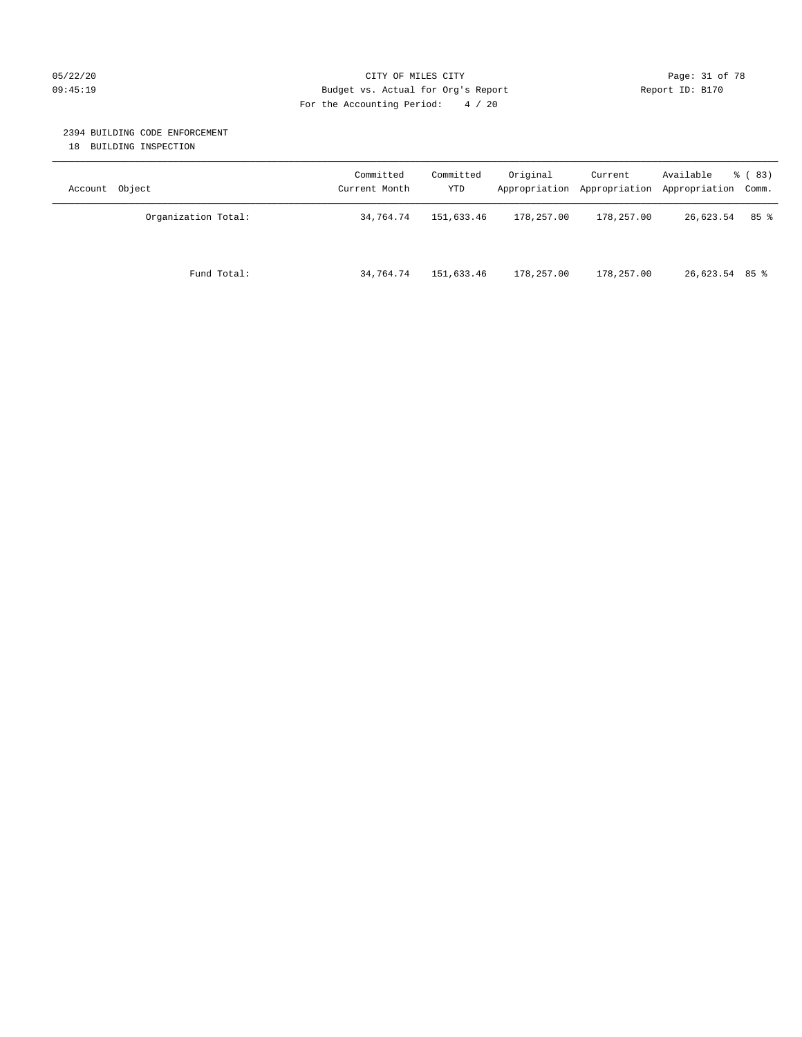#### 05/22/20 **CITY OF MILES CITY CITY CITY Page: 31 of 78** 09:45:19 Budget vs. Actual for Org's Report Changer Report ID: B170 For the Accounting Period: 4 / 20

#### 2394 BUILDING CODE ENFORCEMENT

18 BUILDING INSPECTION

| Account Object      | Committed<br>Current Month | Committed<br>YTD | Original   | Current<br>Appropriation Appropriation | Available<br>Appropriation Comm. | % ( 83) |
|---------------------|----------------------------|------------------|------------|----------------------------------------|----------------------------------|---------|
| Organization Total: | 34,764.74                  | 151,633.46       | 178,257.00 | 178,257.00                             | 26,623.54                        | 85%     |
| Fund Total:         | 34,764.74                  | 151,633.46       | 178,257.00 | 178,257.00                             | 26,623.54 85 %                   |         |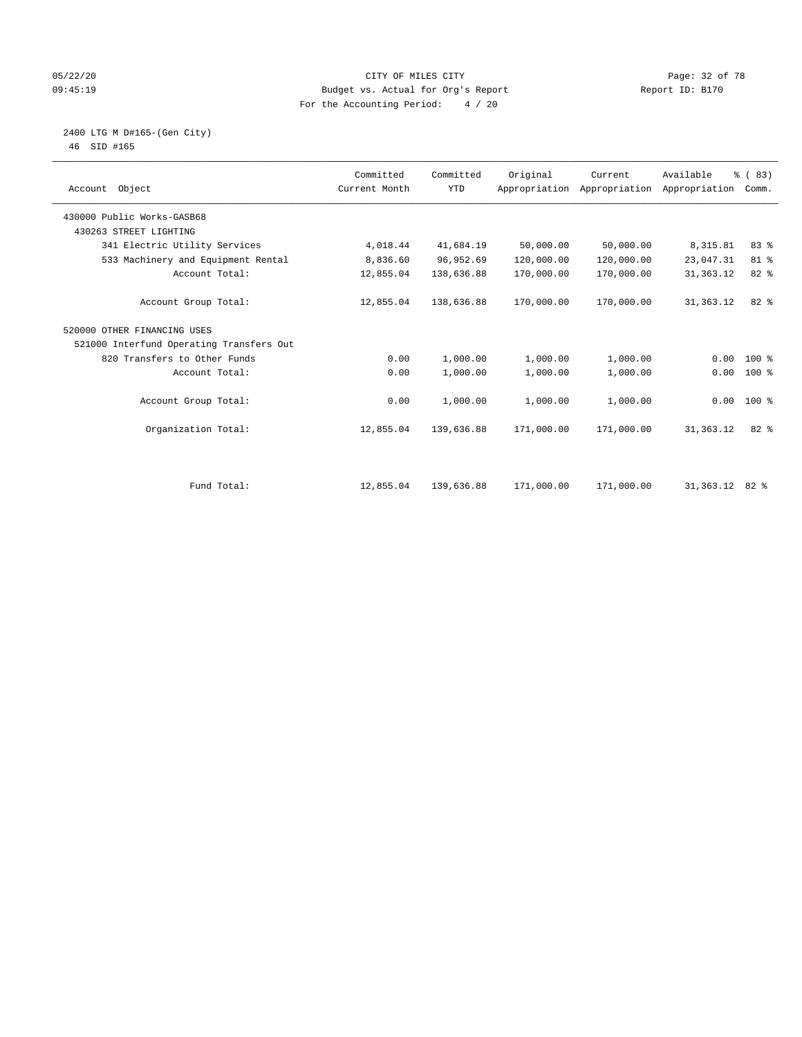#### 05/22/20 Page: 32 of 78 09:45:19 Budget vs. Actual for Org's Report Changer Report ID: B170 For the Accounting Period: 4 / 20

 2400 LTG M D#165-(Gen City) 46 SID #165

| Account Object                           | Committed<br>Current Month | Committed<br><b>YTD</b> | Original   | Current<br>Appropriation Appropriation | Available<br>Appropriation | % (83)<br>Comm. |  |
|------------------------------------------|----------------------------|-------------------------|------------|----------------------------------------|----------------------------|-----------------|--|
| 430000 Public Works-GASB68               |                            |                         |            |                                        |                            |                 |  |
| 430263 STREET LIGHTING                   |                            |                         |            |                                        |                            |                 |  |
| 341 Electric Utility Services            | 4,018.44                   | 41,684.19               | 50,000.00  | 50,000.00                              | 8,315.81                   | 83%             |  |
| 533 Machinery and Equipment Rental       | 8,836.60                   | 96,952.69               | 120,000.00 | 120,000.00                             | 23,047.31                  | 81 %            |  |
| Account Total:                           | 12,855.04                  | 138,636.88              | 170,000.00 | 170,000.00                             | 31, 363. 12                | 82 %            |  |
| Account Group Total:                     | 12,855.04                  | 138,636.88              | 170,000.00 | 170,000.00                             | 31, 363. 12                | 82 %            |  |
| 520000 OTHER FINANCING USES              |                            |                         |            |                                        |                            |                 |  |
| 521000 Interfund Operating Transfers Out |                            |                         |            |                                        |                            |                 |  |
| 820 Transfers to Other Funds             | 0.00                       | 1,000.00                | 1,000.00   | 1,000.00                               | 0.00                       | $100*$          |  |
| Account Total:                           | 0.00                       | 1,000.00                | 1,000.00   | 1,000.00                               | 0.00                       | $100*$          |  |
| Account Group Total:                     | 0.00                       | 1,000.00                | 1,000.00   | 1,000.00                               | 0.00                       | $100*$          |  |
| Organization Total:                      | 12,855.04                  | 139,636.88              | 171,000.00 | 171,000.00                             | 31, 363. 12                | 82 %            |  |
| Fund Total:                              | 12,855.04                  | 139,636.88              | 171,000.00 | 171,000.00                             | 31,363.12 82 %             |                 |  |
|                                          |                            |                         |            |                                        |                            |                 |  |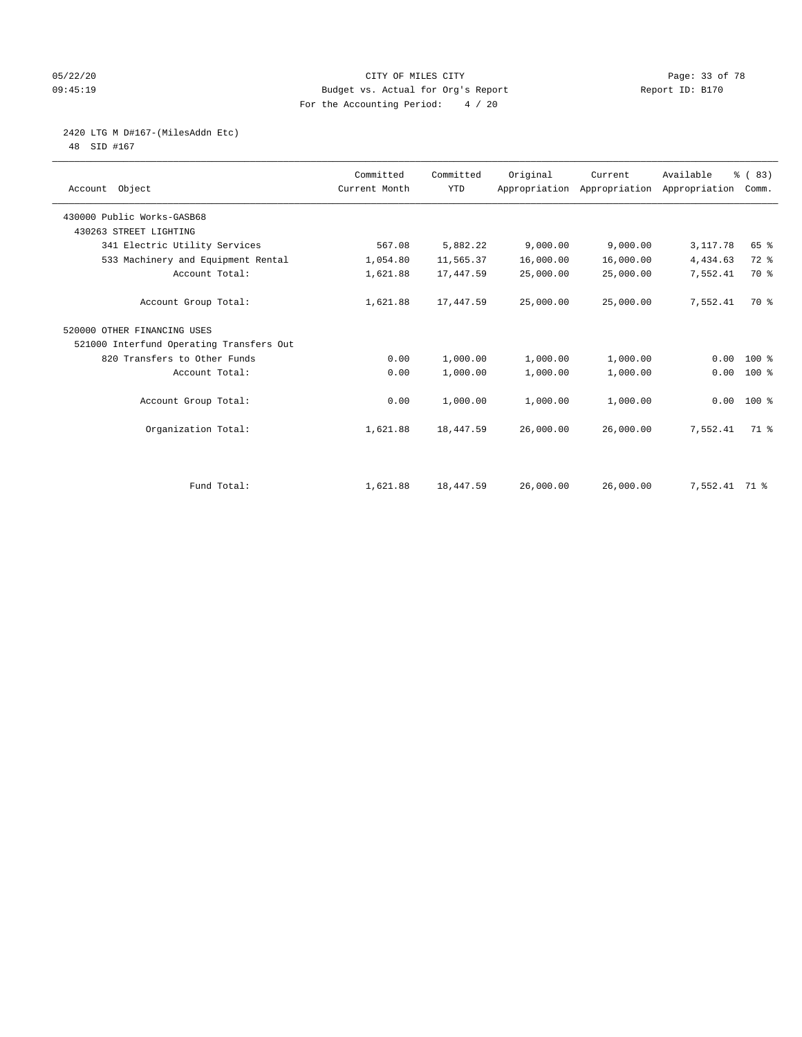#### 05/22/20 Page: 33 of 78 09:45:19 Budget vs. Actual for Org's Report Changer Report ID: B170 For the Accounting Period: 4 / 20

# 2420 LTG M D#167-(MilesAddn Etc)

48 SID #167

| Account Object                           | Committed<br>Current Month | Committed<br><b>YTD</b> | Original  | Current<br>Appropriation Appropriation Appropriation | Available     | % (83)<br>Comm. |
|------------------------------------------|----------------------------|-------------------------|-----------|------------------------------------------------------|---------------|-----------------|
| 430000 Public Works-GASB68               |                            |                         |           |                                                      |               |                 |
| 430263 STREET LIGHTING                   |                            |                         |           |                                                      |               |                 |
| 341 Electric Utility Services            | 567.08                     | 5,882.22                | 9,000.00  | 9,000.00                                             | 3,117.78      | 65 %            |
| 533 Machinery and Equipment Rental       | 1,054.80                   | 11,565.37               | 16,000.00 | 16,000.00                                            | 4,434.63      | 72 %            |
| Account Total:                           | 1,621.88                   | 17,447.59               | 25,000.00 | 25,000.00                                            | 7,552.41      | 70 %            |
| Account Group Total:                     | 1,621.88                   | 17,447.59               | 25,000.00 | 25,000.00                                            | 7,552.41      | 70 %            |
| 520000 OTHER FINANCING USES              |                            |                         |           |                                                      |               |                 |
| 521000 Interfund Operating Transfers Out |                            |                         |           |                                                      |               |                 |
| 820 Transfers to Other Funds             | 0.00                       | 1,000.00                | 1,000.00  | 1,000.00                                             | 0.00          | $100*$          |
| Account Total:                           | 0.00                       | 1,000.00                | 1,000.00  | 1,000.00                                             | 0.00          | $100*$          |
| Account Group Total:                     | 0.00                       | 1,000.00                | 1,000.00  | 1,000.00                                             |               | $0.00$ 100 %    |
| Organization Total:                      | 1,621.88                   | 18,447.59               | 26,000.00 | 26,000.00                                            | 7,552.41      | 71 %            |
|                                          |                            |                         |           |                                                      |               |                 |
| Fund Total:                              | 1,621.88                   | 18,447.59               | 26,000.00 | 26,000.00                                            | 7,552.41 71 % |                 |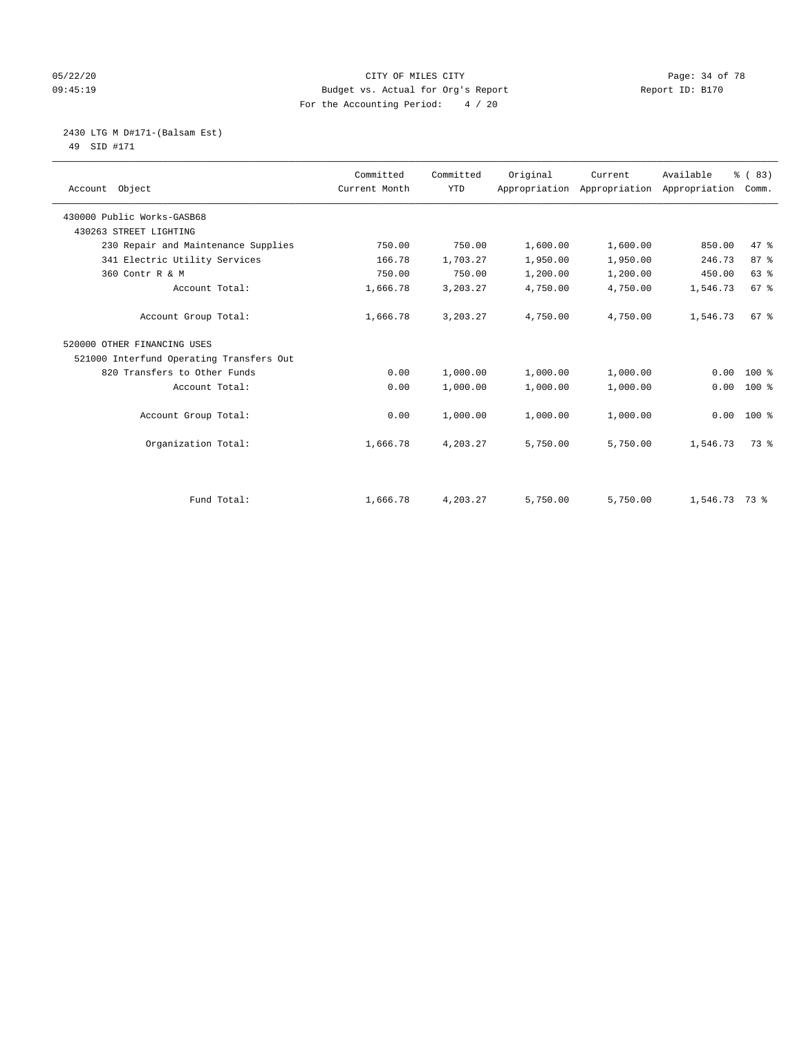#### 05/22/20 Page: 34 of 78 09:45:19 Budget vs. Actual for Org's Report Changer Report ID: B170 For the Accounting Period: 4 / 20

# 2430 LTG M D#171-(Balsam Est)

49 SID #171

| Account Object                           | Committed<br>Current Month | Committed<br><b>YTD</b> | Original | Current<br>Appropriation Appropriation | Available<br>Appropriation | % (83)<br>Comm. |
|------------------------------------------|----------------------------|-------------------------|----------|----------------------------------------|----------------------------|-----------------|
| 430000 Public Works-GASB68               |                            |                         |          |                                        |                            |                 |
| 430263 STREET LIGHTING                   |                            |                         |          |                                        |                            |                 |
| 230 Repair and Maintenance Supplies      | 750.00                     | 750.00                  | 1,600.00 | 1,600.00                               | 850.00                     | 47 %            |
| 341 Electric Utility Services            | 166.78                     | 1,703.27                | 1,950.00 | 1,950.00                               | 246.73                     | 87%             |
| 360 Contr R & M                          | 750.00                     | 750.00                  | 1,200.00 | 1,200.00                               | 450.00                     | 63 %            |
| Account Total:                           | 1,666.78                   | 3,203.27                | 4,750.00 | 4,750.00                               | 1,546.73                   | 67%             |
| Account Group Total:                     | 1,666.78                   | 3,203.27                | 4,750.00 | 4,750.00                               | 1,546.73                   | 67%             |
| 520000 OTHER FINANCING USES              |                            |                         |          |                                        |                            |                 |
| 521000 Interfund Operating Transfers Out |                            |                         |          |                                        |                            |                 |
| 820 Transfers to Other Funds             | 0.00                       | 1,000.00                | 1,000.00 | 1,000.00                               | 0.00                       | 100 %           |
| Account Total:                           | 0.00                       | 1,000.00                | 1,000.00 | 1,000.00                               | 0.00                       | 100 %           |
| Account Group Total:                     | 0.00                       | 1,000.00                | 1,000.00 | 1,000.00                               | 0.00                       | $100*$          |
| Organization Total:                      | 1,666.78                   | 4,203.27                | 5,750.00 | 5,750.00                               | 1,546.73                   | 73 %            |
|                                          |                            |                         |          |                                        |                            |                 |
| Fund Total:                              | 1,666.78                   | 4,203.27                | 5,750.00 | 5,750.00                               | 1,546.73 73 %              |                 |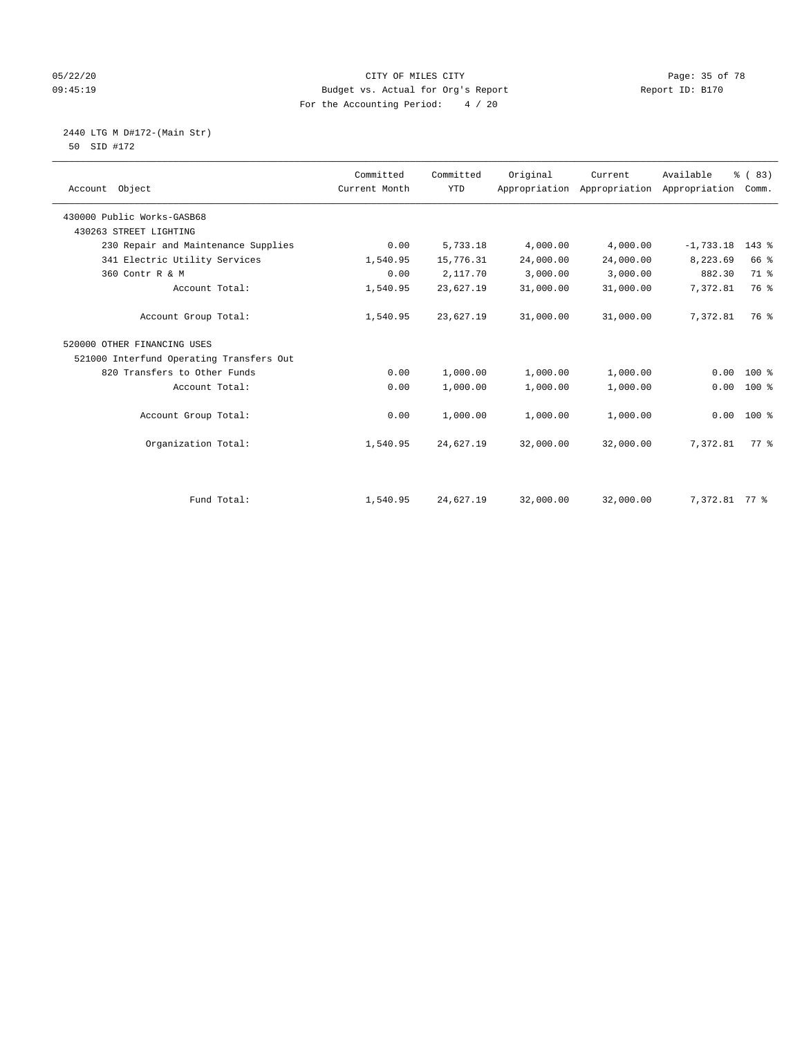#### 05/22/20 Page: 35 of 78 09:45:19 Budget vs. Actual for Org's Report Changer Report ID: B170 For the Accounting Period: 4 / 20

 2440 LTG M D#172-(Main Str) 50 SID #172

| Account Object                           | Committed<br>Current Month | Committed<br><b>YTD</b> | Original  | Current<br>Appropriation Appropriation | Available<br>Appropriation | % (83)<br>Comm. |  |
|------------------------------------------|----------------------------|-------------------------|-----------|----------------------------------------|----------------------------|-----------------|--|
| 430000 Public Works-GASB68               |                            |                         |           |                                        |                            |                 |  |
| 430263 STREET LIGHTING                   |                            |                         |           |                                        |                            |                 |  |
| 230 Repair and Maintenance Supplies      | 0.00                       | 5,733.18                | 4,000.00  | 4,000.00                               | $-1,733.18$                | $143$ %         |  |
| 341 Electric Utility Services            | 1,540.95                   | 15,776.31               | 24,000.00 | 24,000.00                              | 8,223.69                   | 66 %            |  |
| 360 Contr R & M                          | 0.00                       | 2,117.70                | 3,000.00  | 3,000.00                               | 882.30                     | 71 %            |  |
| Account Total:                           | 1,540.95                   | 23,627.19               | 31,000.00 | 31,000.00                              | 7,372.81                   | 76 %            |  |
| Account Group Total:                     | 1,540.95                   | 23,627.19               | 31,000.00 | 31,000.00                              | 7,372.81                   | 76 %            |  |
| 520000 OTHER FINANCING USES              |                            |                         |           |                                        |                            |                 |  |
| 521000 Interfund Operating Transfers Out |                            |                         |           |                                        |                            |                 |  |
| 820 Transfers to Other Funds             | 0.00                       | 1,000.00                | 1,000.00  | 1,000.00                               | 0.00                       | 100 %           |  |
| Account Total:                           | 0.00                       | 1,000.00                | 1,000.00  | 1,000.00                               | 0.00                       | 100 %           |  |
| Account Group Total:                     | 0.00                       | 1,000.00                | 1,000.00  | 1,000.00                               | 0.00                       | $100*$          |  |
| Organization Total:                      | 1,540.95                   | 24,627.19               | 32,000.00 | 32,000.00                              | 7,372.81                   | 77 %            |  |
|                                          |                            |                         |           |                                        |                            |                 |  |
| Fund Total:                              | 1,540.95                   | 24,627.19               | 32,000.00 | 32,000.00                              | 7,372.81 77 %              |                 |  |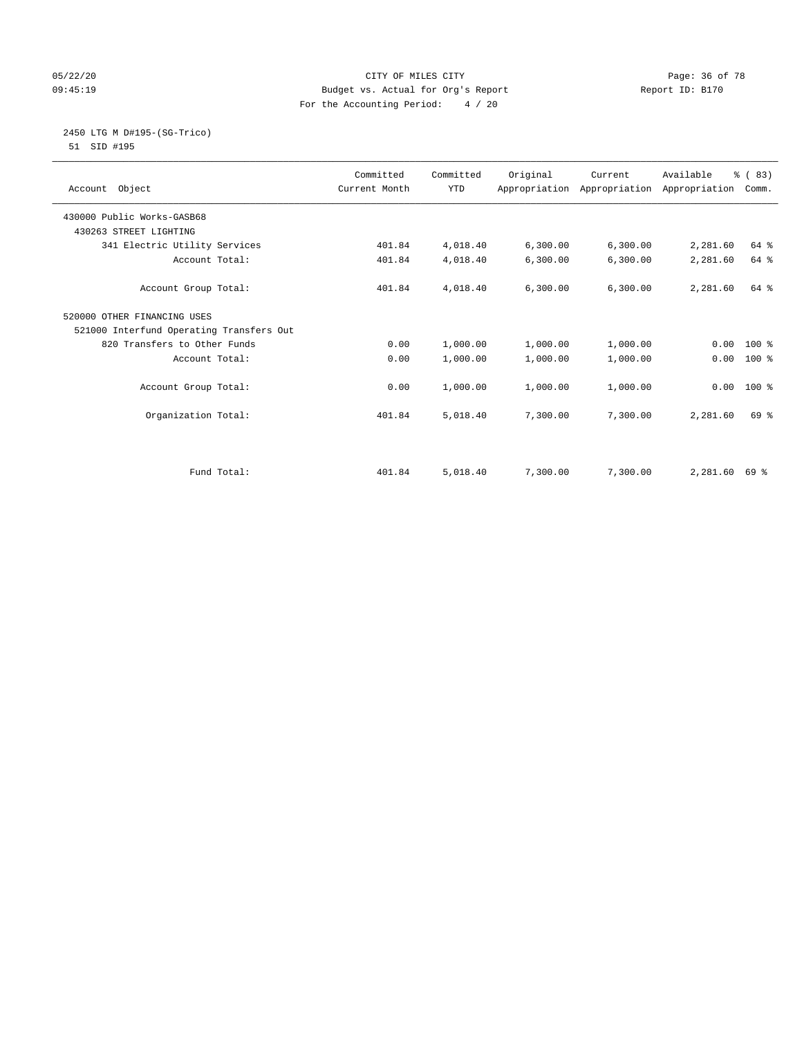#### 05/22/20 **CITY OF MILES CITY CONSUMING THE CONSUMING PAGE:** 36 of 78 09:45:19 Budget vs. Actual for Org's Report Changer Report ID: B170 For the Accounting Period: 4 / 20

#### 2450 LTG M D#195-(SG-Trico) 51 SID #195

| Account Object                           | Committed<br>Current Month | Committed<br><b>YTD</b> | Original | Current<br>Appropriation Appropriation Appropriation | Available | % (83)<br>Comm. |
|------------------------------------------|----------------------------|-------------------------|----------|------------------------------------------------------|-----------|-----------------|
| 430000 Public Works-GASB68               |                            |                         |          |                                                      |           |                 |
| 430263 STREET LIGHTING                   |                            |                         |          |                                                      |           |                 |
| 341 Electric Utility Services            | 401.84                     | 4,018.40                | 6,300.00 | 6,300.00                                             | 2,281.60  | 64 %            |
| Account Total:                           | 401.84                     | 4,018.40                | 6,300.00 | 6,300.00                                             | 2,281.60  | 64 %            |
| Account Group Total:                     | 401.84                     | 4,018.40                | 6,300.00 | 6,300.00                                             | 2,281.60  | 64 %            |
| 520000 OTHER FINANCING USES              |                            |                         |          |                                                      |           |                 |
| 521000 Interfund Operating Transfers Out |                            |                         |          |                                                      |           |                 |
| 820 Transfers to Other Funds             | 0.00                       | 1,000.00                | 1,000.00 | 1,000.00                                             | 0.00      | $100*$          |
| Account Total:                           | 0.00                       | 1,000.00                | 1,000.00 | 1,000.00                                             | 0.00      | $100*$          |
| Account Group Total:                     | 0.00                       | 1,000.00                | 1,000.00 | 1,000.00                                             | 0.00      | $100*$          |
| Organization Total:                      | 401.84                     | 5,018.40                | 7,300.00 | 7,300.00                                             | 2,281.60  | 69 %            |
| Fund Total:                              | 401.84                     | 5,018.40                | 7,300.00 | 7,300.00                                             | 2,281.60  | 69 %            |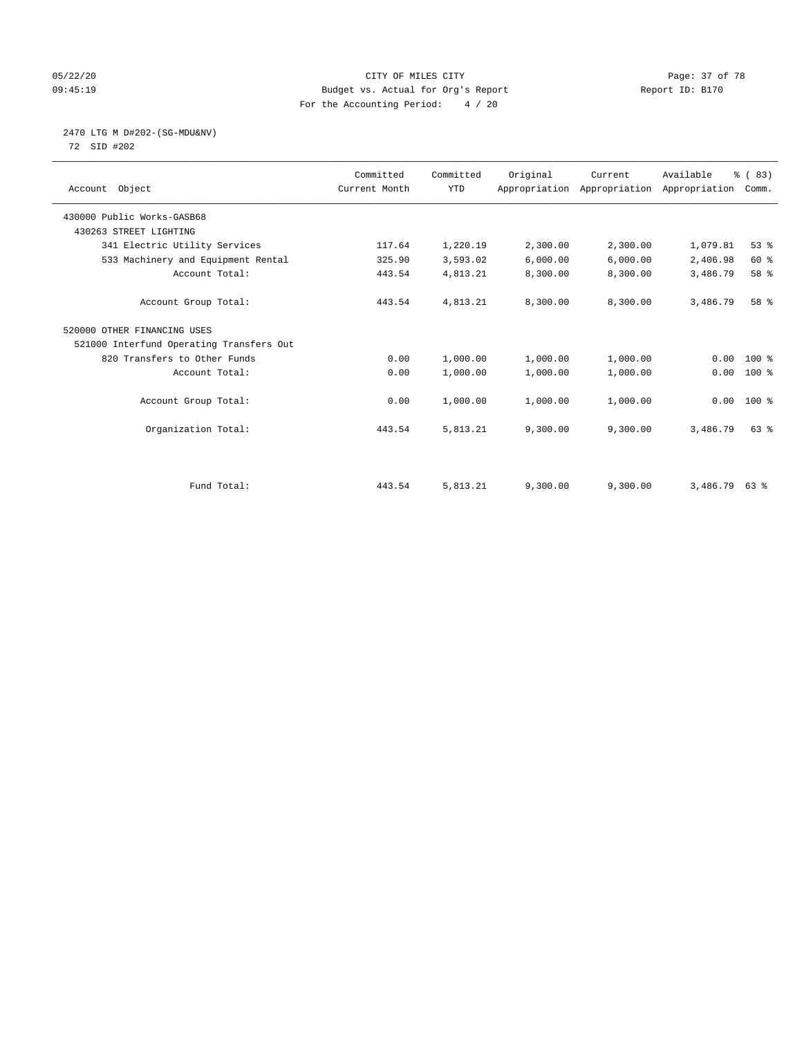#### 05/22/20 Page: 37 of 78 09:45:19 Budget vs. Actual for Org's Report Changer Report ID: B170 For the Accounting Period: 4 / 20

## 2470 LTG M D#202-(SG-MDU&NV)

72 SID #202

| Account Object                           | Committed<br>Current Month | Committed<br><b>YTD</b> | Original | Current<br>Appropriation Appropriation Appropriation | Available       | % (83)<br>Comm. |  |
|------------------------------------------|----------------------------|-------------------------|----------|------------------------------------------------------|-----------------|-----------------|--|
| 430000 Public Works-GASB68               |                            |                         |          |                                                      |                 |                 |  |
| 430263 STREET LIGHTING                   |                            |                         |          |                                                      |                 |                 |  |
| 341 Electric Utility Services            | 117.64                     | 1,220.19                | 2,300.00 | 2,300.00                                             | 1,079.81        | 53%             |  |
| 533 Machinery and Equipment Rental       | 325.90                     | 3,593.02                | 6,000.00 | 6,000.00                                             | 2,406.98        | 60 %            |  |
| Account Total:                           | 443.54                     | 4,813.21                | 8,300.00 | 8,300.00                                             | 3,486.79        | 58 %            |  |
| Account Group Total:                     | 443.54                     | 4,813.21                | 8,300.00 | 8,300.00                                             | 3,486.79        | 58 %            |  |
| 520000 OTHER FINANCING USES              |                            |                         |          |                                                      |                 |                 |  |
| 521000 Interfund Operating Transfers Out |                            |                         |          |                                                      |                 |                 |  |
| 820 Transfers to Other Funds             | 0.00                       | 1,000.00                | 1,000.00 | 1,000.00                                             | 0.00            | $100*$          |  |
| Account Total:                           | 0.00                       | 1,000.00                | 1,000.00 | 1,000.00                                             | 0.00            | $100$ %         |  |
| Account Group Total:                     | 0.00                       | 1,000.00                | 1,000.00 | 1,000.00                                             | 0.00            | $100*$          |  |
| Organization Total:                      | 443.54                     | 5,813.21                | 9,300.00 | 9,300.00                                             | 3,486.79        | $63$ $%$        |  |
|                                          |                            |                         |          |                                                      |                 |                 |  |
| Fund Total:                              | 443.54                     | 5,813.21                | 9,300.00 | 9,300.00                                             | $3,486.79$ 63 % |                 |  |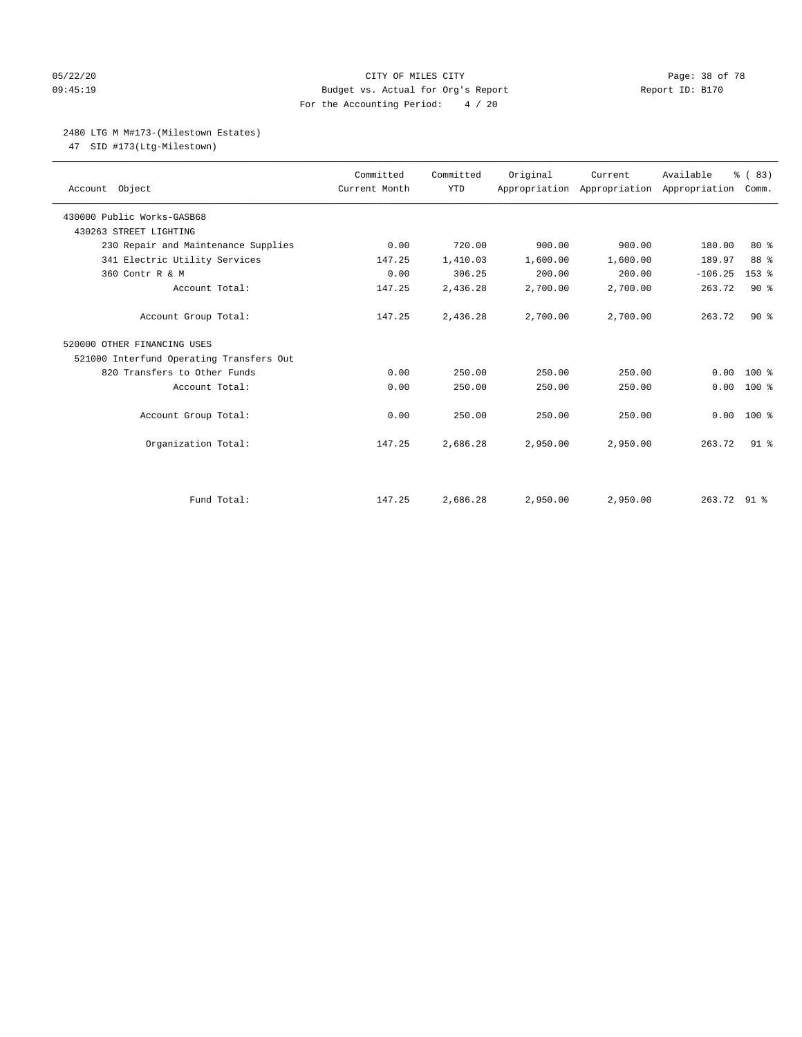#### 05/22/20 **CITY OF MILES CITY CONSUMING THE PAGE OF 78** Page: 38 of 78 09:45:19 Budget vs. Actual for Org's Report Changer Report ID: B170 For the Accounting Period: 4 / 20

## 2480 LTG M M#173-(Milestown Estates)

47 SID #173(Ltg-Milestown)

| Account Object                           | Committed<br>Current Month | Committed<br><b>YTD</b> | Original | Current<br>Appropriation Appropriation Appropriation | Available   | % (83)<br>Comm. |
|------------------------------------------|----------------------------|-------------------------|----------|------------------------------------------------------|-------------|-----------------|
| 430000 Public Works-GASB68               |                            |                         |          |                                                      |             |                 |
| 430263 STREET LIGHTING                   |                            |                         |          |                                                      |             |                 |
| 230 Repair and Maintenance Supplies      | 0.00                       | 720.00                  | 900.00   | 900.00                                               | 180.00      | $80*$           |
| 341 Electric Utility Services            | 147.25                     | 1,410.03                | 1,600.00 | 1,600.00                                             | 189.97      | 88 %            |
| 360 Contr R & M                          | 0.00                       | 306.25                  | 200.00   | 200.00                                               | $-106.25$   | $153$ $%$       |
| Account Total:                           | 147.25                     | 2,436.28                | 2,700.00 | 2,700.00                                             | 263.72      | 90%             |
| Account Group Total:                     | 147.25                     | 2,436.28                | 2,700.00 | 2,700.00                                             | 263.72      | $90*$           |
| 520000 OTHER FINANCING USES              |                            |                         |          |                                                      |             |                 |
| 521000 Interfund Operating Transfers Out |                            |                         |          |                                                      |             |                 |
| 820 Transfers to Other Funds             | 0.00                       | 250.00                  | 250.00   | 250.00                                               | 0.00        | $100*$          |
| Account Total:                           | 0.00                       | 250.00                  | 250.00   | 250.00                                               | 0.00        | $100*$          |
| Account Group Total:                     | 0.00                       | 250.00                  | 250.00   | 250.00                                               | 0.00        | $100*$          |
| Organization Total:                      | 147.25                     | 2,686.28                | 2,950.00 | 2,950.00                                             | 263.72      | 91 <sup>°</sup> |
|                                          |                            |                         |          |                                                      |             |                 |
| Fund Total:                              | 147.25                     | 2,686.28                | 2,950.00 | 2,950.00                                             | 263.72 91 % |                 |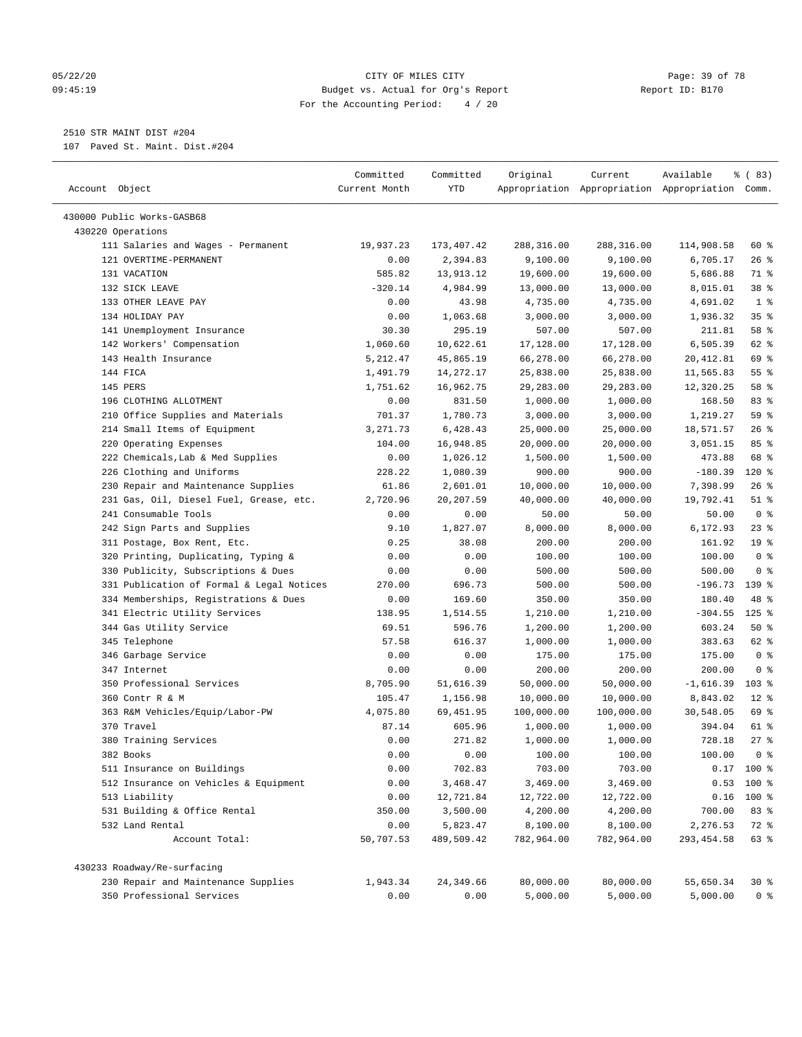#### 05/22/20 Page: 39 of 78 09:45:19 Budget vs. Actual for Org's Report Report ID: B170 For the Accounting Period: 4 / 20

————————————————————————————————————————————————————————————————————————————————————————————————————————————————————————————————————

## 2510 STR MAINT DIST #204

107 Paved St. Maint. Dist.#204

|                                                 | Committed     | Committed  | Original   | Current    | Available                                       | 8 ( 83)         |  |
|-------------------------------------------------|---------------|------------|------------|------------|-------------------------------------------------|-----------------|--|
| Account Object                                  | Current Month | YTD        |            |            | Appropriation Appropriation Appropriation Comm. |                 |  |
|                                                 |               |            |            |            |                                                 |                 |  |
| 430000 Public Works-GASB68<br>430220 Operations |               |            |            |            |                                                 |                 |  |
| 111 Salaries and Wages - Permanent              | 19,937.23     | 173,407.42 | 288,316.00 | 288,316.00 | 114,908.58                                      | 60 %            |  |
| 121 OVERTIME-PERMANENT                          | 0.00          | 2,394.83   | 9,100.00   | 9,100.00   | 6,705.17                                        | $26$ %          |  |
| 131 VACATION                                    | 585.82        | 13,913.12  | 19,600.00  | 19,600.00  | 5,686.88                                        | 71 %            |  |
| 132 SICK LEAVE                                  | $-320.14$     | 4,984.99   | 13,000.00  | 13,000.00  | 8,015.01                                        | 38 <sup>8</sup> |  |
| 133 OTHER LEAVE PAY                             | 0.00          | 43.98      | 4,735.00   | 4,735.00   | 4,691.02                                        | 1 <sup>°</sup>  |  |
| 134 HOLIDAY PAY                                 | 0.00          | 1,063.68   | 3,000.00   | 3,000.00   | 1,936.32                                        | 35%             |  |
| 141 Unemployment Insurance                      | 30.30         | 295.19     | 507.00     | 507.00     | 211.81                                          | 58 %            |  |
| 142 Workers' Compensation                       | 1,060.60      | 10,622.61  | 17,128.00  | 17,128.00  | 6,505.39                                        | 62 %            |  |
| 143 Health Insurance                            | 5,212.47      | 45,865.19  | 66,278.00  | 66,278.00  | 20,412.81                                       | 69 %            |  |
| 144 FICA                                        | 1,491.79      | 14,272.17  | 25,838.00  | 25,838.00  | 11,565.83                                       | 55 %            |  |
| 145 PERS                                        | 1,751.62      | 16,962.75  | 29,283.00  | 29,283.00  | 12,320.25                                       | 58 %            |  |
| 196 CLOTHING ALLOTMENT                          | 0.00          | 831.50     | 1,000.00   | 1,000.00   | 168.50                                          | 83%             |  |
| 210 Office Supplies and Materials               | 701.37        | 1,780.73   | 3,000.00   | 3,000.00   | 1,219.27                                        | 59 %            |  |
| 214 Small Items of Equipment                    | 3,271.73      | 6,428.43   | 25,000.00  | 25,000.00  | 18,571.57                                       | $26$ %          |  |
| 220 Operating Expenses                          | 104.00        | 16,948.85  | 20,000.00  | 20,000.00  | 3,051.15                                        | 85%             |  |
| 222 Chemicals, Lab & Med Supplies               | 0.00          | 1,026.12   | 1,500.00   | 1,500.00   | 473.88                                          | 68 %            |  |
| 226 Clothing and Uniforms                       | 228.22        | 1,080.39   | 900.00     | 900.00     | $-180.39$                                       | $120*$          |  |
| 230 Repair and Maintenance Supplies             | 61.86         | 2,601.01   | 10,000.00  | 10,000.00  | 7,398.99                                        | 26%             |  |
| 231 Gas, Oil, Diesel Fuel, Grease, etc.         | 2,720.96      | 20, 207.59 | 40,000.00  | 40,000.00  | 19,792.41                                       | $51$ %          |  |
| 241 Consumable Tools                            | 0.00          | 0.00       | 50.00      | 50.00      | 50.00                                           | 0 <sup>8</sup>  |  |
| 242 Sign Parts and Supplies                     | 9.10          | 1,827.07   | 8,000.00   | 8,000.00   | 6,172.93                                        | $23$ %          |  |
| 311 Postage, Box Rent, Etc.                     | 0.25          | 38.08      | 200.00     | 200.00     | 161.92                                          | 19 <sup>°</sup> |  |
| 320 Printing, Duplicating, Typing &             | 0.00          | 0.00       | 100.00     | 100.00     | 100.00                                          | 0 <sup>8</sup>  |  |
| 330 Publicity, Subscriptions & Dues             | 0.00          | 0.00       | 500.00     | 500.00     | 500.00                                          | 0 <sup>8</sup>  |  |
| 331 Publication of Formal & Legal Notices       | 270.00        | 696.73     | 500.00     | 500.00     | $-196.73$                                       | $139$ %         |  |
| 334 Memberships, Registrations & Dues           | 0.00          | 169.60     | 350.00     | 350.00     | 180.40                                          | 48 %            |  |
| 341 Electric Utility Services                   | 138.95        | 1,514.55   | 1,210.00   | 1,210.00   | $-304.55$                                       | $125$ %         |  |
| 344 Gas Utility Service                         | 69.51         | 596.76     | 1,200.00   | 1,200.00   | 603.24                                          | 50%             |  |
| 345 Telephone                                   | 57.58         | 616.37     | 1,000.00   | 1,000.00   | 383.63                                          | 62 %            |  |
| 346 Garbage Service                             | 0.00          | 0.00       | 175.00     | 175.00     | 175.00                                          | 0 <sup>8</sup>  |  |
| 347 Internet                                    | 0.00          | 0.00       | 200.00     | 200.00     | 200.00                                          | 0 <sup>8</sup>  |  |
| 350 Professional Services                       | 8,705.90      | 51,616.39  | 50,000.00  | 50,000.00  | $-1,616.39$                                     | $103$ %         |  |
| 360 Contr R & M                                 | 105.47        | 1,156.98   | 10,000.00  | 10,000.00  | 8,843.02                                        | $12*$           |  |
| 363 R&M Vehicles/Equip/Labor-PW                 | 4,075.80      | 69,451.95  | 100,000.00 | 100,000.00 | 30,548.05                                       | 69 %            |  |
| 370 Travel                                      | 87.14         | 605.96     | 1,000.00   | 1,000.00   | 394.04                                          | 61 %            |  |
| 380 Training Services                           | 0.00          | 271.82     | 1,000.00   | 1,000.00   | 728.18                                          | 27%             |  |
| 382 Books                                       | 0.00          | 0.00       | 100.00     | 100.00     | 100.00                                          | 0 %             |  |
| 511 Insurance on Buildings                      | 0.00          | 702.83     | 703.00     | 703.00     |                                                 | $0.17$ 100 %    |  |
| 512 Insurance on Vehicles & Equipment           | 0.00          | 3,468.47   | 3,469.00   | 3,469.00   |                                                 | $0.53$ 100 %    |  |
| 513 Liability                                   | 0.00          | 12,721.84  | 12,722.00  | 12,722.00  |                                                 | $0.16$ 100 %    |  |
| 531 Building & Office Rental                    | 350.00        | 3,500.00   | 4,200.00   | 4,200.00   | 700.00                                          | 83 %            |  |
| 532 Land Rental                                 | 0.00          | 5,823.47   | 8,100.00   | 8,100.00   | 2,276.53                                        | 72 %            |  |
| Account Total:                                  | 50,707.53     | 489,509.42 | 782,964.00 | 782,964.00 | 293, 454.58                                     | 63 %            |  |
| 430233 Roadway/Re-surfacing                     |               |            |            |            |                                                 |                 |  |
| 230 Repair and Maintenance Supplies             | 1,943.34      | 24,349.66  | 80,000.00  | 80,000.00  | 55,650.34                                       | 30%             |  |
| 350 Professional Services                       | 0.00          | 0.00       | 5,000.00   | 5,000.00   | 5,000.00                                        | 0 <sup>8</sup>  |  |
|                                                 |               |            |            |            |                                                 |                 |  |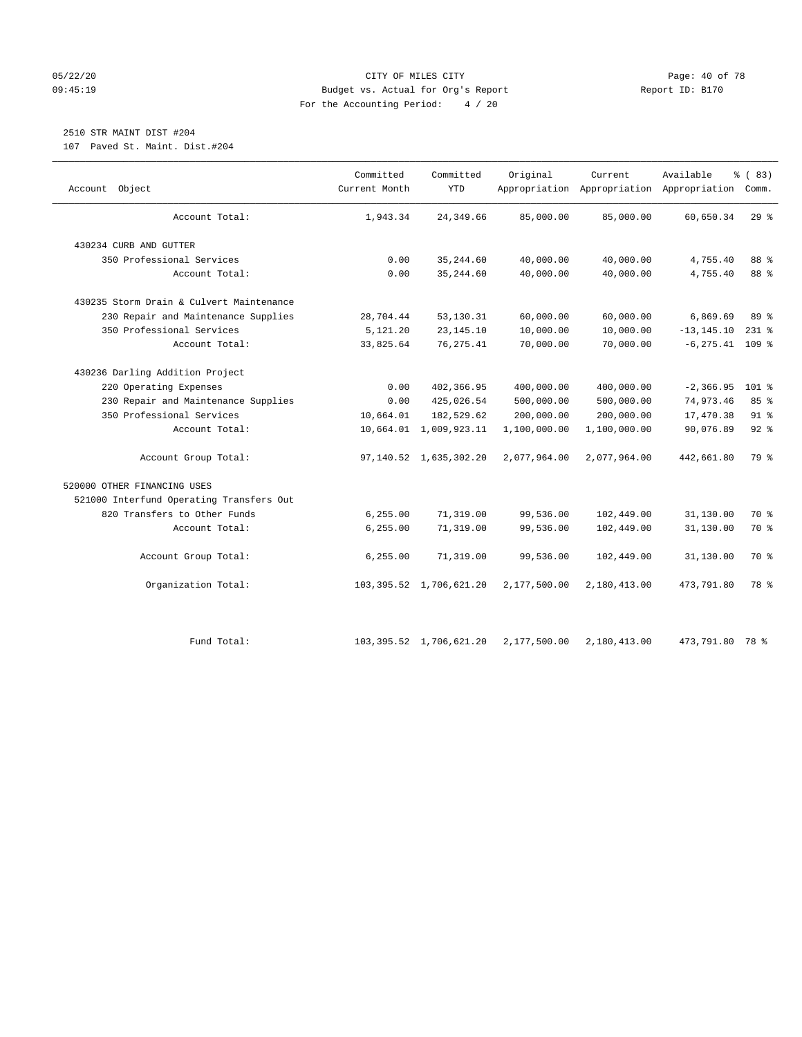#### 05/22/20 **CITY OF MILES CITY CONSUMING THE PAGE:** 40 of 78 09:45:19 Budget vs. Actual for Org's Report Changer Report ID: B170 For the Accounting Period: 4 / 20

# 2510 STR MAINT DIST #204

107 Paved St. Maint. Dist.#204

| Object<br>Account                        | Committed<br>Current Month | Committed<br><b>YTD</b>    | Original     | Current      | Available<br>Appropriation Appropriation Appropriation Comm. | % (83)    |
|------------------------------------------|----------------------------|----------------------------|--------------|--------------|--------------------------------------------------------------|-----------|
| Account Total:                           | 1,943.34                   | 24, 349.66                 | 85,000.00    | 85,000.00    | 60,650.34                                                    | 29%       |
| 430234 CURB AND GUTTER                   |                            |                            |              |              |                                                              |           |
| 350 Professional Services                | 0.00                       | 35, 244.60                 | 40,000.00    | 40,000.00    | 4,755.40                                                     | 88 %      |
| Account Total:                           | 0.00                       | 35, 244.60                 | 40,000.00    | 40,000.00    | 4,755.40                                                     | 88 %      |
| 430235 Storm Drain & Culvert Maintenance |                            |                            |              |              |                                                              |           |
| 230 Repair and Maintenance Supplies      | 28,704.44                  | 53,130.31                  | 60,000.00    | 60,000.00    | 6,869.69                                                     | 89 %      |
| 350 Professional Services                | 5,121.20                   | 23, 145. 10                | 10,000.00    | 10,000.00    | $-13, 145.10$                                                | $231$ $%$ |
| Account Total:                           | 33,825.64                  | 76, 275.41                 | 70,000.00    | 70,000.00    | $-6, 275.41$ 109 %                                           |           |
| 430236 Darling Addition Project          |                            |                            |              |              |                                                              |           |
| 220 Operating Expenses                   | 0.00                       | 402,366.95                 | 400,000.00   | 400,000.00   | $-2, 366.95$                                                 | $101$ %   |
| 230 Repair and Maintenance Supplies      | 0.00                       | 425,026.54                 | 500,000.00   | 500,000.00   | 74,973.46                                                    | 85 %      |
| 350 Professional Services                | 10,664.01                  | 182,529.62                 | 200,000.00   | 200,000.00   | 17,470.38                                                    | $91$ %    |
| Account Total:                           |                            | 10,664.01 1,009,923.11     | 1,100,000.00 | 1,100,000.00 | 90,076.89                                                    | 92%       |
| Account Group Total:                     |                            | 97,140.52 1,635,302.20     | 2,077,964.00 | 2,077,964.00 | 442,661.80                                                   | 79 %      |
| 520000 OTHER FINANCING USES              |                            |                            |              |              |                                                              |           |
| 521000 Interfund Operating Transfers Out |                            |                            |              |              |                                                              |           |
| 820 Transfers to Other Funds             | 6, 255.00                  | 71,319.00                  | 99,536.00    | 102,449.00   | 31,130.00                                                    | 70 %      |
| Account Total:                           | 6, 255.00                  | 71,319.00                  | 99,536.00    | 102,449.00   | 31,130.00                                                    | 70 %      |
| Account Group Total:                     | 6, 255.00                  | 71,319.00                  | 99,536.00    | 102,449.00   | 31,130.00                                                    | 70 %      |
| Organization Total:                      |                            | 103, 395.52 1, 706, 621.20 | 2,177,500.00 | 2,180,413.00 | 473,791.80                                                   | 78 %      |
| Fund Total:                              |                            | 103, 395.52 1, 706, 621.20 | 2,177,500.00 | 2,180,413.00 | 473,791.80                                                   | 78 %      |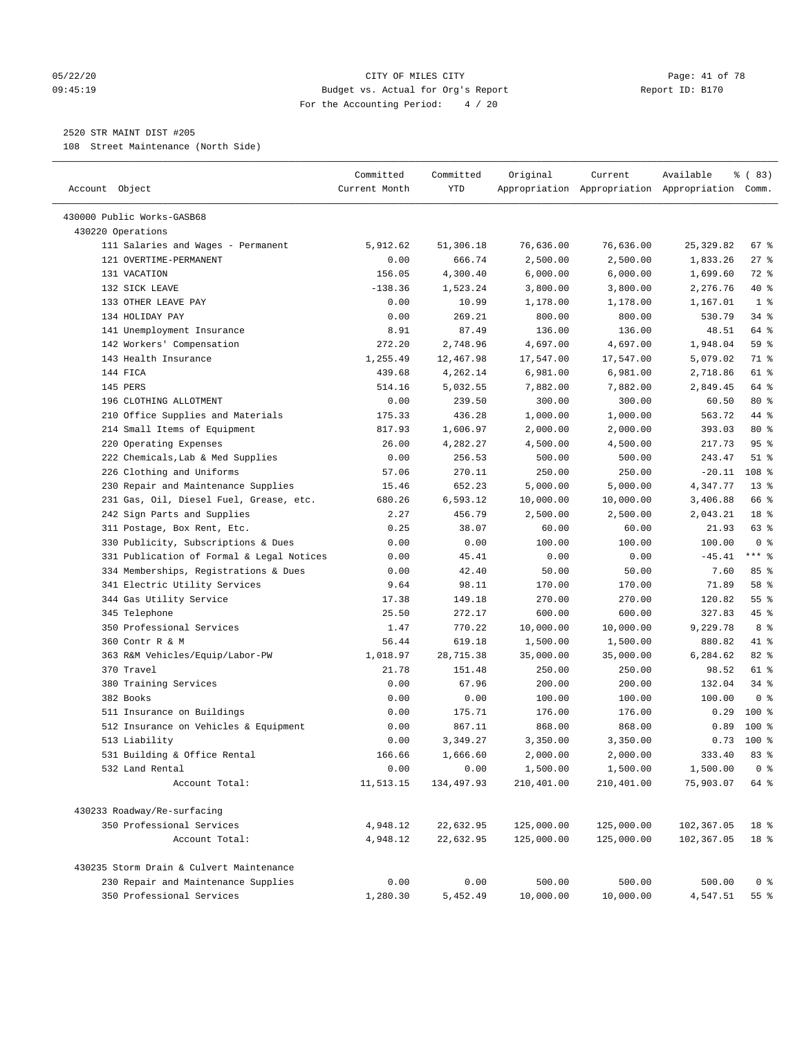#### 05/22/20 Page: 41 of 78 09:45:19 Budget vs. Actual for Org's Report Report ID: B170 For the Accounting Period: 4 / 20

————————————————————————————————————————————————————————————————————————————————————————————————————————————————————————————————————

## 2520 STR MAINT DIST #205

108 Street Maintenance (North Side)

|                                               | Committed         | Committed            | Original              | Current                | Available                                       | % (83)                 |
|-----------------------------------------------|-------------------|----------------------|-----------------------|------------------------|-------------------------------------------------|------------------------|
| Account Object                                | Current Month     | YTD                  |                       |                        | Appropriation Appropriation Appropriation Comm. |                        |
| 430000 Public Works-GASB68                    |                   |                      |                       |                        |                                                 |                        |
| 430220 Operations                             |                   |                      |                       |                        |                                                 |                        |
| 111 Salaries and Wages - Permanent            | 5,912.62          | 51,306.18            | 76,636.00             | 76,636.00              | 25, 329.82                                      | 67 %                   |
| 121 OVERTIME-PERMANENT                        | 0.00              | 666.74               | 2,500.00              | 2,500.00               | 1,833.26                                        | $27$ %                 |
| 131 VACATION                                  | 156.05            | 4,300.40             | 6,000.00              | 6,000.00               | 1,699.60                                        | $72$ $%$               |
| 132 SICK LEAVE                                | $-138.36$         | 1,523.24             | 3,800.00              | 3,800.00               | 2,276.76                                        | 40 %                   |
| 133 OTHER LEAVE PAY                           | 0.00              | 10.99                | 1,178.00              | 1,178.00               | 1,167.01                                        | 1 <sup>°</sup>         |
| 134 HOLIDAY PAY                               | 0.00              | 269.21               | 800.00                | 800.00                 | 530.79                                          | 34 %                   |
| 141 Unemployment Insurance                    | 8.91              | 87.49                | 136.00                | 136.00                 | 48.51                                           | 64 %                   |
| 142 Workers' Compensation                     | 272.20            | 2,748.96             | 4,697.00              | 4,697.00               | 1,948.04                                        | 59 %                   |
| 143 Health Insurance                          | 1,255.49          | 12,467.98            | 17,547.00             | 17,547.00              | 5,079.02                                        | 71 %                   |
| 144 FICA                                      | 439.68            | 4,262.14             | 6,981.00              | 6,981.00               | 2,718.86                                        | 61 %                   |
| 145 PERS                                      | 514.16            | 5,032.55             | 7,882.00              | 7,882.00               | 2,849.45                                        | 64 %                   |
| 196 CLOTHING ALLOTMENT                        | 0.00              | 239.50               | 300.00                | 300.00                 | 60.50                                           | $80*$                  |
| 210 Office Supplies and Materials             | 175.33            | 436.28               | 1,000.00              | 1,000.00               | 563.72                                          | 44 %                   |
| 214 Small Items of Equipment                  | 817.93            | 1,606.97             | 2,000.00              | 2,000.00               | 393.03                                          | $80*$                  |
| 220 Operating Expenses                        | 26.00             | 4,282.27             | 4,500.00              | 4,500.00               | 217.73                                          | 95%                    |
| 222 Chemicals, Lab & Med Supplies             | 0.00              | 256.53               | 500.00                | 500.00                 | 243.47                                          | $51$ %                 |
| 226 Clothing and Uniforms                     | 57.06             | 270.11               | 250.00                | 250.00                 | $-20.11$                                        | 108 %                  |
| 230 Repair and Maintenance Supplies           | 15.46             | 652.23               | 5,000.00              | 5,000.00               | 4,347.77                                        | $13*$                  |
| 231 Gas, Oil, Diesel Fuel, Grease, etc.       | 680.26            | 6,593.12             | 10,000.00             | 10,000.00              | 3,406.88                                        | 66 %                   |
| 242 Sign Parts and Supplies                   | 2.27              | 456.79               | 2,500.00              | 2,500.00               | 2,043.21                                        | 18 %                   |
| 311 Postage, Box Rent, Etc.                   | 0.25              | 38.07                | 60.00                 | 60.00                  | 21.93                                           | 63 %                   |
| 330 Publicity, Subscriptions & Dues           | 0.00              | 0.00                 | 100.00                | 100.00                 | 100.00                                          | 0 <sup>8</sup>         |
| 331 Publication of Formal & Legal Notices     | 0.00              | 45.41                | 0.00                  | 0.00                   | $-45.41$                                        | $***$ $%$              |
| 334 Memberships, Registrations & Dues         | 0.00              | 42.40                | 50.00                 | 50.00                  | 7.60                                            | 85%                    |
| 341 Electric Utility Services                 | 9.64              | 98.11                | 170.00                | 170.00                 | 71.89                                           | 58 %                   |
|                                               | 17.38             | 149.18               | 270.00                | 270.00                 | 120.82                                          | 55 %                   |
| 344 Gas Utility Service<br>345 Telephone      | 25.50             | 272.17               | 600.00                | 600.00                 | 327.83                                          | 45 %                   |
| 350 Professional Services                     | 1.47              | 770.22               | 10,000.00             | 10,000.00              | 9,229.78                                        | 8 %                    |
| 360 Contr R & M                               | 56.44             | 619.18               |                       | 1,500.00               | 880.82                                          | 41 %                   |
| 363 R&M Vehicles/Equip/Labor-PW               | 1,018.97          | 28,715.38            | 1,500.00<br>35,000.00 | 35,000.00              | 6,284.62                                        | 82 %                   |
| 370 Travel                                    | 21.78             | 151.48               | 250.00                | 250.00                 | 98.52                                           | 61 %                   |
| 380 Training Services                         | 0.00              | 67.96                | 200.00                | 200.00                 | 132.04                                          | $34$ $%$               |
| 382 Books                                     | 0.00              | 0.00                 | 100.00                | 100.00                 | 100.00                                          | 0 <sup>8</sup>         |
| 511 Insurance on Buildings                    | 0.00              | 175.71               | 176.00                | 176.00                 | 0.29                                            | $100*$                 |
| 512 Insurance on Vehicles & Equipment         | 0.00              | 867.11               | 868.00                | 868.00                 | 0.89                                            | $100*$                 |
|                                               |                   |                      | 3,350.00              |                        |                                                 | $0.73$ 100 %           |
| 513 Liability<br>531 Building & Office Rental | 0.00<br>166.66    | 3,349.27<br>1,666.60 | 2,000.00              | 3,350.00<br>2,000.00   | 333.40                                          | 83%                    |
|                                               |                   |                      | 1,500.00              |                        |                                                 |                        |
| 532 Land Rental<br>Account Total:             | 0.00<br>11,513.15 | 0.00<br>134,497.93   | 210,401.00            | 1,500.00<br>210,401.00 | 1,500.00<br>75,903.07                           | 0 <sup>8</sup><br>64 % |
|                                               |                   |                      |                       |                        |                                                 |                        |
| 430233 Roadway/Re-surfacing                   |                   |                      |                       |                        |                                                 |                        |
| 350 Professional Services                     | 4,948.12          | 22,632.95            | 125,000.00            | 125,000.00             | 102,367.05                                      | 18 %                   |
| Account Total:                                | 4,948.12          | 22,632.95            | 125,000.00            | 125,000.00             | 102,367.05                                      | 18 %                   |
| 430235 Storm Drain & Culvert Maintenance      |                   |                      |                       |                        |                                                 |                        |
| 230 Repair and Maintenance Supplies           | 0.00              | 0.00                 | 500.00                | 500.00                 | 500.00                                          | 0 <sup>8</sup>         |
| 350 Professional Services                     | 1,280.30          | 5,452.49             | 10,000.00             | 10,000.00              | 4,547.51                                        | 55 %                   |
|                                               |                   |                      |                       |                        |                                                 |                        |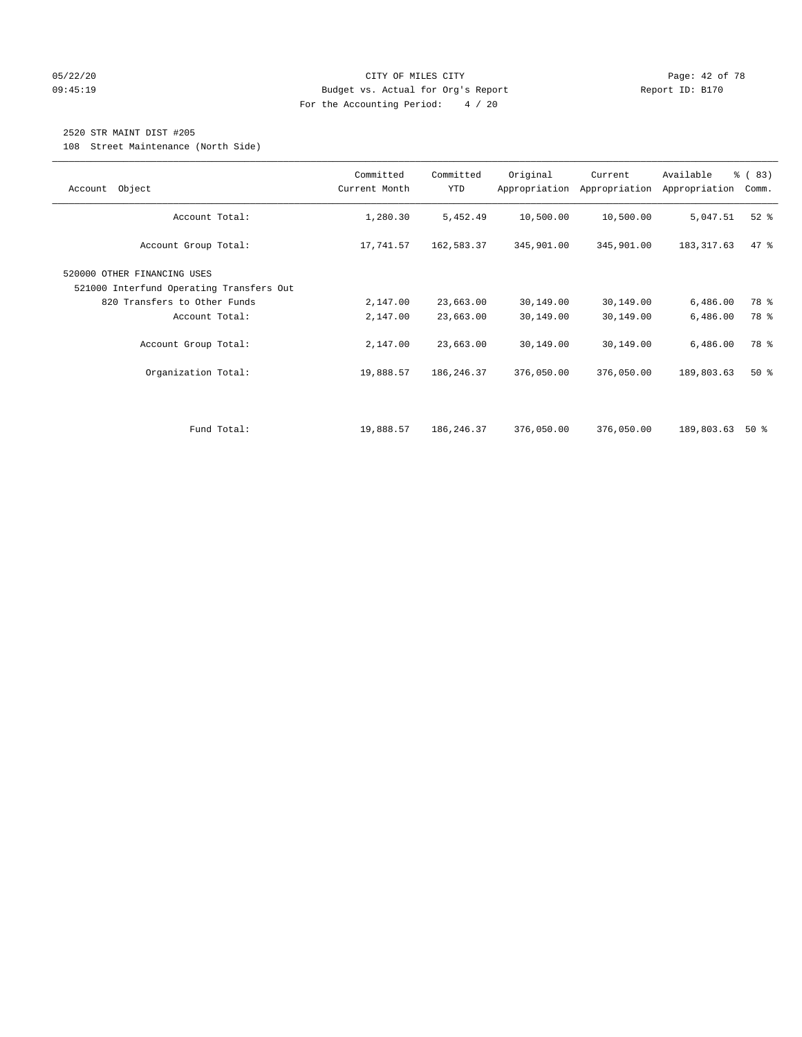#### 05/22/20 Page: 42 of 78 09:45:19 Budget vs. Actual for Org's Report Changer Report ID: B170 For the Accounting Period: 4 / 20

## 2520 STR MAINT DIST #205

108 Street Maintenance (North Side)

| Object<br>Account                                                       | Committed<br>Current Month | Committed<br>YTD | Original   | Current<br>Appropriation Appropriation | Available<br>Appropriation | % (83)<br>Comm. |
|-------------------------------------------------------------------------|----------------------------|------------------|------------|----------------------------------------|----------------------------|-----------------|
| Account Total:                                                          | 1,280.30                   | 5,452.49         | 10,500.00  | 10,500.00                              | 5,047.51                   | $52$ $%$        |
| Account Group Total:                                                    | 17,741.57                  | 162,583.37       | 345,901.00 | 345,901.00                             | 183, 317.63                | 47.8            |
| 520000 OTHER FINANCING USES<br>521000 Interfund Operating Transfers Out |                            |                  |            |                                        |                            |                 |
| 820 Transfers to Other Funds                                            | 2,147.00                   | 23,663.00        | 30,149.00  | 30,149.00                              | 6,486.00                   | 78 %            |
| Account Total:                                                          | 2,147.00                   | 23,663.00        | 30,149.00  | 30,149.00                              | 6,486.00                   | 78 %            |
| Account Group Total:                                                    | 2,147.00                   | 23,663.00        | 30,149.00  | 30,149.00                              | 6,486.00                   | 78 %            |
| Organization Total:                                                     | 19,888.57                  | 186, 246. 37     | 376,050.00 | 376,050.00                             | 189,803.63                 | 50%             |
|                                                                         |                            |                  |            |                                        |                            |                 |
| Fund Total:                                                             | 19,888.57                  | 186,246.37       | 376,050.00 | 376,050.00                             | 189,803.63                 | 50 %            |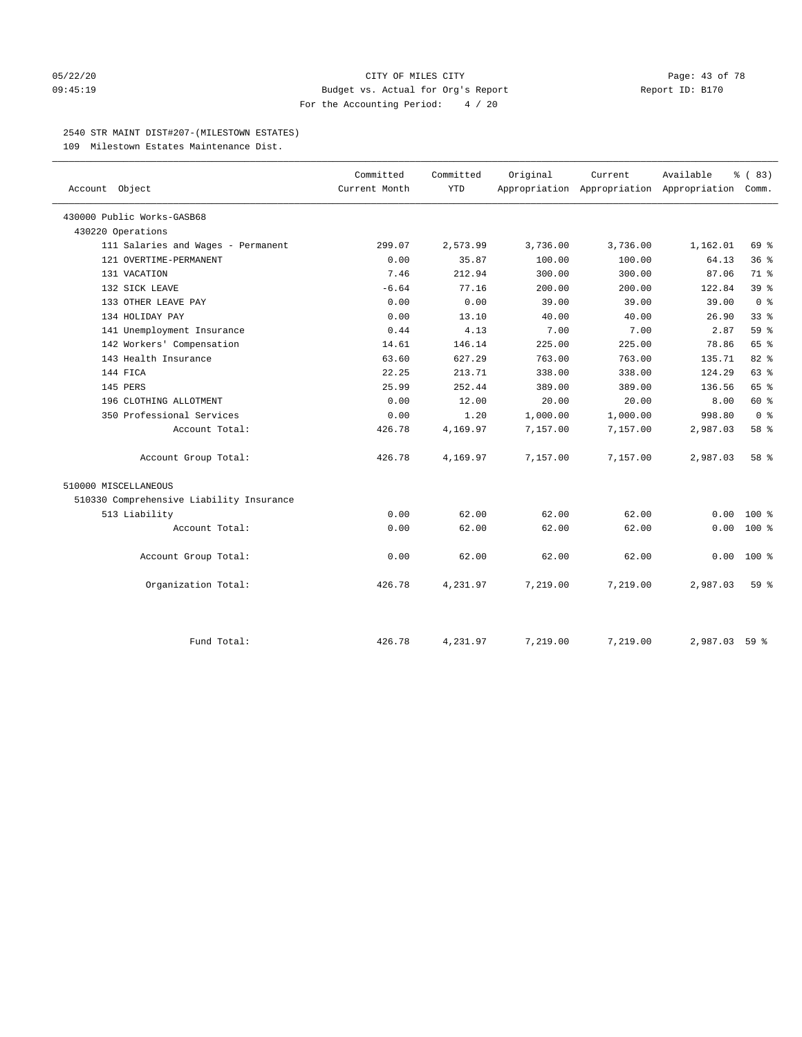#### 05/22/20 **CITY OF MILES CITY CITY CITY Page: 43 of 78** 09:45:19 Budget vs. Actual for Org's Report Changer Report ID: B170 For the Accounting Period: 4 / 20

#### 2540 STR MAINT DIST#207-(MILESTOWN ESTATES)

109 Milestown Estates Maintenance Dist.

|                                          | Committed     | Committed  | Original | Current                                         | Available | % (83)          |
|------------------------------------------|---------------|------------|----------|-------------------------------------------------|-----------|-----------------|
| Account Object                           | Current Month | <b>YTD</b> |          | Appropriation Appropriation Appropriation Comm. |           |                 |
| 430000 Public Works-GASB68               |               |            |          |                                                 |           |                 |
| 430220 Operations                        |               |            |          |                                                 |           |                 |
| 111 Salaries and Wages - Permanent       | 299.07        | 2,573.99   | 3,736.00 | 3,736.00                                        | 1,162.01  | 69 %            |
| 121 OVERTIME-PERMANENT                   | 0.00          | 35.87      | 100.00   | 100.00                                          | 64.13     | 36%             |
| 131 VACATION                             | 7.46          | 212.94     | 300.00   | 300.00                                          | 87.06     | 71 %            |
| 132 SICK LEAVE                           | $-6.64$       | 77.16      | 200.00   | 200.00                                          | 122.84    | 39 <sup>8</sup> |
| 133 OTHER LEAVE PAY                      | 0.00          | 0.00       | 39.00    | 39.00                                           | 39.00     | 0 <sup>8</sup>  |
| 134 HOLIDAY PAY                          | 0.00          | 13.10      | 40.00    | 40.00                                           | 26.90     | 33 <sup>8</sup> |
| 141 Unemployment Insurance               | 0.44          | 4.13       | 7.00     | 7.00                                            | 2.87      | 59 %            |
| 142 Workers' Compensation                | 14.61         | 146.14     | 225.00   | 225.00                                          | 78.86     | 65 %            |
| 143 Health Insurance                     | 63.60         | 627.29     | 763.00   | 763.00                                          | 135.71    | 82%             |
| 144 FICA                                 | 22.25         | 213.71     | 338.00   | 338.00                                          | 124.29    | 63%             |
| 145 PERS                                 | 25.99         | 252.44     | 389.00   | 389.00                                          | 136.56    | 65 %            |
| 196 CLOTHING ALLOTMENT                   | 0.00          | 12.00      | 20.00    | 20.00                                           | 8.00      | 60 %            |
| 350 Professional Services                | 0.00          | 1.20       | 1,000.00 | 1,000.00                                        | 998.80    | 0 <sup>8</sup>  |
| Account Total:                           | 426.78        | 4,169.97   | 7,157.00 | 7,157.00                                        | 2,987.03  | 58 %            |
| Account Group Total:                     | 426.78        | 4,169.97   | 7,157.00 | 7,157.00                                        | 2,987.03  | 58 %            |
| 510000 MISCELLANEOUS                     |               |            |          |                                                 |           |                 |
| 510330 Comprehensive Liability Insurance |               |            |          |                                                 |           |                 |
| 513 Liability                            | 0.00          | 62.00      | 62.00    | 62.00                                           | 0.00      | $100*$          |
| Account Total:                           | 0.00          | 62.00      | 62.00    | 62.00                                           | 0.00      | $100*$          |
| Account Group Total:                     | 0.00          | 62.00      | 62.00    | 62.00                                           | 0.00      | $100*$          |
| Organization Total:                      | 426.78        | 4,231.97   | 7,219.00 | 7,219.00                                        | 2,987.03  | 59 %            |
|                                          |               |            |          |                                                 |           |                 |
| Fund Total:                              | 426.78        | 4,231.97   | 7,219.00 | 7,219.00                                        | 2,987.03  | 59%             |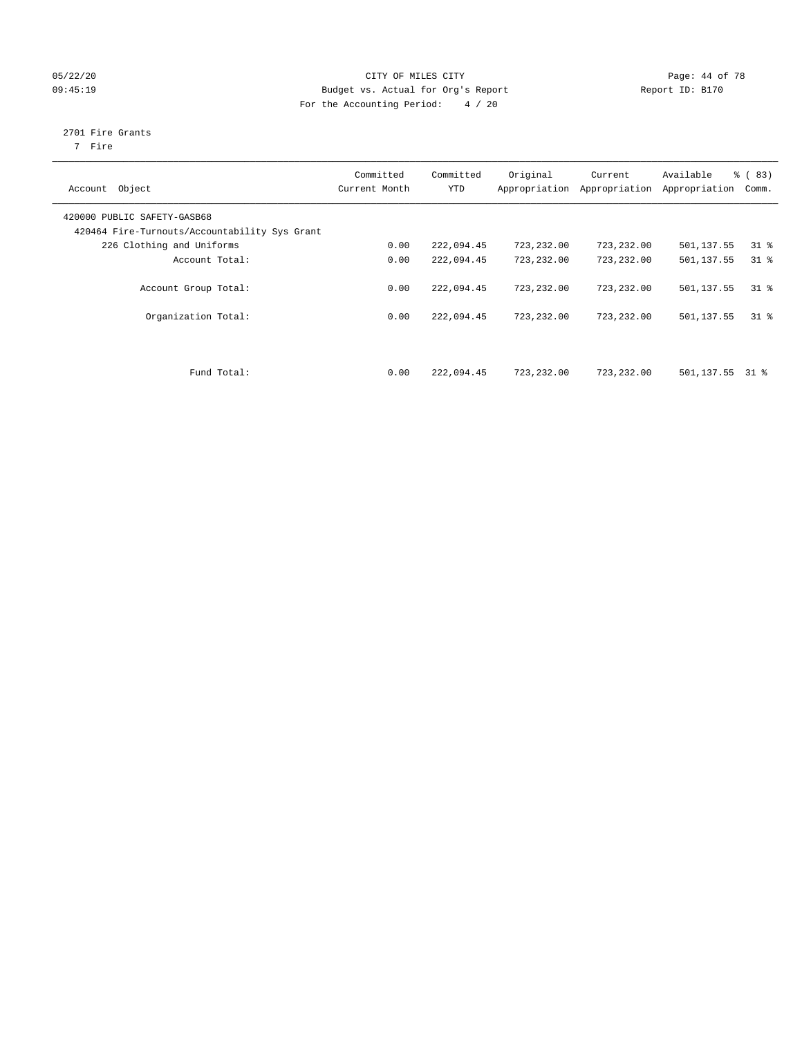## 05/22/20 Page: 44 of 78 09:45:19 Budget vs. Actual for Org's Report Communication Report ID: B170 For the Accounting Period: 4 / 20

## 2701 Fire Grants

7 Fire

| Object<br>Account                                                            | Committed<br>Current Month | Committed<br><b>YTD</b> | Original<br>Appropriation | Current<br>Appropriation | Available<br>Appropriation | % (83)<br>Comm. |
|------------------------------------------------------------------------------|----------------------------|-------------------------|---------------------------|--------------------------|----------------------------|-----------------|
| 420000 PUBLIC SAFETY-GASB68<br>420464 Fire-Turnouts/Accountability Sys Grant |                            |                         |                           |                          |                            |                 |
| 226 Clothing and Uniforms                                                    | 0.00                       | 222,094.45              | 723,232.00                | 723,232.00               | 501,137.55                 | $31$ %          |
| Account Total:                                                               | 0.00                       | 222,094.45              | 723,232.00                | 723,232.00               | 501,137.55                 | $31$ %          |
| Account Group Total:                                                         | 0.00                       | 222,094.45              | 723, 232, 00              | 723,232.00               | 501,137.55                 | 318             |
| Organization Total:                                                          | 0.00                       | 222,094.45              | 723,232.00                | 723,232.00               | 501,137.55                 | 318             |
| Fund Total:                                                                  | 0.00                       | 222,094.45              | 723,232.00                | 723,232.00               | 501,137.55                 | 31 %            |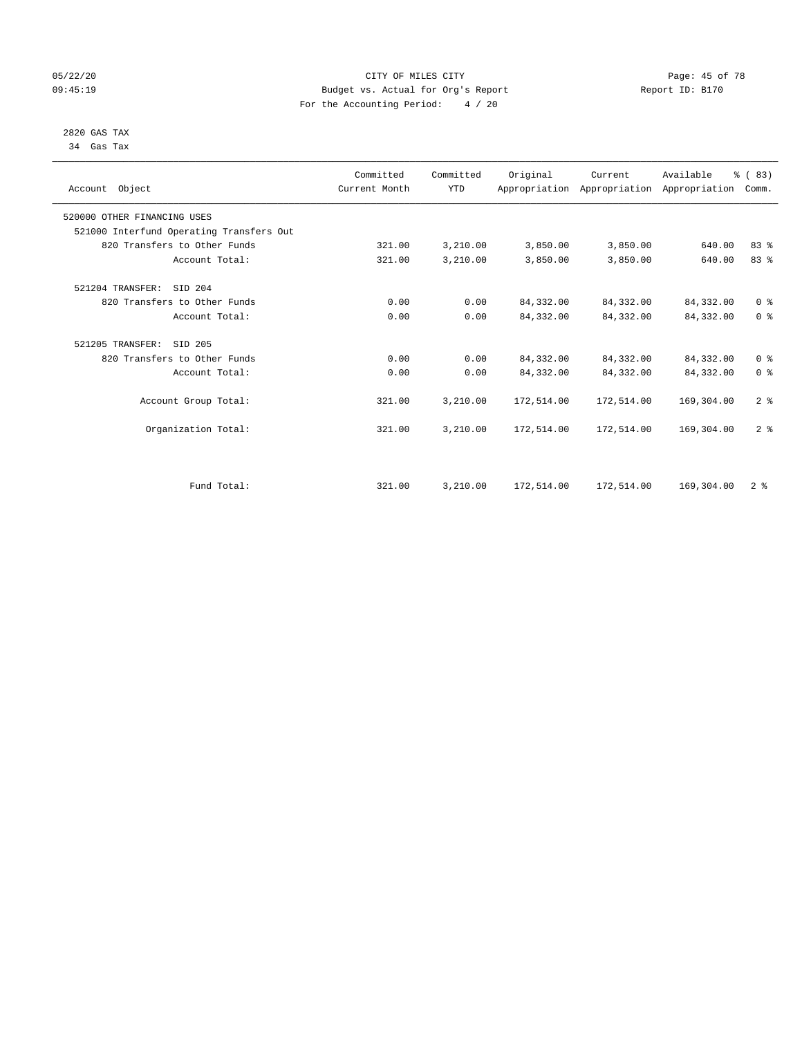#### 05/22/20 Page: 45 of 78 09:45:19 Budget vs. Actual for Org's Report Changer Report ID: B170 For the Accounting Period: 4 / 20

#### 2820 GAS TAX 34 Gas Tax

| Account Object              |                                          | Committed<br>Current Month | Committed<br><b>YTD</b> | Original   | Current<br>Appropriation Appropriation Appropriation | Available  | % (83)<br>Comm. |
|-----------------------------|------------------------------------------|----------------------------|-------------------------|------------|------------------------------------------------------|------------|-----------------|
| 520000 OTHER FINANCING USES |                                          |                            |                         |            |                                                      |            |                 |
|                             | 521000 Interfund Operating Transfers Out |                            |                         |            |                                                      |            |                 |
|                             | 820 Transfers to Other Funds             | 321.00                     | 3,210.00                | 3,850.00   | 3,850.00                                             | 640.00     | 83%             |
|                             | Account Total:                           | 321.00                     | 3,210.00                | 3,850.00   | 3,850.00                                             | 640.00     | 83 %            |
| 521204 TRANSFER:            | SID 204                                  |                            |                         |            |                                                      |            |                 |
|                             | 820 Transfers to Other Funds             | 0.00                       | 0.00                    | 84, 332.00 | 84,332.00                                            | 84,332.00  | 0 <sup>8</sup>  |
|                             | Account Total:                           | 0.00                       | 0.00                    | 84,332.00  | 84,332.00                                            | 84, 332.00 | 0 <sup>8</sup>  |
| 521205 TRANSFER:            | SID 205                                  |                            |                         |            |                                                      |            |                 |
|                             | 820 Transfers to Other Funds             | 0.00                       | 0.00                    | 84, 332.00 | 84,332.00                                            | 84,332.00  | 0 <sup>8</sup>  |
|                             | Account Total:                           | 0.00                       | 0.00                    | 84,332.00  | 84,332.00                                            | 84,332.00  | 0 <sup>8</sup>  |
|                             | Account Group Total:                     | 321.00                     | 3,210.00                | 172,514.00 | 172,514.00                                           | 169,304.00 | 2 <sup>8</sup>  |
|                             | Organization Total:                      | 321.00                     | 3,210.00                | 172,514.00 | 172,514.00                                           | 169,304.00 | 2 <sup>8</sup>  |
|                             |                                          |                            |                         |            |                                                      |            |                 |
|                             | Fund Total:                              | 321.00                     | 3,210.00                | 172,514.00 | 172,514.00                                           | 169,304.00 | 2 <sup>8</sup>  |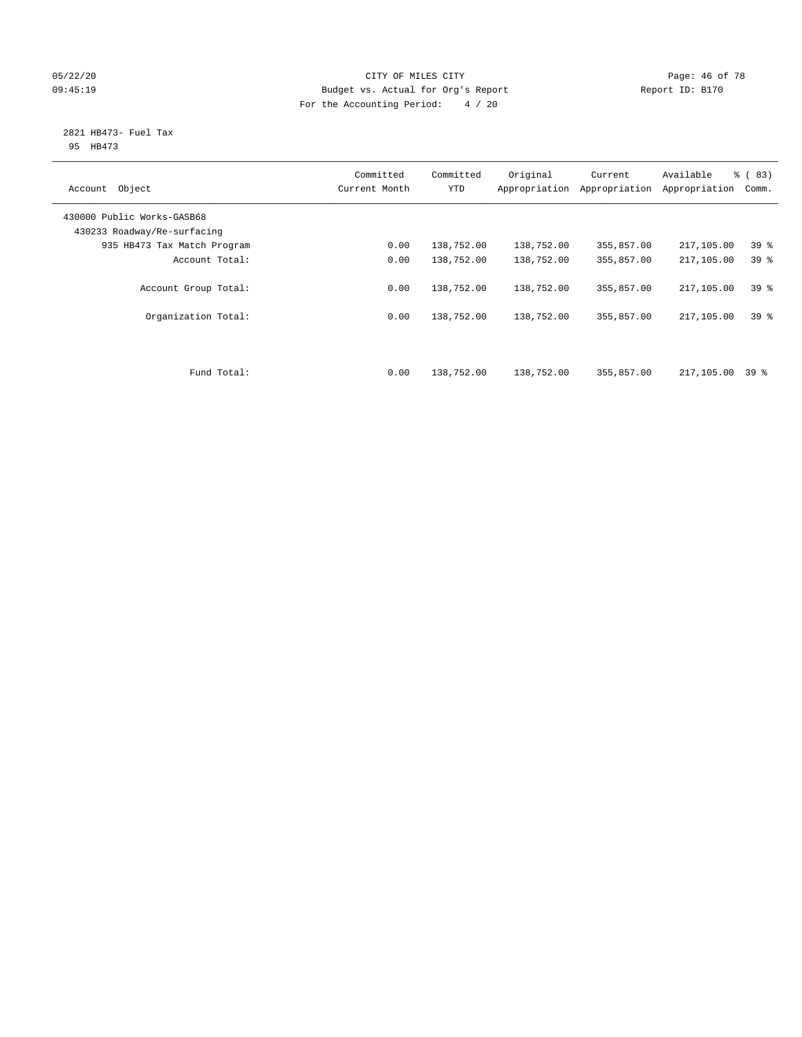#### 05/22/20 **CITY OF MILES CITY CONSUMING THE PAGE:** 46 of 78 09:45:19 Budget vs. Actual for Org's Report Changer Report ID: B170 For the Accounting Period: 4 / 20

#### 2821 HB473- Fuel Tax 95 HB473

| Object<br>Account                                         | Committed<br>Current Month | Committed<br><b>YTD</b> | Original<br>Appropriation | Current<br>Appropriation | Available<br>Appropriation | % (83)<br>Comm. |
|-----------------------------------------------------------|----------------------------|-------------------------|---------------------------|--------------------------|----------------------------|-----------------|
| 430000 Public Works-GASB68<br>430233 Roadway/Re-surfacing |                            |                         |                           |                          |                            |                 |
| 935 HB473 Tax Match Program                               | 0.00                       | 138,752.00              | 138,752.00                | 355,857.00               | 217,105.00                 | 39 <sup>°</sup> |
| Account Total:                                            | 0.00                       | 138,752.00              | 138,752.00                | 355,857.00               | 217,105.00                 | 39 <sup>8</sup> |
| Account Group Total:                                      | 0.00                       | 138,752.00              | 138,752.00                | 355,857.00               | 217,105.00                 | 39%             |
| Organization Total:                                       | 0.00                       | 138,752.00              | 138,752.00                | 355,857.00               | 217,105.00                 | 39 <sup>8</sup> |
| Fund Total:                                               | 0.00                       | 138,752.00              | 138,752.00                | 355,857.00               | 217,105.00                 | 39 %            |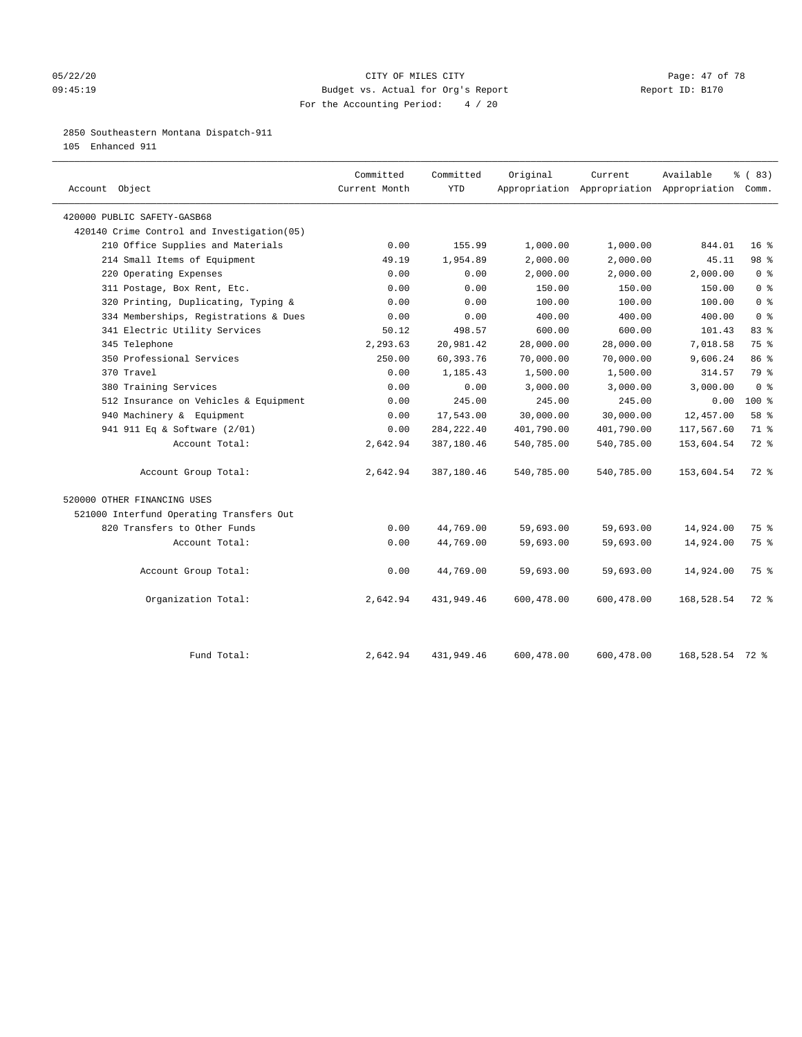#### 05/22/20 Page: 47 of 78 09:45:19 Budget vs. Actual for Org's Report Changer Report ID: B170 For the Accounting Period: 4 / 20

### 2850 Southeastern Montana Dispatch-911

105 Enhanced 911

| Account Object                             | Committed<br>Current Month | Committed<br><b>YTD</b> | Original   | Current    | Available<br>Appropriation Appropriation Appropriation Comm. | % (83)          |
|--------------------------------------------|----------------------------|-------------------------|------------|------------|--------------------------------------------------------------|-----------------|
| 420000 PUBLIC SAFETY-GASB68                |                            |                         |            |            |                                                              |                 |
| 420140 Crime Control and Investigation(05) |                            |                         |            |            |                                                              |                 |
| 210 Office Supplies and Materials          | 0.00                       | 155.99                  | 1,000.00   | 1,000.00   | 844.01                                                       | 16 <sup>8</sup> |
| 214 Small Items of Equipment               | 49.19                      | 1,954.89                | 2,000.00   | 2,000.00   | 45.11                                                        | 98 %            |
| 220 Operating Expenses                     | 0.00                       | 0.00                    | 2,000.00   | 2,000.00   | 2,000.00                                                     | 0 <sup>8</sup>  |
| 311 Postage, Box Rent, Etc.                | 0.00                       | 0.00                    | 150.00     | 150.00     | 150.00                                                       | 0 <sup>8</sup>  |
| 320 Printing, Duplicating, Typing &        | 0.00                       | 0.00                    | 100.00     | 100.00     | 100.00                                                       | 0 <sup>8</sup>  |
| 334 Memberships, Registrations & Dues      | 0.00                       | 0.00                    | 400.00     | 400.00     | 400.00                                                       | 0 <sup>8</sup>  |
| 341 Electric Utility Services              | 50.12                      | 498.57                  | 600.00     | 600.00     | 101.43                                                       | 83 %            |
| 345 Telephone                              | 2,293.63                   | 20,981.42               | 28,000.00  | 28,000.00  | 7,018.58                                                     | 75 %            |
| 350 Professional Services                  | 250.00                     | 60,393.76               | 70,000.00  | 70,000.00  | 9,606.24                                                     | 86 %            |
| 370 Travel                                 | 0.00                       | 1,185.43                | 1,500.00   | 1,500.00   | 314.57                                                       | 79 %            |
| 380 Training Services                      | 0.00                       | 0.00                    | 3,000.00   | 3,000.00   | 3,000.00                                                     | 0 <sup>8</sup>  |
| 512 Insurance on Vehicles & Equipment      | 0.00                       | 245.00                  | 245.00     | 245.00     | 0.00                                                         | $100*$          |
| 940 Machinery & Equipment                  | 0.00                       | 17,543.00               | 30,000.00  | 30,000.00  | 12,457.00                                                    | 58 %            |
| 941 911 Eq & Software (2/01)               | 0.00                       | 284, 222.40             | 401,790.00 | 401,790.00 | 117,567.60                                                   | 71 %            |
| Account Total:                             | 2,642.94                   | 387,180.46              | 540,785.00 | 540,785.00 | 153,604.54                                                   | $72$ $%$        |
| Account Group Total:                       | 2,642.94                   | 387,180.46              | 540,785.00 | 540,785.00 | 153,604.54                                                   | $72$ $%$        |
| 520000 OTHER FINANCING USES                |                            |                         |            |            |                                                              |                 |
| 521000 Interfund Operating Transfers Out   |                            |                         |            |            |                                                              |                 |
| 820 Transfers to Other Funds               | 0.00                       | 44,769.00               | 59,693.00  | 59,693.00  | 14,924.00                                                    | 75 %            |
| Account Total:                             | 0.00                       | 44,769.00               | 59,693.00  | 59,693.00  | 14,924.00                                                    | 75 %            |
| Account Group Total:                       | 0.00                       | 44,769.00               | 59,693.00  | 59,693.00  | 14,924.00                                                    | 75 %            |
| Organization Total:                        | 2,642.94                   | 431,949.46              | 600,478.00 | 600,478.00 | 168,528.54                                                   | $72$ $%$        |
| Fund Total:                                | 2,642.94                   | 431,949.46              | 600,478.00 | 600,478.00 | 168,528.54 72 %                                              |                 |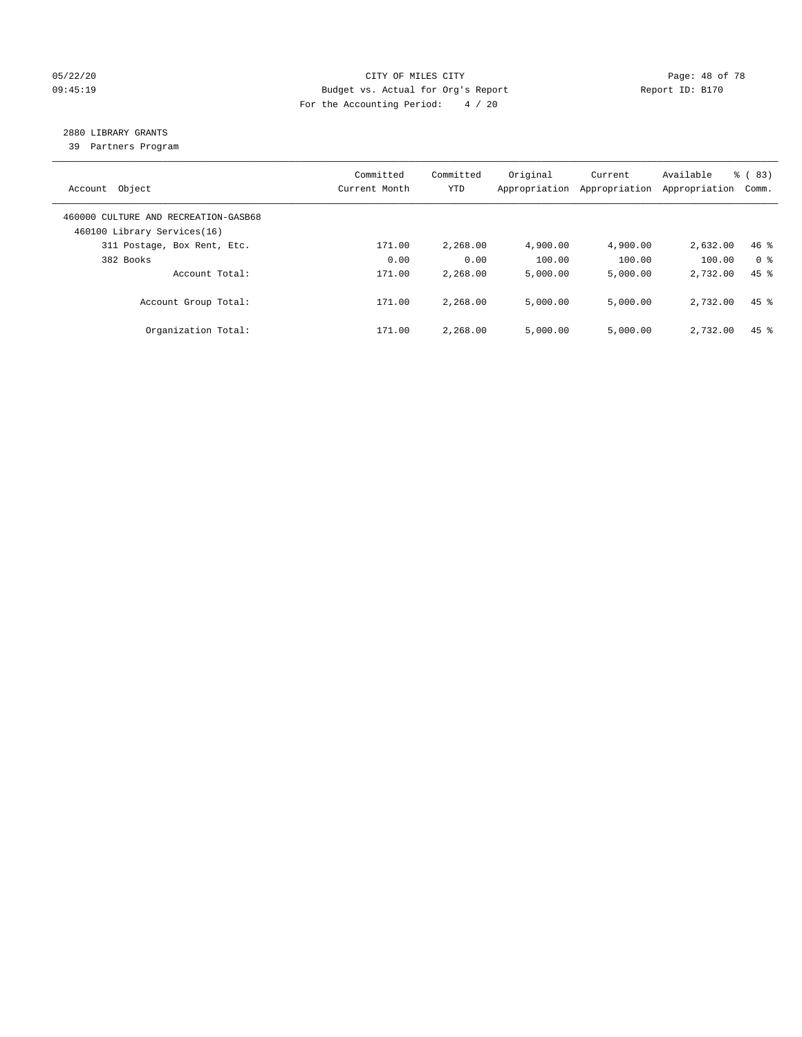#### 05/22/20 **CITY OF MILES CITY CONSUMING THE PAGE: 48 of 78** 09:45:19 Budget vs. Actual for Org's Report Changer Report ID: B170 For the Accounting Period: 4 / 20

## 2880 LIBRARY GRANTS

39 Partners Program

| Account Object                                                      | Committed<br>Current Month | Committed<br><b>YTD</b> | Original<br>Appropriation | Current<br>Appropriation | Available<br>Appropriation | % (83)<br>Comm.    |
|---------------------------------------------------------------------|----------------------------|-------------------------|---------------------------|--------------------------|----------------------------|--------------------|
| 460000 CULTURE AND RECREATION-GASB68<br>460100 Library Services(16) |                            |                         |                           |                          |                            |                    |
| 311 Postage, Box Rent, Etc.                                         | 171.00                     | 2,268.00                | 4,900.00                  | 4,900.00                 | 2,632.00                   | $46$ %             |
| 382 Books                                                           | 0.00                       | 0.00                    | 100.00                    | 100.00                   | 100.00                     | 0 <sup>8</sup>     |
| Account Total:                                                      | 171.00                     | 2,268.00                | 5,000.00                  | 5,000.00                 | 2,732.00                   | $45$ $%$           |
| Account Group Total:                                                | 171.00                     | 2,268.00                | 5,000.00                  | 5,000.00                 | 2,732.00                   | $45$ $%$           |
| Organization Total:                                                 | 171.00                     | 2,268.00                | 5.000.00                  | 5,000.00                 | 2,732.00                   | $45$ $\frac{6}{3}$ |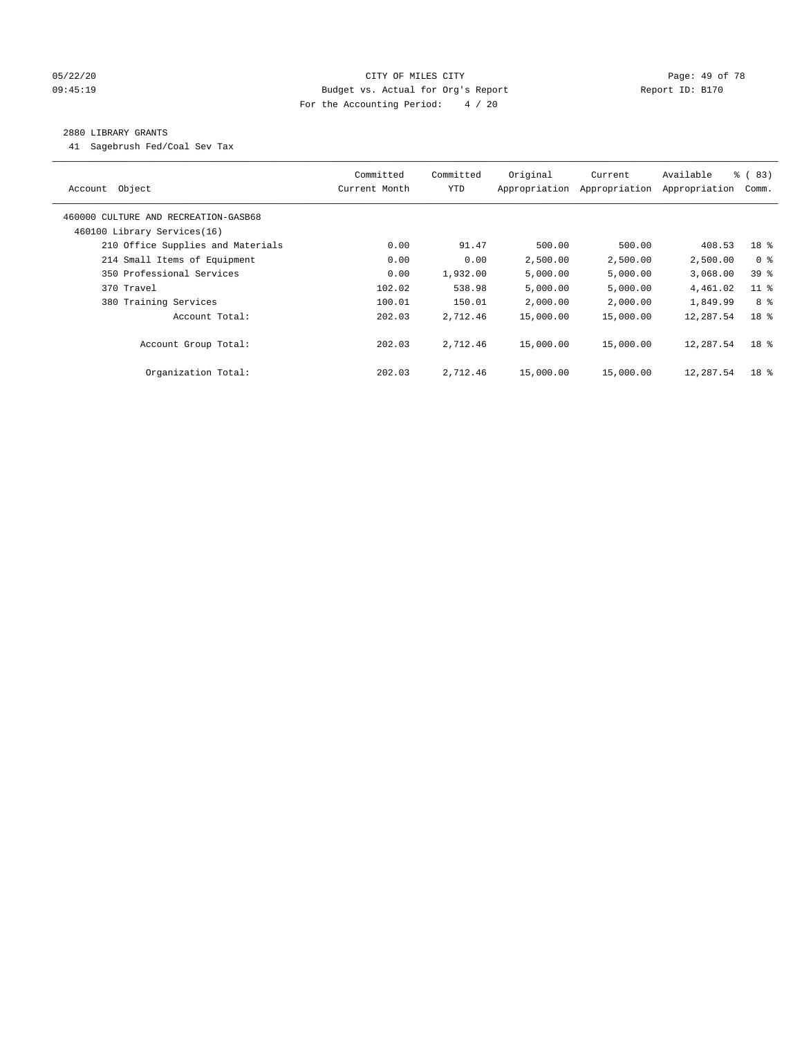### 05/22/20 **CITY OF MILES CITY CONSUMING THE PAGE: 49 of 78** 09:45:19 Budget vs. Actual for Org's Report Changer Report ID: B170 For the Accounting Period: 4 / 20

#### 2880 LIBRARY GRANTS

41 Sagebrush Fed/Coal Sev Tax

| Account Object                       | Committed<br>Current Month | Committed<br><b>YTD</b> | Original<br>Appropriation | Current<br>Appropriation | Available<br>Appropriation | 8 ( 83)<br>Comm. |
|--------------------------------------|----------------------------|-------------------------|---------------------------|--------------------------|----------------------------|------------------|
| 460000 CULTURE AND RECREATION-GASB68 |                            |                         |                           |                          |                            |                  |
| 460100 Library Services(16)          |                            |                         |                           |                          |                            |                  |
| 210 Office Supplies and Materials    | 0.00                       | 91.47                   | 500.00                    | 500.00                   | 408.53                     | 18 %             |
| 214 Small Items of Equipment         | 0.00                       | 0.00                    | 2,500.00                  | 2,500.00                 | 2,500.00                   | 0 <sup>8</sup>   |
| 350 Professional Services            | 0.00                       | 1,932.00                | 5,000.00                  | 5,000.00                 | 3,068.00                   | 39 %             |
| 370 Travel                           | 102.02                     | 538.98                  | 5,000.00                  | 5,000.00                 | 4,461.02                   | $11$ %           |
| 380 Training Services                | 100.01                     | 150.01                  | 2,000.00                  | 2,000.00                 | 1,849.99                   | 8 %              |
| Account Total:                       | 202.03                     | 2,712.46                | 15,000.00                 | 15,000.00                | 12,287.54                  | 18 <sup>8</sup>  |
| Account Group Total:                 | 202.03                     | 2,712.46                | 15,000.00                 | 15,000.00                | 12,287.54                  | 18 <sup>8</sup>  |
| Organization Total:                  | 202.03                     | 2,712.46                | 15,000.00                 | 15,000.00                | 12,287.54                  | 18 <sup>8</sup>  |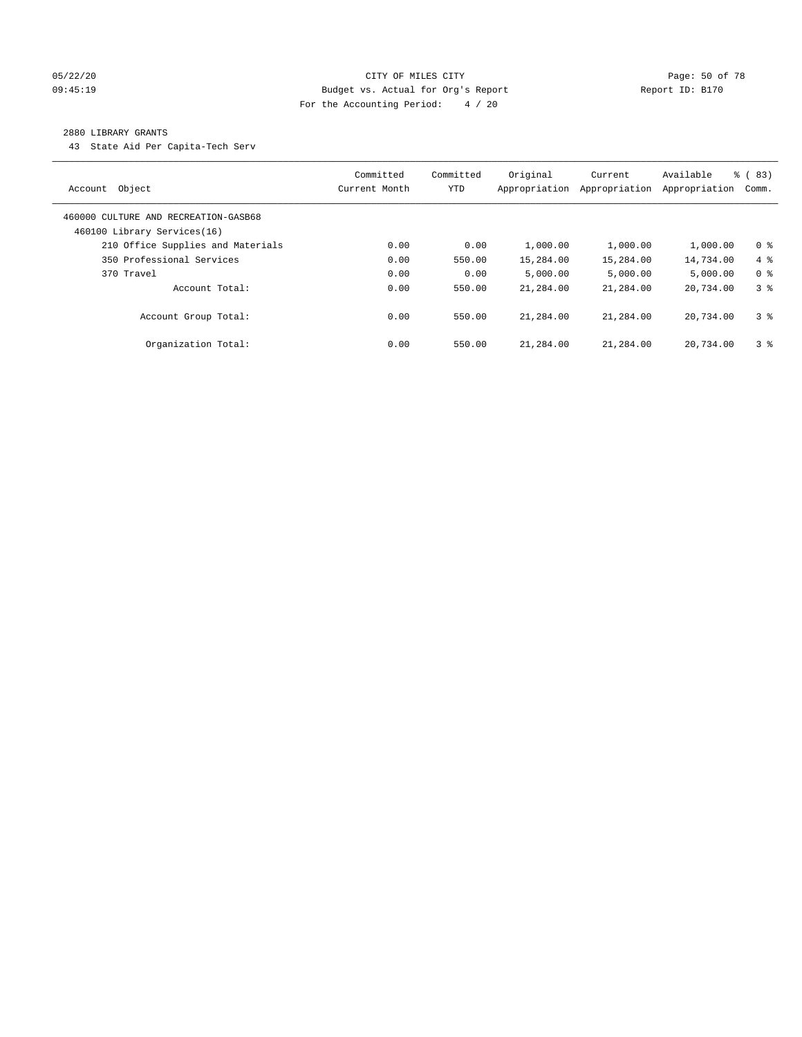#### 05/22/20 **CITY OF MILES CITY CONSUMING THE CONSUMING PAGE:** 50 of 78 09:45:19 Budget vs. Actual for Org's Report Changer Report ID: B170 For the Accounting Period: 4 / 20

#### 2880 LIBRARY GRANTS

43 State Aid Per Capita-Tech Serv

| Object<br>Account                                                   | Committed<br>Current Month | Committed<br>YTD | Original<br>Appropriation | Current<br>Appropriation | Available<br>Appropriation | 8 ( 83)<br>Comm. |
|---------------------------------------------------------------------|----------------------------|------------------|---------------------------|--------------------------|----------------------------|------------------|
| 460000 CULTURE AND RECREATION-GASB68<br>460100 Library Services(16) |                            |                  |                           |                          |                            |                  |
| 210 Office Supplies and Materials                                   | 0.00                       | 0.00             | 1,000.00                  | 1,000.00                 | 1,000.00                   | 0 <sup>8</sup>   |
| 350 Professional Services                                           | 0.00                       | 550.00           | 15,284.00                 | 15,284.00                | 14,734.00                  | $4\degree$       |
| 370 Travel                                                          | 0.00                       | 0.00             | 5.000.00                  | 5,000.00                 | 5,000.00                   | 0 <sup>8</sup>   |
| Account Total:                                                      | 0.00                       | 550.00           | 21,284.00                 | 21,284.00                | 20,734.00                  | 38               |
| Account Group Total:                                                | 0.00                       | 550.00           | 21,284.00                 | 21,284.00                | 20,734.00                  | 3 <sup>8</sup>   |
| Organization Total:                                                 | 0.00                       | 550.00           | 21,284.00                 | 21,284.00                | 20,734.00                  | 3 <sup>8</sup>   |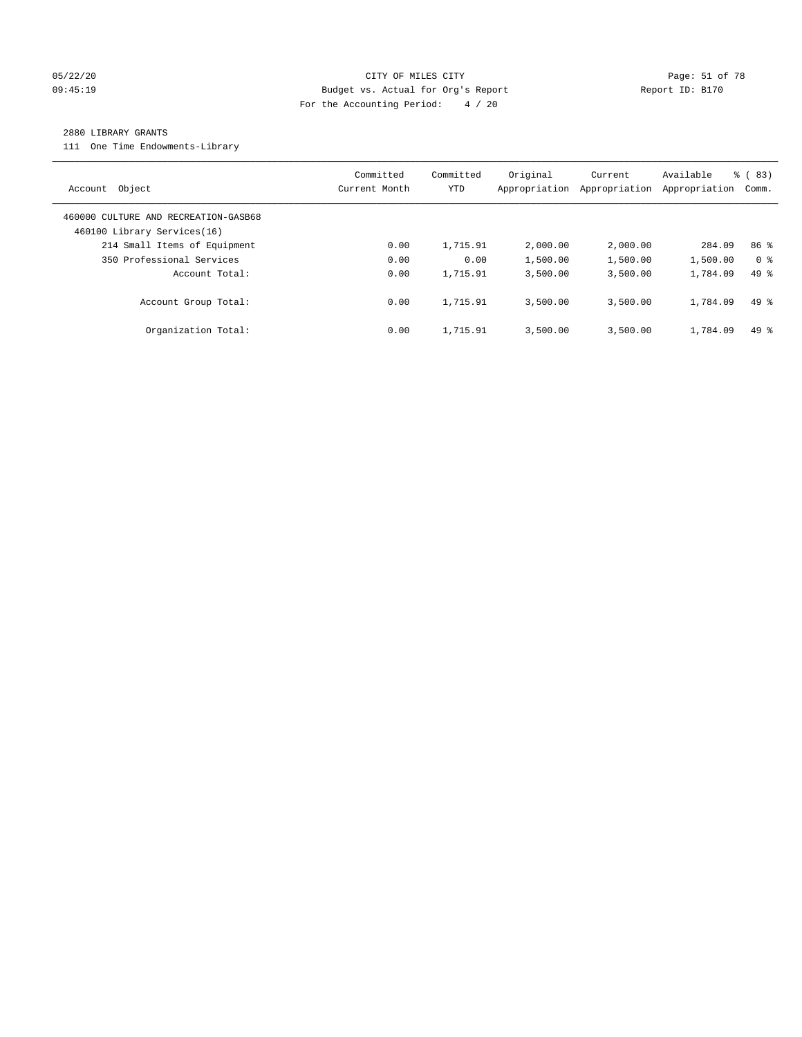#### 05/22/20 Page: 51 of 78 CITY OF MILES CITY CONTROL PAGE: 51 of 78 09:45:19 Budget vs. Actual for Org's Report Changer Report ID: B170 For the Accounting Period: 4 / 20

#### 2880 LIBRARY GRANTS

111 One Time Endowments-Library

| Object<br>Account                                                   | Committed<br>Current Month | Committed<br>YTD | Original<br>Appropriation | Current<br>Appropriation | Available<br>Appropriation | % (83)<br>Comm. |
|---------------------------------------------------------------------|----------------------------|------------------|---------------------------|--------------------------|----------------------------|-----------------|
| 460000 CULTURE AND RECREATION-GASB68<br>460100 Library Services(16) |                            |                  |                           |                          |                            |                 |
| 214 Small Items of Equipment                                        | 0.00                       | 1,715.91         | 2,000.00                  | 2,000.00                 | 284.09                     | 86 <sup>8</sup> |
| 350 Professional Services                                           | 0.00                       | 0.00             | 1,500.00                  | 1,500.00                 | 1,500.00                   | 0 <sup>8</sup>  |
| Account Total:                                                      | 0.00                       | 1,715.91         | 3,500.00                  | 3,500.00                 | 1,784.09                   | $49*$           |
| Account Group Total:                                                | 0.00                       | 1,715.91         | 3,500.00                  | 3,500.00                 | 1,784.09                   | $49*$           |
| Organization Total:                                                 | 0.00                       | 1,715.91         | 3,500.00                  | 3.500.00                 | 1,784.09                   | $49*$           |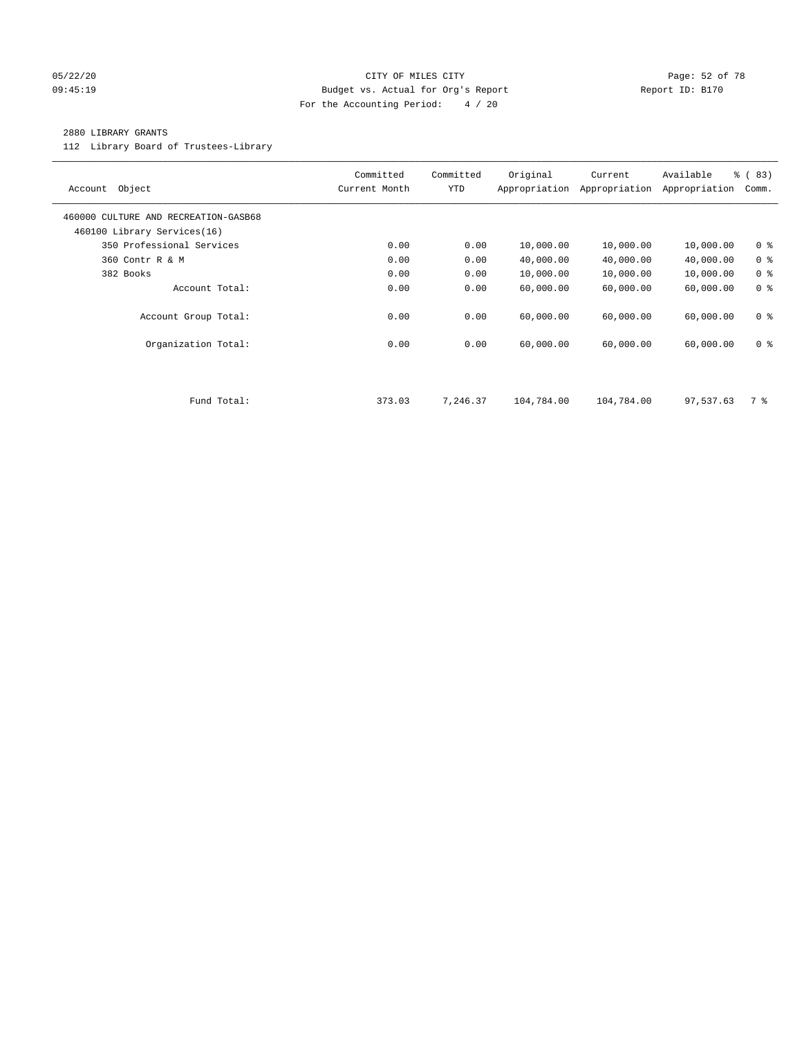### 05/22/20 Page: 52 of 78 09:45:19 Budget vs. Actual for Org's Report Changer Report ID: B170 For the Accounting Period: 4 / 20

#### 2880 LIBRARY GRANTS

112 Library Board of Trustees-Library

| Object<br>Account                                                   | Committed<br>Current Month | Committed<br><b>YTD</b> | Original<br>Appropriation | Current<br>Appropriation | Available<br>Appropriation | % (83)<br>Comm. |
|---------------------------------------------------------------------|----------------------------|-------------------------|---------------------------|--------------------------|----------------------------|-----------------|
| 460000 CULTURE AND RECREATION-GASB68<br>460100 Library Services(16) |                            |                         |                           |                          |                            |                 |
| 350 Professional Services                                           | 0.00                       | 0.00                    | 10,000.00                 | 10,000.00                | 10,000.00                  | 0 <sup>8</sup>  |
| 360 Contr R & M                                                     | 0.00                       | 0.00                    | 40,000.00                 | 40,000.00                | 40,000.00                  | 0 <sup>8</sup>  |
| 382 Books                                                           | 0.00                       | 0.00                    | 10,000.00                 | 10,000.00                | 10,000.00                  | 0 <sup>8</sup>  |
| Account Total:                                                      | 0.00                       | 0.00                    | 60,000.00                 | 60,000.00                | 60,000.00                  | 0 <sup>8</sup>  |
| Account Group Total:                                                | 0.00                       | 0.00                    | 60,000.00                 | 60,000.00                | 60,000.00                  | 0 <sub>8</sub>  |
| Organization Total:                                                 | 0.00                       | 0.00                    | 60,000.00                 | 60,000.00                | 60,000.00                  | 0 <sup>8</sup>  |
|                                                                     |                            |                         |                           |                          |                            |                 |
| Fund Total:                                                         | 373.03                     | 7,246.37                | 104,784.00                | 104,784.00               | 97,537.63                  | 7 %             |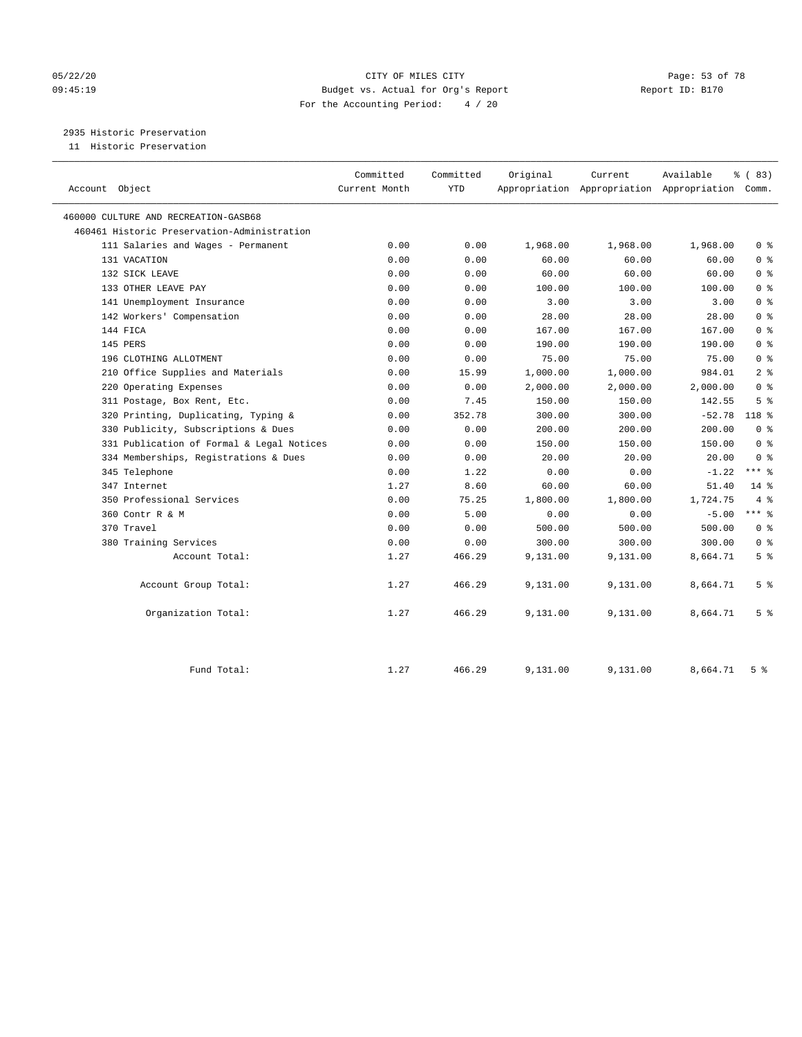## 05/22/20 Page: 53 of 78 09:45:19 Budget vs. Actual for Org's Report Report ID: B170 For the Accounting Period: 4 / 20

2935 Historic Preservation

| 11 Historic Preservation |  |  |  |  |  |
|--------------------------|--|--|--|--|--|
|--------------------------|--|--|--|--|--|

| Account Object                              | Committed<br>Current Month | Committed<br><b>YTD</b> | Original | Current  | Available<br>Appropriation Appropriation Appropriation Comm. | % (83)         |
|---------------------------------------------|----------------------------|-------------------------|----------|----------|--------------------------------------------------------------|----------------|
| 460000 CULTURE AND RECREATION-GASB68        |                            |                         |          |          |                                                              |                |
| 460461 Historic Preservation-Administration |                            |                         |          |          |                                                              |                |
| 111 Salaries and Wages - Permanent          | 0.00                       | 0.00                    | 1,968.00 | 1,968.00 | 1,968.00                                                     | 0 <sup>8</sup> |
| 131 VACATION                                | 0.00                       | 0.00                    | 60.00    | 60.00    | 60.00                                                        | 0 <sup>8</sup> |
| 132 SICK LEAVE                              | 0.00                       | 0.00                    | 60.00    | 60.00    | 60.00                                                        | 0 <sup>8</sup> |
| 133 OTHER LEAVE PAY                         | 0.00                       | 0.00                    | 100.00   | 100.00   | 100.00                                                       | 0 <sup>8</sup> |
| 141 Unemployment Insurance                  | 0.00                       | 0.00                    | 3.00     | 3.00     | 3.00                                                         | 0 <sup>8</sup> |
| 142 Workers' Compensation                   | 0.00                       | 0.00                    | 28.00    | 28.00    | 28.00                                                        | 0 <sup>8</sup> |
| 144 FICA                                    | 0.00                       | 0.00                    | 167.00   | 167.00   | 167.00                                                       | 0 <sup>8</sup> |
| 145 PERS                                    | 0.00                       | 0.00                    | 190.00   | 190.00   | 190.00                                                       | 0 <sup>8</sup> |
| 196 CLOTHING ALLOTMENT                      | 0.00                       | 0.00                    | 75.00    | 75.00    | 75.00                                                        | 0 <sup>8</sup> |
| 210 Office Supplies and Materials           | 0.00                       | 15.99                   | 1,000.00 | 1,000.00 | 984.01                                                       | 2 <sup>8</sup> |
| 220 Operating Expenses                      | 0.00                       | 0.00                    | 2,000.00 | 2,000.00 | 2,000.00                                                     | 0 <sup>8</sup> |
| 311 Postage, Box Rent, Etc.                 | 0.00                       | 7.45                    | 150.00   | 150.00   | 142.55                                                       | 5 <sup>8</sup> |
| 320 Printing, Duplicating, Typing &         | 0.00                       | 352.78                  | 300.00   | 300.00   | $-52.78$                                                     | 118 %          |
| 330 Publicity, Subscriptions & Dues         | 0.00                       | 0.00                    | 200.00   | 200.00   | 200.00                                                       | 0 <sup>8</sup> |
| 331 Publication of Formal & Legal Notices   | 0.00                       | 0.00                    | 150.00   | 150.00   | 150.00                                                       | 0 <sup>8</sup> |
| 334 Memberships, Registrations & Dues       | 0.00                       | 0.00                    | 20.00    | 20.00    | 20.00                                                        | 0 <sup>8</sup> |
| 345 Telephone                               | 0.00                       | 1.22                    | 0.00     | 0.00     | $-1.22$                                                      | $***$ $_{8}$   |
| 347 Internet                                | 1.27                       | 8.60                    | 60.00    | 60.00    | 51.40                                                        | $14*$          |
| 350 Professional Services                   | 0.00                       | 75.25                   | 1,800.00 | 1,800.00 | 1,724.75                                                     | 4%             |
| 360 Contr R & M                             | 0.00                       | 5.00                    | 0.00     | 0.00     | $-5.00$                                                      | $***$ $%$      |
| 370 Travel                                  | 0.00                       | 0.00                    | 500.00   | 500.00   | 500.00                                                       | 0 <sup>8</sup> |
| 380 Training Services                       | 0.00                       | 0.00                    | 300.00   | 300.00   | 300.00                                                       | 0 <sup>8</sup> |
| Account Total:                              | 1.27                       | 466.29                  | 9,131.00 | 9,131.00 | 8,664.71                                                     | 5 <sup>8</sup> |
| Account Group Total:                        | 1.27                       | 466.29                  | 9,131.00 | 9,131.00 | 8,664.71                                                     | 5 <sup>°</sup> |
| Organization Total:                         | 1.27                       | 466.29                  | 9,131.00 | 9,131.00 | 8,664.71                                                     | 5 <sup>°</sup> |
| Fund Total:                                 | 1.27                       | 466.29                  | 9,131.00 | 9,131.00 | 8,664.71                                                     | 5 <sup>8</sup> |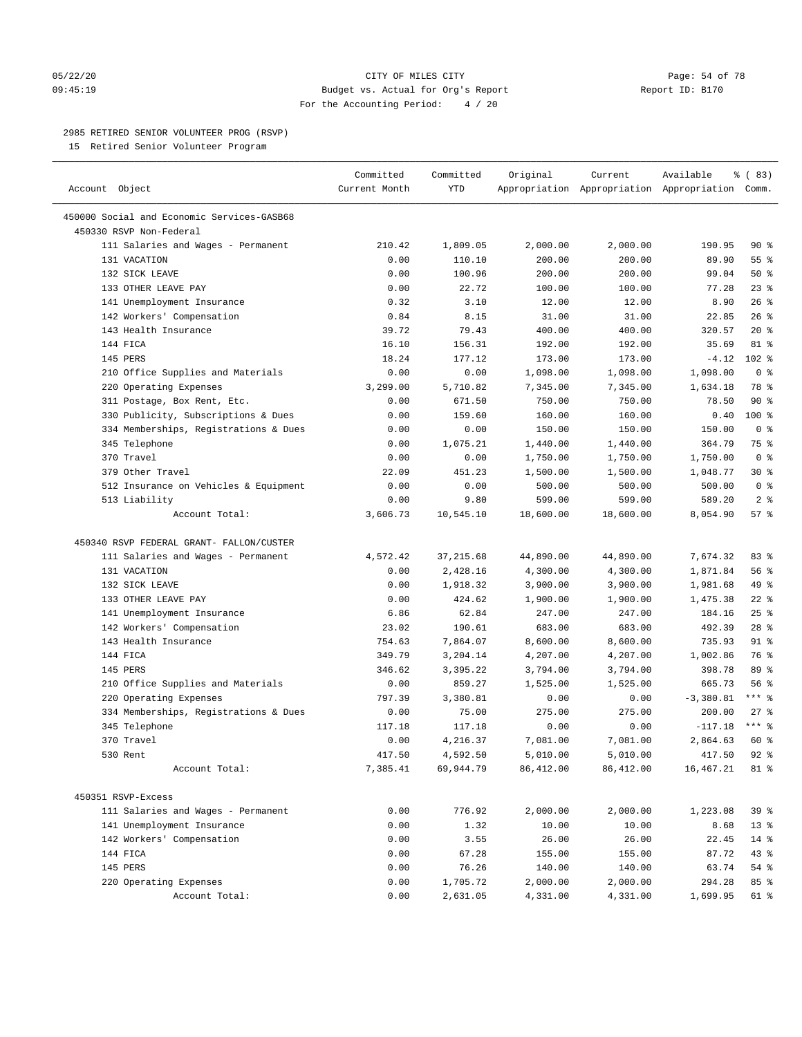#### 05/22/20 **CITY OF MILES CITY CITY CITY Page: 54 of 78** 09:45:19 Budget vs. Actual for Org's Report Changer Report ID: B170 For the Accounting Period: 4 / 20

————————————————————————————————————————————————————————————————————————————————————————————————————————————————————————————————————

### 2985 RETIRED SENIOR VOLUNTEER PROG (RSVP)

15 Retired Senior Volunteer Program

|                                            | Committed     | Committed  | Original  | Current   | Available                                       | % (83)          |
|--------------------------------------------|---------------|------------|-----------|-----------|-------------------------------------------------|-----------------|
| Account Object                             | Current Month | YTD        |           |           | Appropriation Appropriation Appropriation Comm. |                 |
| 450000 Social and Economic Services-GASB68 |               |            |           |           |                                                 |                 |
| 450330 RSVP Non-Federal                    |               |            |           |           |                                                 |                 |
| 111 Salaries and Wages - Permanent         | 210.42        | 1,809.05   | 2,000.00  | 2,000.00  | 190.95                                          | 90%             |
| 131 VACATION                               | 0.00          | 110.10     | 200.00    | 200.00    | 89.90                                           | 55 %            |
| 132 SICK LEAVE                             | 0.00          | 100.96     | 200.00    | 200.00    | 99.04                                           | 50%             |
| 133 OTHER LEAVE PAY                        | 0.00          | 22.72      | 100.00    | 100.00    | 77.28                                           | $23$ %          |
| 141 Unemployment Insurance                 | 0.32          | 3.10       | 12.00     | 12.00     | 8.90                                            | 26%             |
| 142 Workers' Compensation                  | 0.84          | 8.15       | 31.00     | 31.00     | 22.85                                           | 26%             |
| 143 Health Insurance                       | 39.72         | 79.43      | 400.00    | 400.00    | 320.57                                          | $20*$           |
| 144 FICA                                   | 16.10         | 156.31     | 192.00    | 192.00    | 35.69                                           | 81 %            |
| 145 PERS                                   | 18.24         | 177.12     | 173.00    | 173.00    | $-4.12$                                         | $102$ %         |
| 210 Office Supplies and Materials          | 0.00          | 0.00       | 1,098.00  | 1,098.00  | 1,098.00                                        | 0 <sup>8</sup>  |
| 220 Operating Expenses                     | 3,299.00      | 5,710.82   | 7,345.00  | 7,345.00  | 1,634.18                                        | 78 %            |
| 311 Postage, Box Rent, Etc.                | 0.00          | 671.50     | 750.00    | 750.00    | 78.50                                           | $90*$           |
| 330 Publicity, Subscriptions & Dues        | 0.00          | 159.60     | 160.00    | 160.00    | 0.40                                            | $100*$          |
| 334 Memberships, Registrations & Dues      | 0.00          | 0.00       | 150.00    | 150.00    | 150.00                                          | 0 <sup>8</sup>  |
| 345 Telephone                              | 0.00          | 1,075.21   | 1,440.00  | 1,440.00  | 364.79                                          | 75 %            |
| 370 Travel                                 | 0.00          | 0.00       | 1,750.00  | 1,750.00  | 1,750.00                                        | 0 <sup>8</sup>  |
| 379 Other Travel                           | 22.09         | 451.23     | 1,500.00  | 1,500.00  | 1,048.77                                        | $30*$           |
| 512 Insurance on Vehicles & Equipment      | 0.00          | 0.00       | 500.00    | 500.00    | 500.00                                          | 0 <sup>8</sup>  |
| 513 Liability                              | 0.00          | 9.80       | 599.00    | 599.00    | 589.20                                          | 2 <sup>8</sup>  |
| Account Total:                             | 3,606.73      | 10,545.10  | 18,600.00 | 18,600.00 | 8,054.90                                        | 57%             |
| 450340 RSVP FEDERAL GRANT- FALLON/CUSTER   |               |            |           |           |                                                 |                 |
| 111 Salaries and Wages - Permanent         | 4,572.42      | 37, 215.68 | 44,890.00 | 44,890.00 | 7,674.32                                        | 83%             |
| 131 VACATION                               | 0.00          | 2,428.16   | 4,300.00  | 4,300.00  | 1,871.84                                        | 56%             |
| 132 SICK LEAVE                             | 0.00          | 1,918.32   | 3,900.00  | 3,900.00  | 1,981.68                                        | 49 %            |
| 133 OTHER LEAVE PAY                        | 0.00          | 424.62     | 1,900.00  | 1,900.00  | 1,475.38                                        | $22$ %          |
| 141 Unemployment Insurance                 | 6.86          | 62.84      | 247.00    | 247.00    | 184.16                                          | $25$ $%$        |
| 142 Workers' Compensation                  | 23.02         | 190.61     | 683.00    | 683.00    | 492.39                                          | $28$ %          |
| 143 Health Insurance                       | 754.63        | 7,864.07   | 8,600.00  | 8,600.00  | 735.93                                          | $91$ %          |
| 144 FICA                                   | 349.79        | 3,204.14   | 4,207.00  | 4,207.00  | 1,002.86                                        | 76 %            |
| 145 PERS                                   | 346.62        | 3,395.22   | 3,794.00  | 3,794.00  | 398.78                                          | 89 %            |
| 210 Office Supplies and Materials          | 0.00          | 859.27     | 1,525.00  | 1,525.00  | 665.73                                          | 56%             |
| 220 Operating Expenses                     | 797.39        | 3,380.81   | 0.00      | 0.00      | $-3,380.81$                                     | $***$ $-$       |
| 334 Memberships, Registrations & Dues      | 0.00          | 75.00      | 275.00    | 275.00    | 200.00                                          | $27$ %          |
| 345 Telephone                              | 117.18        | 117.18     | 0.00      | 0.00      | $-117.18$                                       | $***$ $%$       |
| 370 Travel                                 | 0.00          | 4,216.37   | 7,081.00  | 7,081.00  | 2,864.63                                        | 60 %            |
| 530 Rent                                   | 417.50        | 4,592.50   | 5,010.00  | 5,010.00  | 417.50                                          | $92$ $%$        |
| Account Total:                             | 7,385.41      | 69,944.79  | 86,412.00 | 86,412.00 | 16, 467. 21                                     | 81 %            |
| 450351 RSVP-Excess                         |               |            |           |           |                                                 |                 |
| 111 Salaries and Wages - Permanent         | 0.00          | 776.92     | 2,000.00  | 2,000.00  | 1,223.08                                        | 39 <sup>8</sup> |
| 141 Unemployment Insurance                 | 0.00          | 1.32       | 10.00     | 10.00     | 8.68                                            | $13*$           |
| 142 Workers' Compensation                  | 0.00          | 3.55       | 26.00     | 26.00     | 22.45                                           | $14*$           |
| 144 FICA                                   | 0.00          | 67.28      | 155.00    | 155.00    | 87.72                                           | 43 %            |
| 145 PERS                                   | 0.00          | 76.26      | 140.00    | 140.00    | 63.74                                           | 54 %            |
| 220 Operating Expenses                     | 0.00          | 1,705.72   | 2,000.00  | 2,000.00  | 294.28                                          | 85 %            |
| Account Total:                             | 0.00          | 2,631.05   | 4,331.00  | 4,331.00  | 1,699.95                                        | 61 %            |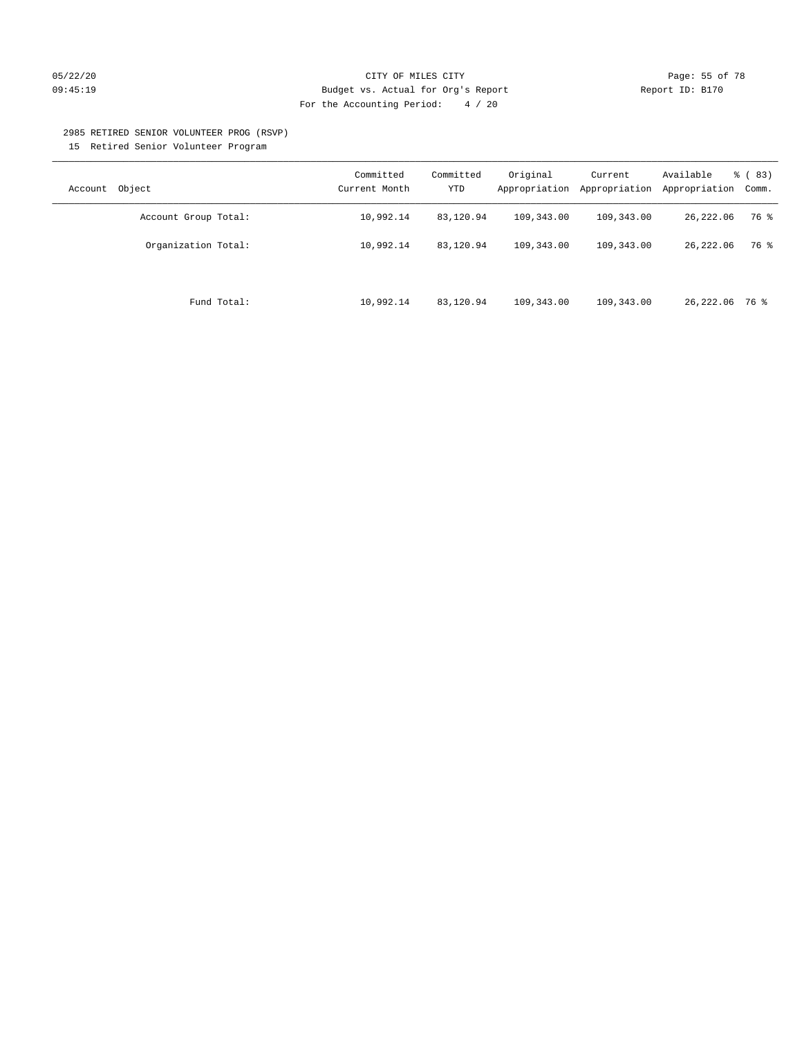### 05/22/20 **CITY OF MILES CITY CITY CITY Page: 55 of 78** 09:45:19 Budget vs. Actual for Org's Report Changer Report ID: B170 For the Accounting Period: 4 / 20

#### 2985 RETIRED SENIOR VOLUNTEER PROG (RSVP)

15 Retired Senior Volunteer Program

| Object<br>Account    | Committed<br>Current Month | Committed<br>YTD | Original<br>Appropriation | Current<br>Appropriation | Available<br>Appropriation | % (83)<br>Comm. |
|----------------------|----------------------------|------------------|---------------------------|--------------------------|----------------------------|-----------------|
| Account Group Total: | 10,992.14                  | 83,120.94        | 109,343.00                | 109,343.00               | 26,222.06                  | 76 %            |
| Organization Total:  | 10,992.14                  | 83,120.94        | 109,343.00                | 109,343.00               | 26, 222, 06                | 76 %            |
| Fund Total:          | 10,992.14                  | 83,120.94        | 109,343.00                | 109,343.00               | 26,222.06 76 %             |                 |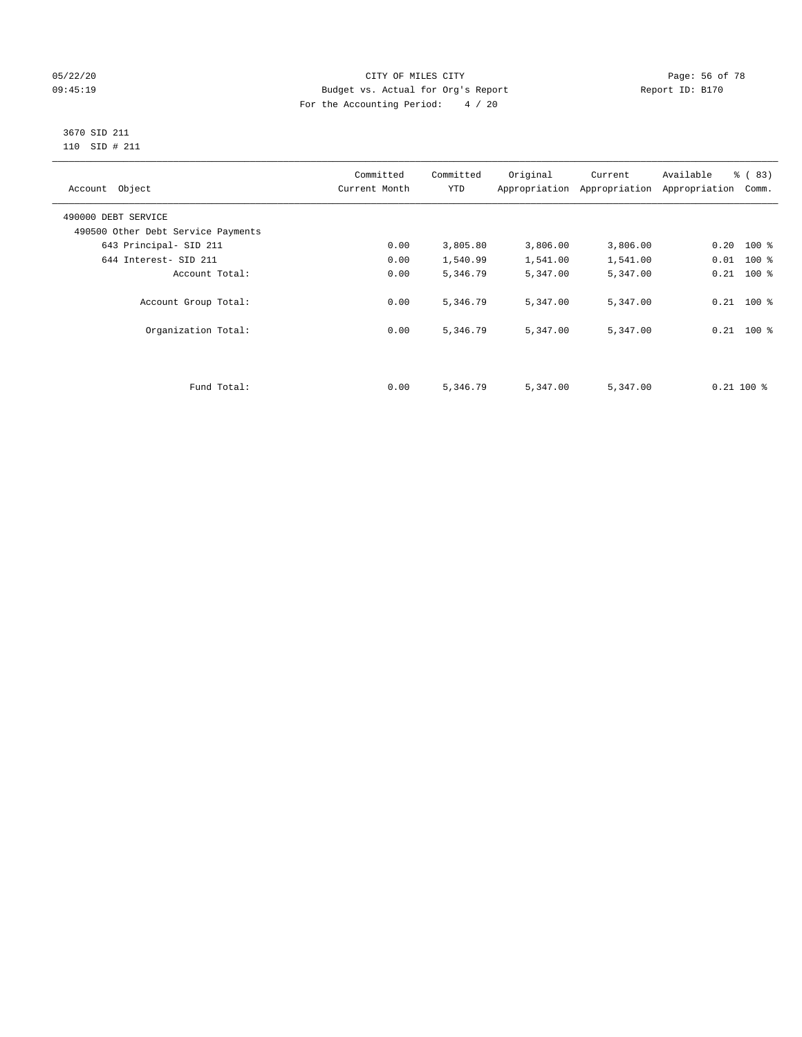## 05/22/20 Page: 56 of 78 09:45:19 Budget vs. Actual for Org's Report Changer Report ID: B170 For the Accounting Period: 4 / 20

#### 3670 SID 211 110 SID # 211

| Account Object                     | Committed<br>Current Month | Committed<br><b>YTD</b> | Original | Current<br>Appropriation Appropriation | Available<br>Appropriation | % (83)<br>Comm. |
|------------------------------------|----------------------------|-------------------------|----------|----------------------------------------|----------------------------|-----------------|
| 490000 DEBT SERVICE                |                            |                         |          |                                        |                            |                 |
| 490500 Other Debt Service Payments |                            |                         |          |                                        |                            |                 |
| 643 Principal- SID 211             | 0.00                       | 3,805.80                | 3,806.00 | 3,806.00                               | $0.20$ 100 %               |                 |
| 644 Interest- SID 211              | 0.00                       | 1,540.99                | 1,541.00 | 1,541.00                               | $0.01$ 100 %               |                 |
| Account Total:                     | 0.00                       | 5,346.79                | 5,347.00 | 5,347.00                               | $0.21$ 100 %               |                 |
| Account Group Total:               | 0.00                       | 5,346.79                | 5,347.00 | 5,347.00                               | $0.21$ 100 %               |                 |
| Organization Total:                | 0.00                       | 5,346.79                | 5,347.00 | 5,347.00                               | $0.21$ 100 %               |                 |
|                                    |                            |                         |          |                                        |                            |                 |
| Fund Total:                        | 0.00                       | 5,346.79                | 5,347.00 | 5,347.00                               | $0.21$ 100 %               |                 |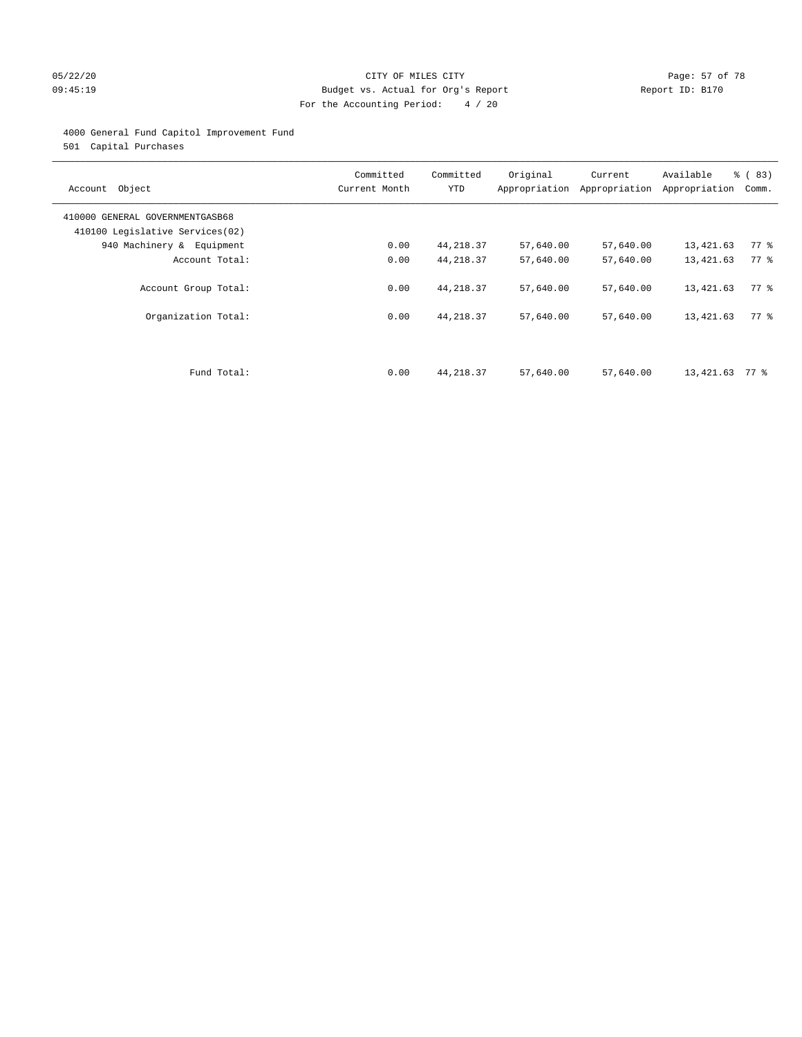### 05/22/20 **CITY OF MILES CITY CONSUMING THE PAGE:** 57 of 78 09:45:19 Budget vs. Actual for Org's Report Changer Report ID: B170 For the Accounting Period: 4 / 20

## 4000 General Fund Capitol Improvement Fund

501 Capital Purchases

| Account Object                                                     | Committed<br>Current Month | Committed<br><b>YTD</b> | Original<br>Appropriation | Current<br>Appropriation | Available<br>Appropriation | % (83)<br>Comm.    |
|--------------------------------------------------------------------|----------------------------|-------------------------|---------------------------|--------------------------|----------------------------|--------------------|
| 410000 GENERAL GOVERNMENTGASB68<br>410100 Legislative Services(02) |                            |                         |                           |                          |                            |                    |
| 940 Machinery & Equipment                                          | 0.00                       | 44, 218.37              | 57,640.00                 | 57,640.00                | 13,421.63                  | $77$ $\frac{6}{9}$ |
| Account Total:                                                     | 0.00                       | 44, 218.37              | 57,640.00                 | 57,640.00                | 13,421.63                  | 77 %               |
| Account Group Total:                                               | 0.00                       | 44, 218.37              | 57,640.00                 | 57,640.00                | 13,421.63                  | 77.8               |
| Organization Total:                                                | 0.00                       | 44, 218.37              | 57,640.00                 | 57,640.00                | 13,421.63                  | 77.8               |
|                                                                    |                            |                         |                           |                          |                            |                    |
| Fund Total:                                                        | 0.00                       | 44, 218.37              | 57,640.00                 | 57,640.00                | 13,421.63                  | 77 %               |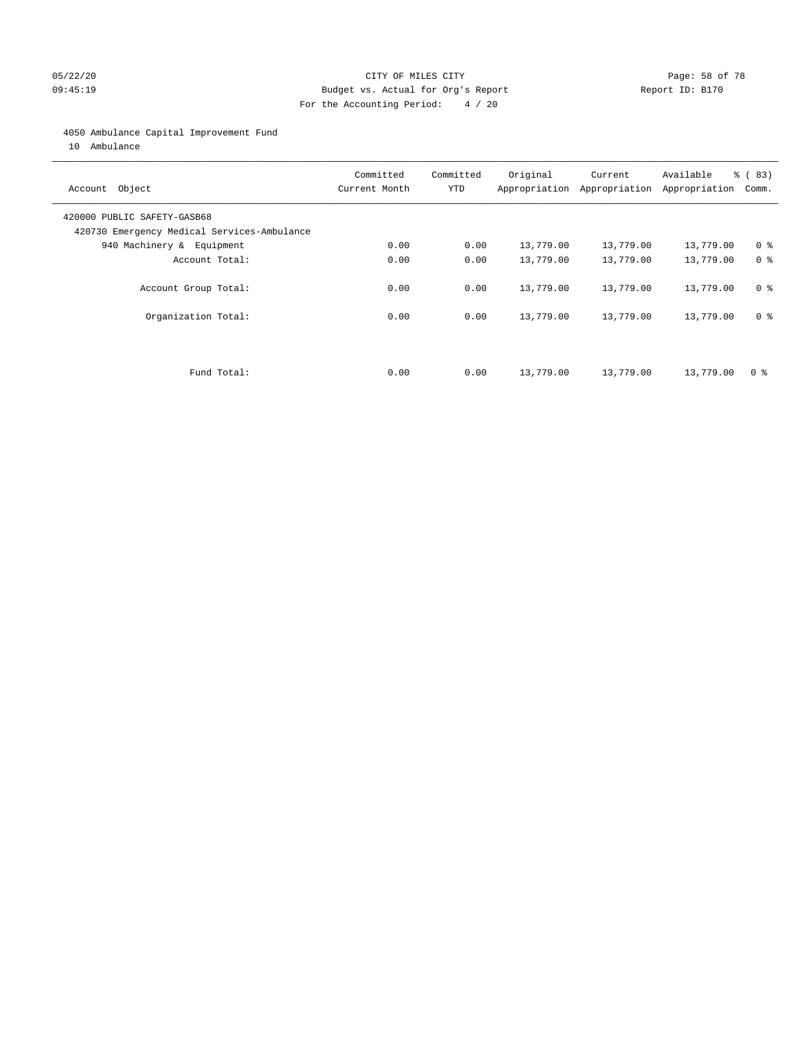### 05/22/20 **CITY OF MILES CITY CONSUMING THE PAGE:** 58 of 78 09:45:19 Budget vs. Actual for Org's Report Changer Report ID: B170 For the Accounting Period: 4 / 20

#### 4050 Ambulance Capital Improvement Fund

10 Ambulance

| Account Object                                                             | Committed<br>Current Month | Committed<br><b>YTD</b> | Original  | Current<br>Appropriation Appropriation | Available<br>Appropriation | % (83)<br>Comm. |
|----------------------------------------------------------------------------|----------------------------|-------------------------|-----------|----------------------------------------|----------------------------|-----------------|
| 420000 PUBLIC SAFETY-GASB68<br>420730 Emergency Medical Services-Ambulance |                            |                         |           |                                        |                            |                 |
| 940 Machinery & Equipment                                                  | 0.00                       | 0.00                    | 13,779.00 | 13,779.00                              | 13,779.00                  | 0 <sup>8</sup>  |
| Account Total:                                                             | 0.00                       | 0.00                    | 13,779.00 | 13,779.00                              | 13,779.00                  | 0 <sup>8</sup>  |
| Account Group Total:                                                       | 0.00                       | 0.00                    | 13,779.00 | 13,779.00                              | 13,779.00                  | 0 <sup>8</sup>  |
| Organization Total:                                                        | 0.00                       | 0.00                    | 13,779.00 | 13,779.00                              | 13,779.00                  | 0 <sup>8</sup>  |
|                                                                            |                            |                         |           |                                        |                            |                 |
| Fund Total:                                                                | 0.00                       | 0.00                    | 13,779.00 | 13,779.00                              | 13,779.00                  | 0 %             |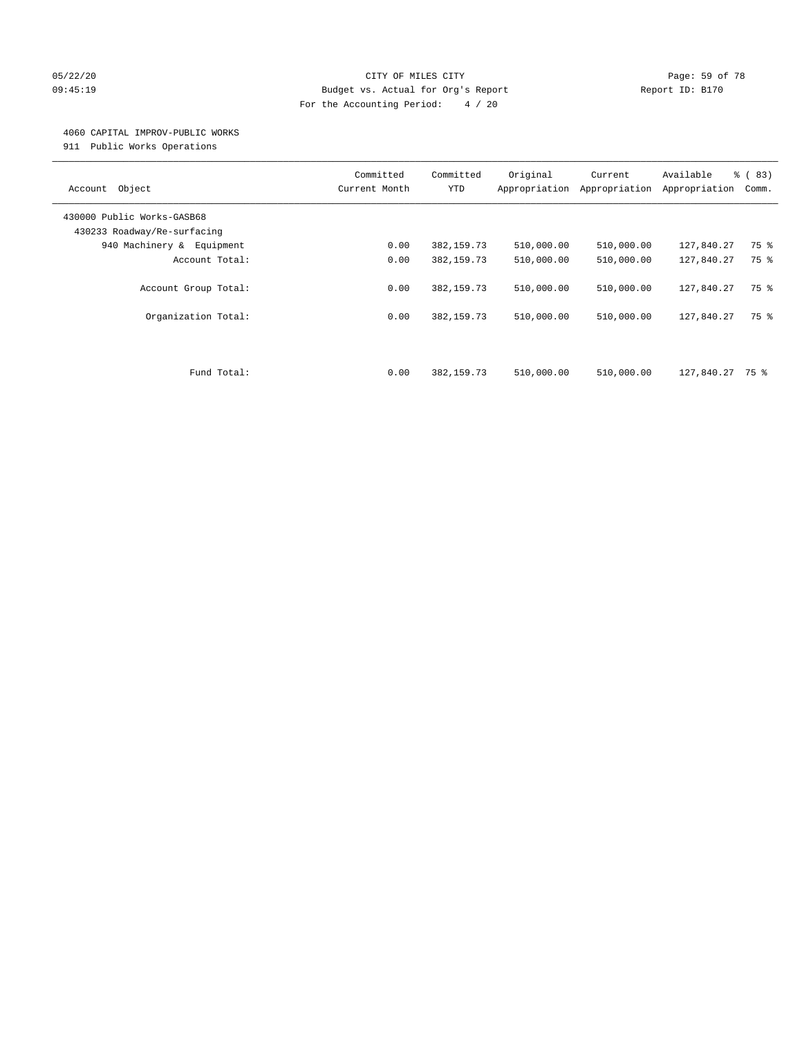#### 05/22/20 **CITY OF MILES CITY CONSUMING THE PAGE:** 59 of 78 09:45:19 Budget vs. Actual for Org's Report Changer Report ID: B170 For the Accounting Period: 4 / 20

#### 4060 CAPITAL IMPROV-PUBLIC WORKS

911 Public Works Operations

| Object<br>Account                                         | Committed<br>Current Month | Committed<br><b>YTD</b>   | Original<br>Appropriation | Current<br>Appropriation | Available<br>Appropriation | % (83)<br>Comm. |
|-----------------------------------------------------------|----------------------------|---------------------------|---------------------------|--------------------------|----------------------------|-----------------|
| 430000 Public Works-GASB68<br>430233 Roadway/Re-surfacing |                            |                           |                           |                          |                            |                 |
| 940 Machinery & Equipment                                 | 0.00                       | 382, 159.73               | 510,000.00                | 510,000.00               | 127,840.27                 | 75 %            |
| Account Total:                                            | 0.00                       | 382, 159.73               | 510,000.00                | 510,000.00               | 127,840.27                 | 75 %            |
| Account Group Total:<br>Organization Total:               | 0.00<br>0.00               | 382,159.73<br>382, 159.73 | 510,000.00<br>510,000.00  | 510,000.00<br>510,000.00 | 127,840.27<br>127,840.27   | 75 %<br>75 %    |
|                                                           |                            |                           |                           |                          |                            |                 |
| Fund Total:                                               | 0.00                       | 382, 159.73               | 510,000.00                | 510,000.00               | 127,840.27                 | 75 %            |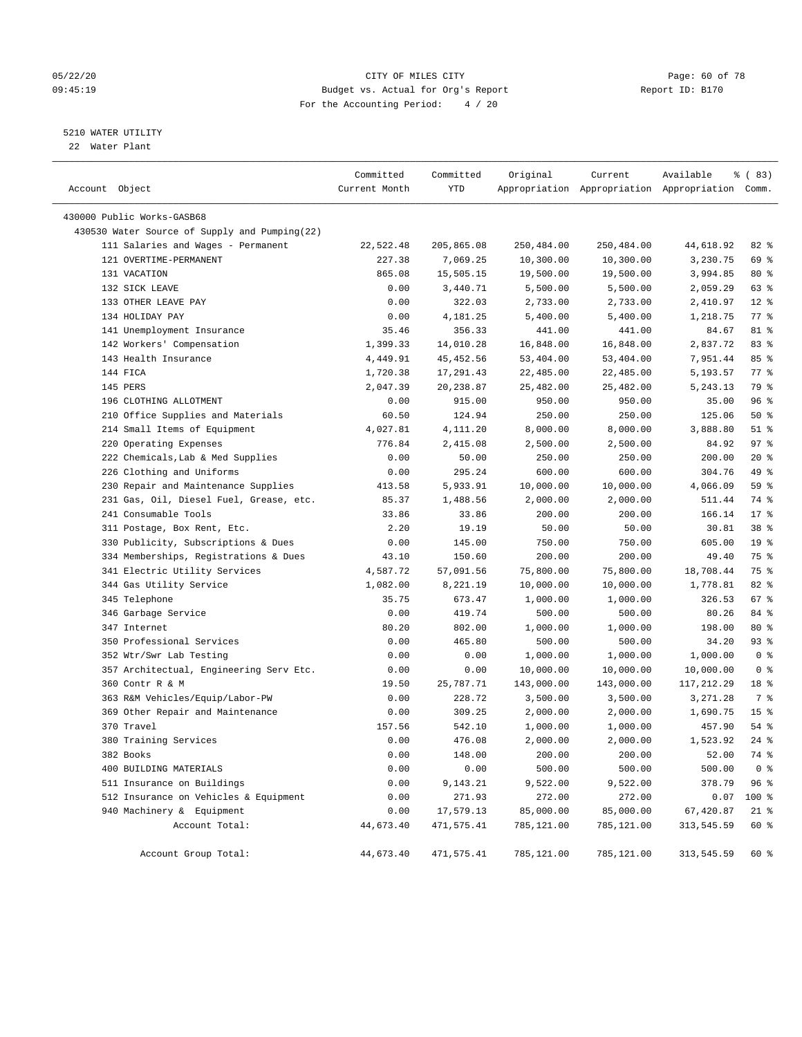#### 05/22/20 **CITY OF MILES CITY CONSUMING THE CONSUMING PAGE: 60 of 78** 09:45:19 Budget vs. Actual for Org's Report Changer Report ID: B170 For the Accounting Period: 4 / 20

————————————————————————————————————————————————————————————————————————————————————————————————————————————————————————————————————

## 5210 WATER UTILITY

22 Water Plant

|                                               | Committed     | Committed  | Original   | Current    | Available                                       | % (83)             |  |
|-----------------------------------------------|---------------|------------|------------|------------|-------------------------------------------------|--------------------|--|
| Account Object                                | Current Month | YTD        |            |            | Appropriation Appropriation Appropriation Comm. |                    |  |
| 430000 Public Works-GASB68                    |               |            |            |            |                                                 |                    |  |
| 430530 Water Source of Supply and Pumping(22) |               |            |            |            |                                                 |                    |  |
| 111 Salaries and Wages - Permanent            | 22,522.48     | 205,865.08 | 250,484.00 | 250,484.00 | 44,618.92                                       | $82$ $%$           |  |
| 121 OVERTIME-PERMANENT                        | 227.38        | 7,069.25   | 10,300.00  | 10,300.00  | 3,230.75                                        | 69 %               |  |
| 131 VACATION                                  | 865.08        | 15,505.15  | 19,500.00  | 19,500.00  | 3,994.85                                        | 80 %               |  |
| 132 SICK LEAVE                                | 0.00          | 3,440.71   | 5,500.00   | 5,500.00   | 2,059.29                                        | 63 %               |  |
| 133 OTHER LEAVE PAY                           | 0.00          | 322.03     | 2,733.00   | 2,733.00   | 2,410.97                                        | $12*$              |  |
| 134 HOLIDAY PAY                               | 0.00          | 4,181.25   | 5,400.00   | 5,400.00   | 1,218.75                                        | $77$ $%$           |  |
| 141 Unemployment Insurance                    | 35.46         | 356.33     | 441.00     | 441.00     | 84.67                                           | 81 %               |  |
| 142 Workers' Compensation                     | 1,399.33      | 14,010.28  | 16,848.00  | 16,848.00  | 2,837.72                                        | 83%                |  |
| 143 Health Insurance                          | 4,449.91      | 45, 452.56 | 53,404.00  | 53,404.00  | 7,951.44                                        | 85%                |  |
| 144 FICA                                      | 1,720.38      | 17,291.43  | 22,485.00  | 22,485.00  | 5,193.57                                        | $77$ $\frac{6}{9}$ |  |
| 145 PERS                                      | 2,047.39      | 20,238.87  | 25,482.00  | 25,482.00  | 5,243.13                                        | 79 %               |  |
| 196 CLOTHING ALLOTMENT                        | 0.00          | 915.00     | 950.00     | 950.00     | 35.00                                           | 96%                |  |
| 210 Office Supplies and Materials             | 60.50         | 124.94     | 250.00     | 250.00     | 125.06                                          | 50%                |  |
| 214 Small Items of Equipment                  | 4,027.81      | 4,111.20   | 8,000.00   | 8,000.00   | 3,888.80                                        | $51$ %             |  |
| 220 Operating Expenses                        | 776.84        | 2,415.08   | 2,500.00   | 2,500.00   | 84.92                                           | 97%                |  |
| 222 Chemicals, Lab & Med Supplies             | 0.00          | 50.00      | 250.00     | 250.00     | 200.00                                          | $20*$              |  |
| 226 Clothing and Uniforms                     | 0.00          | 295.24     | 600.00     | 600.00     | 304.76                                          | 49 %               |  |
| 230 Repair and Maintenance Supplies           | 413.58        | 5,933.91   | 10,000.00  | 10,000.00  | 4,066.09                                        | 59 %               |  |
| 231 Gas, Oil, Diesel Fuel, Grease, etc.       | 85.37         | 1,488.56   | 2,000.00   | 2,000.00   | 511.44                                          | 74 %               |  |
| 241 Consumable Tools                          | 33.86         | 33.86      | 200.00     | 200.00     | 166.14                                          | $17*$              |  |
| 311 Postage, Box Rent, Etc.                   | 2.20          | 19.19      | 50.00      | 50.00      | 30.81                                           | 38 <sup>8</sup>    |  |
| 330 Publicity, Subscriptions & Dues           | 0.00          | 145.00     | 750.00     | 750.00     | 605.00                                          | 19 <sup>°</sup>    |  |
| 334 Memberships, Registrations & Dues         | 43.10         | 150.60     | 200.00     | 200.00     | 49.40                                           | 75 %               |  |
| 341 Electric Utility Services                 | 4,587.72      | 57,091.56  | 75,800.00  | 75,800.00  | 18,708.44                                       | 75 %               |  |
| 344 Gas Utility Service                       | 1,082.00      | 8,221.19   | 10,000.00  | 10,000.00  | 1,778.81                                        | $82$ $%$           |  |
| 345 Telephone                                 | 35.75         | 673.47     | 1,000.00   | 1,000.00   | 326.53                                          | 67%                |  |
| 346 Garbage Service                           | 0.00          | 419.74     | 500.00     | 500.00     | 80.26                                           | 84 %               |  |
| 347 Internet                                  | 80.20         | 802.00     | 1,000.00   | 1,000.00   | 198.00                                          | 80 %               |  |
| 350 Professional Services                     | 0.00          | 465.80     | 500.00     | 500.00     | 34.20                                           | 93 %               |  |
| 352 Wtr/Swr Lab Testing                       | 0.00          | 0.00       | 1,000.00   | 1,000.00   | 1,000.00                                        | 0 <sup>8</sup>     |  |
| 357 Architectual, Engineering Serv Etc.       | 0.00          | 0.00       | 10,000.00  | 10,000.00  | 10,000.00                                       | 0 <sup>8</sup>     |  |
| 360 Contr R & M                               | 19.50         | 25,787.71  | 143,000.00 | 143,000.00 | 117,212.29                                      | 18 <sup>8</sup>    |  |
| 363 R&M Vehicles/Equip/Labor-PW               | 0.00          | 228.72     | 3,500.00   | 3,500.00   | 3,271.28                                        | 7 %                |  |
| 369 Other Repair and Maintenance              | 0.00          | 309.25     | 2,000.00   | 2,000.00   | 1,690.75                                        | 15 <sup>8</sup>    |  |
| 370 Travel                                    | 157.56        | 542.10     | 1,000.00   | 1,000.00   | 457.90                                          | $54$ %             |  |
| 380 Training Services                         | 0.00          | 476.08     | 2,000.00   | 2,000.00   | 1,523.92                                        | $24$ %             |  |
| 382 Books                                     | 0.00          | 148.00     | 200.00     | 200.00     | 52.00                                           | 74 %               |  |
| 400 BUILDING MATERIALS                        | 0.00          | 0.00       | 500.00     | 500.00     | 500.00                                          | 0 <sup>8</sup>     |  |
| 511 Insurance on Buildings                    | 0.00          | 9,143.21   | 9,522.00   | 9,522.00   | 378.79                                          | 96%                |  |
| 512 Insurance on Vehicles & Equipment         | 0.00          | 271.93     | 272.00     | 272.00     | 0.07                                            | 100 %              |  |
| 940 Machinery & Equipment                     | 0.00          | 17,579.13  | 85,000.00  | 85,000.00  | 67,420.87                                       | $21$ %             |  |
| Account Total:                                | 44,673.40     | 471,575.41 | 785,121.00 | 785,121.00 | 313,545.59                                      | $60*$              |  |
| Account Group Total:                          | 44,673.40     | 471,575.41 | 785,121.00 | 785,121.00 | 313,545.59                                      | 60 %               |  |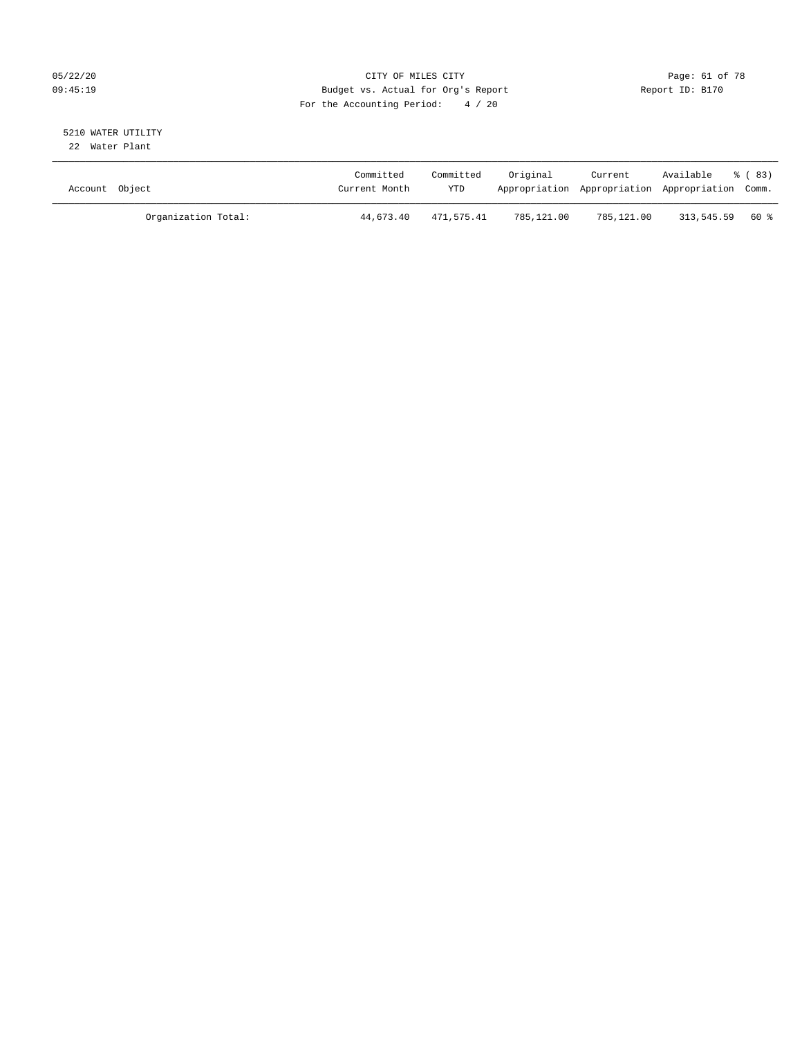## 05/22/20 Page: 61 of 78 09:45:19 Budget vs. Actual for Org's Report Changer Report ID: B170 For the Accounting Period: 4 / 20

#### 5210 WATER UTILITY 22 Water Plant

| Account Object      | Committed<br>Current Month | Committed<br><b>YTD</b> | Original   | Current<br>Appropriation Appropriation Appropriation Comm. | Available         | ී (83) |
|---------------------|----------------------------|-------------------------|------------|------------------------------------------------------------|-------------------|--------|
| Organization Total: | 44,673.40                  | 471,575.41              | 785,121.00 | 785,121.00                                                 | $313.545.59$ 60 % |        |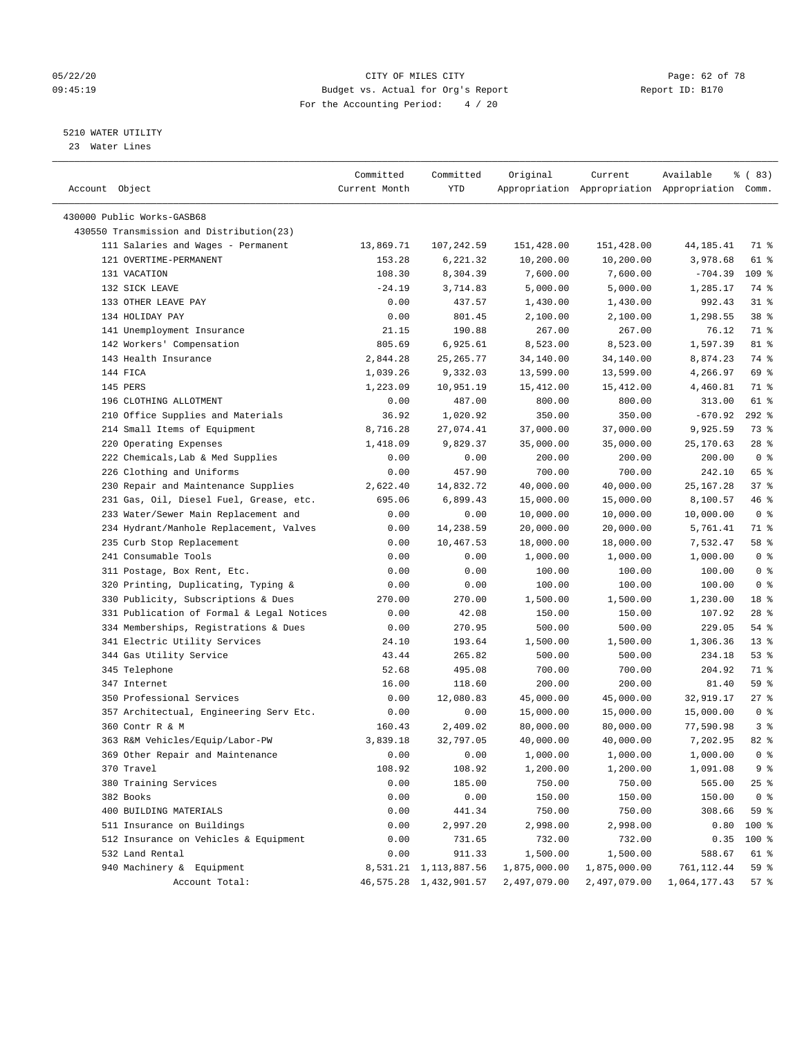#### 05/22/20 Page: 62 of 78 09:45:19 Budget vs. Actual for Org's Report Report ID: B170 For the Accounting Period: 4 / 20

————————————————————————————————————————————————————————————————————————————————————————————————————————————————————————————————————

### 5210 WATER UTILITY

23 Water Lines

|                |                                                      | Committed     | Committed                       | Original           | Current                                         | Available      | १ (83)         |
|----------------|------------------------------------------------------|---------------|---------------------------------|--------------------|-------------------------------------------------|----------------|----------------|
| Account Object |                                                      | Current Month | YTD                             |                    | Appropriation Appropriation Appropriation Comm. |                |                |
|                |                                                      |               |                                 |                    |                                                 |                |                |
|                | 430000 Public Works-GASB68                           |               |                                 |                    |                                                 |                |                |
|                | 430550 Transmission and Distribution(23)             |               |                                 |                    |                                                 |                |                |
|                | 111 Salaries and Wages - Permanent                   | 13,869.71     | 107,242.59                      | 151,428.00         | 151,428.00                                      | 44,185.41      | 71 %           |
|                | 121 OVERTIME-PERMANENT                               | 153.28        | 6,221.32                        | 10,200.00          | 10,200.00                                       | 3,978.68       | 61 %           |
|                | 131 VACATION                                         | 108.30        | 8,304.39                        | 7,600.00           | 7,600.00                                        | $-704.39$      | 109 %          |
|                | 132 SICK LEAVE                                       | $-24.19$      | 3,714.83                        | 5,000.00           | 5,000.00                                        | 1,285.17       | 74 %           |
|                | 133 OTHER LEAVE PAY                                  | 0.00          | 437.57                          | 1,430.00           | 1,430.00                                        | 992.43         | $31$ %         |
|                | 134 HOLIDAY PAY                                      | 0.00          | 801.45                          | 2,100.00           | 2,100.00                                        | 1,298.55       | 38 %           |
|                | 141 Unemployment Insurance                           | 21.15         | 190.88                          | 267.00             | 267.00                                          | 76.12          | 71 %           |
|                | 142 Workers' Compensation                            | 805.69        | 6,925.61                        | 8,523.00           | 8,523.00                                        | 1,597.39       | 81 %           |
|                | 143 Health Insurance                                 | 2,844.28      | 25, 265.77                      | 34,140.00          | 34,140.00                                       | 8,874.23       | 74 %           |
|                | 144 FICA                                             | 1,039.26      | 9,332.03                        | 13,599.00          | 13,599.00                                       | 4,266.97       | 69 %           |
|                | 145 PERS                                             | 1,223.09      | 10,951.19                       | 15,412.00          | 15,412.00                                       | 4,460.81       | 71 %           |
|                | 196 CLOTHING ALLOTMENT                               | 0.00          | 487.00                          | 800.00             | 800.00                                          | 313.00         | 61 %           |
|                | 210 Office Supplies and Materials                    | 36.92         | 1,020.92                        | 350.00             | 350.00                                          | $-670.92$      | $292$ $%$      |
|                | 214 Small Items of Equipment                         | 8,716.28      | 27,074.41                       | 37,000.00          | 37,000.00                                       | 9,925.59       | 73 %           |
|                | 220 Operating Expenses                               | 1,418.09      | 9,829.37                        | 35,000.00          | 35,000.00                                       | 25,170.63      | $28$ %         |
|                | 222 Chemicals, Lab & Med Supplies                    | 0.00          | 0.00                            | 200.00             | 200.00                                          | 200.00         | 0 <sup>8</sup> |
|                | 226 Clothing and Uniforms                            | 0.00          | 457.90                          | 700.00             | 700.00                                          | 242.10         | 65 %           |
|                | 230 Repair and Maintenance Supplies                  | 2,622.40      | 14,832.72                       | 40,000.00          | 40,000.00                                       | 25, 167. 28    | 37%            |
|                | 231 Gas, Oil, Diesel Fuel, Grease, etc.              | 695.06        | 6,899.43                        | 15,000.00          | 15,000.00                                       | 8,100.57       | 46 %           |
|                | 233 Water/Sewer Main Replacement and                 | 0.00          | 0.00                            | 10,000.00          | 10,000.00                                       | 10,000.00      | 0 <sup>8</sup> |
|                | 234 Hydrant/Manhole Replacement, Valves              | 0.00          | 14,238.59                       | 20,000.00          | 20,000.00                                       | 5,761.41       | 71 %           |
|                | 235 Curb Stop Replacement                            | 0.00          | 10,467.53                       | 18,000.00          | 18,000.00                                       | 7,532.47       | 58 %           |
|                | 241 Consumable Tools                                 | 0.00          | 0.00                            | 1,000.00           | 1,000.00                                        | 1,000.00       | 0 <sup>8</sup> |
|                | 311 Postage, Box Rent, Etc.                          | 0.00          | 0.00                            | 100.00             | 100.00                                          | 100.00         | 0 <sup>8</sup> |
|                | 320 Printing, Duplicating, Typing &                  | 0.00          | 0.00                            | 100.00             | 100.00                                          | 100.00         | 0 <sup>8</sup> |
|                | 330 Publicity, Subscriptions & Dues                  | 270.00        | 270.00                          | 1,500.00           | 1,500.00                                        | 1,230.00       | 18 %           |
|                | 331 Publication of Formal & Legal Notices            | 0.00          | 42.08                           | 150.00             | 150.00                                          | 107.92         | $28$ %         |
|                | 334 Memberships, Registrations & Dues                | 0.00          | 270.95                          | 500.00             | 500.00                                          | 229.05         | $54$ %         |
|                | 341 Electric Utility Services                        | 24.10         | 193.64                          | 1,500.00           | 1,500.00                                        | 1,306.36       | $13*$          |
|                | 344 Gas Utility Service                              | 43.44         | 265.82                          | 500.00             | 500.00                                          | 234.18         | 53%            |
|                | 345 Telephone                                        | 52.68         | 495.08                          | 700.00             | 700.00                                          | 204.92         | 71 %           |
|                | 347 Internet                                         | 16.00         | 118.60                          | 200.00             | 200.00                                          | 81.40          | 59 %           |
|                | 350 Professional Services                            | 0.00          | 12,080.83                       | 45,000.00          | 45,000.00                                       | 32,919.17      | $27$ %         |
|                | 357 Architectual, Engineering Serv Etc.              | 0.00          | 0.00                            | 15,000.00          | 15,000.00                                       | 15,000.00      | 0 <sup>8</sup> |
|                | 360 Contr R & M                                      | 160.43        | 2,409.02                        | 80,000.00          | 80,000.00                                       | 77,590.98      | 3%             |
|                | 363 R&M Vehicles/Equip/Labor-PW                      | 3,839.18      | 32,797.05                       | 40,000.00          | 40,000.00                                       | 7,202.95       | $82$ $%$       |
|                | 369 Other Repair and Maintenance                     | 0.00          | 0.00                            | 1,000.00           | 1,000.00                                        | 1,000.00       | 0 <sup>8</sup> |
|                | 370 Travel                                           | 108.92        | 108.92                          | 1,200.00           | 1,200.00                                        | 1,091.08       | 9 %            |
|                | 380 Training Services                                | 0.00          | 185.00                          | 750.00             | 750.00                                          | 565.00         | $25$ $%$       |
|                | 382 Books                                            | 0.00          | 0.00                            | 150.00             | 150.00                                          | 150.00         | 0 <sup>8</sup> |
|                |                                                      |               |                                 |                    |                                                 |                |                |
|                | 400 BUILDING MATERIALS<br>511 Insurance on Buildings | 0.00<br>0.00  | 441.34<br>2,997.20              | 750.00<br>2,998.00 | 750.00<br>2,998.00                              | 308.66<br>0.80 | 59 %<br>100 %  |
|                |                                                      |               | 731.65                          |                    | 732.00                                          |                |                |
|                | 512 Insurance on Vehicles & Equipment                | 0.00          |                                 | 732.00             |                                                 | 0.35           | 100 %          |
|                | 532 Land Rental                                      | 0.00          | 911.33<br>8,531.21 1,113,887.56 | 1,500.00           | 1,500.00                                        | 588.67         | 61 %           |
|                | 940 Machinery & Equipment                            |               |                                 | 1,875,000.00       | 1,875,000.00<br>2,497,079.00                    | 761, 112.44    | 59 %           |
|                | Account Total:                                       |               | 46,575.28 1,432,901.57          | 2,497,079.00       |                                                 | 1,064,177.43   | 57%            |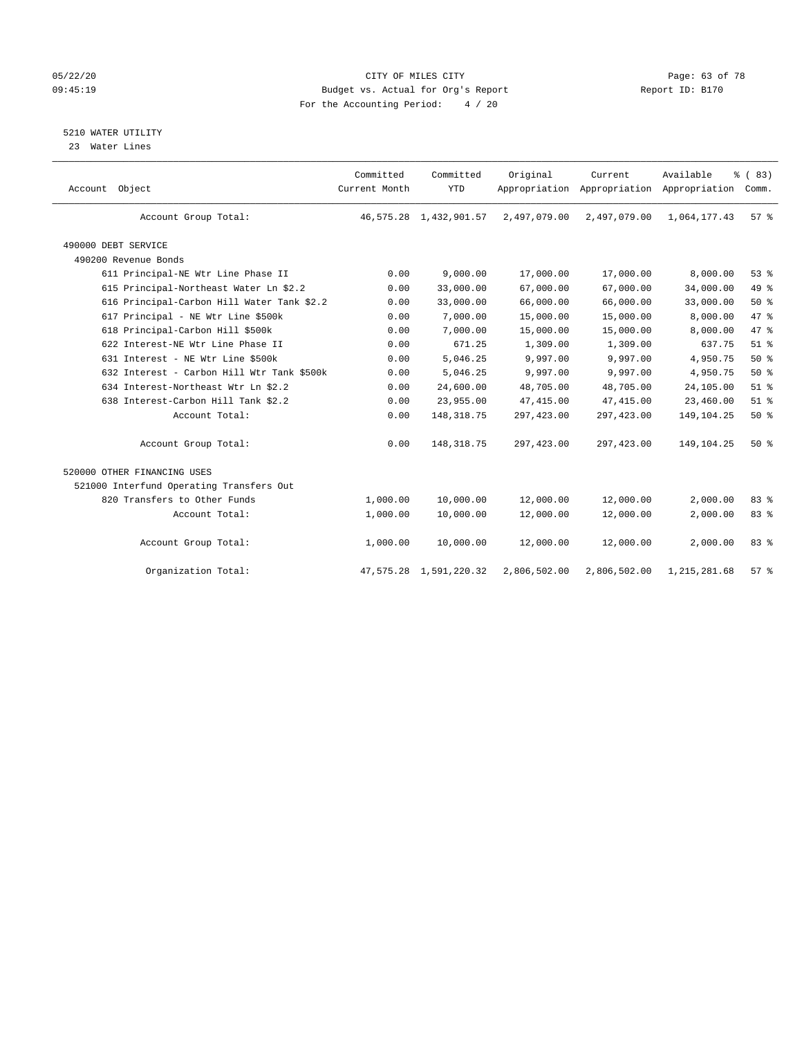## 05/22/20 Page: 63 of 78 09:45:19 Budget vs. Actual for Org's Report Changer Report ID: B170 For the Accounting Period: 4 / 20

## 5210 WATER UTILITY

23 Water Lines

| Account Object                             | Committed<br>Current Month | Committed<br><b>YTD</b> | Original     | Current      | Available<br>Appropriation Appropriation Appropriation | % (83)<br>Comm. |  |
|--------------------------------------------|----------------------------|-------------------------|--------------|--------------|--------------------------------------------------------|-----------------|--|
| Account Group Total:                       |                            | 46,575.28 1,432,901.57  | 2,497,079.00 | 2,497,079.00 | 1,064,177.43                                           | 57 <sup>8</sup> |  |
| 490000 DEBT SERVICE                        |                            |                         |              |              |                                                        |                 |  |
| 490200 Revenue Bonds                       |                            |                         |              |              |                                                        |                 |  |
| 611 Principal-NE Wtr Line Phase II         | 0.00                       | 9,000.00                | 17,000.00    | 17,000.00    | 8,000.00                                               | 53%             |  |
| 615 Principal-Northeast Water Ln \$2.2     | 0.00                       | 33,000.00               | 67,000.00    | 67,000.00    | 34,000.00                                              | 49 %            |  |
| 616 Principal-Carbon Hill Water Tank \$2.2 | 0.00                       | 33,000.00               | 66,000.00    | 66,000.00    | 33,000.00                                              | $50*$           |  |
| 617 Principal - NE Wtr Line \$500k         | 0.00                       | 7,000.00                | 15,000.00    | 15,000.00    | 8,000.00                                               | 47 %            |  |
| 618 Principal-Carbon Hill \$500k           | 0.00                       | 7,000.00                | 15,000.00    | 15,000.00    | 8,000.00                                               | 47 %            |  |
| 622 Interest-NE Wtr Line Phase II          | 0.00                       | 671.25                  | 1,309.00     | 1,309.00     | 637.75                                                 | $51$ $%$        |  |
| 631 Interest - NE Wtr Line \$500k          | 0.00                       | 5,046.25                | 9,997.00     | 9,997.00     | 4,950.75                                               | 50%             |  |
| 632 Interest - Carbon Hill Wtr Tank \$500k | 0.00                       | 5,046.25                | 9,997.00     | 9,997.00     | 4,950.75                                               | $50*$           |  |
| 634 Interest-Northeast Wtr Ln \$2.2        | 0.00                       | 24,600.00               | 48,705.00    | 48,705.00    | 24,105.00                                              | $51$ %          |  |
| 638 Interest-Carbon Hill Tank \$2.2        | 0.00                       | 23,955.00               | 47, 415.00   | 47,415.00    | 23,460.00                                              | $51$ %          |  |
| Account Total:                             | 0.00                       | 148, 318.75             | 297,423.00   | 297, 423.00  | 149, 104. 25                                           | 50%             |  |
| Account Group Total:                       | 0.00                       | 148, 318.75             | 297,423.00   | 297, 423.00  | 149,104.25                                             | 50%             |  |
| 520000 OTHER FINANCING USES                |                            |                         |              |              |                                                        |                 |  |
| 521000 Interfund Operating Transfers Out   |                            |                         |              |              |                                                        |                 |  |
| 820 Transfers to Other Funds               | 1,000.00                   | 10,000.00               | 12,000.00    | 12,000.00    | 2,000.00                                               | 83%             |  |
| Account Total:                             | 1,000.00                   | 10,000.00               | 12,000.00    | 12,000.00    | 2,000.00                                               | 83 %            |  |
| Account Group Total:                       | 1,000.00                   | 10,000.00               | 12,000.00    | 12,000.00    | 2,000.00                                               | 83%             |  |
| Organization Total:                        | 47,575.28                  | 1,591,220.32            | 2,806,502.00 | 2,806,502.00 | 1, 215, 281.68                                         | 57%             |  |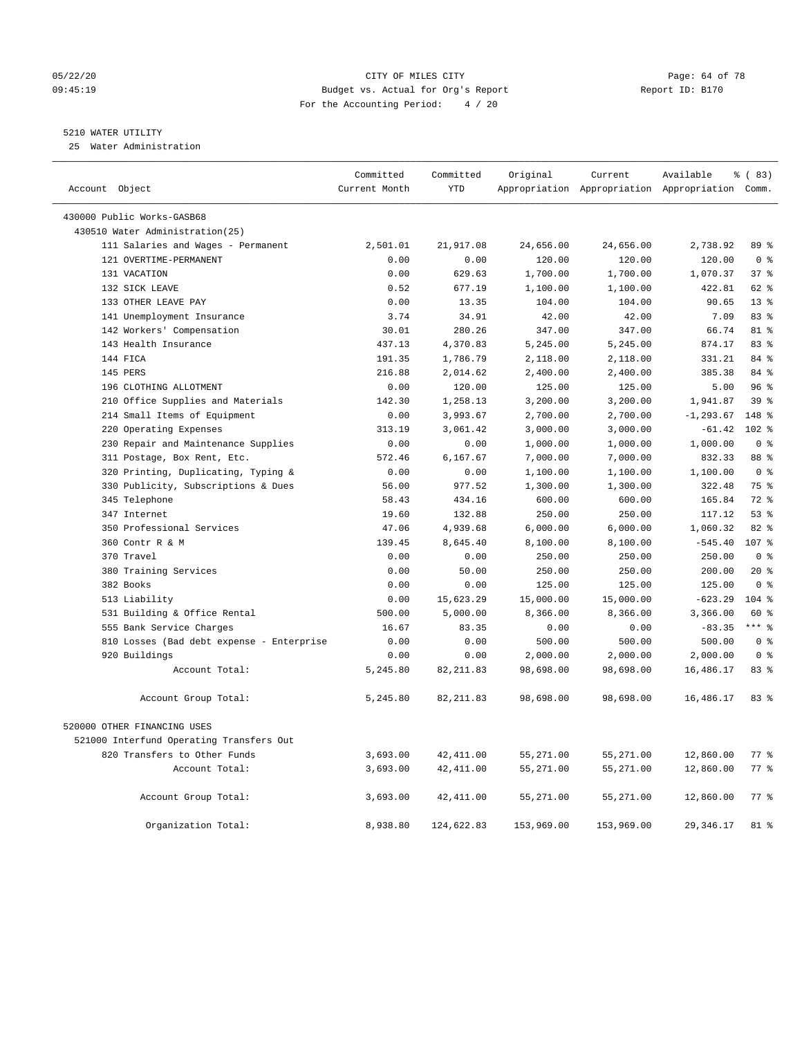#### 05/22/20 Page: 64 of 78 09:45:19 Budget vs. Actual for Org's Report Changer Report ID: B170 For the Accounting Period: 4 / 20

————————————————————————————————————————————————————————————————————————————————————————————————————————————————————————————————————

## 5210 WATER UTILITY

25 Water Administration

|                                           | Committed     | Committed  | Original   | Current    | Available                                       | % (83)             |  |
|-------------------------------------------|---------------|------------|------------|------------|-------------------------------------------------|--------------------|--|
| Account Object                            | Current Month | <b>YTD</b> |            |            | Appropriation Appropriation Appropriation Comm. |                    |  |
| 430000 Public Works-GASB68                |               |            |            |            |                                                 |                    |  |
| 430510 Water Administration(25)           |               |            |            |            |                                                 |                    |  |
| 111 Salaries and Wages - Permanent        | 2,501.01      | 21,917.08  | 24,656.00  | 24,656.00  | 2,738.92                                        | 89 %               |  |
| 121 OVERTIME-PERMANENT                    | 0.00          | 0.00       | 120.00     | 120.00     | 120.00                                          | 0 <sup>8</sup>     |  |
| 131 VACATION                              | 0.00          | 629.63     | 1,700.00   | 1,700.00   | 1,070.37                                        | 378                |  |
| 132 SICK LEAVE                            | 0.52          | 677.19     | 1,100.00   | 1,100.00   | 422.81                                          | 62 %               |  |
| 133 OTHER LEAVE PAY                       | 0.00          | 13.35      | 104.00     | 104.00     | 90.65                                           | $13*$              |  |
| 141 Unemployment Insurance                | 3.74          | 34.91      | 42.00      | 42.00      | 7.09                                            | 83%                |  |
| 142 Workers' Compensation                 | 30.01         | 280.26     | 347.00     | 347.00     | 66.74                                           | 81 %               |  |
| 143 Health Insurance                      | 437.13        | 4,370.83   | 5,245.00   | 5,245.00   | 874.17                                          | 83%                |  |
| 144 FICA                                  | 191.35        | 1,786.79   | 2,118.00   | 2,118.00   | 331.21                                          | 84 %               |  |
| 145 PERS                                  | 216.88        | 2,014.62   | 2,400.00   | 2,400.00   | 385.38                                          | 84 %               |  |
| 196 CLOTHING ALLOTMENT                    | 0.00          | 120.00     | 125.00     | 125.00     | 5.00                                            | 96%                |  |
| 210 Office Supplies and Materials         | 142.30        | 1,258.13   | 3,200.00   | 3,200.00   | 1,941.87                                        | 39 <sup>8</sup>    |  |
| 214 Small Items of Equipment              | 0.00          | 3,993.67   | 2,700.00   | 2,700.00   | $-1, 293.67$                                    | 148 %              |  |
| 220 Operating Expenses                    | 313.19        | 3,061.42   | 3,000.00   | 3,000.00   | $-61.42$                                        | $102*$             |  |
| 230 Repair and Maintenance Supplies       | 0.00          | 0.00       | 1,000.00   | 1,000.00   | 1,000.00                                        | 0 <sup>8</sup>     |  |
| 311 Postage, Box Rent, Etc.               | 572.46        | 6,167.67   | 7,000.00   | 7,000.00   | 832.33                                          | 88 %               |  |
| 320 Printing, Duplicating, Typing &       | 0.00          | 0.00       | 1,100.00   | 1,100.00   | 1,100.00                                        | 0 <sup>8</sup>     |  |
| 330 Publicity, Subscriptions & Dues       | 56.00         | 977.52     | 1,300.00   | 1,300.00   | 322.48                                          | 75 %               |  |
| 345 Telephone                             | 58.43         | 434.16     | 600.00     | 600.00     | 165.84                                          | 72 %               |  |
| 347 Internet                              | 19.60         | 132.88     | 250.00     | 250.00     | 117.12                                          | 53%                |  |
| 350 Professional Services                 | 47.06         | 4,939.68   | 6,000.00   | 6,000.00   | 1,060.32                                        | 82%                |  |
| 360 Contr R & M                           | 139.45        | 8,645.40   | 8,100.00   | 8,100.00   | $-545.40$                                       | 107 %              |  |
| 370 Travel                                | 0.00          | 0.00       | 250.00     | 250.00     | 250.00                                          | 0 <sup>8</sup>     |  |
| 380 Training Services                     | 0.00          | 50.00      | 250.00     | 250.00     | 200.00                                          | $20*$              |  |
| 382 Books                                 | 0.00          | 0.00       | 125.00     | 125.00     | 125.00                                          | 0 <sup>8</sup>     |  |
| 513 Liability                             | 0.00          | 15,623.29  | 15,000.00  | 15,000.00  | $-623.29$                                       | 104 %              |  |
| 531 Building & Office Rental              | 500.00        | 5,000.00   | 8,366.00   | 8,366.00   | 3,366.00                                        | 60 %               |  |
| 555 Bank Service Charges                  | 16.67         | 83.35      | 0.00       | 0.00       | $-83.35$                                        | $***$ %            |  |
| 810 Losses (Bad debt expense - Enterprise | 0.00          | 0.00       | 500.00     | 500.00     | 500.00                                          | 0 <sup>8</sup>     |  |
| 920 Buildings                             | 0.00          | 0.00       | 2,000.00   | 2,000.00   | 2,000.00                                        | 0 <sup>8</sup>     |  |
| Account Total:                            | 5,245.80      | 82, 211.83 | 98,698.00  | 98,698.00  | 16,486.17                                       | 83%                |  |
| Account Group Total:                      | 5,245.80      | 82, 211.83 | 98,698.00  | 98,698.00  | 16,486.17                                       | 83%                |  |
| 520000 OTHER FINANCING USES               |               |            |            |            |                                                 |                    |  |
| 521000 Interfund Operating Transfers Out  |               |            |            |            |                                                 |                    |  |
| 820 Transfers to Other Funds              | 3,693.00      | 42, 411.00 | 55,271.00  | 55,271.00  | 12,860.00                                       | $77$ $\frac{6}{9}$ |  |
| Account Total:                            | 3,693.00      | 42, 411.00 | 55,271.00  | 55,271.00  | 12,860.00                                       | 77.8               |  |
|                                           |               |            |            |            |                                                 |                    |  |
| Account Group Total:                      | 3,693.00      | 42, 411.00 | 55,271.00  | 55,271.00  | 12,860.00                                       | 77.8               |  |
| Organization Total:                       | 8,938.80      | 124,622.83 | 153,969.00 | 153,969.00 | 29, 346.17                                      | 81 %               |  |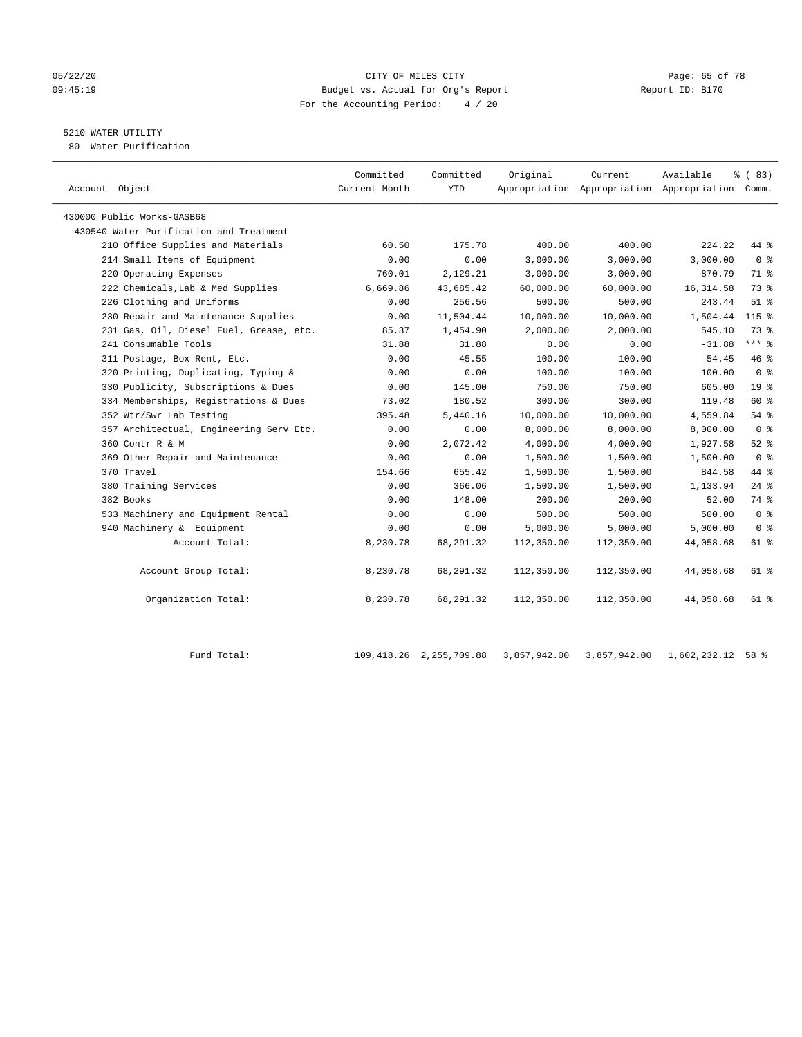#### 05/22/20 Page: 65 of 78 09:45:19 Budget vs. Actual for Org's Report Report ID: B170 For the Accounting Period: 4 / 20

## 5210 WATER UTILITY

80 Water Purification

| Account Object                          | Committed<br>Current Month | Committed<br><b>YTD</b> | Original   | Current    | Available<br>Appropriation Appropriation Appropriation Comm. | % (83)          |
|-----------------------------------------|----------------------------|-------------------------|------------|------------|--------------------------------------------------------------|-----------------|
| 430000 Public Works-GASB68              |                            |                         |            |            |                                                              |                 |
| 430540 Water Purification and Treatment |                            |                         |            |            |                                                              |                 |
| 210 Office Supplies and Materials       | 60.50                      | 175.78                  | 400.00     | 400.00     | 224.22                                                       | 44 %            |
| 214 Small Items of Equipment            | 0.00                       | 0.00                    | 3,000.00   | 3,000.00   | 3,000.00                                                     | 0 <sup>8</sup>  |
| 220 Operating Expenses                  | 760.01                     | 2,129.21                | 3,000.00   | 3,000.00   | 870.79                                                       | 71 %            |
| 222 Chemicals, Lab & Med Supplies       | 6,669.86                   | 43,685.42               | 60,000.00  | 60,000.00  | 16, 314.58                                                   | 73 %            |
| 226 Clothing and Uniforms               | 0.00                       | 256.56                  | 500.00     | 500.00     | 243.44                                                       | $51$ %          |
| 230 Repair and Maintenance Supplies     | 0.00                       | 11,504.44               | 10,000.00  | 10,000.00  | $-1,504.44$                                                  | $115$ %         |
| 231 Gas, Oil, Diesel Fuel, Grease, etc. | 85.37                      | 1,454.90                | 2,000.00   | 2,000.00   | 545.10                                                       | 73.8            |
| 241 Consumable Tools                    | 31.88                      | 31.88                   | 0.00       | 0.00       | $-31.88$                                                     | $***$ $_{8}$    |
| 311 Postage, Box Rent, Etc.             | 0.00                       | 45.55                   | 100.00     | 100.00     | 54.45                                                        | 46 %            |
| 320 Printing, Duplicating, Typing &     | 0.00                       | 0.00                    | 100.00     | 100.00     | 100.00                                                       | 0 <sup>8</sup>  |
| 330 Publicity, Subscriptions & Dues     | 0.00                       | 145.00                  | 750.00     | 750.00     | 605.00                                                       | 19 <sup>°</sup> |
| 334 Memberships, Registrations & Dues   | 73.02                      | 180.52                  | 300.00     | 300.00     | 119.48                                                       | 60 %            |
| 352 Wtr/Swr Lab Testing                 | 395.48                     | 5,440.16                | 10,000.00  | 10,000.00  | 4,559.84                                                     | 54 %            |
| 357 Architectual, Engineering Serv Etc. | 0.00                       | 0.00                    | 8,000.00   | 8,000.00   | 8,000.00                                                     | 0 <sup>8</sup>  |
| 360 Contr R & M                         | 0.00                       | 2,072.42                | 4,000.00   | 4,000.00   | 1,927.58                                                     | $52$ $%$        |
| 369 Other Repair and Maintenance        | 0.00                       | 0.00                    | 1,500.00   | 1,500.00   | 1,500.00                                                     | 0 <sup>8</sup>  |
| 370 Travel                              | 154.66                     | 655.42                  | 1,500.00   | 1,500.00   | 844.58                                                       | 44 %            |
| 380 Training Services                   | 0.00                       | 366.06                  | 1,500.00   | 1,500.00   | 1,133.94                                                     | $24$ %          |
| 382 Books                               | 0.00                       | 148.00                  | 200.00     | 200.00     | 52.00                                                        | 74 %            |
| 533 Machinery and Equipment Rental      | 0.00                       | 0.00                    | 500.00     | 500.00     | 500.00                                                       | 0 <sup>8</sup>  |
| 940 Machinery & Equipment               | 0.00                       | 0.00                    | 5,000.00   | 5,000.00   | 5,000.00                                                     | 0 <sup>8</sup>  |
| Account Total:                          | 8,230.78                   | 68,291.32               | 112,350.00 | 112,350.00 | 44,058.68                                                    | 61 %            |
| Account Group Total:                    | 8,230.78                   | 68,291.32               | 112,350.00 | 112,350.00 | 44,058.68                                                    | 61 %            |
| Organization Total:                     | 8,230.78                   | 68,291.32               | 112,350.00 | 112,350.00 | 44,058.68                                                    | 61 %            |

Fund Total: 109,418.26 2,255,709.88 3,857,942.00 3,857,942.00 1,602,232.12 58 %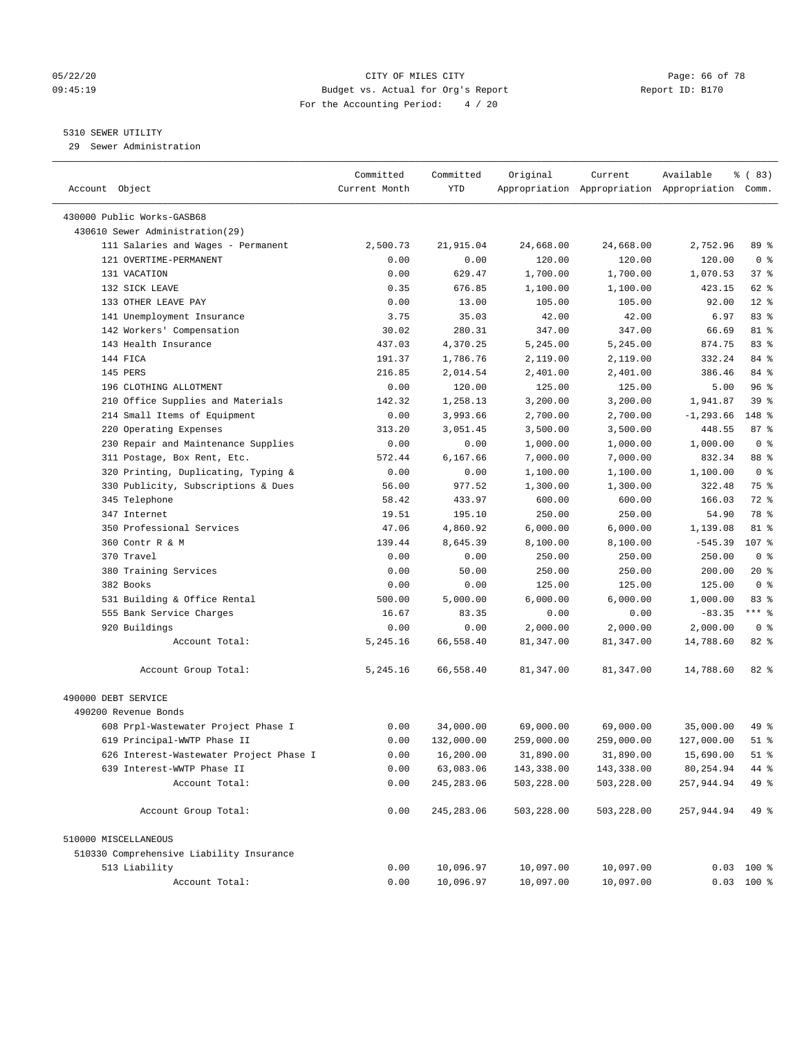#### 05/22/20 Page: 66 of 78 09:45:19 Budget vs. Actual for Org's Report Report ID: B170 For the Accounting Period: 4 / 20

————————————————————————————————————————————————————————————————————————————————————————————————————————————————————————————————————

## 5310 SEWER UTILITY

29 Sewer Administration

|                                          | Committed     | Committed   | Original   | Current    | Available                                       | १ (83)         |
|------------------------------------------|---------------|-------------|------------|------------|-------------------------------------------------|----------------|
| Account Object                           | Current Month | YTD         |            |            | Appropriation Appropriation Appropriation Comm. |                |
| 430000 Public Works-GASB68               |               |             |            |            |                                                 |                |
| 430610 Sewer Administration(29)          |               |             |            |            |                                                 |                |
| 111 Salaries and Wages - Permanent       | 2,500.73      | 21,915.04   | 24,668.00  | 24,668.00  | 2,752.96                                        | 89 %           |
| 121 OVERTIME-PERMANENT                   | 0.00          | 0.00        | 120.00     | 120.00     | 120.00                                          | 0 <sup>8</sup> |
| 131 VACATION                             | 0.00          | 629.47      | 1,700.00   | 1,700.00   | 1,070.53                                        | 37%            |
| 132 SICK LEAVE                           | 0.35          | 676.85      | 1,100.00   | 1,100.00   | 423.15                                          | 62 %           |
| 133 OTHER LEAVE PAY                      | 0.00          | 13.00       | 105.00     | 105.00     | 92.00                                           | $12*$          |
| 141 Unemployment Insurance               | 3.75          | 35.03       | 42.00      | 42.00      | 6.97                                            | 83 %           |
| 142 Workers' Compensation                | 30.02         | 280.31      | 347.00     | 347.00     | 66.69                                           | 81 %           |
| 143 Health Insurance                     | 437.03        | 4,370.25    | 5,245.00   | 5,245.00   | 874.75                                          | 83%            |
| 144 FICA                                 | 191.37        | 1,786.76    | 2,119.00   | 2,119.00   | 332.24                                          | 84 %           |
| 145 PERS                                 | 216.85        | 2,014.54    | 2,401.00   | 2,401.00   | 386.46                                          | 84 %           |
| 196 CLOTHING ALLOTMENT                   | 0.00          | 120.00      | 125.00     | 125.00     | 5.00                                            | 96%            |
| 210 Office Supplies and Materials        | 142.32        | 1,258.13    | 3,200.00   | 3,200.00   | 1,941.87                                        | 39%            |
| 214 Small Items of Equipment             | 0.00          | 3,993.66    | 2,700.00   | 2,700.00   | $-1, 293.66$                                    | 148 %          |
| 220 Operating Expenses                   | 313.20        | 3,051.45    | 3,500.00   | 3,500.00   | 448.55                                          | 87%            |
| 230 Repair and Maintenance Supplies      | 0.00          | 0.00        | 1,000.00   | 1,000.00   | 1,000.00                                        | 0 <sup>8</sup> |
| 311 Postage, Box Rent, Etc.              | 572.44        | 6,167.66    | 7,000.00   | 7,000.00   | 832.34                                          | 88 %           |
| 320 Printing, Duplicating, Typing &      | 0.00          | 0.00        | 1,100.00   | 1,100.00   | 1,100.00                                        | 0 <sup>8</sup> |
| 330 Publicity, Subscriptions & Dues      | 56.00         | 977.52      | 1,300.00   | 1,300.00   | 322.48                                          | 75 %           |
| 345 Telephone                            | 58.42         | 433.97      | 600.00     | 600.00     | 166.03                                          | 72 %           |
| 347 Internet                             | 19.51         | 195.10      | 250.00     | 250.00     | 54.90                                           | 78 %           |
| 350 Professional Services                | 47.06         | 4,860.92    | 6,000.00   | 6,000.00   | 1,139.08                                        | 81 %           |
| 360 Contr R & M                          | 139.44        | 8,645.39    | 8,100.00   | 8,100.00   | $-545.39$                                       | 107 %          |
| 370 Travel                               | 0.00          | 0.00        | 250.00     | 250.00     | 250.00                                          | 0 <sup>8</sup> |
| 380 Training Services                    | 0.00          | 50.00       | 250.00     | 250.00     | 200.00                                          | $20*$          |
| 382 Books                                | 0.00          | 0.00        | 125.00     | 125.00     | 125.00                                          | 0 <sup>8</sup> |
| 531 Building & Office Rental             | 500.00        | 5,000.00    | 6,000.00   | 6,000.00   | 1,000.00                                        | 83%            |
| 555 Bank Service Charges                 | 16.67         | 83.35       | 0.00       | 0.00       | $-83.35$                                        | *** 응          |
| 920 Buildings                            | 0.00          | 0.00        | 2,000.00   | 2,000.00   | 2,000.00                                        | 0 <sup>8</sup> |
| Account Total:                           | 5,245.16      | 66,558.40   | 81,347.00  | 81,347.00  | 14,788.60                                       | $82$ $%$       |
|                                          |               |             |            |            |                                                 |                |
| Account Group Total:                     | 5,245.16      | 66,558.40   | 81,347.00  | 81,347.00  | 14,788.60                                       | 82 %           |
| 490000 DEBT SERVICE                      |               |             |            |            |                                                 |                |
| 490200 Revenue Bonds                     |               |             |            |            |                                                 |                |
| 608 Prpl-Wastewater Project Phase I      | 0.00          | 34,000.00   | 69,000.00  | 69,000.00  | 35,000.00                                       | 49 %           |
| 619 Principal-WWTP Phase II              | 0.00          | 132,000.00  | 259,000.00 | 259,000.00 | 127,000.00                                      | $51$ %         |
| 626 Interest-Wastewater Project Phase I  | 0.00          | 16,200.00   | 31,890.00  | 31,890.00  | 15,690.00                                       | $51$ %         |
| 639 Interest-WWTP Phase II               | 0.00          | 63,083.06   | 143,338.00 | 143,338.00 | 80,254.94                                       | 44 %           |
| Account Total:                           | 0.00          | 245, 283.06 | 503,228.00 | 503,228.00 | 257,944.94                                      | 49 %           |
| Account Group Total:                     | 0.00          | 245, 283.06 | 503,228.00 | 503,228.00 | 257,944.94                                      | 49 %           |
| 510000 MISCELLANEOUS                     |               |             |            |            |                                                 |                |
| 510330 Comprehensive Liability Insurance |               |             |            |            |                                                 |                |
| 513 Liability                            | 0.00          | 10,096.97   | 10,097.00  | 10,097.00  |                                                 | $0.03$ 100 %   |
| Account Total:                           | 0.00          | 10,096.97   | 10,097.00  | 10,097.00  |                                                 | $0.03$ 100 %   |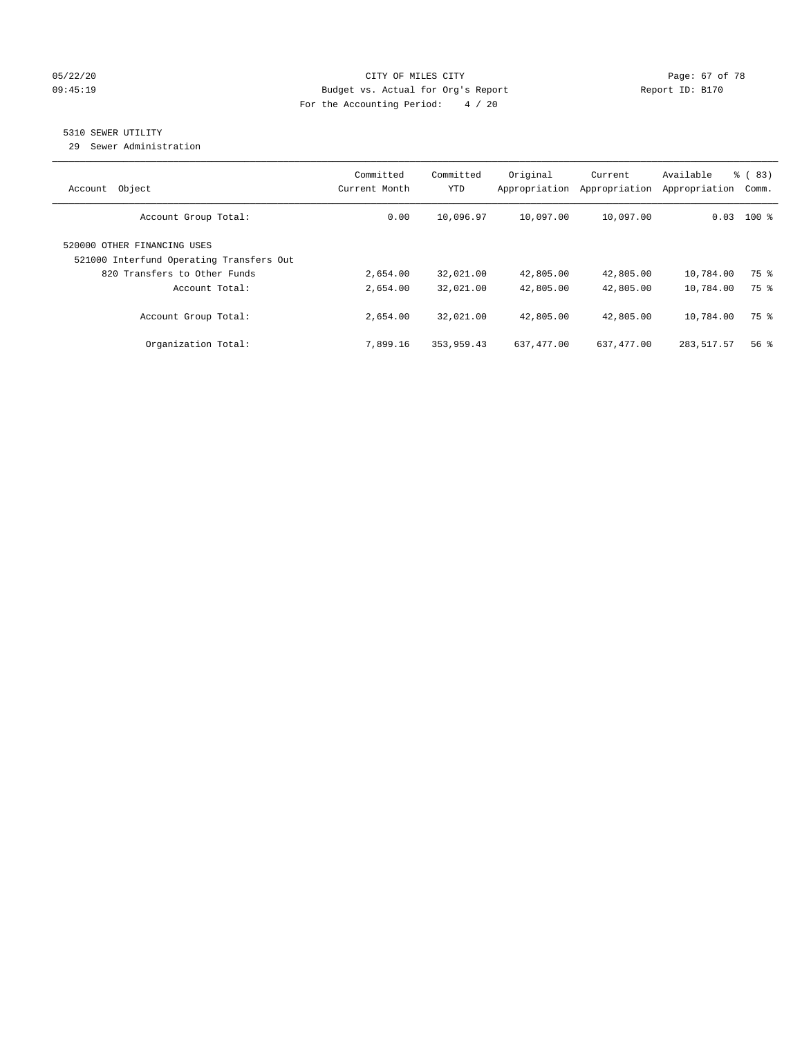#### 05/22/20 Page: 67 of 78 09:45:19 Budget vs. Actual for Org's Report Changer Report ID: B170 For the Accounting Period: 4 / 20

## 5310 SEWER UTILITY

29 Sewer Administration

| Object<br>Account                                                                                       | Committed<br>Current Month | Committed<br>YTD | Original<br>Appropriation | Current<br>Appropriation | Available<br>Appropriation | % (83)<br>Comm. |
|---------------------------------------------------------------------------------------------------------|----------------------------|------------------|---------------------------|--------------------------|----------------------------|-----------------|
| Account Group Total:                                                                                    | 0.00                       | 10,096.97        | 10,097.00                 | 10,097.00                |                            | $0.03$ 100 %    |
| 520000 OTHER FINANCING USES<br>521000 Interfund Operating Transfers Out<br>820 Transfers to Other Funds | 2,654.00                   | 32,021.00        | 42,805.00                 | 42,805.00                | 10,784.00                  | 75 %            |
| Account Total:                                                                                          | 2,654.00                   | 32,021.00        | 42,805.00                 | 42,805.00                | 10,784.00                  | 75 %            |
| Account Group Total:                                                                                    | 2,654.00                   | 32,021.00        | 42,805.00                 | 42,805.00                | 10,784.00                  | 75 %            |
| Organization Total:                                                                                     | 7,899.16                   | 353,959.43       | 637,477.00                | 637,477.00               | 283, 517.57                | 56%             |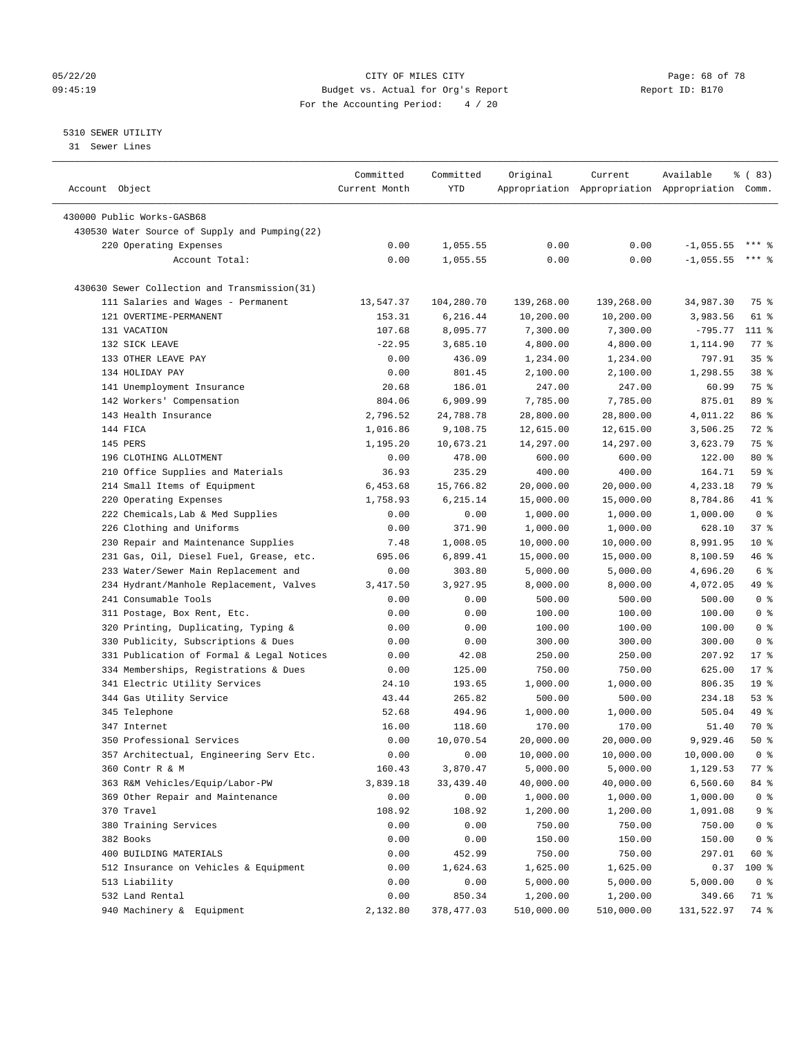#### 05/22/20 **CITY OF MILES CITY CONSUMING THE PAGE OF 78** Page: 68 of 78 09:45:19 Budget vs. Actual for Org's Report Changer Report ID: B170 For the Accounting Period: 4 / 20

————————————————————————————————————————————————————————————————————————————————————————————————————————————————————————————————————

## 5310 SEWER UTILITY

31 Sewer Lines

|                                               | Committed     | Committed   | Original   | Current                                         | Available   | <sub>ර</sub> ි (83) |
|-----------------------------------------------|---------------|-------------|------------|-------------------------------------------------|-------------|---------------------|
| Account Object                                | Current Month | YTD         |            | Appropriation Appropriation Appropriation Comm. |             |                     |
| 430000 Public Works-GASB68                    |               |             |            |                                                 |             |                     |
| 430530 Water Source of Supply and Pumping(22) |               |             |            |                                                 |             |                     |
| 220 Operating Expenses                        | 0.00          | 1,055.55    | 0.00       | 0.00                                            | $-1,055.55$ | $***$ 2             |
| Account Total:                                | 0.00          | 1,055.55    | 0.00       | 0.00                                            | $-1,055.55$ | *** 응               |
|                                               |               |             |            |                                                 |             |                     |
| 430630 Sewer Collection and Transmission(31)  |               |             |            |                                                 |             |                     |
| 111 Salaries and Wages - Permanent            | 13,547.37     | 104,280.70  | 139,268.00 | 139,268.00                                      | 34,987.30   | 75 %                |
| 121 OVERTIME-PERMANENT                        | 153.31        | 6,216.44    | 10,200.00  | 10,200.00                                       | 3,983.56    | 61 %                |
| 131 VACATION                                  | 107.68        | 8,095.77    | 7,300.00   | 7,300.00                                        | $-795.77$   | 111 %               |
| 132 SICK LEAVE                                | $-22.95$      | 3,685.10    | 4,800.00   | 4,800.00                                        | 1,114.90    | $77$ $\frac{6}{9}$  |
| 133 OTHER LEAVE PAY                           | 0.00          | 436.09      | 1,234.00   | 1,234.00                                        | 797.91      | 35%                 |
| 134 HOLIDAY PAY                               | 0.00          | 801.45      | 2,100.00   | 2,100.00                                        | 1,298.55    | 38 <sup>8</sup>     |
| 141 Unemployment Insurance                    | 20.68         | 186.01      | 247.00     | 247.00                                          | 60.99       | 75 %                |
| 142 Workers' Compensation                     | 804.06        | 6,909.99    | 7,785.00   | 7,785.00                                        | 875.01      | 89 %                |
| 143 Health Insurance                          | 2,796.52      | 24,788.78   | 28,800.00  | 28,800.00                                       | 4,011.22    | 86 %                |
| 144 FICA                                      | 1,016.86      | 9,108.75    | 12,615.00  | 12,615.00                                       | 3,506.25    | 72 %                |
| 145 PERS                                      | 1,195.20      | 10,673.21   | 14,297.00  | 14,297.00                                       | 3,623.79    | 75 %                |
| 196 CLOTHING ALLOTMENT                        | 0.00          | 478.00      | 600.00     | 600.00                                          | 122.00      | 80 %                |
| 210 Office Supplies and Materials             | 36.93         | 235.29      | 400.00     | 400.00                                          | 164.71      | 59 %                |
| 214 Small Items of Equipment                  | 6,453.68      | 15,766.82   | 20,000.00  | 20,000.00                                       | 4,233.18    | 79 %                |
| 220 Operating Expenses                        | 1,758.93      | 6,215.14    | 15,000.00  | 15,000.00                                       | 8,784.86    | 41 %                |
| 222 Chemicals, Lab & Med Supplies             | 0.00          | 0.00        | 1,000.00   | 1,000.00                                        | 1,000.00    | 0 <sup>8</sup>      |
| 226 Clothing and Uniforms                     | 0.00          | 371.90      | 1,000.00   | 1,000.00                                        | 628.10      | 37%                 |
| 230 Repair and Maintenance Supplies           | 7.48          | 1,008.05    | 10,000.00  | 10,000.00                                       | 8,991.95    | $10*$               |
| 231 Gas, Oil, Diesel Fuel, Grease, etc.       | 695.06        | 6,899.41    | 15,000.00  | 15,000.00                                       | 8,100.59    | 46 %                |
| 233 Water/Sewer Main Replacement and          | 0.00          | 303.80      | 5,000.00   | 5,000.00                                        | 4,696.20    | 6 %                 |
| 234 Hydrant/Manhole Replacement, Valves       | 3,417.50      | 3,927.95    | 8,000.00   | 8,000.00                                        | 4,072.05    | 49 %                |
| 241 Consumable Tools                          | 0.00          | 0.00        | 500.00     | 500.00                                          | 500.00      | 0 <sup>8</sup>      |
| 311 Postage, Box Rent, Etc.                   | 0.00          | 0.00        | 100.00     | 100.00                                          | 100.00      | 0 <sup>°</sup>      |
| 320 Printing, Duplicating, Typing &           | 0.00          | 0.00        | 100.00     | 100.00                                          | 100.00      | 0 <sup>8</sup>      |
| 330 Publicity, Subscriptions & Dues           | 0.00          | 0.00        | 300.00     | 300.00                                          | 300.00      | 0 <sup>8</sup>      |
| 331 Publication of Formal & Legal Notices     | 0.00          | 42.08       | 250.00     | 250.00                                          | 207.92      | $17*$               |
| 334 Memberships, Registrations & Dues         | 0.00          | 125.00      | 750.00     | 750.00                                          | 625.00      | $17*$               |
| 341 Electric Utility Services                 | 24.10         | 193.65      | 1,000.00   | 1,000.00                                        | 806.35      | 19 <sup>°</sup>     |
| 344 Gas Utility Service                       | 43.44         | 265.82      | 500.00     | 500.00                                          | 234.18      | 53%                 |
| 345 Telephone                                 | 52.68         | 494.96      | 1,000.00   | 1,000.00                                        | 505.04      | 49 %                |
| 347 Internet                                  | 16.00         | 118.60      | 170.00     | 170.00                                          | 51.40       | 70 %                |
| 350 Professional Services                     | 0.00          | 10,070.54   | 20,000.00  | 20,000.00                                       | 9,929.46    | 50%                 |
| 357 Architectual, Engineering Serv Etc.       | 0.00          | 0.00        | 10,000.00  | 10,000.00                                       | 10,000.00   | 0 <sup>8</sup>      |
| 360 Contr R & M                               | 160.43        | 3,870.47    | 5,000.00   | 5,000.00                                        | 1,129.53    | 77 %                |
| 363 R&M Vehicles/Equip/Labor-PW               | 3,839.18      | 33,439.40   | 40,000.00  | 40,000.00                                       | 6,560.60    | 84 %                |
| 369 Other Repair and Maintenance              | 0.00          | 0.00        | 1,000.00   | 1,000.00                                        | 1,000.00    | 0 <sup>8</sup>      |
| 370 Travel                                    | 108.92        | 108.92      | 1,200.00   | 1,200.00                                        | 1,091.08    | 9 %                 |
| 380 Training Services                         | 0.00          | 0.00        | 750.00     | 750.00                                          | 750.00      | 0 <sup>8</sup>      |
| 382 Books                                     | 0.00          | 0.00        | 150.00     | 150.00                                          | 150.00      | 0 <sup>8</sup>      |
| 400 BUILDING MATERIALS                        | 0.00          | 452.99      | 750.00     | 750.00                                          | 297.01      | 60 %                |
| 512 Insurance on Vehicles & Equipment         | 0.00          | 1,624.63    | 1,625.00   | 1,625.00                                        | 0.37        | 100 %               |
| 513 Liability                                 | 0.00          | 0.00        | 5,000.00   | 5,000.00                                        | 5,000.00    | 0 <sup>8</sup>      |
| 532 Land Rental                               | 0.00          | 850.34      | 1,200.00   | 1,200.00                                        | 349.66      | 71 %                |
| 940 Machinery & Equipment                     | 2,132.80      | 378, 477.03 | 510,000.00 | 510,000.00                                      | 131,522.97  | 74 %                |
|                                               |               |             |            |                                                 |             |                     |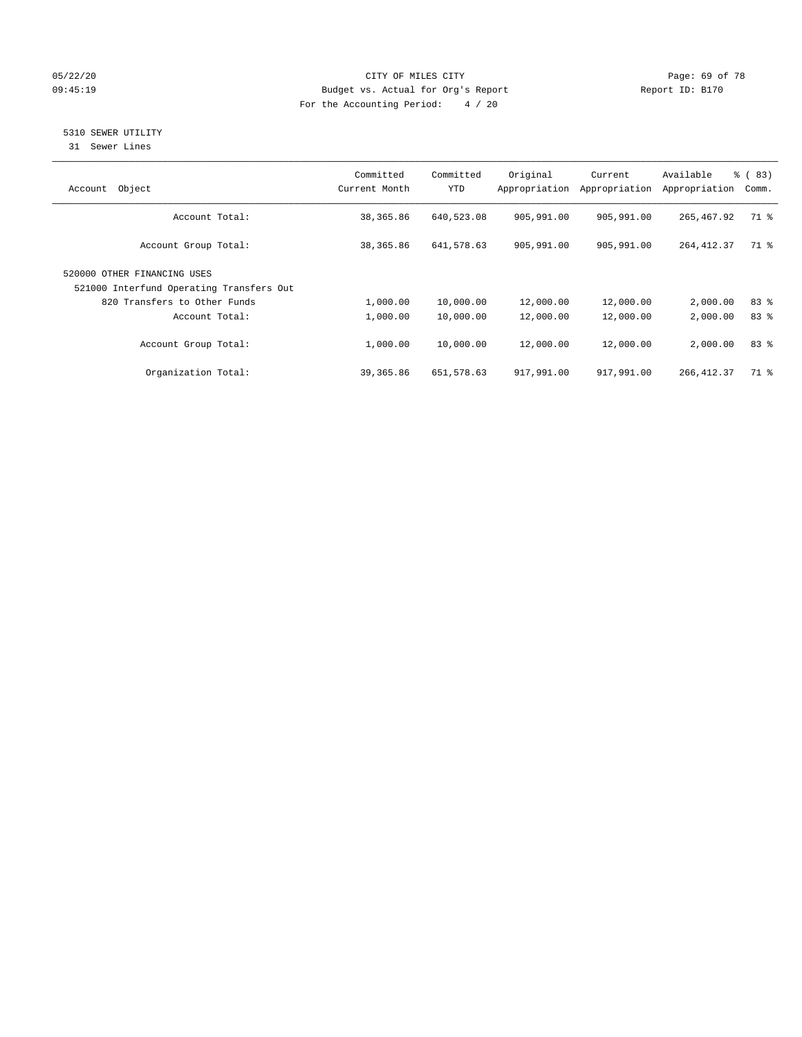#### 05/22/20 **CITY OF MILES CITY CONSUMING THE CONSUMING PAGE: 69 of 78** 09:45:19 Budget vs. Actual for Org's Report Changer Report ID: B170 For the Accounting Period: 4 / 20

## 5310 SEWER UTILITY

31 Sewer Lines

| Object<br>Account                                                       | Committed<br>Current Month | Committed<br><b>YTD</b> | Original<br>Appropriation | Current<br>Appropriation | Available<br>Appropriation | % (83)<br>Comm. |
|-------------------------------------------------------------------------|----------------------------|-------------------------|---------------------------|--------------------------|----------------------------|-----------------|
| Account Total:                                                          | 38,365.86                  | 640,523.08              | 905,991.00                | 905,991.00               | 265, 467.92                | 71 %            |
| Account Group Total:                                                    | 38,365.86                  | 641,578.63              | 905,991.00                | 905,991.00               | 264, 412.37                | 71 %            |
| 520000 OTHER FINANCING USES<br>521000 Interfund Operating Transfers Out |                            |                         |                           |                          |                            |                 |
| 820 Transfers to Other Funds                                            | 1,000.00                   | 10,000.00               | 12,000.00                 | 12,000.00                | 2,000.00                   | 83%             |
| Account Total:                                                          | 1,000.00                   | 10,000.00               | 12,000.00                 | 12,000.00                | 2,000.00                   | 83 <sup>8</sup> |
| Account Group Total:                                                    | 1,000.00                   | 10,000.00               | 12,000.00                 | 12,000.00                | 2,000.00                   | 83%             |
| Organization Total:                                                     | 39,365.86                  | 651,578.63              | 917,991.00                | 917,991.00               | 266, 412.37                | 71 %            |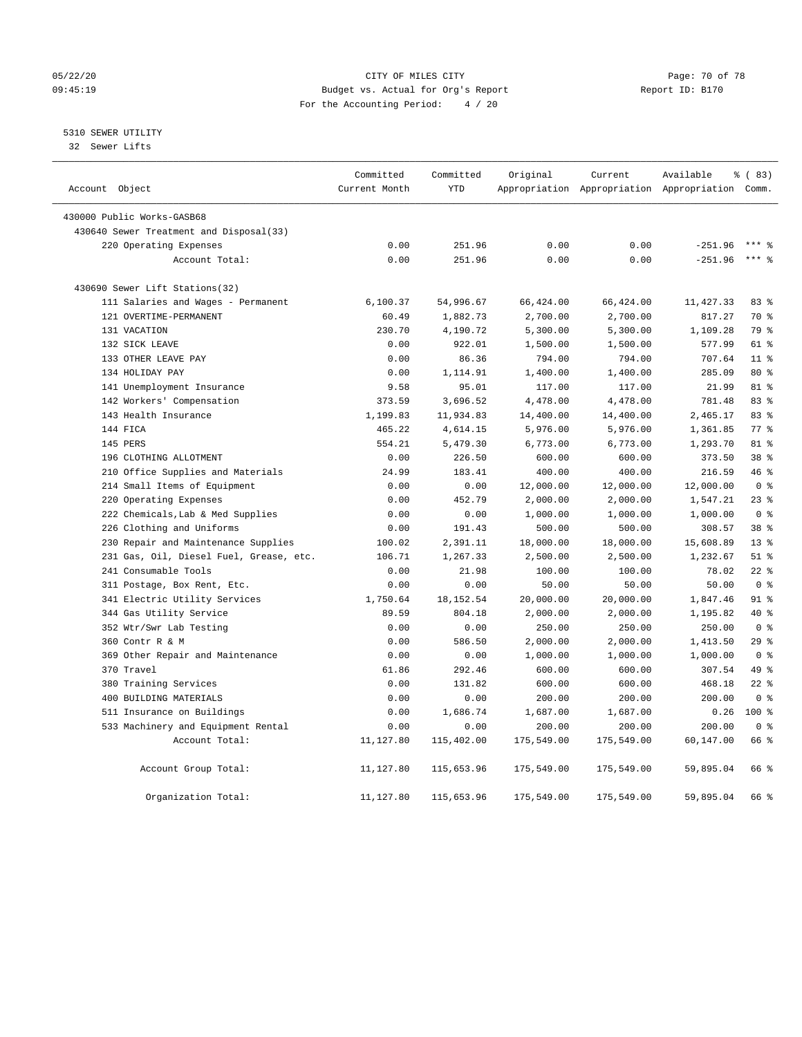#### 05/22/20 Page: 70 of 78 09:45:19 Budget vs. Actual for Org's Report Changer Report ID: B170 For the Accounting Period: 4 / 20

## 5310 SEWER UTILITY

32 Sewer Lifts

| Account Object                          | Committed<br>Current Month | Committed<br><b>YTD</b> | Original   | Current    | Available<br>Appropriation Appropriation Appropriation Comm. | 8 (83)          |
|-----------------------------------------|----------------------------|-------------------------|------------|------------|--------------------------------------------------------------|-----------------|
|                                         |                            |                         |            |            |                                                              |                 |
| 430000 Public Works-GASB68              |                            |                         |            |            |                                                              |                 |
| 430640 Sewer Treatment and Disposal(33) |                            |                         |            |            |                                                              |                 |
| 220 Operating Expenses                  | 0.00                       | 251.96                  | 0.00       | 0.00       | $-251.96$                                                    |                 |
| Account Total:                          | 0.00                       | 251.96                  | 0.00       | 0.00       | $-251.96$                                                    | $***$ 8         |
| 430690 Sewer Lift Stations(32)          |                            |                         |            |            |                                                              |                 |
| 111 Salaries and Wages - Permanent      | 6,100.37                   | 54,996.67               | 66,424.00  | 66,424.00  | 11,427.33                                                    | 83 %            |
| 121 OVERTIME-PERMANENT                  | 60.49                      | 1,882.73                | 2,700.00   | 2,700.00   | 817.27                                                       | 70 %            |
| 131 VACATION                            | 230.70                     | 4,190.72                | 5,300.00   | 5,300.00   | 1,109.28                                                     | 79 %            |
| 132 SICK LEAVE                          | 0.00                       | 922.01                  | 1,500.00   | 1,500.00   | 577.99                                                       | 61 %            |
| 133 OTHER LEAVE PAY                     | 0.00                       | 86.36                   | 794.00     | 794.00     | 707.64                                                       | 11 <sup>°</sup> |
| 134 HOLIDAY PAY                         | 0.00                       | 1,114.91                | 1,400.00   | 1,400.00   | 285.09                                                       | 80 %            |
| 141 Unemployment Insurance              | 9.58                       | 95.01                   | 117.00     | 117.00     | 21.99                                                        | 81 %            |
| 142 Workers' Compensation               | 373.59                     | 3,696.52                | 4,478.00   | 4,478.00   | 781.48                                                       | 83%             |
| 143 Health Insurance                    | 1,199.83                   | 11,934.83               | 14,400.00  | 14,400.00  | 2,465.17                                                     | 83 %            |
| 144 FICA                                | 465.22                     | 4,614.15                | 5,976.00   | 5,976.00   | 1,361.85                                                     | 77.8            |
| 145 PERS                                | 554.21                     | 5,479.30                | 6,773.00   | 6,773.00   | 1,293.70                                                     | 81 %            |
| 196 CLOTHING ALLOTMENT                  | 0.00                       | 226.50                  | 600.00     | 600.00     | 373.50                                                       | 38 <sup>8</sup> |
| 210 Office Supplies and Materials       | 24.99                      | 183.41                  | 400.00     | 400.00     | 216.59                                                       | 46 %            |
| 214 Small Items of Equipment            | 0.00                       | 0.00                    | 12,000.00  | 12,000.00  | 12,000.00                                                    | 0 <sup>8</sup>  |
| 220 Operating Expenses                  | 0.00                       | 452.79                  | 2,000.00   | 2,000.00   | 1,547.21                                                     | $23$ $%$        |
| 222 Chemicals, Lab & Med Supplies       | 0.00                       | 0.00                    | 1,000.00   | 1,000.00   | 1,000.00                                                     | 0 <sup>8</sup>  |
| 226 Clothing and Uniforms               | 0.00                       | 191.43                  | 500.00     | 500.00     | 308.57                                                       | 38 %            |
| 230 Repair and Maintenance Supplies     | 100.02                     | 2,391.11                | 18,000.00  | 18,000.00  | 15,608.89                                                    | 13 <sup>8</sup> |
| 231 Gas, Oil, Diesel Fuel, Grease, etc. | 106.71                     | 1,267.33                | 2,500.00   | 2,500.00   | 1,232.67                                                     | $51$ %          |
| 241 Consumable Tools                    | 0.00                       | 21.98                   | 100.00     | 100.00     | 78.02                                                        | $22$ %          |
| 311 Postage, Box Rent, Etc.             | 0.00                       | 0.00                    | 50.00      | 50.00      | 50.00                                                        | 0 <sup>8</sup>  |
| 341 Electric Utility Services           | 1,750.64                   | 18, 152.54              | 20,000.00  | 20,000.00  | 1,847.46                                                     | $91$ %          |
| 344 Gas Utility Service                 | 89.59                      | 804.18                  | 2,000.00   | 2,000.00   | 1,195.82                                                     | 40 %            |
| 352 Wtr/Swr Lab Testing                 | 0.00                       | 0.00                    | 250.00     | 250.00     | 250.00                                                       | 0 <sup>8</sup>  |
| 360 Contr R & M                         | 0.00                       | 586.50                  | 2,000.00   | 2,000.00   | 1,413.50                                                     | 29%             |
| 369 Other Repair and Maintenance        | 0.00                       | 0.00                    | 1,000.00   | 1,000.00   | 1,000.00                                                     | 0 <sup>8</sup>  |
| 370 Travel                              | 61.86                      | 292.46                  | 600.00     | 600.00     | 307.54                                                       | 49 %            |
| 380 Training Services                   | 0.00                       | 131.82                  | 600.00     | 600.00     | 468.18                                                       | $22$ %          |
| 400 BUILDING MATERIALS                  | 0.00                       | 0.00                    | 200.00     | 200.00     | 200.00                                                       | 0 <sup>8</sup>  |
| 511 Insurance on Buildings              | 0.00                       | 1,686.74                | 1,687.00   | 1,687.00   | 0.26                                                         | $100*$          |
| 533 Machinery and Equipment Rental      | 0.00                       | 0.00                    | 200.00     | 200.00     | 200.00                                                       | 0 <sup>8</sup>  |
| Account Total:                          | 11,127.80                  | 115,402.00              | 175,549.00 | 175,549.00 | 60,147.00                                                    | 66 %            |
| Account Group Total:                    | 11,127.80                  | 115,653.96              | 175,549.00 | 175,549.00 | 59,895.04                                                    | 66 %            |
| Organization Total:                     | 11,127.80                  | 115,653.96              | 175,549.00 | 175,549.00 | 59,895.04                                                    | 66 %            |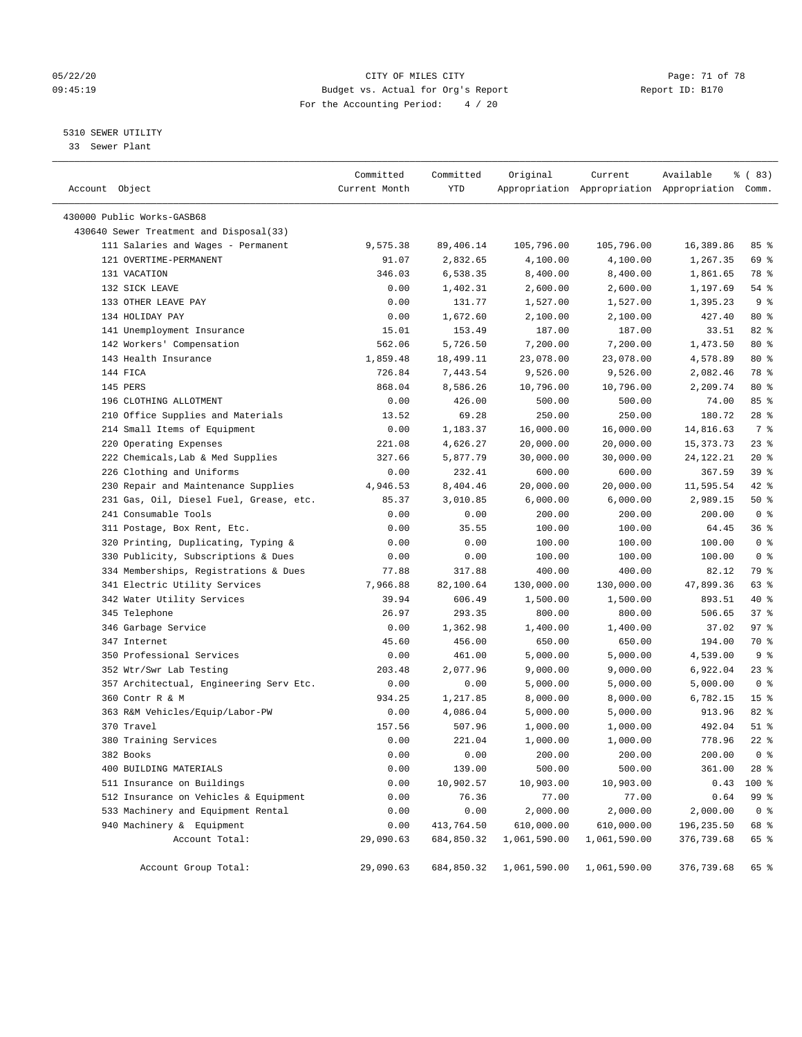#### 05/22/20 Page: 71 of 78 09:45:19 Budget vs. Actual for Org's Report Changer Report ID: B170 For the Accounting Period: 4 / 20

————————————————————————————————————————————————————————————————————————————————————————————————————————————————————————————————————

## 5310 SEWER UTILITY

33 Sewer Plant

|                                         | Committed     | Committed  | Original                             | Current      | Available                                       | % (83)          |
|-----------------------------------------|---------------|------------|--------------------------------------|--------------|-------------------------------------------------|-----------------|
| Account Object                          | Current Month | YTD        |                                      |              | Appropriation Appropriation Appropriation Comm. |                 |
| 430000 Public Works-GASB68              |               |            |                                      |              |                                                 |                 |
| 430640 Sewer Treatment and Disposal(33) |               |            |                                      |              |                                                 |                 |
| 111 Salaries and Wages - Permanent      | 9,575.38      | 89,406.14  | 105,796.00                           | 105,796.00   | 16,389.86                                       | 85 %            |
| 121 OVERTIME-PERMANENT                  | 91.07         | 2,832.65   | 4,100.00                             | 4,100.00     | 1,267.35                                        | 69 %            |
| 131 VACATION                            | 346.03        | 6,538.35   | 8,400.00                             | 8,400.00     | 1,861.65                                        | 78 %            |
| 132 SICK LEAVE                          | 0.00          | 1,402.31   | 2,600.00                             | 2,600.00     | 1,197.69                                        | $54$ %          |
| 133 OTHER LEAVE PAY                     | 0.00          | 131.77     | 1,527.00                             | 1,527.00     | 1,395.23                                        | 9 <sub>8</sub>  |
| 134 HOLIDAY PAY                         | 0.00          | 1,672.60   | 2,100.00                             | 2,100.00     | 427.40                                          | 80 %            |
| 141 Unemployment Insurance              | 15.01         | 153.49     | 187.00                               | 187.00       | 33.51                                           | 82%             |
| 142 Workers' Compensation               | 562.06        | 5,726.50   | 7,200.00                             | 7,200.00     | 1,473.50                                        | $80*$           |
| 143 Health Insurance                    | 1,859.48      | 18,499.11  | 23,078.00                            | 23,078.00    | 4,578.89                                        | 80 %            |
| 144 FICA                                | 726.84        | 7,443.54   | 9,526.00                             | 9,526.00     | 2,082.46                                        | 78 %            |
| 145 PERS                                | 868.04        | 8,586.26   | 10,796.00                            | 10,796.00    | 2,209.74                                        | $80*$           |
| 196 CLOTHING ALLOTMENT                  | 0.00          | 426.00     | 500.00                               | 500.00       | 74.00                                           | 85 %            |
| 210 Office Supplies and Materials       | 13.52         | 69.28      | 250.00                               | 250.00       | 180.72                                          | $28$ %          |
| 214 Small Items of Equipment            | 0.00          | 1,183.37   | 16,000.00                            | 16,000.00    | 14,816.63                                       | 7 %             |
| 220 Operating Expenses                  | 221.08        | 4,626.27   | 20,000.00                            | 20,000.00    | 15,373.73                                       | $23$ %          |
| 222 Chemicals, Lab & Med Supplies       | 327.66        | 5,877.79   | 30,000.00                            | 30,000.00    | 24,122.21                                       | $20*$           |
| 226 Clothing and Uniforms               | 0.00          | 232.41     | 600.00                               | 600.00       | 367.59                                          | 39 %            |
| 230 Repair and Maintenance Supplies     | 4,946.53      | 8,404.46   | 20,000.00                            | 20,000.00    | 11,595.54                                       | $42$ %          |
| 231 Gas, Oil, Diesel Fuel, Grease, etc. | 85.37         | 3,010.85   | 6,000.00                             | 6,000.00     | 2,989.15                                        | 50%             |
| 241 Consumable Tools                    | 0.00          | 0.00       | 200.00                               | 200.00       | 200.00                                          | 0 <sup>8</sup>  |
| 311 Postage, Box Rent, Etc.             | 0.00          | 35.55      | 100.00                               | 100.00       | 64.45                                           | 36%             |
| 320 Printing, Duplicating, Typing &     | 0.00          | 0.00       | 100.00                               | 100.00       | 100.00                                          | 0 <sup>8</sup>  |
| 330 Publicity, Subscriptions & Dues     | 0.00          | 0.00       | 100.00                               | 100.00       | 100.00                                          | 0 <sup>8</sup>  |
| 334 Memberships, Registrations & Dues   | 77.88         | 317.88     | 400.00                               | 400.00       | 82.12                                           | 79 %            |
| 341 Electric Utility Services           | 7,966.88      | 82,100.64  | 130,000.00                           | 130,000.00   | 47,899.36                                       | 63 %            |
| 342 Water Utility Services              | 39.94         | 606.49     | 1,500.00                             | 1,500.00     | 893.51                                          | 40 %            |
| 345 Telephone                           | 26.97         | 293.35     | 800.00                               | 800.00       | 506.65                                          | 37%             |
| 346 Garbage Service                     | 0.00          | 1,362.98   | 1,400.00                             | 1,400.00     | 37.02                                           | 97%             |
| 347 Internet                            | 45.60         | 456.00     | 650.00                               | 650.00       | 194.00                                          | 70 %            |
| 350 Professional Services               | 0.00          | 461.00     | 5,000.00                             | 5,000.00     | 4,539.00                                        | 9 <sup>8</sup>  |
| 352 Wtr/Swr Lab Testing                 | 203.48        | 2,077.96   | 9,000.00                             | 9,000.00     | 6,922.04                                        | $23$ %          |
| 357 Architectual, Engineering Serv Etc. | 0.00          | 0.00       | 5,000.00                             | 5,000.00     | 5,000.00                                        | 0 <sup>8</sup>  |
| 360 Contr R & M                         | 934.25        | 1,217.85   | 8,000.00                             | 8,000.00     | 6,782.15                                        | 15 <sup>°</sup> |
| 363 R&M Vehicles/Equip/Labor-PW         | 0.00          | 4,086.04   | 5,000.00                             | 5,000.00     | 913.96                                          | $82$ $%$        |
| 370 Travel                              | 157.56        | 507.96     | 1,000.00                             | 1,000.00     | 492.04                                          | $51$ %          |
| 380 Training Services                   | 0.00          | 221.04     | 1,000.00                             | 1,000.00     | 778.96                                          | $22$ %          |
| 382 Books                               | 0.00          | 0.00       | 200.00                               | 200.00       | 200.00                                          | 0 <sup>8</sup>  |
| 400 BUILDING MATERIALS                  | 0.00          | 139.00     | 500.00                               | 500.00       | 361.00                                          | 28 %            |
| 511 Insurance on Buildings              | 0.00          | 10,902.57  | 10,903.00                            | 10,903.00    | 0.43                                            | 100 %           |
| 512 Insurance on Vehicles & Equipment   | 0.00          | 76.36      | 77.00                                | 77.00        | 0.64                                            | 99 %            |
| 533 Machinery and Equipment Rental      | 0.00          | 0.00       | 2,000.00                             | 2,000.00     | 2,000.00                                        | 0 <sup>8</sup>  |
| 940 Machinery & Equipment               | 0.00          | 413,764.50 | 610,000.00                           | 610,000.00   | 196,235.50                                      | 68 %            |
| Account Total:                          | 29,090.63     | 684,850.32 | 1,061,590.00                         | 1,061,590.00 | 376,739.68                                      | 65 %            |
|                                         |               |            |                                      |              |                                                 |                 |
| Account Group Total:                    | 29,090.63     |            | 684,850.32 1,061,590.00 1,061,590.00 |              | 376,739.68                                      | 65 %            |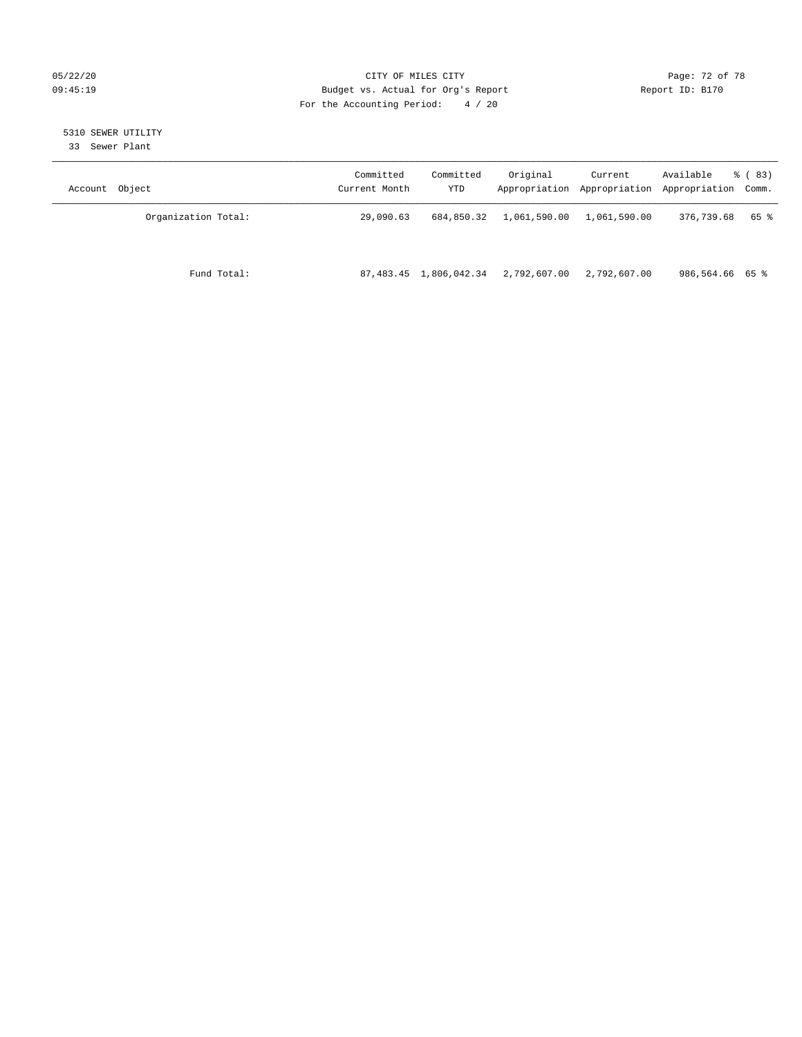### 05/22/20 Page: 72 of 78 09:45:19 Budget vs. Actual for Org's Report Changer Report ID: B170 For the Accounting Period: 4 / 20

## 5310 SEWER UTILITY

33 Sewer Plant

| Account Object      | Committed<br>Current Month | Committed<br>YTD       | Original     | Current      | Available<br>Appropriation Appropriation Appropriation Comm. | % (83) |
|---------------------|----------------------------|------------------------|--------------|--------------|--------------------------------------------------------------|--------|
| Organization Total: | 29,090.63                  | 684,850.32             | 1,061,590.00 | 1,061,590.00 | 376,739.68                                                   | 65 %   |
| Fund Total:         |                            | 87,483.45 1,806,042.34 | 2,792,607.00 | 2,792,607.00 | 986,564.66 65 %                                              |        |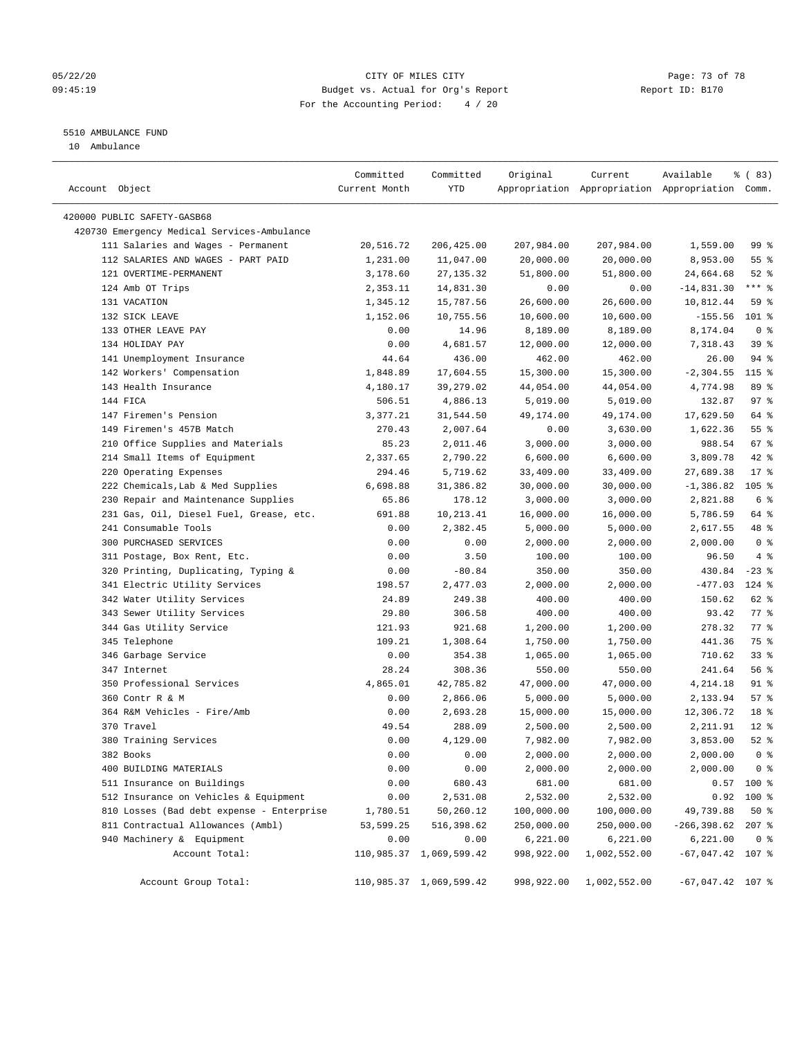## 05/22/20 Page: 73 of 78 09:45:19 Budget vs. Actual for Org's Report Changer Report ID: B170 For the Accounting Period: 4 / 20

————————————————————————————————————————————————————————————————————————————————————————————————————————————————————————————————————

# 5510 AMBULANCE FUND

10 Ambulance

|                                             | Committed     | Committed               | Original   | Current              | Available                                       | % (83)          |
|---------------------------------------------|---------------|-------------------------|------------|----------------------|-------------------------------------------------|-----------------|
| Account Object                              | Current Month | YTD                     |            |                      | Appropriation Appropriation Appropriation Comm. |                 |
| 420000 PUBLIC SAFETY-GASB68                 |               |                         |            |                      |                                                 |                 |
| 420730 Emergency Medical Services-Ambulance |               |                         |            |                      |                                                 |                 |
| 111 Salaries and Wages - Permanent          | 20,516.72     | 206,425.00              | 207,984.00 | 207,984.00           | 1,559.00                                        | 99 <sub>8</sub> |
| 112 SALARIES AND WAGES - PART PAID          | 1,231.00      | 11,047.00               | 20,000.00  | 20,000.00            | 8,953.00                                        | $55$ $%$        |
| 121 OVERTIME-PERMANENT                      | 3,178.60      | 27, 135.32              | 51,800.00  | 51,800.00            | 24,664.68                                       | $52$ $%$        |
| 124 Amb OT Trips                            | 2,353.11      | 14,831.30               | 0.00       | 0.00                 | $-14,831.30$                                    | $***$ $-$       |
| 131 VACATION                                | 1,345.12      | 15,787.56               | 26,600.00  | 26,600.00            | 10,812.44                                       | 59 %            |
| 132 SICK LEAVE                              | 1,152.06      | 10,755.56               | 10,600.00  | 10,600.00            | $-155.56$                                       | $101$ %         |
| 133 OTHER LEAVE PAY                         | 0.00          | 14.96                   | 8,189.00   | 8,189.00             | 8,174.04                                        | 0 <sup>8</sup>  |
| 134 HOLIDAY PAY                             | 0.00          | 4,681.57                | 12,000.00  | 12,000.00            | 7,318.43                                        | 39 %            |
| 141 Unemployment Insurance                  | 44.64         | 436.00                  | 462.00     | 462.00               | 26.00                                           | 94 %            |
| 142 Workers' Compensation                   | 1,848.89      | 17,604.55               | 15,300.00  | 15,300.00            | $-2, 304.55$                                    | 115 %           |
| 143 Health Insurance                        | 4,180.17      | 39,279.02               | 44,054.00  | 44,054.00            | 4,774.98                                        | 89 %            |
| 144 FICA                                    | 506.51        | 4,886.13                | 5,019.00   | 5,019.00             | 132.87                                          | 97%             |
| 147 Firemen's Pension                       | 3,377.21      | 31,544.50               | 49,174.00  | 49,174.00            | 17,629.50                                       | 64 %            |
| 149 Firemen's 457B Match                    |               | 2,007.64                |            |                      |                                                 | 55 %            |
|                                             | 270.43        |                         | 0.00       | 3,630.00<br>3,000.00 | 1,622.36                                        |                 |
| 210 Office Supplies and Materials           | 85.23         | 2,011.46                | 3,000.00   |                      | 988.54                                          | $67$ %          |
| 214 Small Items of Equipment                | 2,337.65      | 2,790.22                | 6,600.00   | 6,600.00             | 3,809.78                                        | 42 %            |
| 220 Operating Expenses                      | 294.46        | 5,719.62                | 33,409.00  | 33,409.00            | 27,689.38                                       | $17*$           |
| 222 Chemicals, Lab & Med Supplies           | 6,698.88      | 31,386.82               | 30,000.00  | 30,000.00            | $-1,386.82$                                     | $105$ %         |
| 230 Repair and Maintenance Supplies         | 65.86         | 178.12                  | 3,000.00   | 3,000.00             | 2,821.88                                        | 6 <sup>8</sup>  |
| 231 Gas, Oil, Diesel Fuel, Grease, etc.     | 691.88        | 10,213.41               | 16,000.00  | 16,000.00            | 5,786.59                                        | 64 %            |
| 241 Consumable Tools                        | 0.00          | 2,382.45                | 5,000.00   | 5,000.00             | 2,617.55                                        | 48 %            |
| 300 PURCHASED SERVICES                      | 0.00          | 0.00                    | 2,000.00   | 2,000.00             | 2,000.00                                        | 0 <sup>8</sup>  |
| 311 Postage, Box Rent, Etc.                 | 0.00          | 3.50                    | 100.00     | 100.00               | 96.50                                           | 4%              |
| 320 Printing, Duplicating, Typing &         | 0.00          | $-80.84$                | 350.00     | 350.00               | 430.84                                          | $-23$ %         |
| 341 Electric Utility Services               | 198.57        | 2,477.03                | 2,000.00   | 2,000.00             | $-477.03$                                       | $124$ %         |
| 342 Water Utility Services                  | 24.89         | 249.38                  | 400.00     | 400.00               | 150.62                                          | 62 %            |
| 343 Sewer Utility Services                  | 29.80         | 306.58                  | 400.00     | 400.00               | 93.42                                           | $77$ $%$        |
| 344 Gas Utility Service                     | 121.93        | 921.68                  | 1,200.00   | 1,200.00             | 278.32                                          | $77$ $%$        |
| 345 Telephone                               | 109.21        | 1,308.64                | 1,750.00   | 1,750.00             | 441.36                                          | 75 %            |
| 346 Garbage Service                         | 0.00          | 354.38                  | 1,065.00   | 1,065.00             | 710.62                                          | $33$ $%$        |
| 347 Internet                                | 28.24         | 308.36                  | 550.00     | 550.00               | 241.64                                          | 56%             |
| 350 Professional Services                   | 4,865.01      | 42,785.82               | 47,000.00  | 47,000.00            | 4,214.18                                        | 91 %            |
| 360 Contr R & M                             | 0.00          | 2,866.06                | 5,000.00   | 5,000.00             | 2,133.94                                        | 57%             |
| 364 R&M Vehicles - Fire/Amb                 | 0.00          | 2,693.28                | 15,000.00  | 15,000.00            | 12,306.72                                       | 18 %            |
| 370 Travel                                  | 49.54         | 288.09                  | 2,500.00   | 2,500.00             | 2,211.91                                        | $12*$           |
| 380 Training Services                       | 0.00          | 4,129.00                | 7,982.00   | 7,982.00             | 3,853.00                                        | $52$ $%$        |
| 382 Books                                   | 0.00          | 0.00                    | 2,000.00   | 2,000.00             | 2,000.00                                        | 0 <sup>8</sup>  |
| 400 BUILDING MATERIALS                      | 0.00          | 0.00                    | 2,000.00   | 2,000.00             | 2,000.00                                        | 0 %             |
| 511 Insurance on Buildings                  | 0.00          | 680.43                  | 681.00     | 681.00               |                                                 | $0.57$ 100 %    |
| 512 Insurance on Vehicles & Equipment       | 0.00          | 2,531.08                | 2,532.00   | 2,532.00             |                                                 | $0.92$ 100 %    |
| 810 Losses (Bad debt expense - Enterprise   | 1,780.51      | 50,260.12               | 100,000.00 | 100,000.00           | 49,739.88                                       | 50%             |
| 811 Contractual Allowances (Ambl)           | 53,599.25     | 516,398.62              | 250,000.00 | 250,000.00           | $-266, 398.62$ 207 %                            |                 |
| 940 Machinery & Equipment                   | 0.00          | 0.00                    | 6,221.00   | 6,221.00             | 6,221.00                                        | 0 <sup>8</sup>  |
| Account Total:                              |               | 110,985.37 1,069,599.42 | 998,922.00 | 1,002,552.00         | $-67,047.42$ 107 %                              |                 |
| Account Group Total:                        |               | 110,985.37 1,069,599.42 | 998,922.00 | 1,002,552.00         | $-67,047.42$ 107 %                              |                 |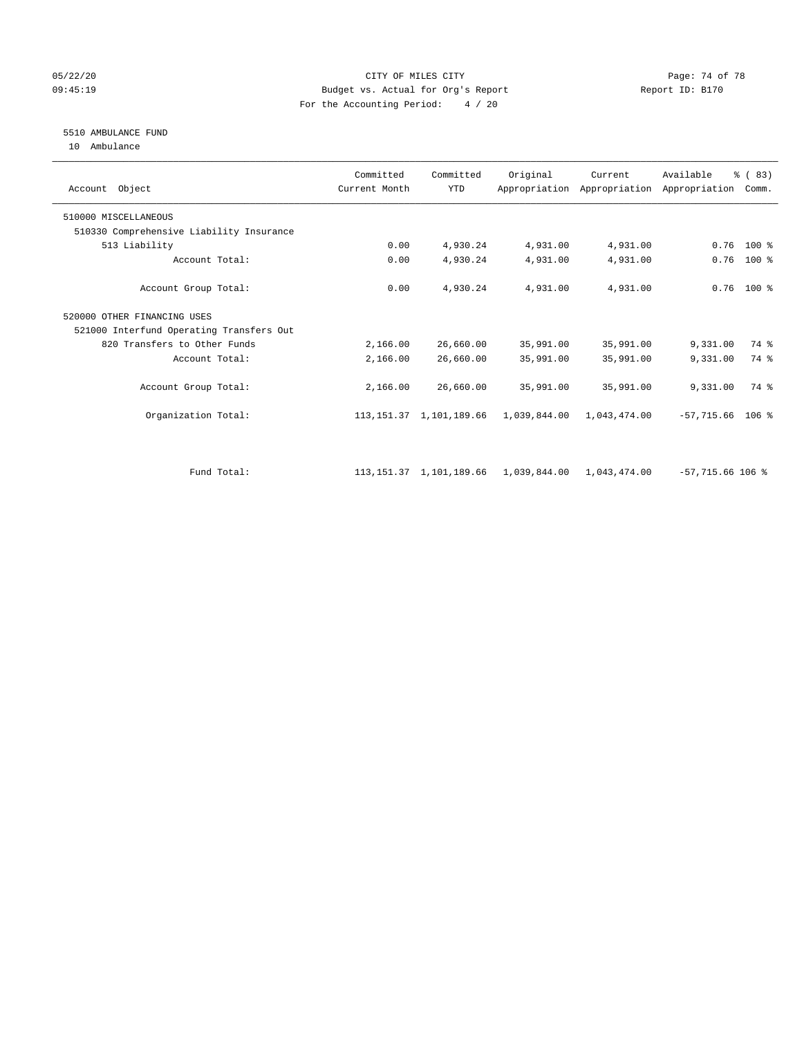## 05/22/20 Page: 74 of 78 09:45:19 Budget vs. Actual for Org's Report Report ID: B170 For the Accounting Period: 4 / 20

# 5510 AMBULANCE FUND

10 Ambulance

| Account Object                           | Committed<br>Current Month | Committed<br><b>YTD</b>      | Original                  | Current      | Available<br>Appropriation Appropriation Appropriation | % (83)<br>Comm. |  |
|------------------------------------------|----------------------------|------------------------------|---------------------------|--------------|--------------------------------------------------------|-----------------|--|
| 510000 MISCELLANEOUS                     |                            |                              |                           |              |                                                        |                 |  |
| 510330 Comprehensive Liability Insurance |                            |                              |                           |              |                                                        |                 |  |
| 513 Liability                            | 0.00                       | 4,930.24                     | 4,931.00                  | 4,931.00     | 0.76                                                   | $100*$          |  |
| Account Total:                           | 0.00                       | 4,930.24                     | 4,931.00                  | 4,931.00     | 0.76                                                   | $100$ %         |  |
| Account Group Total:                     | 0.00                       | 4,930.24                     | 4,931.00                  | 4,931.00     |                                                        | $0.76$ 100 %    |  |
| 520000 OTHER FINANCING USES              |                            |                              |                           |              |                                                        |                 |  |
| 521000 Interfund Operating Transfers Out |                            |                              |                           |              |                                                        |                 |  |
| 820 Transfers to Other Funds             | 2,166.00                   | 26,660.00                    | 35,991.00                 | 35,991.00    | 9,331.00                                               | 74 %            |  |
| Account Total:                           | 2,166.00                   | 26,660.00                    | 35,991.00                 | 35,991.00    | 9,331.00                                               | 74 %            |  |
| Account Group Total:                     | 2,166.00                   | 26,660.00                    | 35,991.00                 | 35,991.00    | 9,331.00                                               | 74 %            |  |
| Organization Total:                      |                            | 113, 151. 37 1, 101, 189. 66 | 1,039,844.00              | 1,043,474.00 | $-57,715.66$ 106 %                                     |                 |  |
| Fund Total:                              |                            | 113, 151.37 1, 101, 189.66   | 1,039,844.00 1,043,474.00 |              | $-57,715.66$ 106 %                                     |                 |  |
|                                          |                            |                              |                           |              |                                                        |                 |  |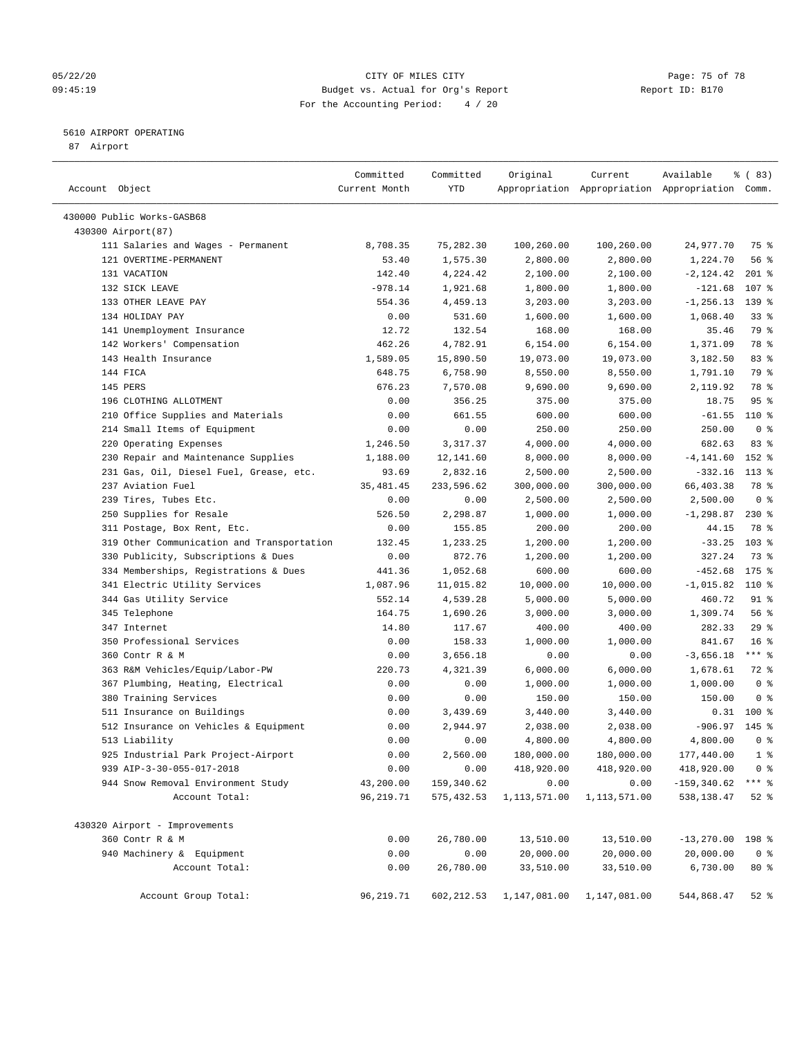## 05/22/20 **CITY OF MILES CITY CONSUMING THE PAGE: 75 of 78** 09:45:19 Budget vs. Actual for Org's Report Changer Report ID: B170 For the Accounting Period: 4 / 20

————————————————————————————————————————————————————————————————————————————————————————————————————————————————————————————————————

## 5610 AIRPORT OPERATING

87 Airport

|                                            | Committed     | Committed  | Original                   | Current                                         | Available          | % (83)          |
|--------------------------------------------|---------------|------------|----------------------------|-------------------------------------------------|--------------------|-----------------|
| Account Object                             | Current Month | YTD        |                            | Appropriation Appropriation Appropriation Comm. |                    |                 |
| 430000 Public Works-GASB68                 |               |            |                            |                                                 |                    |                 |
| 430300 Airport (87)                        |               |            |                            |                                                 |                    |                 |
| 111 Salaries and Wages - Permanent         | 8,708.35      | 75,282.30  | 100,260.00                 | 100,260.00                                      | 24,977.70          | 75 %            |
| 121 OVERTIME-PERMANENT                     | 53.40         | 1,575.30   | 2,800.00                   | 2,800.00                                        | 1,224.70           | 56 %            |
| 131 VACATION                               | 142.40        | 4,224.42   | 2,100.00                   | 2,100.00                                        | $-2,124.42$        | $201$ %         |
| 132 SICK LEAVE                             | $-978.14$     | 1,921.68   | 1,800.00                   | 1,800.00                                        | $-121.68$          | 107 %           |
| 133 OTHER LEAVE PAY                        | 554.36        | 4,459.13   | 3,203.00                   | 3,203.00                                        | $-1, 256.13$       | 139 %           |
| 134 HOLIDAY PAY                            | 0.00          | 531.60     | 1,600.00                   | 1,600.00                                        | 1,068.40           | $33$ $%$        |
| 141 Unemployment Insurance                 | 12.72         | 132.54     | 168.00                     | 168.00                                          | 35.46              | 79 %            |
| 142 Workers' Compensation                  | 462.26        | 4,782.91   | 6,154.00                   | 6,154.00                                        | 1,371.09           | 78 %            |
| 143 Health Insurance                       | 1,589.05      | 15,890.50  | 19,073.00                  | 19,073.00                                       | 3,182.50           | 83%             |
| 144 FICA                                   | 648.75        | 6,758.90   | 8,550.00                   | 8,550.00                                        | 1,791.10           | 79 %            |
| 145 PERS                                   | 676.23        | 7,570.08   | 9,690.00                   | 9,690.00                                        | 2,119.92           | 78 %            |
| 196 CLOTHING ALLOTMENT                     | 0.00          | 356.25     | 375.00                     | 375.00                                          | 18.75              | 95 <sup>°</sup> |
| 210 Office Supplies and Materials          | 0.00          | 661.55     | 600.00                     | 600.00                                          | $-61.55$           | 110 %           |
| 214 Small Items of Equipment               | 0.00          | 0.00       | 250.00                     | 250.00                                          | 250.00             | 0 <sup>8</sup>  |
| 220 Operating Expenses                     | 1,246.50      | 3,317.37   | 4,000.00                   | 4,000.00                                        | 682.63             | 83%             |
| 230 Repair and Maintenance Supplies        | 1,188.00      | 12,141.60  | 8,000.00                   | 8,000.00                                        | $-4, 141.60$       | 152 %           |
| 231 Gas, Oil, Diesel Fuel, Grease, etc.    | 93.69         | 2,832.16   | 2,500.00                   | 2,500.00                                        | $-332.16$          | $113*$          |
| 237 Aviation Fuel                          | 35, 481.45    | 233,596.62 | 300,000.00                 | 300,000.00                                      | 66,403.38          | 78 %            |
| 239 Tires, Tubes Etc.                      | 0.00          | 0.00       | 2,500.00                   | 2,500.00                                        | 2,500.00           | 0 <sup>8</sup>  |
| 250 Supplies for Resale                    | 526.50        | 2,298.87   | 1,000.00                   | 1,000.00                                        | $-1, 298.87$       | $230*$          |
| 311 Postage, Box Rent, Etc.                | 0.00          | 155.85     | 200.00                     | 200.00                                          | 44.15              | 78 %            |
| 319 Other Communication and Transportation | 132.45        | 1,233.25   | 1,200.00                   | 1,200.00                                        | $-33.25$           | $103$ %         |
| 330 Publicity, Subscriptions & Dues        | 0.00          | 872.76     | 1,200.00                   | 1,200.00                                        | 327.24             | 73 %            |
| 334 Memberships, Registrations & Dues      | 441.36        | 1,052.68   | 600.00                     | 600.00                                          | $-452.68$          | $175$ %         |
| 341 Electric Utility Services              | 1,087.96      | 11,015.82  | 10,000.00                  | 10,000.00                                       | $-1,015.82$        | 110 %           |
| 344 Gas Utility Service                    | 552.14        | 4,539.28   | 5,000.00                   | 5,000.00                                        | 460.72             | $91$ %          |
| 345 Telephone                              | 164.75        | 1,690.26   | 3,000.00                   | 3,000.00                                        | 1,309.74           | 56%             |
| 347 Internet                               | 14.80         | 117.67     | 400.00                     | 400.00                                          | 282.33             | 29%             |
| 350 Professional Services                  | 0.00          | 158.33     | 1,000.00                   | 1,000.00                                        | 841.67             | 16 <sup>8</sup> |
| 360 Contr R & M                            | 0.00          | 3,656.18   | 0.00                       | 0.00                                            | $-3,656.18$        | $***$ $-$       |
| 363 R&M Vehicles/Equip/Labor-PW            | 220.73        | 4,321.39   | 6,000.00                   | 6,000.00                                        | 1,678.61           | $72$ $%$        |
| 367 Plumbing, Heating, Electrical          | 0.00          | 0.00       | 1,000.00                   | 1,000.00                                        | 1,000.00           | 0 <sup>8</sup>  |
| 380 Training Services                      | 0.00          | 0.00       | 150.00                     | 150.00                                          | 150.00             | 0 <sup>8</sup>  |
| 511 Insurance on Buildings                 | 0.00          | 3,439.69   | 3,440.00                   | 3,440.00                                        |                    | $0.31$ 100 %    |
| 512 Insurance on Vehicles & Equipment      | 0.00          | 2,944.97   | 2,038.00                   | 2,038.00                                        | $-906.97$          | 145 %           |
| 513 Liability                              | 0.00          | 0.00       | 4,800.00                   | 4,800.00                                        | 4,800.00           | 0 <sup>8</sup>  |
| 925 Industrial Park Project-Airport        | 0.00          | 2,560.00   | 180,000.00                 | 180,000.00                                      | 177,440.00         | $1$ %           |
| 939 AIP-3-30-055-017-2018                  | 0.00          | 0.00       | 418,920.00                 | 418,920.00                                      | 418,920.00         | 0 <sup>8</sup>  |
| 944 Snow Removal Environment Study         | 43,200.00     | 159,340.62 | 0.00                       | 0.00                                            | $-159, 340.62$     | $***$ $_{8}$    |
| Account Total:                             | 96, 219.71    | 575,432.53 | 1,113,571.00               | 1,113,571.00                                    | 538,138.47         | $52$ $%$        |
| 430320 Airport - Improvements              |               |            |                            |                                                 |                    |                 |
| 360 Contr R & M                            | 0.00          | 26,780.00  | 13,510.00                  | 13,510.00                                       | $-13,270.00$ 198 % |                 |
| 940 Machinery & Equipment                  | 0.00          | 0.00       | 20,000.00                  | 20,000.00                                       | 20,000.00          | 0 <sup>8</sup>  |
| Account Total:                             | 0.00          | 26,780.00  | 33,510.00                  | 33,510.00                                       | 6,730.00           | $80*$           |
| Account Group Total:                       | 96,219.71     |            | 602, 212.53 1, 147, 081.00 | 1,147,081.00                                    | 544,868.47         | $52$ %          |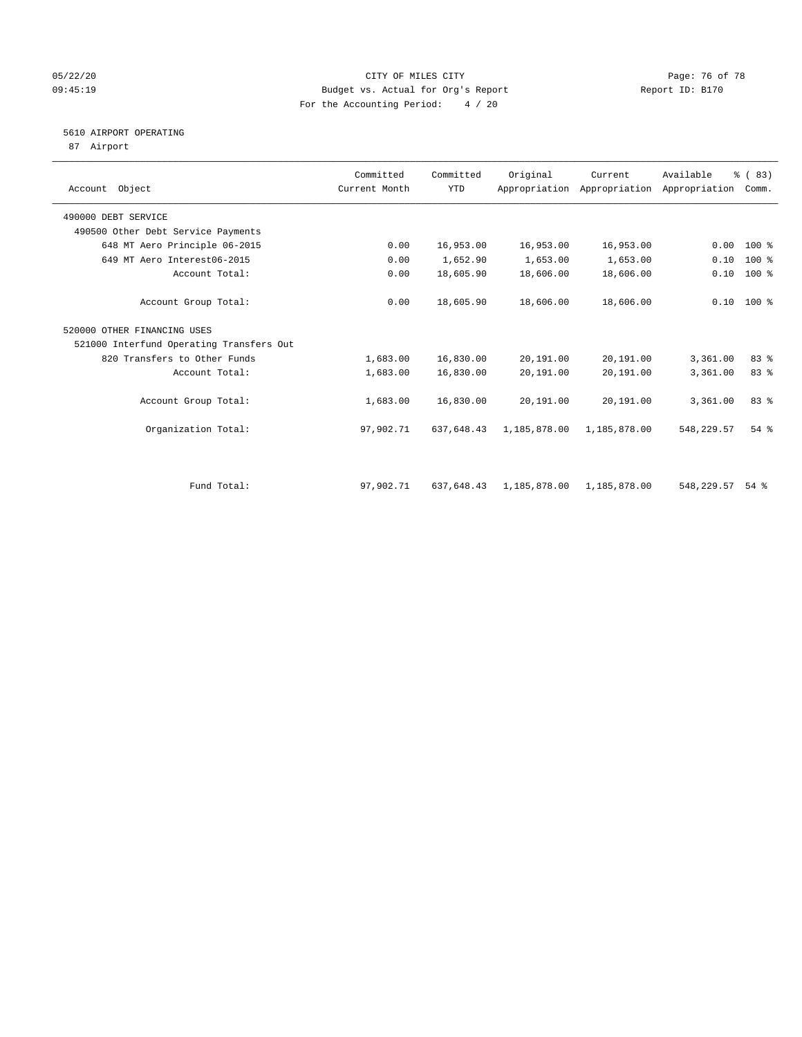## 05/22/20 **CITY OF MILES CITY CONSUMING THE PAGE OF 78** Page: 76 of 78 09:45:19 Budget vs. Actual for Org's Report Changer Report ID: B170 For the Accounting Period: 4 / 20

# 5610 AIRPORT OPERATING

87 Airport

| Account Object                           | Committed<br>Current Month | Committed<br><b>YTD</b> | Original     | Current<br>Appropriation Appropriation Appropriation | Available  | % (83)<br>Comm. |  |
|------------------------------------------|----------------------------|-------------------------|--------------|------------------------------------------------------|------------|-----------------|--|
| 490000 DEBT SERVICE                      |                            |                         |              |                                                      |            |                 |  |
| 490500 Other Debt Service Payments       |                            |                         |              |                                                      |            |                 |  |
| 648 MT Aero Principle 06-2015            | 0.00                       | 16,953.00               | 16,953.00    | 16,953.00                                            | 0.00       | $100*$          |  |
| 649 MT Aero Interest06-2015              | 0.00                       | 1,652.90                | 1,653.00     | 1,653.00                                             | 0.10       | 100 %           |  |
| Account Total:                           | 0.00                       | 18,605.90               | 18,606.00    | 18,606.00                                            | 0.10       | $100$ %         |  |
| Account Group Total:                     | 0.00                       | 18,605.90               | 18,606.00    | 18,606.00                                            |            | $0.10$ 100 %    |  |
| 520000 OTHER FINANCING USES              |                            |                         |              |                                                      |            |                 |  |
| 521000 Interfund Operating Transfers Out |                            |                         |              |                                                      |            |                 |  |
| 820 Transfers to Other Funds             | 1,683.00                   | 16,830.00               | 20,191.00    | 20,191.00                                            | 3,361.00   | 83 %            |  |
| Account Total:                           | 1,683.00                   | 16,830.00               | 20,191.00    | 20,191.00                                            | 3,361.00   | 83 %            |  |
| Account Group Total:                     | 1,683.00                   | 16,830.00               | 20,191.00    | 20,191.00                                            | 3,361.00   | 83 %            |  |
| Organization Total:                      | 97,902.71                  | 637,648.43              | 1,185,878.00 | 1,185,878.00                                         | 548,229.57 | $54$ $%$        |  |
|                                          |                            |                         |              |                                                      |            |                 |  |
| Fund Total:                              | 97,902.71                  | 637,648.43              | 1,185,878.00 | 1,185,878.00                                         | 548,229.57 | $54$ $%$        |  |